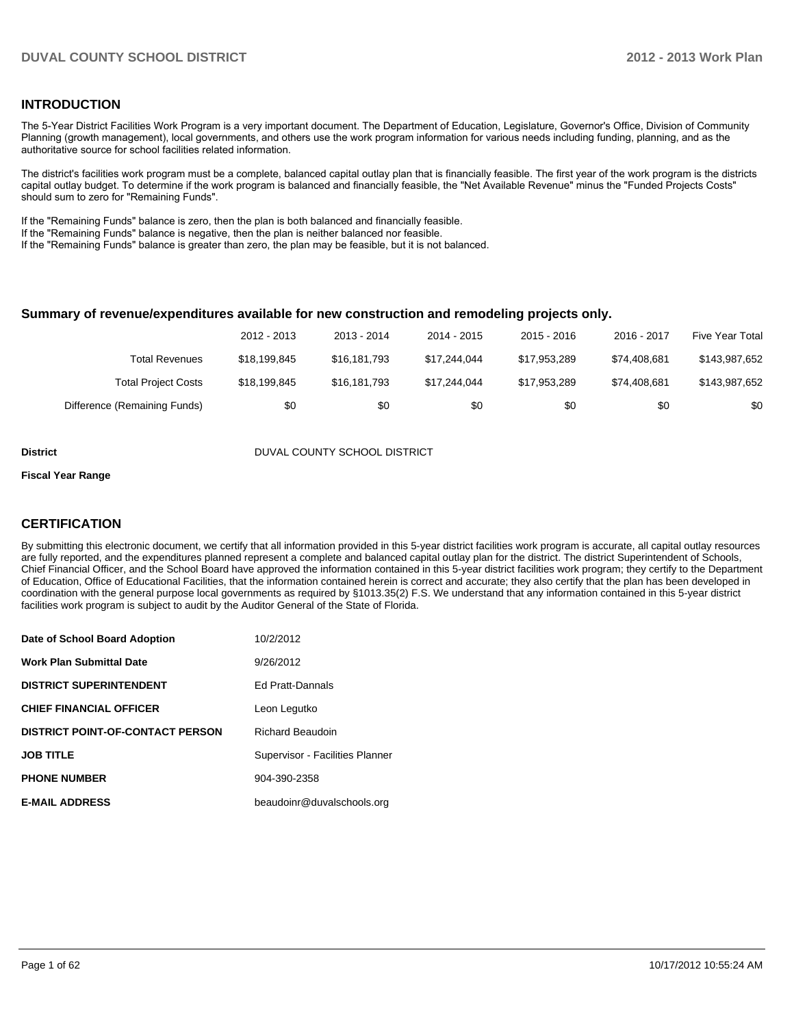#### **INTRODUCTION**

The 5-Year District Facilities Work Program is a very important document. The Department of Education, Legislature, Governor's Office, Division of Community Planning (growth management), local governments, and others use the work program information for various needs including funding, planning, and as the authoritative source for school facilities related information.

The district's facilities work program must be a complete, balanced capital outlay plan that is financially feasible. The first year of the work program is the districts capital outlay budget. To determine if the work program is balanced and financially feasible, the "Net Available Revenue" minus the "Funded Projects Costs" should sum to zero for "Remaining Funds".

If the "Remaining Funds" balance is zero, then the plan is both balanced and financially feasible.

If the "Remaining Funds" balance is negative, then the plan is neither balanced nor feasible.

If the "Remaining Funds" balance is greater than zero, the plan may be feasible, but it is not balanced.

#### **Summary of revenue/expenditures available for new construction and remodeling projects only.**

|                              | 2012 - 2013  | 2013 - 2014  | 2014 - 2015  | $2015 - 2016$ | 2016 - 2017  | Five Year Total |
|------------------------------|--------------|--------------|--------------|---------------|--------------|-----------------|
| Total Revenues               | \$18.199.845 | \$16,181,793 | \$17.244.044 | \$17.953.289  | \$74.408.681 | \$143,987,652   |
| <b>Total Project Costs</b>   | \$18.199.845 | \$16,181,793 | \$17.244.044 | \$17.953.289  | \$74.408.681 | \$143,987,652   |
| Difference (Remaining Funds) | \$0          | \$0          | \$0          | \$0           | \$0          | \$0             |

**District District DUVAL COUNTY SCHOOL DISTRICT** 

#### **Fiscal Year Range**

#### **CERTIFICATION**

By submitting this electronic document, we certify that all information provided in this 5-year district facilities work program is accurate, all capital outlay resources are fully reported, and the expenditures planned represent a complete and balanced capital outlay plan for the district. The district Superintendent of Schools, Chief Financial Officer, and the School Board have approved the information contained in this 5-year district facilities work program; they certify to the Department of Education, Office of Educational Facilities, that the information contained herein is correct and accurate; they also certify that the plan has been developed in coordination with the general purpose local governments as required by §1013.35(2) F.S. We understand that any information contained in this 5-year district facilities work program is subject to audit by the Auditor General of the State of Florida.

| Date of School Board Adoption           | 10/2/2012                       |
|-----------------------------------------|---------------------------------|
| <b>Work Plan Submittal Date</b>         | 9/26/2012                       |
| <b>DISTRICT SUPERINTENDENT</b>          | Ed Pratt-Dannals                |
| <b>CHIEF FINANCIAL OFFICER</b>          | Leon Legutko                    |
| <b>DISTRICT POINT-OF-CONTACT PERSON</b> | <b>Richard Beaudoin</b>         |
| <b>JOB TITLE</b>                        | Supervisor - Facilities Planner |
| <b>PHONE NUMBER</b>                     | 904-390-2358                    |
| <b>E-MAIL ADDRESS</b>                   | beaudoinr@duvalschools.org      |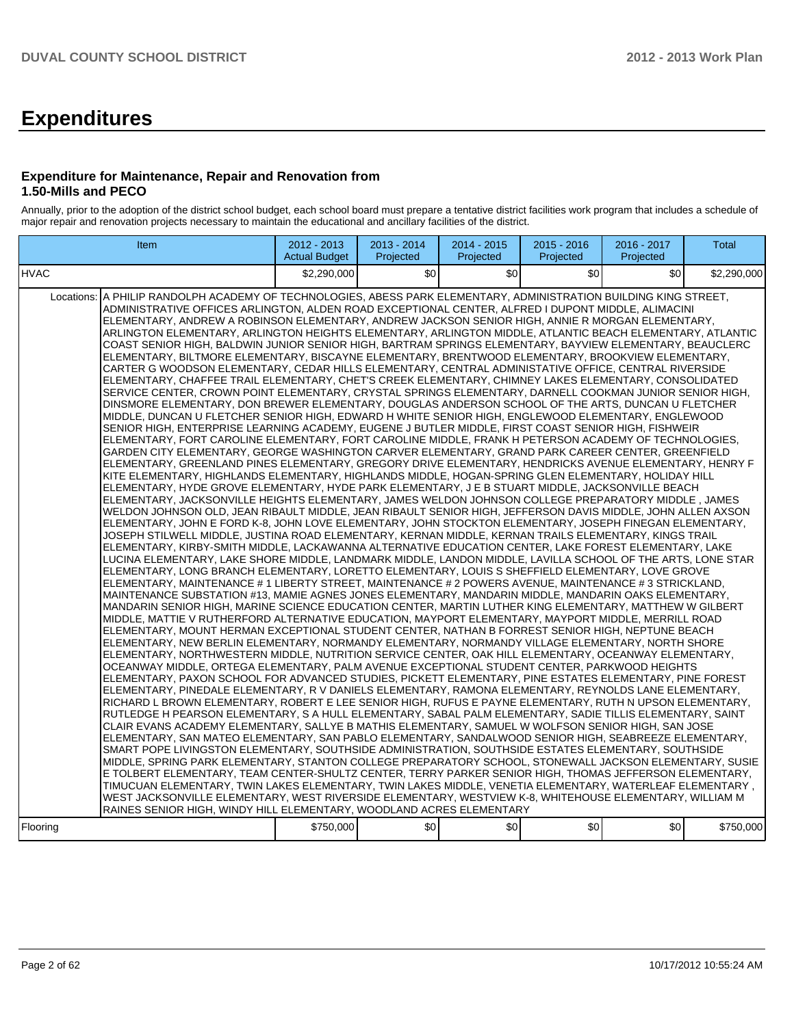# **Expenditures**

#### **Expenditure for Maintenance, Repair and Renovation from 1.50-Mills and PECO**

Annually, prior to the adoption of the district school budget, each school board must prepare a tentative district facilities work program that includes a schedule of major repair and renovation projects necessary to maintain the educational and ancillary facilities of the district.

| <b>Item</b>                                                                                                                                                                                                                                                                                                                                                                                                                                                                                                                                                                                                                                                                                                                                                                                                                                                                                                                                                                                                                                                                                                                                                                                                                                                                                                                                                                                                                                                                                                                                                                                                                                                                                                                                                                                                                                                                                                                                                                                                                                                                                                                                                                                                                                                                                                                                                                                                                                                                                                                                                                                                                                                                                                                                                                                                                                                                                                                                                                                                                                                                                                                                                                                                                                                                                                                                                                                                                                                                                                                                                                                                                                                                                                                                                                                                                                                                                                                                                                                                                                                                                                                                                                                                                                                                                                                                                                                                                                                                                                                                                                                                                                                                                                                                                                     | $2012 - 2013$<br><b>Actual Budget</b> | 2013 - 2014<br>Projected | 2014 - 2015<br>Projected | $2015 - 2016$<br>Projected | 2016 - 2017<br>Projected | Total       |
|---------------------------------------------------------------------------------------------------------------------------------------------------------------------------------------------------------------------------------------------------------------------------------------------------------------------------------------------------------------------------------------------------------------------------------------------------------------------------------------------------------------------------------------------------------------------------------------------------------------------------------------------------------------------------------------------------------------------------------------------------------------------------------------------------------------------------------------------------------------------------------------------------------------------------------------------------------------------------------------------------------------------------------------------------------------------------------------------------------------------------------------------------------------------------------------------------------------------------------------------------------------------------------------------------------------------------------------------------------------------------------------------------------------------------------------------------------------------------------------------------------------------------------------------------------------------------------------------------------------------------------------------------------------------------------------------------------------------------------------------------------------------------------------------------------------------------------------------------------------------------------------------------------------------------------------------------------------------------------------------------------------------------------------------------------------------------------------------------------------------------------------------------------------------------------------------------------------------------------------------------------------------------------------------------------------------------------------------------------------------------------------------------------------------------------------------------------------------------------------------------------------------------------------------------------------------------------------------------------------------------------------------------------------------------------------------------------------------------------------------------------------------------------------------------------------------------------------------------------------------------------------------------------------------------------------------------------------------------------------------------------------------------------------------------------------------------------------------------------------------------------------------------------------------------------------------------------------------------------------------------------------------------------------------------------------------------------------------------------------------------------------------------------------------------------------------------------------------------------------------------------------------------------------------------------------------------------------------------------------------------------------------------------------------------------------------------------------------------------------------------------------------------------------------------------------------------------------------------------------------------------------------------------------------------------------------------------------------------------------------------------------------------------------------------------------------------------------------------------------------------------------------------------------------------------------------------------------------------------------------------------------------------------------------------------------------------------------------------------------------------------------------------------------------------------------------------------------------------------------------------------------------------------------------------------------------------------------------------------------------------------------------------------------------------------------------------------------------------------------------------------------------------------|---------------------------------------|--------------------------|--------------------------|----------------------------|--------------------------|-------------|
| <b>HVAC</b>                                                                                                                                                                                                                                                                                                                                                                                                                                                                                                                                                                                                                                                                                                                                                                                                                                                                                                                                                                                                                                                                                                                                                                                                                                                                                                                                                                                                                                                                                                                                                                                                                                                                                                                                                                                                                                                                                                                                                                                                                                                                                                                                                                                                                                                                                                                                                                                                                                                                                                                                                                                                                                                                                                                                                                                                                                                                                                                                                                                                                                                                                                                                                                                                                                                                                                                                                                                                                                                                                                                                                                                                                                                                                                                                                                                                                                                                                                                                                                                                                                                                                                                                                                                                                                                                                                                                                                                                                                                                                                                                                                                                                                                                                                                                                                     | \$2,290,000                           | ا 30                     | \$0                      | \$0                        | \$0                      | \$2,290,000 |
| Locations: A PHILIP RANDOLPH ACADEMY OF TECHNOLOGIES, ABESS PARK ELEMENTARY, ADMINISTRATION BUILDING KING STREET,<br>ADMINISTRATIVE OFFICES ARLINGTON, ALDEN ROAD EXCEPTIONAL CENTER, ALFRED I DUPONT MIDDLE, ALIMACINI<br>ELEMENTARY, ANDREW A ROBINSON ELEMENTARY, ANDREW JACKSON SENIOR HIGH, ANNIE R MORGAN ELEMENTARY.<br>ARLINGTON ELEMENTARY, ARLINGTON HEIGHTS ELEMENTARY, ARLINGTON MIDDLE, ATLANTIC BEACH ELEMENTARY, ATLANTIC<br>COAST SENIOR HIGH, BALDWIN JUNIOR SENIOR HIGH, BARTRAM SPRINGS ELEMENTARY, BAYVIEW ELEMENTARY, BEAUCLERC<br>ELEMENTARY, BILTMORE ELEMENTARY, BISCAYNE ELEMENTARY, BRENTWOOD ELEMENTARY, BROOKVIEW ELEMENTARY,<br>CARTER G WOODSON ELEMENTARY, CEDAR HILLS ELEMENTARY, CENTRAL ADMINISTATIVE OFFICE, CENTRAL RIVERSIDE<br>ELEMENTARY, CHAFFEE TRAIL ELEMENTARY, CHET'S CREEK ELEMENTARY, CHIMNEY LAKES ELEMENTARY, CONSOLIDATED<br>SERVICE CENTER, CROWN POINT ELEMENTARY, CRYSTAL SPRINGS ELEMENTARY, DARNELL COOKMAN JUNIOR SENIOR HIGH,<br>DINSMORE ELEMENTARY. DON BREWER ELEMENTARY. DOUGLAS ANDERSON SCHOOL OF THE ARTS. DUNCAN U FLETCHER<br>MIDDLE, DUNCAN U FLETCHER SENIOR HIGH, EDWARD H WHITE SENIOR HIGH, ENGLEWOOD ELEMENTARY, ENGLEWOOD<br>SENIOR HIGH, ENTERPRISE LEARNING ACADEMY, EUGENE J BUTLER MIDDLE, FIRST COAST SENIOR HIGH, FISHWEIR<br>ELEMENTARY, FORT CAROLINE ELEMENTARY, FORT CAROLINE MIDDLE, FRANK H PETERSON ACADEMY OF TECHNOLOGIES,<br>GARDEN CITY ELEMENTARY, GEORGE WASHINGTON CARVER ELEMENTARY, GRAND PARK CAREER CENTER, GREENFIELD<br>IELEMENTARY, GREENLAND PINES ELEMENTARY, GREGORY DRIVE ELEMENTARY, HENDRICKS AVENUE ELEMENTARY, HENRY F<br>KITE ELEMENTARY, HIGHLANDS ELEMENTARY, HIGHLANDS MIDDLE, HOGAN-SPRING GLEN ELEMENTARY, HOLIDAY HILL<br>ELEMENTARY, HYDE GROVE ELEMENTARY, HYDE PARK ELEMENTARY, J E B STUART MIDDLE, JACKSONVILLE BEACH<br>ELEMENTARY, JACKSONVILLE HEIGHTS ELEMENTARY, JAMES WELDON JOHNSON COLLEGE PREPARATORY MIDDLE, JAMES<br>IWELDON JOHNSON OLD, JEAN RIBAULT MIDDLE, JEAN RIBAULT SENIOR HIGH, JEFFERSON DAVIS MIDDLE, JOHN ALLEN AXSON<br>ELEMENTARY, JOHN E FORD K-8, JOHN LOVE ELEMENTARY, JOHN STOCKTON ELEMENTARY, JOSEPH FINEGAN ELEMENTARY,<br>JOSEPH STILWELL MIDDLE, JUSTINA ROAD ELEMENTARY, KERNAN MIDDLE, KERNAN TRAILS ELEMENTARY, KINGS TRAIL<br>ELEMENTARY, KIRBY-SMITH MIDDLE, LACKAWANNA ALTERNATIVE EDUCATION CENTER, LAKE FOREST ELEMENTARY, LAKE<br>LUCINA ELEMENTARY, LAKE SHORE MIDDLE, LANDMARK MIDDLE, LANDON MIDDLE, LAVILLA SCHOOL OF THE ARTS, LONE STAR<br>ELEMENTARY, LONG BRANCH ELEMENTARY, LORETTO ELEMENTARY, LOUIS S SHEFFIELD ELEMENTARY, LOVE GROVE<br>ELEMENTARY, MAINTENANCE # 1 LIBERTY STREET, MAINTENANCE # 2 POWERS AVENUE, MAINTENANCE # 3 STRICKLAND,<br>MAINTENANCE SUBSTATION #13, MAMIE AGNES JONES ELEMENTARY, MANDARIN MIDDLE, MANDARIN OAKS ELEMENTARY,<br>MANDARIN SENIOR HIGH. MARINE SCIENCE EDUCATION CENTER. MARTIN LUTHER KING ELEMENTARY. MATTHEW W GILBERT<br>MIDDLE, MATTIE V RUTHERFORD ALTERNATIVE EDUCATION, MAYPORT ELEMENTARY, MAYPORT MIDDLE, MERRILL ROAD<br>ELEMENTARY, MOUNT HERMAN EXCEPTIONAL STUDENT CENTER, NATHAN B FORREST SENIOR HIGH, NEPTUNE BEACH<br>ELEMENTARY, NEW BERLIN ELEMENTARY, NORMANDY ELEMENTARY, NORMANDY VILLAGE ELEMENTARY, NORTH SHORE<br>ELEMENTARY, NORTHWESTERN MIDDLE, NUTRITION SERVICE CENTER, OAK HILL ELEMENTARY, OCEANWAY ELEMENTARY,<br>OCEANWAY MIDDLE, ORTEGA ELEMENTARY, PALM AVENUE EXCEPTIONAL STUDENT CENTER, PARKWOOD HEIGHTS<br>ELEMENTARY, PAXON SCHOOL FOR ADVANCED STUDIES, PICKETT ELEMENTARY, PINE ESTATES ELEMENTARY, PINE FOREST<br>ELEMENTARY, PINEDALE ELEMENTARY, R V DANIELS ELEMENTARY, RAMONA ELEMENTARY, REYNOLDS LANE ELEMENTARY,<br>RICHARD L BROWN ELEMENTARY, ROBERT E LEE SENIOR HIGH, RUFUS E PAYNE ELEMENTARY, RUTH N UPSON ELEMENTARY,<br>IRUTLEDGE H PEARSON ELEMENTARY, S A HULL ELEMENTARY, SABAL PALM ELEMENTARY, SADIE TILLIS ELEMENTARY, SAINT<br>CLAIR EVANS ACADEMY ELEMENTARY, SALLYE B MATHIS ELEMENTARY, SAMUEL W WOLFSON SENIOR HIGH, SAN JOSE<br>ELEMENTARY, SAN MATEO ELEMENTARY, SAN PABLO ELEMENTARY, SANDALWOOD SENIOR HIGH, SEABREEZE ELEMENTARY,<br>SMART POPE LIVINGSTON ELEMENTARY, SOUTHSIDE ADMINISTRATION, SOUTHSIDE ESTATES ELEMENTARY, SOUTHSIDE<br>MIDDLE, SPRING PARK ELEMENTARY, STANTON COLLEGE PREPARATORY SCHOOL, STONEWALL JACKSON ELEMENTARY, SUSIE<br>E TOLBERT ELEMENTARY, TEAM CENTER-SHULTZ CENTER, TERRY PARKER SENIOR HIGH, THOMAS JEFFERSON ELEMENTARY,<br>, TIMUCUAN ELEMENTARY, TWIN LAKES ELEMENTARY, TWIN LAKES MIDDLE, VENETIA ELEMENTARY, WATERLEAF ELEMENTARY (<br>WEST JACKSONVILLE ELEMENTARY, WEST RIVERSIDE ELEMENTARY, WESTVIEW K-8, WHITEHOUSE ELEMENTARY, WILLIAM M<br>RAINES SENIOR HIGH, WINDY HILL ELEMENTARY, WOODLAND ACRES ELEMENTARY<br>Flooring | \$750,000                             | \$0                      | \$0]                     | \$0                        | \$0                      | \$750,000   |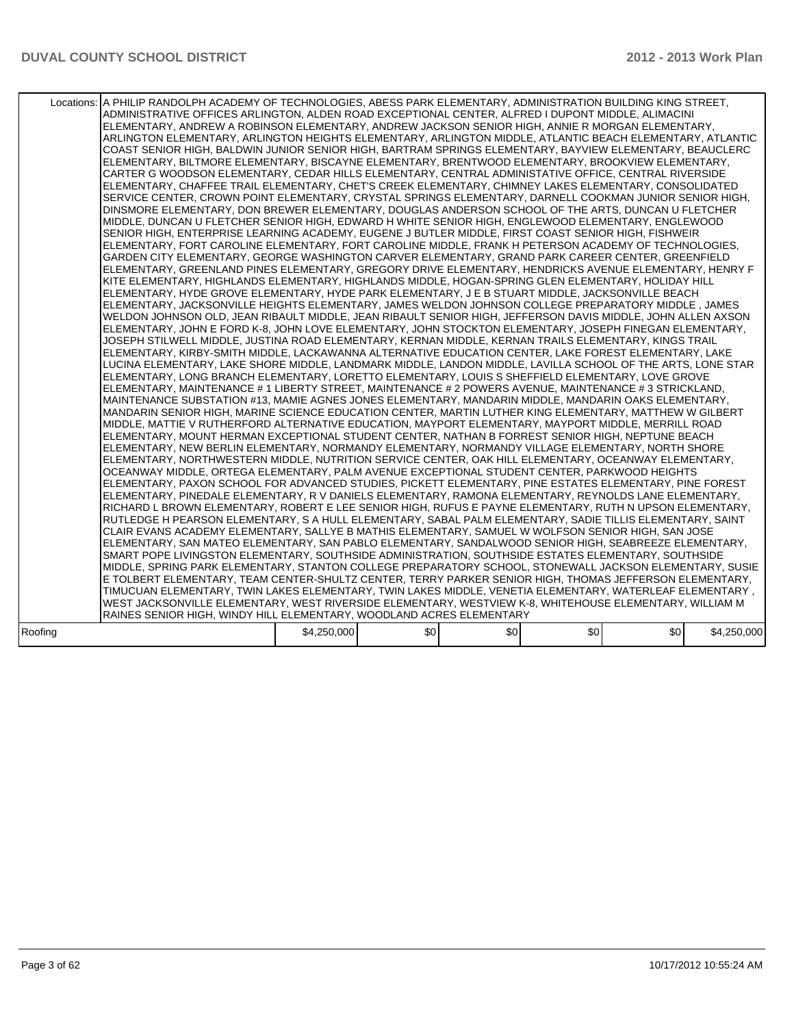|         | Locations:   A PHILIP RANDOLPH ACADEMY OF TECHNOLOGIES, ABESS PARK ELEMENTARY, ADMINISTRATION BUILDING KING STREET,<br>ADMINISTRATIVE OFFICES ARLINGTON, ALDEN ROAD EXCEPTIONAL CENTER, ALFRED I DUPONT MIDDLE, ALIMACINI<br>ELEMENTARY, ANDREW A ROBINSON ELEMENTARY, ANDREW JACKSON SENIOR HIGH, ANNIE R MORGAN ELEMENTARY,<br>ARLINGTON ELEMENTARY, ARLINGTON HEIGHTS ELEMENTARY, ARLINGTON MIDDLE, ATLANTIC BEACH ELEMENTARY, ATLANTIC<br>COAST SENIOR HIGH, BALDWIN JUNIOR SENIOR HIGH, BARTRAM SPRINGS ELEMENTARY, BAYVIEW ELEMENTARY, BEAUCLERC<br>ELEMENTARY, BILTMORE ELEMENTARY, BISCAYNE ELEMENTARY, BRENTWOOD ELEMENTARY, BROOKVIEW ELEMENTARY,<br>CARTER G WOODSON ELEMENTARY, CEDAR HILLS ELEMENTARY, CENTRAL ADMINISTATIVE OFFICE, CENTRAL RIVERSIDE<br>ELEMENTARY, CHAFFEE TRAIL ELEMENTARY, CHET'S CREEK ELEMENTARY, CHIMNEY LAKES ELEMENTARY, CONSOLIDATED<br>SERVICE CENTER, CROWN POINT ELEMENTARY, CRYSTAL SPRINGS ELEMENTARY, DARNELL COOKMAN JUNIOR SENIOR HIGH,<br>DINSMORE ELEMENTARY, DON BREWER ELEMENTARY, DOUGLAS ANDERSON SCHOOL OF THE ARTS, DUNCAN U FLETCHER<br>MIDDLE, DUNCAN U FLETCHER SENIOR HIGH, EDWARD H WHITE SENIOR HIGH, ENGLEWOOD ELEMENTARY, ENGLEWOOD<br>SENIOR HIGH, ENTERPRISE LEARNING ACADEMY, EUGENE J BUTLER MIDDLE, FIRST COAST SENIOR HIGH, FISHWEIR<br>ELEMENTARY, FORT CAROLINE ELEMENTARY, FORT CAROLINE MIDDLE, FRANK H PETERSON ACADEMY OF TECHNOLOGIES,<br>GARDEN CITY ELEMENTARY, GEORGE WASHINGTON CARVER ELEMENTARY, GRAND PARK CAREER CENTER, GREENFIELD<br>ELEMENTARY, GREENLAND PINES ELEMENTARY, GREGORY DRIVE ELEMENTARY, HENDRICKS AVENUE ELEMENTARY, HENRY F<br>KITE ELEMENTARY, HIGHLANDS ELEMENTARY, HIGHLANDS MIDDLE, HOGAN-SPRING GLEN ELEMENTARY, HOLIDAY HILL<br>ELEMENTARY, HYDE GROVE ELEMENTARY, HYDE PARK ELEMENTARY, J E B STUART MIDDLE, JACKSONVILLE BEACH<br>ELEMENTARY, JACKSONVILLE HEIGHTS ELEMENTARY, JAMES WELDON JOHNSON COLLEGE PREPARATORY MIDDLE, JAMES<br>WELDON JOHNSON OLD, JEAN RIBAULT MIDDLE, JEAN RIBAULT SENIOR HIGH, JEFFERSON DAVIS MIDDLE, JOHN ALLEN AXSON<br>ELEMENTARY, JOHN E FORD K-8, JOHN LOVE ELEMENTARY, JOHN STOCKTON ELEMENTARY, JOSEPH FINEGAN ELEMENTARY,<br>JOSEPH STILWELL MIDDLE. JUSTINA ROAD ELEMENTARY. KERNAN MIDDLE. KERNAN TRAILS ELEMENTARY. KINGS TRAIL<br>ELEMENTARY, KIRBY-SMITH MIDDLE, LACKAWANNA ALTERNATIVE EDUCATION CENTER, LAKE FOREST ELEMENTARY, LAKE<br>LUCINA ELEMENTARY, LAKE SHORE MIDDLE, LANDMARK MIDDLE, LANDON MIDDLE, LAVILLA SCHOOL OF THE ARTS, LONE STAR<br>ELEMENTARY, LONG BRANCH ELEMENTARY, LORETTO ELEMENTARY, LOUIS S SHEFFIELD ELEMENTARY, LOVE GROVE<br>ELEMENTARY, MAINTENANCE # 1 LIBERTY STREET, MAINTENANCE # 2 POWERS AVENUE, MAINTENANCE # 3 STRICKLAND,<br>MAINTENANCE SUBSTATION #13, MAMIE AGNES JONES ELEMENTARY, MANDARIN MIDDLE, MANDARIN OAKS ELEMENTARY,<br>MANDARIN SENIOR HIGH, MARINE SCIENCE EDUCATION CENTER, MARTIN LUTHER KING ELEMENTARY, MATTHEW W GILBERT<br>MIDDLE, MATTIE V RUTHERFORD ALTERNATIVE EDUCATION, MAYPORT ELEMENTARY, MAYPORT MIDDLE, MERRILL ROAD<br>ELEMENTARY, MOUNT HERMAN EXCEPTIONAL STUDENT CENTER, NATHAN B FORREST SENIOR HIGH, NEPTUNE BEACH<br>ELEMENTARY, NEW BERLIN ELEMENTARY, NORMANDY ELEMENTARY, NORMANDY VILLAGE ELEMENTARY, NORTH SHORE<br>ELEMENTARY, NORTHWESTERN MIDDLE, NUTRITION SERVICE CENTER, OAK HILL ELEMENTARY, OCEANWAY ELEMENTARY,<br>OCEANWAY MIDDLE. ORTEGA ELEMENTARY. PALM AVENUE EXCEPTIONAL STUDENT CENTER. PARKWOOD HEIGHTS<br>ELEMENTARY, PAXON SCHOOL FOR ADVANCED STUDIES, PICKETT ELEMENTARY, PINE ESTATES ELEMENTARY, PINE FOREST<br>ELEMENTARY, PINEDALE ELEMENTARY, R V DANIELS ELEMENTARY, RAMONA ELEMENTARY, REYNOLDS LANE ELEMENTARY,<br>RICHARD L BROWN ELEMENTARY, ROBERT E LEE SENIOR HIGH, RUFUS E PAYNE ELEMENTARY, RUTH N UPSON ELEMENTARY,<br>RUTLEDGE H PEARSON ELEMENTARY, S A HULL ELEMENTARY, SABAL PALM ELEMENTARY, SADIE TILLIS ELEMENTARY, SAINT<br>CLAIR EVANS ACADEMY ELEMENTARY, SALLYE B MATHIS ELEMENTARY, SAMUEL W WOLFSON SENIOR HIGH, SAN JOSE<br>ELEMENTARY, SAN MATEO ELEMENTARY, SAN PABLO ELEMENTARY, SANDALWOOD SENIOR HIGH, SEABREEZE ELEMENTARY,<br>SMART POPE LIVINGSTON ELEMENTARY, SOUTHSIDE ADMINISTRATION, SOUTHSIDE ESTATES ELEMENTARY, SOUTHSIDE<br>MIDDLE, SPRING PARK ELEMENTARY, STANTON COLLEGE PREPARATORY SCHOOL, STONEWALL JACKSON ELEMENTARY, SUSIE<br>E TOLBERT ELEMENTARY, TEAM CENTER-SHULTZ CENTER, TERRY PARKER SENIOR HIGH, THOMAS JEFFERSON ELEMENTARY,<br>TIMUCUAN ELEMENTARY, TWIN LAKES ELEMENTARY, TWIN LAKES MIDDLE, VENETIA ELEMENTARY, WATERLEAF ELEMENTARY,<br>WEST JACKSONVILLE ELEMENTARY, WEST RIVERSIDE ELEMENTARY, WESTVIEW K-8, WHITEHOUSE ELEMENTARY, WILLIAM M<br>RAINES SENIOR HIGH, WINDY HILL ELEMENTARY, WOODLAND ACRES ELEMENTARY |             |     |     |     |     |             |
|---------|-----------------------------------------------------------------------------------------------------------------------------------------------------------------------------------------------------------------------------------------------------------------------------------------------------------------------------------------------------------------------------------------------------------------------------------------------------------------------------------------------------------------------------------------------------------------------------------------------------------------------------------------------------------------------------------------------------------------------------------------------------------------------------------------------------------------------------------------------------------------------------------------------------------------------------------------------------------------------------------------------------------------------------------------------------------------------------------------------------------------------------------------------------------------------------------------------------------------------------------------------------------------------------------------------------------------------------------------------------------------------------------------------------------------------------------------------------------------------------------------------------------------------------------------------------------------------------------------------------------------------------------------------------------------------------------------------------------------------------------------------------------------------------------------------------------------------------------------------------------------------------------------------------------------------------------------------------------------------------------------------------------------------------------------------------------------------------------------------------------------------------------------------------------------------------------------------------------------------------------------------------------------------------------------------------------------------------------------------------------------------------------------------------------------------------------------------------------------------------------------------------------------------------------------------------------------------------------------------------------------------------------------------------------------------------------------------------------------------------------------------------------------------------------------------------------------------------------------------------------------------------------------------------------------------------------------------------------------------------------------------------------------------------------------------------------------------------------------------------------------------------------------------------------------------------------------------------------------------------------------------------------------------------------------------------------------------------------------------------------------------------------------------------------------------------------------------------------------------------------------------------------------------------------------------------------------------------------------------------------------------------------------------------------------------------------------------------------------------------------------------------------------------------------------------------------------------------------------------------------------------------------------------------------------------------------------------------------------------------------------------------------------------------------------------------------------------------------------------------------------------------------------------------------------------------------------------------------------------------------------------------------------------------------------------------------------------------------------------------------------------------------------------------------------------------------------------------------------------------------------------------------------------------------------------------------------------------------------------------------------------------------------------------------------------------------------------------------------------------------------------------------------|-------------|-----|-----|-----|-----|-------------|
| Roofing |                                                                                                                                                                                                                                                                                                                                                                                                                                                                                                                                                                                                                                                                                                                                                                                                                                                                                                                                                                                                                                                                                                                                                                                                                                                                                                                                                                                                                                                                                                                                                                                                                                                                                                                                                                                                                                                                                                                                                                                                                                                                                                                                                                                                                                                                                                                                                                                                                                                                                                                                                                                                                                                                                                                                                                                                                                                                                                                                                                                                                                                                                                                                                                                                                                                                                                                                                                                                                                                                                                                                                                                                                                                                                                                                                                                                                                                                                                                                                                                                                                                                                                                                                                                                                                                                                                                                                                                                                                                                                                                                                                                                                                                                                                                                                                 | \$4,250,000 | \$0 | \$0 | \$0 | \$0 | \$4,250,000 |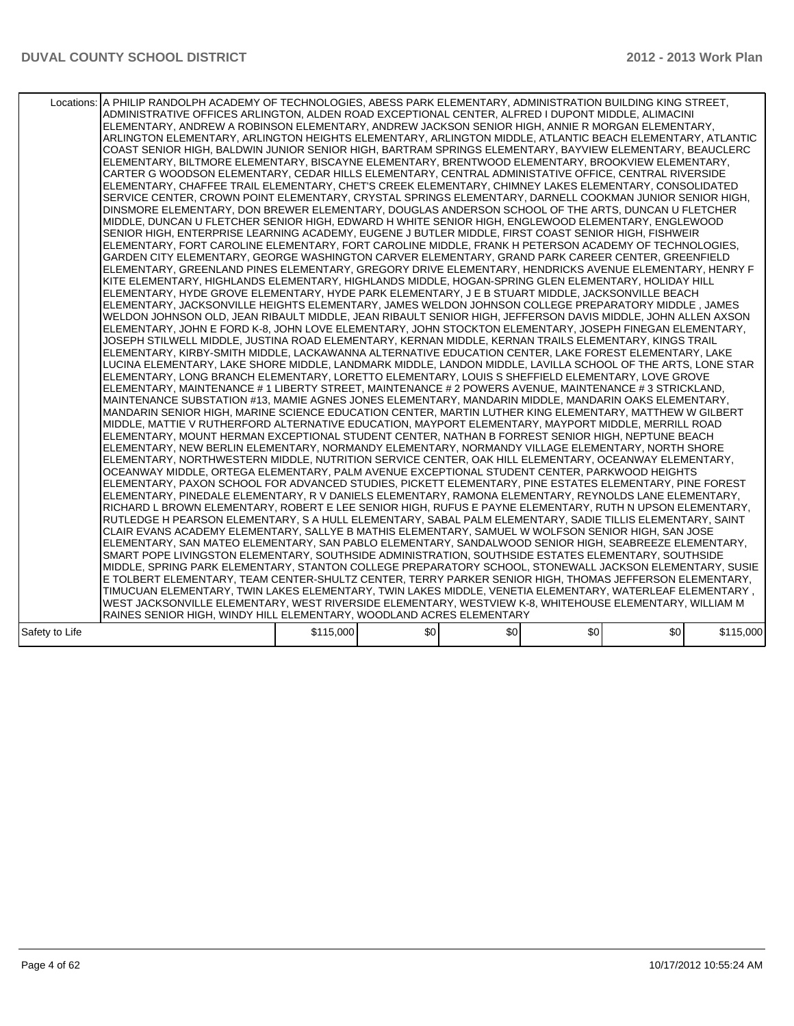|                | Locations: A PHILIP RANDOLPH ACADEMY OF TECHNOLOGIES, ABESS PARK ELEMENTARY, ADMINISTRATION BUILDING KING STREET,<br>ADMINISTRATIVE OFFICES ARLINGTON, ALDEN ROAD EXCEPTIONAL CENTER, ALFRED I DUPONT MIDDLE, ALIMACINI<br>ELEMENTARY. ANDREW A ROBINSON ELEMENTARY. ANDREW JACKSON SENIOR HIGH. ANNIE R MORGAN ELEMENTARY.<br>ARLINGTON ELEMENTARY, ARLINGTON HEIGHTS ELEMENTARY, ARLINGTON MIDDLE, ATLANTIC BEACH ELEMENTARY, ATLANTIC<br>COAST SENIOR HIGH, BALDWIN JUNIOR SENIOR HIGH, BARTRAM SPRINGS ELEMENTARY, BAYVIEW ELEMENTARY, BEAUCLERC<br>ELEMENTARY, BILTMORE ELEMENTARY, BISCAYNE ELEMENTARY, BRENTWOOD ELEMENTARY, BROOKVIEW ELEMENTARY,<br>CARTER G WOODSON ELEMENTARY, CEDAR HILLS ELEMENTARY, CENTRAL ADMINISTATIVE OFFICE, CENTRAL RIVERSIDE<br>ELEMENTARY, CHAFFEE TRAIL ELEMENTARY, CHET'S CREEK ELEMENTARY, CHIMNEY LAKES ELEMENTARY, CONSOLIDATED<br>SERVICE CENTER, CROWN POINT ELEMENTARY, CRYSTAL SPRINGS ELEMENTARY, DARNELL COOKMAN JUNIOR SENIOR HIGH,<br>DINSMORE ELEMENTARY. DON BREWER ELEMENTARY. DOUGLAS ANDERSON SCHOOL OF THE ARTS. DUNCAN U FLETCHER<br>MIDDLE, DUNCAN U FLETCHER SENIOR HIGH, EDWARD H WHITE SENIOR HIGH, ENGLEWOOD ELEMENTARY, ENGLEWOOD<br>SENIOR HIGH, ENTERPRISE LEARNING ACADEMY, EUGENE J BUTLER MIDDLE, FIRST COAST SENIOR HIGH, FISHWEIR<br>ELEMENTARY, FORT CAROLINE ELEMENTARY, FORT CAROLINE MIDDLE, FRANK H PETERSON ACADEMY OF TECHNOLOGIES,<br>GARDEN CITY ELEMENTARY, GEORGE WASHINGTON CARVER ELEMENTARY, GRAND PARK CAREER CENTER, GREENFIELD<br>ELEMENTARY, GREENLAND PINES ELEMENTARY, GREGORY DRIVE ELEMENTARY, HENDRICKS AVENUE ELEMENTARY, HENRY F<br>KITE ELEMENTARY, HIGHLANDS ELEMENTARY, HIGHLANDS MIDDLE, HOGAN-SPRING GLEN ELEMENTARY, HOLIDAY HILL<br>ELEMENTARY, HYDE GROVE ELEMENTARY, HYDE PARK ELEMENTARY, J E B STUART MIDDLE, JACKSONVILLE BEACH<br>ELEMENTARY, JACKSONVILLE HEIGHTS ELEMENTARY, JAMES WELDON JOHNSON COLLEGE PREPARATORY MIDDLE, JAMES<br>WELDON JOHNSON OLD, JEAN RIBAULT MIDDLE, JEAN RIBAULT SENIOR HIGH, JEFFERSON DAVIS MIDDLE, JOHN ALLEN AXSON<br>ELEMENTARY, JOHN E FORD K-8, JOHN LOVE ELEMENTARY, JOHN STOCKTON ELEMENTARY, JOSEPH FINEGAN ELEMENTARY,<br>JOSEPH STILWELL MIDDLE, JUSTINA ROAD ELEMENTARY, KERNAN MIDDLE, KERNAN TRAILS ELEMENTARY, KINGS TRAIL<br>ELEMENTARY, KIRBY-SMITH MIDDLE, LACKAWANNA ALTERNATIVE EDUCATION CENTER, LAKE FOREST ELEMENTARY, LAKE<br>LUCINA ELEMENTARY, LAKE SHORE MIDDLE, LANDMARK MIDDLE, LANDON MIDDLE, LAVILLA SCHOOL OF THE ARTS, LONE STAR<br>ELEMENTARY, LONG BRANCH ELEMENTARY, LORETTO ELEMENTARY, LOUIS S SHEFFIELD ELEMENTARY, LOVE GROVE<br>ELEMENTARY, MAINTENANCE # 1 LIBERTY STREET, MAINTENANCE # 2 POWERS AVENUE, MAINTENANCE # 3 STRICKLAND,<br>MAINTENANCE SUBSTATION #13, MAMIE AGNES JONES ELEMENTARY, MANDARIN MIDDLE, MANDARIN OAKS ELEMENTARY,<br>MANDARIN SENIOR HIGH, MARINE SCIENCE EDUCATION CENTER, MARTIN LUTHER KING ELEMENTARY, MATTHEW W GILBERT<br>MIDDLE, MATTIE V RUTHERFORD ALTERNATIVE EDUCATION, MAYPORT ELEMENTARY, MAYPORT MIDDLE, MERRILL ROAD<br>ELEMENTARY, MOUNT HERMAN EXCEPTIONAL STUDENT CENTER, NATHAN B FORREST SENIOR HIGH, NEPTUNE BEACH<br>ELEMENTARY, NEW BERLIN ELEMENTARY, NORMANDY ELEMENTARY, NORMANDY VILLAGE ELEMENTARY, NORTH SHORE<br>ELEMENTARY, NORTHWESTERN MIDDLE, NUTRITION SERVICE CENTER, OAK HILL ELEMENTARY, OCEANWAY ELEMENTARY,<br>OCEANWAY MIDDLE, ORTEGA ELEMENTARY, PALM AVENUE EXCEPTIONAL STUDENT CENTER, PARKWOOD HEIGHTS<br>ELEMENTARY, PAXON SCHOOL FOR ADVANCED STUDIES, PICKETT ELEMENTARY, PINE ESTATES ELEMENTARY, PINE FOREST<br>ELEMENTARY, PINEDALE ELEMENTARY, R V DANIELS ELEMENTARY, RAMONA ELEMENTARY, REYNOLDS LANE ELEMENTARY,<br>RICHARD L BROWN ELEMENTARY, ROBERT E LEE SENIOR HIGH, RUFUS E PAYNE ELEMENTARY, RUTH N UPSON ELEMENTARY,<br>RUTLEDGE H PEARSON ELEMENTARY, S A HULL ELEMENTARY, SABAL PALM ELEMENTARY, SADIE TILLIS ELEMENTARY, SAINT<br>CLAIR EVANS ACADEMY ELEMENTARY, SALLYE B MATHIS ELEMENTARY, SAMUEL W WOLFSON SENIOR HIGH, SAN JOSE<br>ELEMENTARY, SAN MATEO ELEMENTARY, SAN PABLO ELEMENTARY, SANDALWOOD SENIOR HIGH, SEABREEZE ELEMENTARY,<br>SMART POPE LIVINGSTON ELEMENTARY, SOUTHSIDE ADMINISTRATION, SOUTHSIDE ESTATES ELEMENTARY, SOUTHSIDE<br>MIDDLE, SPRING PARK ELEMENTARY, STANTON COLLEGE PREPARATORY SCHOOL, STONEWALL JACKSON ELEMENTARY, SUSIE<br>E TOLBERT ELEMENTARY, TEAM CENTER-SHULTZ CENTER, TERRY PARKER SENIOR HIGH, THOMAS JEFFERSON ELEMENTARY,<br>TIMUCUAN ELEMENTARY, TWIN LAKES ELEMENTARY, TWIN LAKES MIDDLE, VENETIA ELEMENTARY, WATERLEAF ELEMENTARY ,<br>WEST JACKSONVILLE ELEMENTARY, WEST RIVERSIDE ELEMENTARY, WESTVIEW K-8, WHITEHOUSE ELEMENTARY, WILLIAM M<br>RAINES SENIOR HIGH, WINDY HILL ELEMENTARY, WOODLAND ACRES ELEMENTARY |           | \$0 | \$0 | \$0 | \$0 | \$115,000 |
|----------------|----------------------------------------------------------------------------------------------------------------------------------------------------------------------------------------------------------------------------------------------------------------------------------------------------------------------------------------------------------------------------------------------------------------------------------------------------------------------------------------------------------------------------------------------------------------------------------------------------------------------------------------------------------------------------------------------------------------------------------------------------------------------------------------------------------------------------------------------------------------------------------------------------------------------------------------------------------------------------------------------------------------------------------------------------------------------------------------------------------------------------------------------------------------------------------------------------------------------------------------------------------------------------------------------------------------------------------------------------------------------------------------------------------------------------------------------------------------------------------------------------------------------------------------------------------------------------------------------------------------------------------------------------------------------------------------------------------------------------------------------------------------------------------------------------------------------------------------------------------------------------------------------------------------------------------------------------------------------------------------------------------------------------------------------------------------------------------------------------------------------------------------------------------------------------------------------------------------------------------------------------------------------------------------------------------------------------------------------------------------------------------------------------------------------------------------------------------------------------------------------------------------------------------------------------------------------------------------------------------------------------------------------------------------------------------------------------------------------------------------------------------------------------------------------------------------------------------------------------------------------------------------------------------------------------------------------------------------------------------------------------------------------------------------------------------------------------------------------------------------------------------------------------------------------------------------------------------------------------------------------------------------------------------------------------------------------------------------------------------------------------------------------------------------------------------------------------------------------------------------------------------------------------------------------------------------------------------------------------------------------------------------------------------------------------------------------------------------------------------------------------------------------------------------------------------------------------------------------------------------------------------------------------------------------------------------------------------------------------------------------------------------------------------------------------------------------------------------------------------------------------------------------------------------------------------------------------------------------------------------------------------------------------------------------------------------------------------------------------------------------------------------------------------------------------------------------------------------------------------------------------------------------------------------------------------------------------------------------------------------------------------------------------------------------------------------------------------------------------------------------------------------|-----------|-----|-----|-----|-----|-----------|
| Safety to Life |                                                                                                                                                                                                                                                                                                                                                                                                                                                                                                                                                                                                                                                                                                                                                                                                                                                                                                                                                                                                                                                                                                                                                                                                                                                                                                                                                                                                                                                                                                                                                                                                                                                                                                                                                                                                                                                                                                                                                                                                                                                                                                                                                                                                                                                                                                                                                                                                                                                                                                                                                                                                                                                                                                                                                                                                                                                                                                                                                                                                                                                                                                                                                                                                                                                                                                                                                                                                                                                                                                                                                                                                                                                                                                                                                                                                                                                                                                                                                                                                                                                                                                                                                                                                                                                                                                                                                                                                                                                                                                                                                                                                                                                                                                                                                                | \$115,000 |     |     |     |     |           |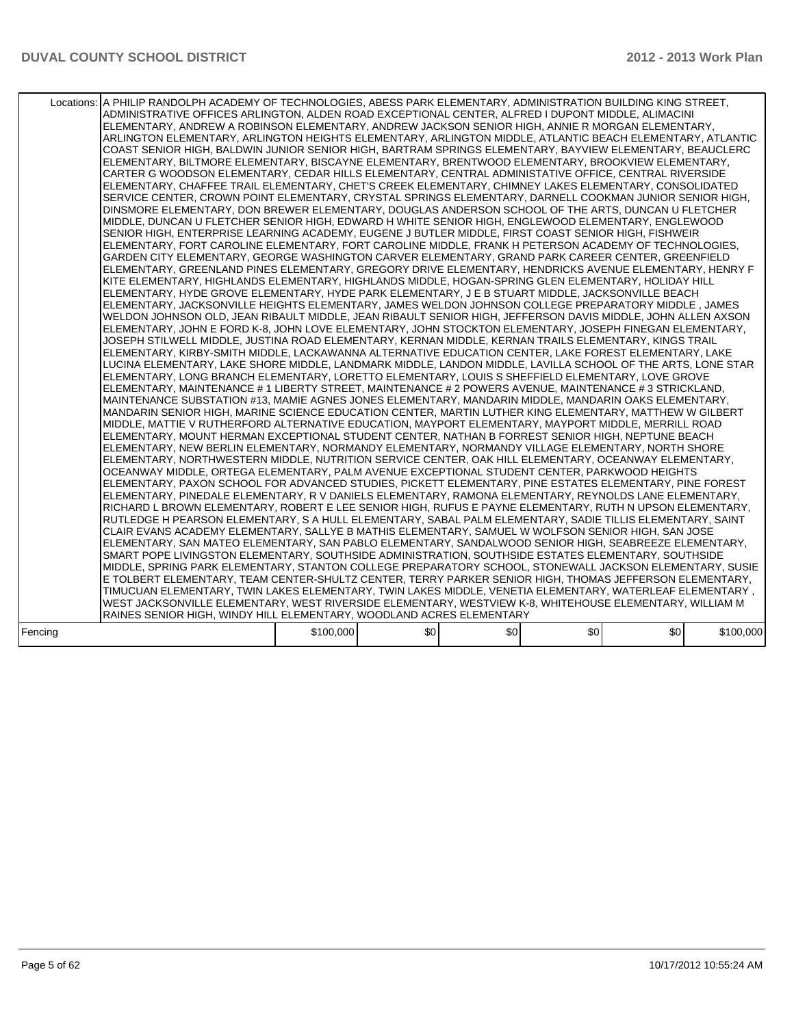|         | Locations:   A PHILIP RANDOLPH ACADEMY OF TECHNOLOGIES, ABESS PARK ELEMENTARY, ADMINISTRATION BUILDING KING STREET,<br>ADMINISTRATIVE OFFICES ARLINGTON, ALDEN ROAD EXCEPTIONAL CENTER, ALFRED I DUPONT MIDDLE, ALIMACINI<br>ELEMENTARY, ANDREW A ROBINSON ELEMENTARY, ANDREW JACKSON SENIOR HIGH, ANNIE R MORGAN ELEMENTARY,<br>ARLINGTON ELEMENTARY, ARLINGTON HEIGHTS ELEMENTARY, ARLINGTON MIDDLE, ATLANTIC BEACH ELEMENTARY, ATLANTIC<br>COAST SENIOR HIGH, BALDWIN JUNIOR SENIOR HIGH, BARTRAM SPRINGS ELEMENTARY, BAYVIEW ELEMENTARY, BEAUCLERC<br>ELEMENTARY, BILTMORE ELEMENTARY, BISCAYNE ELEMENTARY, BRENTWOOD ELEMENTARY, BROOKVIEW ELEMENTARY,<br>CARTER G WOODSON ELEMENTARY, CEDAR HILLS ELEMENTARY, CENTRAL ADMINISTATIVE OFFICE, CENTRAL RIVERSIDE<br>ELEMENTARY, CHAFFEE TRAIL ELEMENTARY, CHET'S CREEK ELEMENTARY, CHIMNEY LAKES ELEMENTARY, CONSOLIDATED<br>SERVICE CENTER, CROWN POINT ELEMENTARY, CRYSTAL SPRINGS ELEMENTARY, DARNELL COOKMAN JUNIOR SENIOR HIGH,<br>DINSMORE ELEMENTARY. DON BREWER ELEMENTARY. DOUGLAS ANDERSON SCHOOL OF THE ARTS. DUNCAN U FLETCHER<br>MIDDLE, DUNCAN U FLETCHER SENIOR HIGH, EDWARD H WHITE SENIOR HIGH, ENGLEWOOD ELEMENTARY, ENGLEWOOD<br>SENIOR HIGH, ENTERPRISE LEARNING ACADEMY, EUGENE J BUTLER MIDDLE, FIRST COAST SENIOR HIGH, FISHWEIR<br>ELEMENTARY, FORT CAROLINE ELEMENTARY, FORT CAROLINE MIDDLE, FRANK H PETERSON ACADEMY OF TECHNOLOGIES,<br>GARDEN CITY ELEMENTARY, GEORGE WASHINGTON CARVER ELEMENTARY, GRAND PARK CAREER CENTER, GREENFIELD<br>ELEMENTARY, GREENLAND PINES ELEMENTARY, GREGORY DRIVE ELEMENTARY, HENDRICKS AVENUE ELEMENTARY, HENRY F<br>KITE ELEMENTARY, HIGHLANDS ELEMENTARY, HIGHLANDS MIDDLE, HOGAN-SPRING GLEN ELEMENTARY, HOLIDAY HILL<br>ELEMENTARY, HYDE GROVE ELEMENTARY, HYDE PARK ELEMENTARY, J E B STUART MIDDLE, JACKSONVILLE BEACH<br>ELEMENTARY, JACKSONVILLE HEIGHTS ELEMENTARY, JAMES WELDON JOHNSON COLLEGE PREPARATORY MIDDLE, JAMES<br>WELDON JOHNSON OLD, JEAN RIBAULT MIDDLE, JEAN RIBAULT SENIOR HIGH, JEFFERSON DAVIS MIDDLE, JOHN ALLEN AXSON<br>ELEMENTARY, JOHN E FORD K-8, JOHN LOVE ELEMENTARY, JOHN STOCKTON ELEMENTARY, JOSEPH FINEGAN ELEMENTARY,<br>JOSEPH STILWELL MIDDLE, JUSTINA ROAD ELEMENTARY, KERNAN MIDDLE, KERNAN TRAILS ELEMENTARY, KINGS TRAIL<br>ELEMENTARY, KIRBY-SMITH MIDDLE, LACKAWANNA ALTERNATIVE EDUCATION CENTER, LAKE FOREST ELEMENTARY, LAKE<br>LUCINA ELEMENTARY. LAKE SHORE MIDDLE. LANDMARK MIDDLE. LANDON MIDDLE. LAVILLA SCHOOL OF THE ARTS. LONE STAR<br>ELEMENTARY, LONG BRANCH ELEMENTARY, LORETTO ELEMENTARY, LOUIS S SHEFFIELD ELEMENTARY, LOVE GROVE<br>ELEMENTARY, MAINTENANCE # 1 LIBERTY STREET, MAINTENANCE # 2 POWERS AVENUE, MAINTENANCE # 3 STRICKLAND,<br>MAINTENANCE SUBSTATION #13, MAMIE AGNES JONES ELEMENTARY, MANDARIN MIDDLE, MANDARIN OAKS ELEMENTARY,<br>MANDARIN SENIOR HIGH, MARINE SCIENCE EDUCATION CENTER, MARTIN LUTHER KING ELEMENTARY, MATTHEW W GILBERT<br>MIDDLE, MATTIE V RUTHERFORD ALTERNATIVE EDUCATION, MAYPORT ELEMENTARY, MAYPORT MIDDLE, MERRILL ROAD<br>ELEMENTARY, MOUNT HERMAN EXCEPTIONAL STUDENT CENTER, NATHAN B FORREST SENIOR HIGH, NEPTUNE BEACH<br>ELEMENTARY, NEW BERLIN ELEMENTARY, NORMANDY ELEMENTARY, NORMANDY VILLAGE ELEMENTARY, NORTH SHORE<br>ELEMENTARY, NORTHWESTERN MIDDLE, NUTRITION SERVICE CENTER, OAK HILL ELEMENTARY, OCEANWAY ELEMENTARY,<br>OCEANWAY MIDDLE, ORTEGA ELEMENTARY, PALM AVENUE EXCEPTIONAL STUDENT CENTER, PARKWOOD HEIGHTS<br>ELEMENTARY, PAXON SCHOOL FOR ADVANCED STUDIES, PICKETT ELEMENTARY, PINE ESTATES ELEMENTARY, PINE FOREST<br>ELEMENTARY. PINEDALE ELEMENTARY. R V DANIELS ELEMENTARY. RAMONA ELEMENTARY. REYNOLDS LANE ELEMENTARY.<br>RICHARD L BROWN ELEMENTARY, ROBERT E LEE SENIOR HIGH, RUFUS E PAYNE ELEMENTARY, RUTH N UPSON ELEMENTARY,<br>RUTLEDGE H PEARSON ELEMENTARY, S A HULL ELEMENTARY, SABAL PALM ELEMENTARY, SADIE TILLIS ELEMENTARY, SAINT<br>CLAIR EVANS ACADEMY ELEMENTARY, SALLYE B MATHIS ELEMENTARY, SAMUEL W WOLFSON SENIOR HIGH, SAN JOSE<br>ELEMENTARY, SAN MATEO ELEMENTARY, SAN PABLO ELEMENTARY, SANDALWOOD SENIOR HIGH, SEABREEZE ELEMENTARY,<br>SMART POPE LIVINGSTON ELEMENTARY, SOUTHSIDE ADMINISTRATION, SOUTHSIDE ESTATES ELEMENTARY, SOUTHSIDE<br>MIDDLE, SPRING PARK ELEMENTARY, STANTON COLLEGE PREPARATORY SCHOOL, STONEWALL JACKSON ELEMENTARY, SUSIE<br>E TOLBERT ELEMENTARY, TEAM CENTER-SHULTZ CENTER, TERRY PARKER SENIOR HIGH, THOMAS JEFFERSON ELEMENTARY,<br>TIMUCUAN ELEMENTARY, TWIN LAKES ELEMENTARY, TWIN LAKES MIDDLE, VENETIA ELEMENTARY, WATERLEAF ELEMENTARY,<br>WEST JACKSONVILLE ELEMENTARY, WEST RIVERSIDE ELEMENTARY, WESTVIEW K-8, WHITEHOUSE ELEMENTARY, WILLIAM M<br>RAINES SENIOR HIGH, WINDY HILL ELEMENTARY, WOODLAND ACRES ELEMENTARY |           | \$0 | \$0 | \$0 | \$0 |           |
|---------|-----------------------------------------------------------------------------------------------------------------------------------------------------------------------------------------------------------------------------------------------------------------------------------------------------------------------------------------------------------------------------------------------------------------------------------------------------------------------------------------------------------------------------------------------------------------------------------------------------------------------------------------------------------------------------------------------------------------------------------------------------------------------------------------------------------------------------------------------------------------------------------------------------------------------------------------------------------------------------------------------------------------------------------------------------------------------------------------------------------------------------------------------------------------------------------------------------------------------------------------------------------------------------------------------------------------------------------------------------------------------------------------------------------------------------------------------------------------------------------------------------------------------------------------------------------------------------------------------------------------------------------------------------------------------------------------------------------------------------------------------------------------------------------------------------------------------------------------------------------------------------------------------------------------------------------------------------------------------------------------------------------------------------------------------------------------------------------------------------------------------------------------------------------------------------------------------------------------------------------------------------------------------------------------------------------------------------------------------------------------------------------------------------------------------------------------------------------------------------------------------------------------------------------------------------------------------------------------------------------------------------------------------------------------------------------------------------------------------------------------------------------------------------------------------------------------------------------------------------------------------------------------------------------------------------------------------------------------------------------------------------------------------------------------------------------------------------------------------------------------------------------------------------------------------------------------------------------------------------------------------------------------------------------------------------------------------------------------------------------------------------------------------------------------------------------------------------------------------------------------------------------------------------------------------------------------------------------------------------------------------------------------------------------------------------------------------------------------------------------------------------------------------------------------------------------------------------------------------------------------------------------------------------------------------------------------------------------------------------------------------------------------------------------------------------------------------------------------------------------------------------------------------------------------------------------------------------------------------------------------------------------------------------------------------------------------------------------------------------------------------------------------------------------------------------------------------------------------------------------------------------------------------------------------------------------------------------------------------------------------------------------------------------------------------------------------------------------------------------------------------------------------|-----------|-----|-----|-----|-----|-----------|
| Fencing |                                                                                                                                                                                                                                                                                                                                                                                                                                                                                                                                                                                                                                                                                                                                                                                                                                                                                                                                                                                                                                                                                                                                                                                                                                                                                                                                                                                                                                                                                                                                                                                                                                                                                                                                                                                                                                                                                                                                                                                                                                                                                                                                                                                                                                                                                                                                                                                                                                                                                                                                                                                                                                                                                                                                                                                                                                                                                                                                                                                                                                                                                                                                                                                                                                                                                                                                                                                                                                                                                                                                                                                                                                                                                                                                                                                                                                                                                                                                                                                                                                                                                                                                                                                                                                                                                                                                                                                                                                                                                                                                                                                                                                                                                                                                                                 | \$100,000 |     |     |     |     | \$100,000 |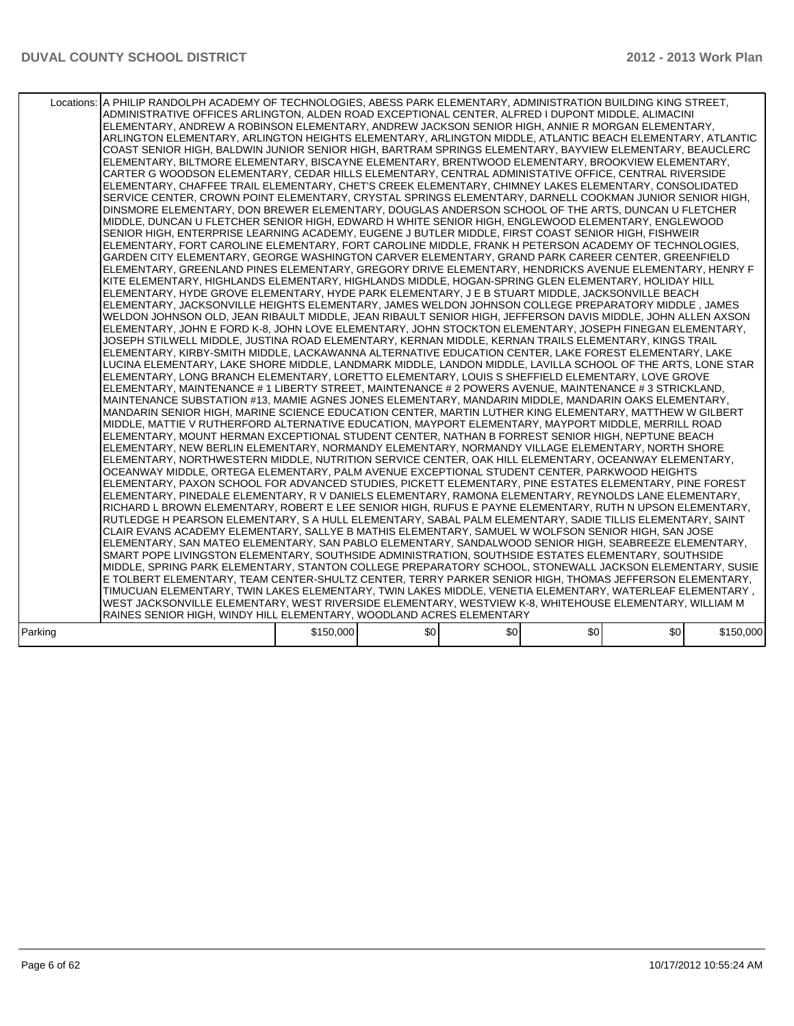|         | Locations: A PHILIP RANDOLPH ACADEMY OF TECHNOLOGIES, ABESS PARK ELEMENTARY, ADMINISTRATION BUILDING KING STREET,<br>ADMINISTRATIVE OFFICES ARLINGTON, ALDEN ROAD EXCEPTIONAL CENTER, ALFRED I DUPONT MIDDLE, ALIMACINI<br>ELEMENTARY. ANDREW A ROBINSON ELEMENTARY. ANDREW JACKSON SENIOR HIGH. ANNIE R MORGAN ELEMENTARY.<br>ARLINGTON ELEMENTARY, ARLINGTON HEIGHTS ELEMENTARY, ARLINGTON MIDDLE, ATLANTIC BEACH ELEMENTARY, ATLANTIC<br>COAST SENIOR HIGH, BALDWIN JUNIOR SENIOR HIGH, BARTRAM SPRINGS ELEMENTARY, BAYVIEW ELEMENTARY, BEAUCLERC<br>ELEMENTARY, BILTMORE ELEMENTARY, BISCAYNE ELEMENTARY, BRENTWOOD ELEMENTARY, BROOKVIEW ELEMENTARY,<br>CARTER G WOODSON ELEMENTARY, CEDAR HILLS ELEMENTARY, CENTRAL ADMINISTATIVE OFFICE, CENTRAL RIVERSIDE<br>ELEMENTARY, CHAFFEE TRAIL ELEMENTARY, CHET'S CREEK ELEMENTARY, CHIMNEY LAKES ELEMENTARY, CONSOLIDATED<br>SERVICE CENTER, CROWN POINT ELEMENTARY, CRYSTAL SPRINGS ELEMENTARY, DARNELL COOKMAN JUNIOR SENIOR HIGH,<br>DINSMORE ELEMENTARY. DON BREWER ELEMENTARY. DOUGLAS ANDERSON SCHOOL OF THE ARTS. DUNCAN U FLETCHER<br>MIDDLE, DUNCAN U FLETCHER SENIOR HIGH, EDWARD H WHITE SENIOR HIGH, ENGLEWOOD ELEMENTARY, ENGLEWOOD<br>SENIOR HIGH, ENTERPRISE LEARNING ACADEMY, EUGENE J BUTLER MIDDLE, FIRST COAST SENIOR HIGH, FISHWEIR<br>ELEMENTARY, FORT CAROLINE ELEMENTARY, FORT CAROLINE MIDDLE, FRANK H PETERSON ACADEMY OF TECHNOLOGIES,<br>GARDEN CITY ELEMENTARY, GEORGE WASHINGTON CARVER ELEMENTARY, GRAND PARK CAREER CENTER, GREENFIELD<br>ELEMENTARY, GREENLAND PINES ELEMENTARY, GREGORY DRIVE ELEMENTARY, HENDRICKS AVENUE ELEMENTARY, HENRY F<br>KITE ELEMENTARY, HIGHLANDS ELEMENTARY, HIGHLANDS MIDDLE, HOGAN-SPRING GLEN ELEMENTARY, HOLIDAY HILL<br>ELEMENTARY, HYDE GROVE ELEMENTARY, HYDE PARK ELEMENTARY, J E B STUART MIDDLE, JACKSONVILLE BEACH<br>ELEMENTARY, JACKSONVILLE HEIGHTS ELEMENTARY, JAMES WELDON JOHNSON COLLEGE PREPARATORY MIDDLE, JAMES<br>WELDON JOHNSON OLD, JEAN RIBAULT MIDDLE, JEAN RIBAULT SENIOR HIGH, JEFFERSON DAVIS MIDDLE, JOHN ALLEN AXSON<br>ELEMENTARY, JOHN E FORD K-8, JOHN LOVE ELEMENTARY, JOHN STOCKTON ELEMENTARY, JOSEPH FINEGAN ELEMENTARY,<br>JOSEPH STILWELL MIDDLE, JUSTINA ROAD ELEMENTARY, KERNAN MIDDLE, KERNAN TRAILS ELEMENTARY, KINGS TRAIL<br>ELEMENTARY, KIRBY-SMITH MIDDLE, LACKAWANNA ALTERNATIVE EDUCATION CENTER, LAKE FOREST ELEMENTARY, LAKE<br>LUCINA ELEMENTARY, LAKE SHORE MIDDLE, LANDMARK MIDDLE, LANDON MIDDLE, LAVILLA SCHOOL OF THE ARTS, LONE STAR<br>ELEMENTARY, LONG BRANCH ELEMENTARY, LORETTO ELEMENTARY, LOUIS S SHEFFIELD ELEMENTARY, LOVE GROVE<br>ELEMENTARY, MAINTENANCE # 1 LIBERTY STREET, MAINTENANCE # 2 POWERS AVENUE, MAINTENANCE # 3 STRICKLAND,<br>MAINTENANCE SUBSTATION #13, MAMIE AGNES JONES ELEMENTARY, MANDARIN MIDDLE, MANDARIN OAKS ELEMENTARY,<br>MANDARIN SENIOR HIGH, MARINE SCIENCE EDUCATION CENTER, MARTIN LUTHER KING ELEMENTARY, MATTHEW W GILBERT<br>MIDDLE, MATTIE V RUTHERFORD ALTERNATIVE EDUCATION, MAYPORT ELEMENTARY, MAYPORT MIDDLE, MERRILL ROAD<br>ELEMENTARY, MOUNT HERMAN EXCEPTIONAL STUDENT CENTER, NATHAN B FORREST SENIOR HIGH, NEPTUNE BEACH<br>ELEMENTARY, NEW BERLIN ELEMENTARY, NORMANDY ELEMENTARY, NORMANDY VILLAGE ELEMENTARY, NORTH SHORE<br>ELEMENTARY, NORTHWESTERN MIDDLE, NUTRITION SERVICE CENTER, OAK HILL ELEMENTARY, OCEANWAY ELEMENTARY,<br>OCEANWAY MIDDLE, ORTEGA ELEMENTARY, PALM AVENUE EXCEPTIONAL STUDENT CENTER, PARKWOOD HEIGHTS<br>ELEMENTARY, PAXON SCHOOL FOR ADVANCED STUDIES, PICKETT ELEMENTARY, PINE ESTATES ELEMENTARY, PINE FOREST<br>ELEMENTARY. PINEDALE ELEMENTARY. R V DANIELS ELEMENTARY. RAMONA ELEMENTARY. REYNOLDS LANE ELEMENTARY.<br>RICHARD L BROWN ELEMENTARY, ROBERT E LEE SENIOR HIGH, RUFUS E PAYNE ELEMENTARY, RUTH N UPSON ELEMENTARY,<br>RUTLEDGE H PEARSON ELEMENTARY, S A HULL ELEMENTARY, SABAL PALM ELEMENTARY, SADIE TILLIS ELEMENTARY, SAINT<br>CLAIR EVANS ACADEMY ELEMENTARY, SALLYE B MATHIS ELEMENTARY, SAMUEL W WOLFSON SENIOR HIGH, SAN JOSE<br>ELEMENTARY, SAN MATEO ELEMENTARY, SAN PABLO ELEMENTARY, SANDALWOOD SENIOR HIGH, SEABREEZE ELEMENTARY,<br>SMART POPE LIVINGSTON ELEMENTARY, SOUTHSIDE ADMINISTRATION, SOUTHSIDE ESTATES ELEMENTARY, SOUTHSIDE<br>MIDDLE, SPRING PARK ELEMENTARY, STANTON COLLEGE PREPARATORY SCHOOL, STONEWALL JACKSON ELEMENTARY, SUSIE<br>E TOLBERT ELEMENTARY, TEAM CENTER-SHULTZ CENTER, TERRY PARKER SENIOR HIGH, THOMAS JEFFERSON ELEMENTARY,<br>TIMUCUAN ELEMENTARY, TWIN LAKES ELEMENTARY, TWIN LAKES MIDDLE, VENETIA ELEMENTARY, WATERLEAF ELEMENTARY ,<br>WEST JACKSONVILLE ELEMENTARY, WEST RIVERSIDE ELEMENTARY, WESTVIEW K-8, WHITEHOUSE ELEMENTARY, WILLIAM M<br>RAINES SENIOR HIGH, WINDY HILL ELEMENTARY, WOODLAND ACRES ELEMENTARY |           |     |     |     |     |           |
|---------|----------------------------------------------------------------------------------------------------------------------------------------------------------------------------------------------------------------------------------------------------------------------------------------------------------------------------------------------------------------------------------------------------------------------------------------------------------------------------------------------------------------------------------------------------------------------------------------------------------------------------------------------------------------------------------------------------------------------------------------------------------------------------------------------------------------------------------------------------------------------------------------------------------------------------------------------------------------------------------------------------------------------------------------------------------------------------------------------------------------------------------------------------------------------------------------------------------------------------------------------------------------------------------------------------------------------------------------------------------------------------------------------------------------------------------------------------------------------------------------------------------------------------------------------------------------------------------------------------------------------------------------------------------------------------------------------------------------------------------------------------------------------------------------------------------------------------------------------------------------------------------------------------------------------------------------------------------------------------------------------------------------------------------------------------------------------------------------------------------------------------------------------------------------------------------------------------------------------------------------------------------------------------------------------------------------------------------------------------------------------------------------------------------------------------------------------------------------------------------------------------------------------------------------------------------------------------------------------------------------------------------------------------------------------------------------------------------------------------------------------------------------------------------------------------------------------------------------------------------------------------------------------------------------------------------------------------------------------------------------------------------------------------------------------------------------------------------------------------------------------------------------------------------------------------------------------------------------------------------------------------------------------------------------------------------------------------------------------------------------------------------------------------------------------------------------------------------------------------------------------------------------------------------------------------------------------------------------------------------------------------------------------------------------------------------------------------------------------------------------------------------------------------------------------------------------------------------------------------------------------------------------------------------------------------------------------------------------------------------------------------------------------------------------------------------------------------------------------------------------------------------------------------------------------------------------------------------------------------------------------------------------------------------------------------------------------------------------------------------------------------------------------------------------------------------------------------------------------------------------------------------------------------------------------------------------------------------------------------------------------------------------------------------------------------------------------------------------------------------------------------------------|-----------|-----|-----|-----|-----|-----------|
| Parking |                                                                                                                                                                                                                                                                                                                                                                                                                                                                                                                                                                                                                                                                                                                                                                                                                                                                                                                                                                                                                                                                                                                                                                                                                                                                                                                                                                                                                                                                                                                                                                                                                                                                                                                                                                                                                                                                                                                                                                                                                                                                                                                                                                                                                                                                                                                                                                                                                                                                                                                                                                                                                                                                                                                                                                                                                                                                                                                                                                                                                                                                                                                                                                                                                                                                                                                                                                                                                                                                                                                                                                                                                                                                                                                                                                                                                                                                                                                                                                                                                                                                                                                                                                                                                                                                                                                                                                                                                                                                                                                                                                                                                                                                                                                                                                | \$150,000 | \$0 | \$0 | \$0 | \$0 | \$150,000 |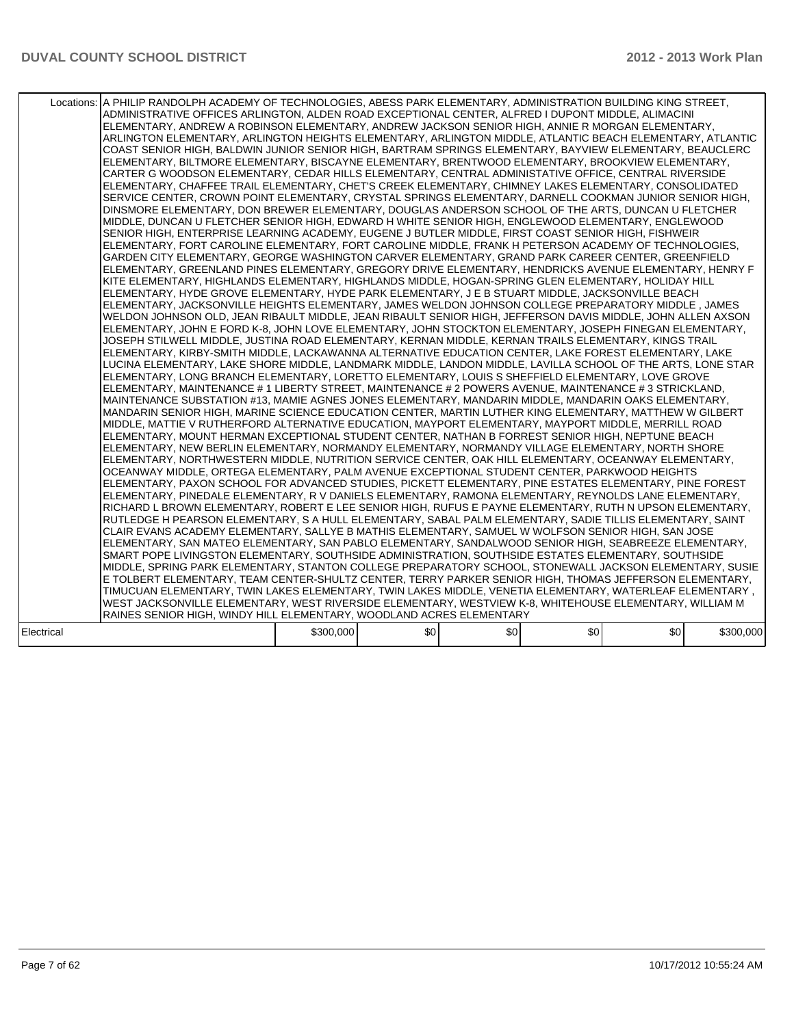|            | Locations: A PHILIP RANDOLPH ACADEMY OF TECHNOLOGIES, ABESS PARK ELEMENTARY, ADMINISTRATION BUILDING KING STREET,<br>ADMINISTRATIVE OFFICES ARLINGTON, ALDEN ROAD EXCEPTIONAL CENTER, ALFRED I DUPONT MIDDLE, ALIMACINI<br>ELEMENTARY. ANDREW A ROBINSON ELEMENTARY. ANDREW JACKSON SENIOR HIGH. ANNIE R MORGAN ELEMENTARY.<br>ARLINGTON ELEMENTARY, ARLINGTON HEIGHTS ELEMENTARY, ARLINGTON MIDDLE, ATLANTIC BEACH ELEMENTARY, ATLANTIC<br>COAST SENIOR HIGH, BALDWIN JUNIOR SENIOR HIGH, BARTRAM SPRINGS ELEMENTARY, BAYVIEW ELEMENTARY, BEAUCLERC<br>ELEMENTARY, BILTMORE ELEMENTARY, BISCAYNE ELEMENTARY, BRENTWOOD ELEMENTARY, BROOKVIEW ELEMENTARY,<br>CARTER G WOODSON ELEMENTARY, CEDAR HILLS ELEMENTARY, CENTRAL ADMINISTATIVE OFFICE, CENTRAL RIVERSIDE<br>ELEMENTARY, CHAFFEE TRAIL ELEMENTARY, CHET'S CREEK ELEMENTARY, CHIMNEY LAKES ELEMENTARY, CONSOLIDATED<br>SERVICE CENTER, CROWN POINT ELEMENTARY, CRYSTAL SPRINGS ELEMENTARY, DARNELL COOKMAN JUNIOR SENIOR HIGH,<br>DINSMORE ELEMENTARY. DON BREWER ELEMENTARY. DOUGLAS ANDERSON SCHOOL OF THE ARTS. DUNCAN U FLETCHER<br>MIDDLE, DUNCAN U FLETCHER SENIOR HIGH, EDWARD H WHITE SENIOR HIGH, ENGLEWOOD ELEMENTARY, ENGLEWOOD<br>SENIOR HIGH, ENTERPRISE LEARNING ACADEMY, EUGENE J BUTLER MIDDLE, FIRST COAST SENIOR HIGH, FISHWEIR<br>ELEMENTARY, FORT CAROLINE ELEMENTARY, FORT CAROLINE MIDDLE, FRANK H PETERSON ACADEMY OF TECHNOLOGIES,<br>GARDEN CITY ELEMENTARY, GEORGE WASHINGTON CARVER ELEMENTARY, GRAND PARK CAREER CENTER, GREENFIELD<br>ELEMENTARY, GREENLAND PINES ELEMENTARY, GREGORY DRIVE ELEMENTARY, HENDRICKS AVENUE ELEMENTARY, HENRY F<br>KITE ELEMENTARY, HIGHLANDS ELEMENTARY, HIGHLANDS MIDDLE, HOGAN-SPRING GLEN ELEMENTARY, HOLIDAY HILL<br>ELEMENTARY, HYDE GROVE ELEMENTARY, HYDE PARK ELEMENTARY, J E B STUART MIDDLE, JACKSONVILLE BEACH<br>ELEMENTARY, JACKSONVILLE HEIGHTS ELEMENTARY, JAMES WELDON JOHNSON COLLEGE PREPARATORY MIDDLE, JAMES<br>WELDON JOHNSON OLD, JEAN RIBAULT MIDDLE, JEAN RIBAULT SENIOR HIGH, JEFFERSON DAVIS MIDDLE, JOHN ALLEN AXSON<br>ELEMENTARY, JOHN E FORD K-8, JOHN LOVE ELEMENTARY, JOHN STOCKTON ELEMENTARY, JOSEPH FINEGAN ELEMENTARY,<br>JOSEPH STILWELL MIDDLE, JUSTINA ROAD ELEMENTARY, KERNAN MIDDLE, KERNAN TRAILS ELEMENTARY, KINGS TRAIL<br>ELEMENTARY, KIRBY-SMITH MIDDLE, LACKAWANNA ALTERNATIVE EDUCATION CENTER, LAKE FOREST ELEMENTARY, LAKE<br>LUCINA ELEMENTARY, LAKE SHORE MIDDLE, LANDMARK MIDDLE, LANDON MIDDLE, LAVILLA SCHOOL OF THE ARTS, LONE STAR<br>ELEMENTARY, LONG BRANCH ELEMENTARY, LORETTO ELEMENTARY, LOUIS S SHEFFIELD ELEMENTARY, LOVE GROVE<br>ELEMENTARY, MAINTENANCE # 1 LIBERTY STREET, MAINTENANCE # 2 POWERS AVENUE, MAINTENANCE # 3 STRICKLAND,<br>MAINTENANCE SUBSTATION #13, MAMIE AGNES JONES ELEMENTARY, MANDARIN MIDDLE, MANDARIN OAKS ELEMENTARY,<br>MANDARIN SENIOR HIGH, MARINE SCIENCE EDUCATION CENTER, MARTIN LUTHER KING ELEMENTARY, MATTHEW W GILBERT<br>MIDDLE, MATTIE V RUTHERFORD ALTERNATIVE EDUCATION, MAYPORT ELEMENTARY, MAYPORT MIDDLE, MERRILL ROAD<br>ELEMENTARY, MOUNT HERMAN EXCEPTIONAL STUDENT CENTER, NATHAN B FORREST SENIOR HIGH, NEPTUNE BEACH<br>ELEMENTARY, NEW BERLIN ELEMENTARY, NORMANDY ELEMENTARY, NORMANDY VILLAGE ELEMENTARY, NORTH SHORE<br>ELEMENTARY, NORTHWESTERN MIDDLE, NUTRITION SERVICE CENTER, OAK HILL ELEMENTARY, OCEANWAY ELEMENTARY,<br>OCEANWAY MIDDLE, ORTEGA ELEMENTARY, PALM AVENUE EXCEPTIONAL STUDENT CENTER, PARKWOOD HEIGHTS<br>ELEMENTARY, PAXON SCHOOL FOR ADVANCED STUDIES, PICKETT ELEMENTARY, PINE ESTATES ELEMENTARY, PINE FOREST<br>ELEMENTARY. PINEDALE ELEMENTARY. R V DANIELS ELEMENTARY. RAMONA ELEMENTARY. REYNOLDS LANE ELEMENTARY.<br>RICHARD L BROWN ELEMENTARY, ROBERT E LEE SENIOR HIGH, RUFUS E PAYNE ELEMENTARY, RUTH N UPSON ELEMENTARY,<br>RUTLEDGE H PEARSON ELEMENTARY, S A HULL ELEMENTARY, SABAL PALM ELEMENTARY, SADIE TILLIS ELEMENTARY, SAINT<br>CLAIR EVANS ACADEMY ELEMENTARY, SALLYE B MATHIS ELEMENTARY, SAMUEL W WOLFSON SENIOR HIGH, SAN JOSE<br>ELEMENTARY, SAN MATEO ELEMENTARY, SAN PABLO ELEMENTARY, SANDALWOOD SENIOR HIGH, SEABREEZE ELEMENTARY,<br>SMART POPE LIVINGSTON ELEMENTARY, SOUTHSIDE ADMINISTRATION, SOUTHSIDE ESTATES ELEMENTARY, SOUTHSIDE<br>MIDDLE, SPRING PARK ELEMENTARY, STANTON COLLEGE PREPARATORY SCHOOL, STONEWALL JACKSON ELEMENTARY, SUSIE<br>E TOLBERT ELEMENTARY, TEAM CENTER-SHULTZ CENTER, TERRY PARKER SENIOR HIGH, THOMAS JEFFERSON ELEMENTARY,<br>TIMUCUAN ELEMENTARY, TWIN LAKES ELEMENTARY, TWIN LAKES MIDDLE, VENETIA ELEMENTARY, WATERLEAF ELEMENTARY ,<br>WEST JACKSONVILLE ELEMENTARY, WEST RIVERSIDE ELEMENTARY, WESTVIEW K-8, WHITEHOUSE ELEMENTARY, WILLIAM M<br>RAINES SENIOR HIGH, WINDY HILL ELEMENTARY, WOODLAND ACRES ELEMENTARY |           |     |     |     | \$0 |           |
|------------|----------------------------------------------------------------------------------------------------------------------------------------------------------------------------------------------------------------------------------------------------------------------------------------------------------------------------------------------------------------------------------------------------------------------------------------------------------------------------------------------------------------------------------------------------------------------------------------------------------------------------------------------------------------------------------------------------------------------------------------------------------------------------------------------------------------------------------------------------------------------------------------------------------------------------------------------------------------------------------------------------------------------------------------------------------------------------------------------------------------------------------------------------------------------------------------------------------------------------------------------------------------------------------------------------------------------------------------------------------------------------------------------------------------------------------------------------------------------------------------------------------------------------------------------------------------------------------------------------------------------------------------------------------------------------------------------------------------------------------------------------------------------------------------------------------------------------------------------------------------------------------------------------------------------------------------------------------------------------------------------------------------------------------------------------------------------------------------------------------------------------------------------------------------------------------------------------------------------------------------------------------------------------------------------------------------------------------------------------------------------------------------------------------------------------------------------------------------------------------------------------------------------------------------------------------------------------------------------------------------------------------------------------------------------------------------------------------------------------------------------------------------------------------------------------------------------------------------------------------------------------------------------------------------------------------------------------------------------------------------------------------------------------------------------------------------------------------------------------------------------------------------------------------------------------------------------------------------------------------------------------------------------------------------------------------------------------------------------------------------------------------------------------------------------------------------------------------------------------------------------------------------------------------------------------------------------------------------------------------------------------------------------------------------------------------------------------------------------------------------------------------------------------------------------------------------------------------------------------------------------------------------------------------------------------------------------------------------------------------------------------------------------------------------------------------------------------------------------------------------------------------------------------------------------------------------------------------------------------------------------------------------------------------------------------------------------------------------------------------------------------------------------------------------------------------------------------------------------------------------------------------------------------------------------------------------------------------------------------------------------------------------------------------------------------------------------------------------------------------------------------------------|-----------|-----|-----|-----|-----|-----------|
| Electrical |                                                                                                                                                                                                                                                                                                                                                                                                                                                                                                                                                                                                                                                                                                                                                                                                                                                                                                                                                                                                                                                                                                                                                                                                                                                                                                                                                                                                                                                                                                                                                                                                                                                                                                                                                                                                                                                                                                                                                                                                                                                                                                                                                                                                                                                                                                                                                                                                                                                                                                                                                                                                                                                                                                                                                                                                                                                                                                                                                                                                                                                                                                                                                                                                                                                                                                                                                                                                                                                                                                                                                                                                                                                                                                                                                                                                                                                                                                                                                                                                                                                                                                                                                                                                                                                                                                                                                                                                                                                                                                                                                                                                                                                                                                                                                                | \$300,000 | \$0 | \$0 | \$0 |     | \$300,000 |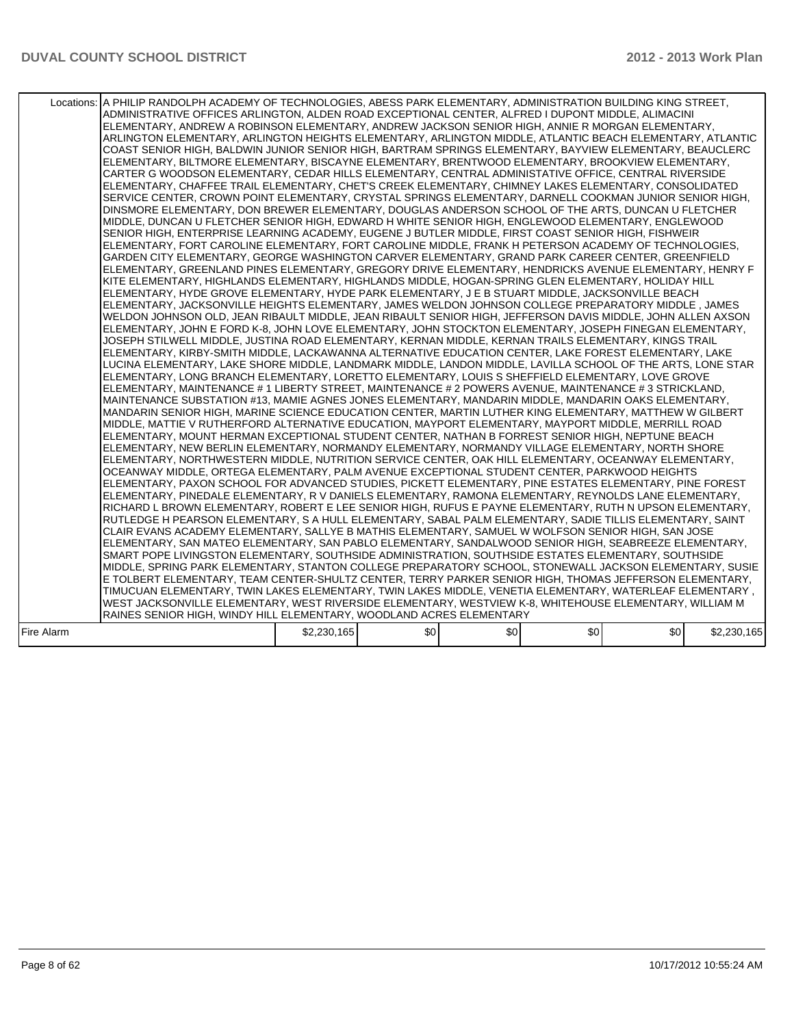|            | Locations: A PHILIP RANDOLPH ACADEMY OF TECHNOLOGIES, ABESS PARK ELEMENTARY, ADMINISTRATION BUILDING KING STREET,<br>ADMINISTRATIVE OFFICES ARLINGTON, ALDEN ROAD EXCEPTIONAL CENTER, ALFRED I DUPONT MIDDLE, ALIMACINI<br>ELEMENTARY. ANDREW A ROBINSON ELEMENTARY. ANDREW JACKSON SENIOR HIGH. ANNIE R MORGAN ELEMENTARY.<br>ARLINGTON ELEMENTARY, ARLINGTON HEIGHTS ELEMENTARY, ARLINGTON MIDDLE, ATLANTIC BEACH ELEMENTARY, ATLANTIC<br>COAST SENIOR HIGH, BALDWIN JUNIOR SENIOR HIGH, BARTRAM SPRINGS ELEMENTARY, BAYVIEW ELEMENTARY, BEAUCLERC<br>ELEMENTARY, BILTMORE ELEMENTARY, BISCAYNE ELEMENTARY, BRENTWOOD ELEMENTARY, BROOKVIEW ELEMENTARY,<br>CARTER G WOODSON ELEMENTARY, CEDAR HILLS ELEMENTARY, CENTRAL ADMINISTATIVE OFFICE, CENTRAL RIVERSIDE<br>ELEMENTARY, CHAFFEE TRAIL ELEMENTARY, CHET'S CREEK ELEMENTARY, CHIMNEY LAKES ELEMENTARY, CONSOLIDATED<br>SERVICE CENTER, CROWN POINT ELEMENTARY, CRYSTAL SPRINGS ELEMENTARY, DARNELL COOKMAN JUNIOR SENIOR HIGH,<br>DINSMORE ELEMENTARY. DON BREWER ELEMENTARY. DOUGLAS ANDERSON SCHOOL OF THE ARTS. DUNCAN U FLETCHER<br>MIDDLE, DUNCAN U FLETCHER SENIOR HIGH, EDWARD H WHITE SENIOR HIGH, ENGLEWOOD ELEMENTARY, ENGLEWOOD<br>SENIOR HIGH, ENTERPRISE LEARNING ACADEMY, EUGENE J BUTLER MIDDLE, FIRST COAST SENIOR HIGH, FISHWEIR<br>ELEMENTARY, FORT CAROLINE ELEMENTARY, FORT CAROLINE MIDDLE, FRANK H PETERSON ACADEMY OF TECHNOLOGIES,<br>GARDEN CITY ELEMENTARY, GEORGE WASHINGTON CARVER ELEMENTARY, GRAND PARK CAREER CENTER, GREENFIELD<br>ELEMENTARY, GREENLAND PINES ELEMENTARY, GREGORY DRIVE ELEMENTARY, HENDRICKS AVENUE ELEMENTARY, HENRY F<br>KITE ELEMENTARY, HIGHLANDS ELEMENTARY, HIGHLANDS MIDDLE, HOGAN-SPRING GLEN ELEMENTARY, HOLIDAY HILL<br>ELEMENTARY, HYDE GROVE ELEMENTARY, HYDE PARK ELEMENTARY, J E B STUART MIDDLE, JACKSONVILLE BEACH<br>ELEMENTARY, JACKSONVILLE HEIGHTS ELEMENTARY, JAMES WELDON JOHNSON COLLEGE PREPARATORY MIDDLE, JAMES<br>WELDON JOHNSON OLD, JEAN RIBAULT MIDDLE, JEAN RIBAULT SENIOR HIGH, JEFFERSON DAVIS MIDDLE, JOHN ALLEN AXSON<br>ELEMENTARY, JOHN E FORD K-8, JOHN LOVE ELEMENTARY, JOHN STOCKTON ELEMENTARY, JOSEPH FINEGAN ELEMENTARY,<br>JOSEPH STILWELL MIDDLE, JUSTINA ROAD ELEMENTARY, KERNAN MIDDLE, KERNAN TRAILS ELEMENTARY, KINGS TRAIL<br>ELEMENTARY, KIRBY-SMITH MIDDLE, LACKAWANNA ALTERNATIVE EDUCATION CENTER, LAKE FOREST ELEMENTARY, LAKE<br>LUCINA ELEMENTARY, LAKE SHORE MIDDLE, LANDMARK MIDDLE, LANDON MIDDLE, LAVILLA SCHOOL OF THE ARTS, LONE STAR<br>ELEMENTARY, LONG BRANCH ELEMENTARY, LORETTO ELEMENTARY, LOUIS S SHEFFIELD ELEMENTARY, LOVE GROVE<br>ELEMENTARY, MAINTENANCE # 1 LIBERTY STREET, MAINTENANCE # 2 POWERS AVENUE, MAINTENANCE # 3 STRICKLAND,<br>MAINTENANCE SUBSTATION #13, MAMIE AGNES JONES ELEMENTARY, MANDARIN MIDDLE, MANDARIN OAKS ELEMENTARY,<br>MANDARIN SENIOR HIGH, MARINE SCIENCE EDUCATION CENTER, MARTIN LUTHER KING ELEMENTARY, MATTHEW W GILBERT<br>MIDDLE, MATTIE V RUTHERFORD ALTERNATIVE EDUCATION, MAYPORT ELEMENTARY, MAYPORT MIDDLE, MERRILL ROAD<br>ELEMENTARY, MOUNT HERMAN EXCEPTIONAL STUDENT CENTER, NATHAN B FORREST SENIOR HIGH, NEPTUNE BEACH<br>ELEMENTARY, NEW BERLIN ELEMENTARY, NORMANDY ELEMENTARY, NORMANDY VILLAGE ELEMENTARY, NORTH SHORE<br>ELEMENTARY, NORTHWESTERN MIDDLE, NUTRITION SERVICE CENTER, OAK HILL ELEMENTARY, OCEANWAY ELEMENTARY,<br>OCEANWAY MIDDLE, ORTEGA ELEMENTARY, PALM AVENUE EXCEPTIONAL STUDENT CENTER, PARKWOOD HEIGHTS<br>ELEMENTARY, PAXON SCHOOL FOR ADVANCED STUDIES, PICKETT ELEMENTARY, PINE ESTATES ELEMENTARY, PINE FOREST<br>ELEMENTARY. PINEDALE ELEMENTARY. R V DANIELS ELEMENTARY. RAMONA ELEMENTARY. REYNOLDS LANE ELEMENTARY.<br>RICHARD L BROWN ELEMENTARY, ROBERT E LEE SENIOR HIGH, RUFUS E PAYNE ELEMENTARY, RUTH N UPSON ELEMENTARY,<br>RUTLEDGE H PEARSON ELEMENTARY, S A HULL ELEMENTARY, SABAL PALM ELEMENTARY, SADIE TILLIS ELEMENTARY, SAINT<br>CLAIR EVANS ACADEMY ELEMENTARY, SALLYE B MATHIS ELEMENTARY, SAMUEL W WOLFSON SENIOR HIGH, SAN JOSE<br>ELEMENTARY, SAN MATEO ELEMENTARY, SAN PABLO ELEMENTARY, SANDALWOOD SENIOR HIGH, SEABREEZE ELEMENTARY,<br>SMART POPE LIVINGSTON ELEMENTARY, SOUTHSIDE ADMINISTRATION, SOUTHSIDE ESTATES ELEMENTARY, SOUTHSIDE<br>MIDDLE, SPRING PARK ELEMENTARY, STANTON COLLEGE PREPARATORY SCHOOL, STONEWALL JACKSON ELEMENTARY, SUSIE<br>E TOLBERT ELEMENTARY, TEAM CENTER-SHULTZ CENTER, TERRY PARKER SENIOR HIGH, THOMAS JEFFERSON ELEMENTARY,<br>TIMUCUAN ELEMENTARY, TWIN LAKES ELEMENTARY, TWIN LAKES MIDDLE, VENETIA ELEMENTARY, WATERLEAF ELEMENTARY ,<br>WEST JACKSONVILLE ELEMENTARY, WEST RIVERSIDE ELEMENTARY, WESTVIEW K-8, WHITEHOUSE ELEMENTARY, WILLIAM M<br>RAINES SENIOR HIGH, WINDY HILL ELEMENTARY, WOODLAND ACRES ELEMENTARY |             |     |     |     | \$0 |             |
|------------|----------------------------------------------------------------------------------------------------------------------------------------------------------------------------------------------------------------------------------------------------------------------------------------------------------------------------------------------------------------------------------------------------------------------------------------------------------------------------------------------------------------------------------------------------------------------------------------------------------------------------------------------------------------------------------------------------------------------------------------------------------------------------------------------------------------------------------------------------------------------------------------------------------------------------------------------------------------------------------------------------------------------------------------------------------------------------------------------------------------------------------------------------------------------------------------------------------------------------------------------------------------------------------------------------------------------------------------------------------------------------------------------------------------------------------------------------------------------------------------------------------------------------------------------------------------------------------------------------------------------------------------------------------------------------------------------------------------------------------------------------------------------------------------------------------------------------------------------------------------------------------------------------------------------------------------------------------------------------------------------------------------------------------------------------------------------------------------------------------------------------------------------------------------------------------------------------------------------------------------------------------------------------------------------------------------------------------------------------------------------------------------------------------------------------------------------------------------------------------------------------------------------------------------------------------------------------------------------------------------------------------------------------------------------------------------------------------------------------------------------------------------------------------------------------------------------------------------------------------------------------------------------------------------------------------------------------------------------------------------------------------------------------------------------------------------------------------------------------------------------------------------------------------------------------------------------------------------------------------------------------------------------------------------------------------------------------------------------------------------------------------------------------------------------------------------------------------------------------------------------------------------------------------------------------------------------------------------------------------------------------------------------------------------------------------------------------------------------------------------------------------------------------------------------------------------------------------------------------------------------------------------------------------------------------------------------------------------------------------------------------------------------------------------------------------------------------------------------------------------------------------------------------------------------------------------------------------------------------------------------------------------------------------------------------------------------------------------------------------------------------------------------------------------------------------------------------------------------------------------------------------------------------------------------------------------------------------------------------------------------------------------------------------------------------------------------------------------------------------------------------------------|-------------|-----|-----|-----|-----|-------------|
| Fire Alarm |                                                                                                                                                                                                                                                                                                                                                                                                                                                                                                                                                                                                                                                                                                                                                                                                                                                                                                                                                                                                                                                                                                                                                                                                                                                                                                                                                                                                                                                                                                                                                                                                                                                                                                                                                                                                                                                                                                                                                                                                                                                                                                                                                                                                                                                                                                                                                                                                                                                                                                                                                                                                                                                                                                                                                                                                                                                                                                                                                                                                                                                                                                                                                                                                                                                                                                                                                                                                                                                                                                                                                                                                                                                                                                                                                                                                                                                                                                                                                                                                                                                                                                                                                                                                                                                                                                                                                                                                                                                                                                                                                                                                                                                                                                                                                                | \$2,230,165 | \$0 | \$0 | \$0 |     | \$2,230,165 |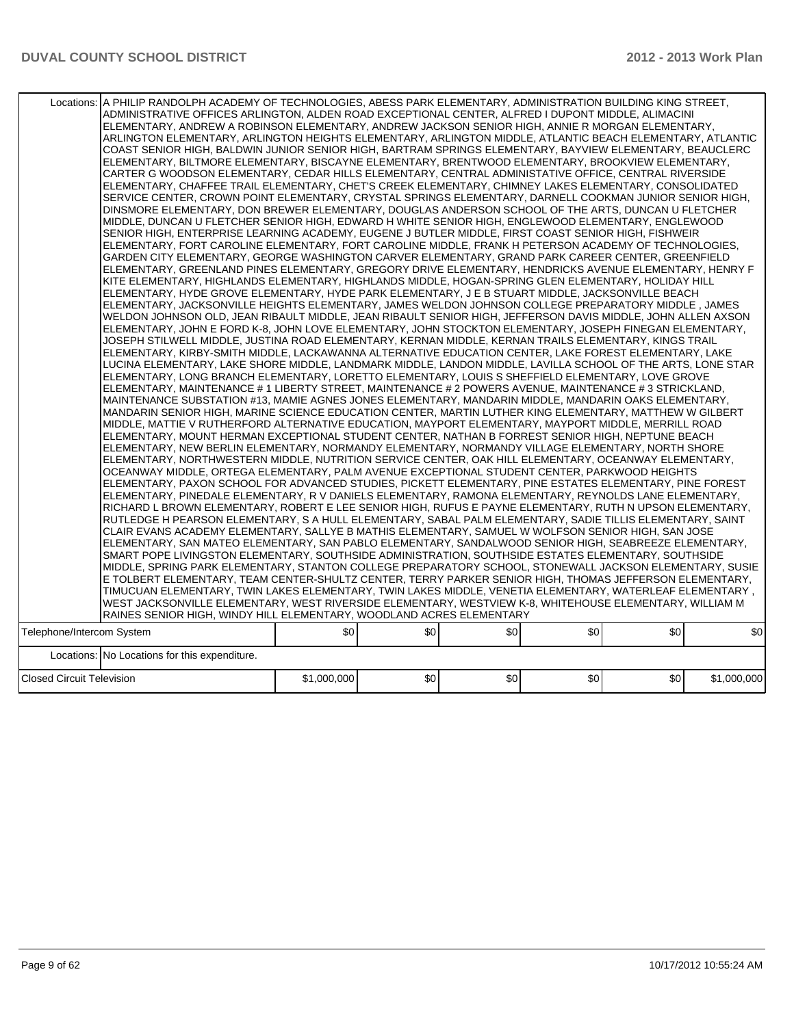|                                  | Locations:   A PHILIP RANDOLPH ACADEMY OF TECHNOLOGIES, ABESS PARK ELEMENTARY, ADMINISTRATION BUILDING KING STREET,<br>ADMINISTRATIVE OFFICES ARLINGTON, ALDEN ROAD EXCEPTIONAL CENTER, ALFRED I DUPONT MIDDLE, ALIMACINI<br>ELEMENTARY, ANDREW A ROBINSON ELEMENTARY, ANDREW JACKSON SENIOR HIGH, ANNIE R MORGAN ELEMENTARY,<br>ARLINGTON ELEMENTARY, ARLINGTON HEIGHTS ELEMENTARY, ARLINGTON MIDDLE, ATLANTIC BEACH ELEMENTARY, ATLANTIC<br>COAST SENIOR HIGH, BALDWIN JUNIOR SENIOR HIGH, BARTRAM SPRINGS ELEMENTARY, BAYVIEW ELEMENTARY, BEAUCLERC<br>ELEMENTARY, BILTMORE ELEMENTARY, BISCAYNE ELEMENTARY, BRENTWOOD ELEMENTARY, BROOKVIEW ELEMENTARY,<br>CARTER G WOODSON ELEMENTARY, CEDAR HILLS ELEMENTARY, CENTRAL ADMINISTATIVE OFFICE, CENTRAL RIVERSIDE<br>ELEMENTARY, CHAFFEE TRAIL ELEMENTARY, CHET'S CREEK ELEMENTARY, CHIMNEY LAKES ELEMENTARY, CONSOLIDATED<br>SERVICE CENTER, CROWN POINT ELEMENTARY, CRYSTAL SPRINGS ELEMENTARY, DARNELL COOKMAN JUNIOR SENIOR HIGH,<br>DINSMORE ELEMENTARY, DON BREWER ELEMENTARY, DOUGLAS ANDERSON SCHOOL OF THE ARTS, DUNCAN U FLETCHER<br>MIDDLE, DUNCAN U FLETCHER SENIOR HIGH, EDWARD H WHITE SENIOR HIGH, ENGLEWOOD ELEMENTARY, ENGLEWOOD<br>SENIOR HIGH, ENTERPRISE LEARNING ACADEMY, EUGENE J BUTLER MIDDLE, FIRST COAST SENIOR HIGH, FISHWEIR<br>ELEMENTARY, FORT CAROLINE ELEMENTARY, FORT CAROLINE MIDDLE, FRANK H PETERSON ACADEMY OF TECHNOLOGIES,<br>GARDEN CITY ELEMENTARY, GEORGE WASHINGTON CARVER ELEMENTARY, GRAND PARK CAREER CENTER, GREENFIELD<br>ELEMENTARY, GREENLAND PINES ELEMENTARY, GREGORY DRIVE ELEMENTARY, HENDRICKS AVENUE ELEMENTARY, HENRY F<br>KITE ELEMENTARY, HIGHLANDS ELEMENTARY, HIGHLANDS MIDDLE, HOGAN-SPRING GLEN ELEMENTARY, HOLIDAY HILL<br>ELEMENTARY, HYDE GROVE ELEMENTARY, HYDE PARK ELEMENTARY, J E B STUART MIDDLE, JACKSONVILLE BEACH<br>ELEMENTARY, JACKSONVILLE HEIGHTS ELEMENTARY, JAMES WELDON JOHNSON COLLEGE PREPARATORY MIDDLE, JAMES<br>WELDON JOHNSON OLD, JEAN RIBAULT MIDDLE, JEAN RIBAULT SENIOR HIGH, JEFFERSON DAVIS MIDDLE, JOHN ALLEN AXSON<br>ELEMENTARY, JOHN E FORD K-8, JOHN LOVE ELEMENTARY, JOHN STOCKTON ELEMENTARY, JOSEPH FINEGAN ELEMENTARY,<br>JOSEPH STILWELL MIDDLE. JUSTINA ROAD ELEMENTARY. KERNAN MIDDLE. KERNAN TRAILS ELEMENTARY. KINGS TRAIL<br>ELEMENTARY, KIRBY-SMITH MIDDLE, LACKAWANNA ALTERNATIVE EDUCATION CENTER, LAKE FOREST ELEMENTARY, LAKE<br>LUCINA ELEMENTARY, LAKE SHORE MIDDLE, LANDMARK MIDDLE, LANDON MIDDLE, LAVILLA SCHOOL OF THE ARTS, LONE STAR<br>ELEMENTARY, LONG BRANCH ELEMENTARY, LORETTO ELEMENTARY, LOUIS S SHEFFIELD ELEMENTARY, LOVE GROVE<br>ELEMENTARY, MAINTENANCE # 1 LIBERTY STREET, MAINTENANCE # 2 POWERS AVENUE, MAINTENANCE # 3 STRICKLAND,<br>MAINTENANCE SUBSTATION #13, MAMIE AGNES JONES ELEMENTARY, MANDARIN MIDDLE, MANDARIN OAKS ELEMENTARY,<br>MANDARIN SENIOR HIGH, MARINE SCIENCE EDUCATION CENTER, MARTIN LUTHER KING ELEMENTARY, MATTHEW W GILBERT<br>MIDDLE, MATTIE V RUTHERFORD ALTERNATIVE EDUCATION, MAYPORT ELEMENTARY, MAYPORT MIDDLE, MERRILL ROAD<br>ELEMENTARY, MOUNT HERMAN EXCEPTIONAL STUDENT CENTER, NATHAN B FORREST SENIOR HIGH, NEPTUNE BEACH<br>ELEMENTARY, NEW BERLIN ELEMENTARY, NORMANDY ELEMENTARY, NORMANDY VILLAGE ELEMENTARY, NORTH SHORE<br>ELEMENTARY, NORTHWESTERN MIDDLE, NUTRITION SERVICE CENTER, OAK HILL ELEMENTARY, OCEANWAY ELEMENTARY,<br>OCEANWAY MIDDLE, ORTEGA ELEMENTARY, PALM AVENUE EXCEPTIONAL STUDENT CENTER, PARKWOOD HEIGHTS<br>ELEMENTARY, PAXON SCHOOL FOR ADVANCED STUDIES, PICKETT ELEMENTARY, PINE ESTATES ELEMENTARY, PINE FOREST<br>ELEMENTARY, PINEDALE ELEMENTARY, R V DANIELS ELEMENTARY, RAMONA ELEMENTARY, REYNOLDS LANE ELEMENTARY,<br>RICHARD L BROWN ELEMENTARY, ROBERT E LEE SENIOR HIGH, RUFUS E PAYNE ELEMENTARY, RUTH N UPSON ELEMENTARY,<br>RUTLEDGE H PEARSON ELEMENTARY, S A HULL ELEMENTARY, SABAL PALM ELEMENTARY, SADIE TILLIS ELEMENTARY, SAINT<br>CLAIR EVANS ACADEMY ELEMENTARY, SALLYE B MATHIS ELEMENTARY, SAMUEL W WOLFSON SENIOR HIGH, SAN JOSE<br>ELEMENTARY, SAN MATEO ELEMENTARY, SAN PABLO ELEMENTARY, SANDALWOOD SENIOR HIGH, SEABREEZE ELEMENTARY,<br>SMART POPE LIVINGSTON ELEMENTARY, SOUTHSIDE ADMINISTRATION, SOUTHSIDE ESTATES ELEMENTARY, SOUTHSIDE<br>MIDDLE, SPRING PARK ELEMENTARY, STANTON COLLEGE PREPARATORY SCHOOL, STONEWALL JACKSON ELEMENTARY, SUSIE<br>E TOLBERT ELEMENTARY, TEAM CENTER-SHULTZ CENTER, TERRY PARKER SENIOR HIGH, THOMAS JEFFERSON ELEMENTARY,<br>TIMUCUAN ELEMENTARY, TWIN LAKES ELEMENTARY, TWIN LAKES MIDDLE, VENETIA ELEMENTARY, WATERLEAF ELEMENTARY,<br>WEST JACKSONVILLE ELEMENTARY, WEST RIVERSIDE ELEMENTARY, WESTVIEW K-8, WHITEHOUSE ELEMENTARY, WILLIAM M |             |     |     |     |     |             |
|----------------------------------|-----------------------------------------------------------------------------------------------------------------------------------------------------------------------------------------------------------------------------------------------------------------------------------------------------------------------------------------------------------------------------------------------------------------------------------------------------------------------------------------------------------------------------------------------------------------------------------------------------------------------------------------------------------------------------------------------------------------------------------------------------------------------------------------------------------------------------------------------------------------------------------------------------------------------------------------------------------------------------------------------------------------------------------------------------------------------------------------------------------------------------------------------------------------------------------------------------------------------------------------------------------------------------------------------------------------------------------------------------------------------------------------------------------------------------------------------------------------------------------------------------------------------------------------------------------------------------------------------------------------------------------------------------------------------------------------------------------------------------------------------------------------------------------------------------------------------------------------------------------------------------------------------------------------------------------------------------------------------------------------------------------------------------------------------------------------------------------------------------------------------------------------------------------------------------------------------------------------------------------------------------------------------------------------------------------------------------------------------------------------------------------------------------------------------------------------------------------------------------------------------------------------------------------------------------------------------------------------------------------------------------------------------------------------------------------------------------------------------------------------------------------------------------------------------------------------------------------------------------------------------------------------------------------------------------------------------------------------------------------------------------------------------------------------------------------------------------------------------------------------------------------------------------------------------------------------------------------------------------------------------------------------------------------------------------------------------------------------------------------------------------------------------------------------------------------------------------------------------------------------------------------------------------------------------------------------------------------------------------------------------------------------------------------------------------------------------------------------------------------------------------------------------------------------------------------------------------------------------------------------------------------------------------------------------------------------------------------------------------------------------------------------------------------------------------------------------------------------------------------------------------------------------------------------------------------------------------------------------------------------------------------------------------------------------------------------------------------------------------------------------------------------------------------------------------------------------------------------------------------------------------------------------------------------------------------------------------------------------------------------------------------------------------------------------------------------|-------------|-----|-----|-----|-----|-------------|
|                                  | RAINES SENIOR HIGH, WINDY HILL ELEMENTARY, WOODLAND ACRES ELEMENTARY                                                                                                                                                                                                                                                                                                                                                                                                                                                                                                                                                                                                                                                                                                                                                                                                                                                                                                                                                                                                                                                                                                                                                                                                                                                                                                                                                                                                                                                                                                                                                                                                                                                                                                                                                                                                                                                                                                                                                                                                                                                                                                                                                                                                                                                                                                                                                                                                                                                                                                                                                                                                                                                                                                                                                                                                                                                                                                                                                                                                                                                                                                                                                                                                                                                                                                                                                                                                                                                                                                                                                                                                                                                                                                                                                                                                                                                                                                                                                                                                                                                                                                                                                                                                                                                                                                                                                                                                                                                                                                                                                                                                                    |             |     |     |     |     |             |
| Telephone/Intercom System        |                                                                                                                                                                                                                                                                                                                                                                                                                                                                                                                                                                                                                                                                                                                                                                                                                                                                                                                                                                                                                                                                                                                                                                                                                                                                                                                                                                                                                                                                                                                                                                                                                                                                                                                                                                                                                                                                                                                                                                                                                                                                                                                                                                                                                                                                                                                                                                                                                                                                                                                                                                                                                                                                                                                                                                                                                                                                                                                                                                                                                                                                                                                                                                                                                                                                                                                                                                                                                                                                                                                                                                                                                                                                                                                                                                                                                                                                                                                                                                                                                                                                                                                                                                                                                                                                                                                                                                                                                                                                                                                                                                                                                                                                                         | \$0         | \$0 | \$0 | \$0 | \$0 | \$0         |
|                                  |                                                                                                                                                                                                                                                                                                                                                                                                                                                                                                                                                                                                                                                                                                                                                                                                                                                                                                                                                                                                                                                                                                                                                                                                                                                                                                                                                                                                                                                                                                                                                                                                                                                                                                                                                                                                                                                                                                                                                                                                                                                                                                                                                                                                                                                                                                                                                                                                                                                                                                                                                                                                                                                                                                                                                                                                                                                                                                                                                                                                                                                                                                                                                                                                                                                                                                                                                                                                                                                                                                                                                                                                                                                                                                                                                                                                                                                                                                                                                                                                                                                                                                                                                                                                                                                                                                                                                                                                                                                                                                                                                                                                                                                                                         |             |     |     |     |     |             |
|                                  | Locations: No Locations for this expenditure.                                                                                                                                                                                                                                                                                                                                                                                                                                                                                                                                                                                                                                                                                                                                                                                                                                                                                                                                                                                                                                                                                                                                                                                                                                                                                                                                                                                                                                                                                                                                                                                                                                                                                                                                                                                                                                                                                                                                                                                                                                                                                                                                                                                                                                                                                                                                                                                                                                                                                                                                                                                                                                                                                                                                                                                                                                                                                                                                                                                                                                                                                                                                                                                                                                                                                                                                                                                                                                                                                                                                                                                                                                                                                                                                                                                                                                                                                                                                                                                                                                                                                                                                                                                                                                                                                                                                                                                                                                                                                                                                                                                                                                           |             |     |     |     |     |             |
| <b>Closed Circuit Television</b> |                                                                                                                                                                                                                                                                                                                                                                                                                                                                                                                                                                                                                                                                                                                                                                                                                                                                                                                                                                                                                                                                                                                                                                                                                                                                                                                                                                                                                                                                                                                                                                                                                                                                                                                                                                                                                                                                                                                                                                                                                                                                                                                                                                                                                                                                                                                                                                                                                                                                                                                                                                                                                                                                                                                                                                                                                                                                                                                                                                                                                                                                                                                                                                                                                                                                                                                                                                                                                                                                                                                                                                                                                                                                                                                                                                                                                                                                                                                                                                                                                                                                                                                                                                                                                                                                                                                                                                                                                                                                                                                                                                                                                                                                                         | \$1,000,000 | \$0 | \$0 | \$0 | \$0 | \$1,000,000 |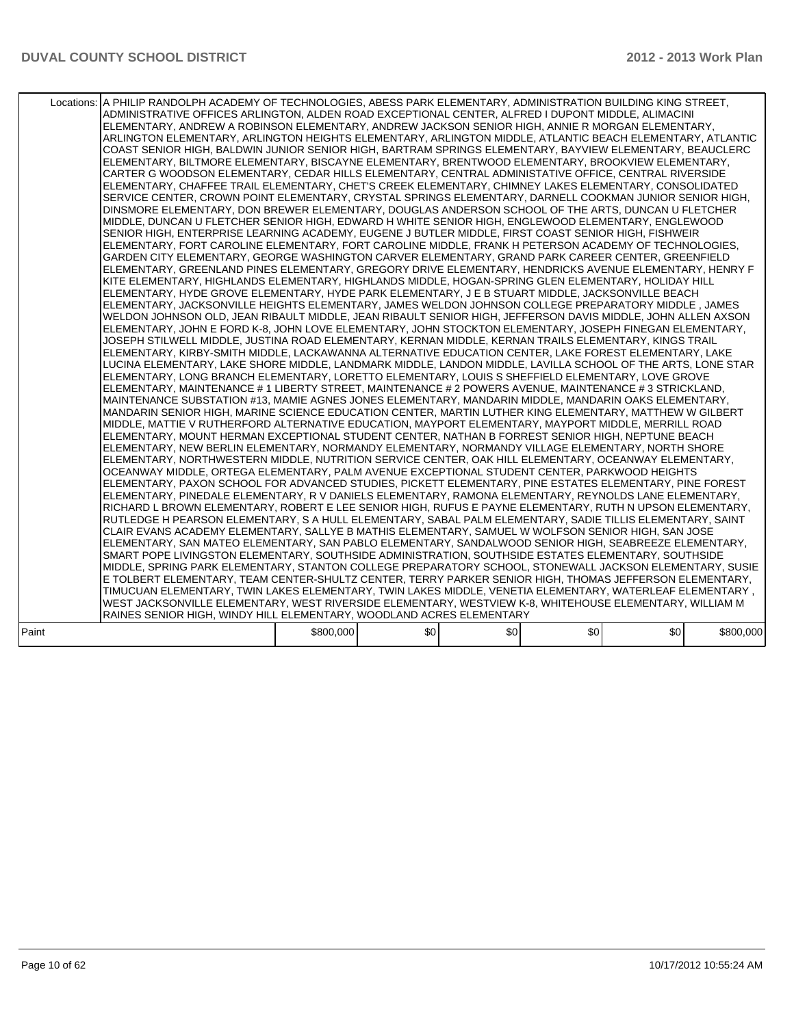|       | Locations: A PHILIP RANDOLPH ACADEMY OF TECHNOLOGIES, ABESS PARK ELEMENTARY, ADMINISTRATION BUILDING KING STREET,<br>ADMINISTRATIVE OFFICES ARLINGTON, ALDEN ROAD EXCEPTIONAL CENTER, ALFRED I DUPONT MIDDLE, ALIMACINI<br>ELEMENTARY, ANDREW A ROBINSON ELEMENTARY, ANDREW JACKSON SENIOR HIGH, ANNIE R MORGAN ELEMENTARY,<br>ARLINGTON ELEMENTARY, ARLINGTON HEIGHTS ELEMENTARY, ARLINGTON MIDDLE, ATLANTIC BEACH ELEMENTARY, ATLANTIC<br>COAST SENIOR HIGH, BALDWIN JUNIOR SENIOR HIGH, BARTRAM SPRINGS ELEMENTARY, BAYVIEW ELEMENTARY, BEAUCLERC<br>ELEMENTARY, BILTMORE ELEMENTARY, BISCAYNE ELEMENTARY, BRENTWOOD ELEMENTARY, BROOKVIEW ELEMENTARY,<br>CARTER G WOODSON ELEMENTARY, CEDAR HILLS ELEMENTARY, CENTRAL ADMINISTATIVE OFFICE, CENTRAL RIVERSIDE<br>ELEMENTARY, CHAFFEE TRAIL ELEMENTARY, CHET'S CREEK ELEMENTARY, CHIMNEY LAKES ELEMENTARY, CONSOLIDATED<br>SERVICE CENTER, CROWN POINT ELEMENTARY, CRYSTAL SPRINGS ELEMENTARY, DARNELL COOKMAN JUNIOR SENIOR HIGH,<br>DINSMORE ELEMENTARY, DON BREWER ELEMENTARY, DOUGLAS ANDERSON SCHOOL OF THE ARTS, DUNCAN U FLETCHER<br>MIDDLE, DUNCAN U FLETCHER SENIOR HIGH, EDWARD H WHITE SENIOR HIGH, ENGLEWOOD ELEMENTARY, ENGLEWOOD<br>SENIOR HIGH. ENTERPRISE LEARNING ACADEMY. EUGENE J BUTLER MIDDLE. FIRST COAST SENIOR HIGH. FISHWEIR<br>ELEMENTARY, FORT CAROLINE ELEMENTARY, FORT CAROLINE MIDDLE, FRANK H PETERSON ACADEMY OF TECHNOLOGIES,<br>GARDEN CITY ELEMENTARY, GEORGE WASHINGTON CARVER ELEMENTARY, GRAND PARK CAREER CENTER, GREENFIELD<br>ELEMENTARY, GREENLAND PINES ELEMENTARY, GREGORY DRIVE ELEMENTARY, HENDRICKS AVENUE ELEMENTARY, HENRY F<br>KITE ELEMENTARY. HIGHLANDS ELEMENTARY. HIGHLANDS MIDDLE. HOGAN-SPRING GLEN ELEMENTARY. HOLIDAY HILL<br>ELEMENTARY, HYDE GROVE ELEMENTARY, HYDE PARK ELEMENTARY, J E B STUART MIDDLE, JACKSONVILLE BEACH<br>ELEMENTARY, JACKSONVILLE HEIGHTS ELEMENTARY, JAMES WELDON JOHNSON COLLEGE PREPARATORY MIDDLE, JAMES<br>WELDON JOHNSON OLD, JEAN RIBAULT MIDDLE, JEAN RIBAULT SENIOR HIGH, JEFFERSON DAVIS MIDDLE, JOHN ALLEN AXSON<br>ELEMENTARY, JOHN E FORD K-8, JOHN LOVE ELEMENTARY, JOHN STOCKTON ELEMENTARY, JOSEPH FINEGAN ELEMENTARY,<br>JOSEPH STILWELL MIDDLE, JUSTINA ROAD ELEMENTARY, KERNAN MIDDLE, KERNAN TRAILS ELEMENTARY, KINGS TRAIL<br>ELEMENTARY, KIRBY-SMITH MIDDLE, LACKAWANNA ALTERNATIVE EDUCATION CENTER, LAKE FOREST ELEMENTARY, LAKE<br>LUCINA ELEMENTARY. LAKE SHORE MIDDLE. LANDMARK MIDDLE. LANDON MIDDLE. LAVILLA SCHOOL OF THE ARTS. LONE STAR<br>ELEMENTARY, LONG BRANCH ELEMENTARY, LORETTO ELEMENTARY, LOUIS S SHEFFIELD ELEMENTARY, LOVE GROVE<br>ELEMENTARY, MAINTENANCE # 1 LIBERTY STREET, MAINTENANCE # 2 POWERS AVENUE, MAINTENANCE # 3 STRICKLAND,<br>MAINTENANCE SUBSTATION #13, MAMIE AGNES JONES ELEMENTARY, MANDARIN MIDDLE, MANDARIN OAKS ELEMENTARY,<br>MANDARIN SENIOR HIGH, MARINE SCIENCE EDUCATION CENTER, MARTIN LUTHER KING ELEMENTARY, MATTHEW W GILBERT<br>MIDDLE, MATTIE V RUTHERFORD ALTERNATIVE EDUCATION, MAYPORT ELEMENTARY, MAYPORT MIDDLE, MERRILL ROAD<br>ELEMENTARY, MOUNT HERMAN EXCEPTIONAL STUDENT CENTER, NATHAN B FORREST SENIOR HIGH, NEPTUNE BEACH<br>ELEMENTARY, NEW BERLIN ELEMENTARY, NORMANDY ELEMENTARY, NORMANDY VILLAGE ELEMENTARY, NORTH SHORE<br>ELEMENTARY, NORTHWESTERN MIDDLE, NUTRITION SERVICE CENTER, OAK HILL ELEMENTARY, OCEANWAY ELEMENTARY,<br>OCEANWAY MIDDLE, ORTEGA ELEMENTARY, PALM AVENUE EXCEPTIONAL STUDENT CENTER, PARKWOOD HEIGHTS<br>ELEMENTARY, PAXON SCHOOL FOR ADVANCED STUDIES, PICKETT ELEMENTARY, PINE ESTATES ELEMENTARY, PINE FOREST<br>ELEMENTARY, PINEDALE ELEMENTARY, R V DANIELS ELEMENTARY, RAMONA ELEMENTARY, REYNOLDS LANE ELEMENTARY,<br>RICHARD L BROWN ELEMENTARY, ROBERT E LEE SENIOR HIGH, RUFUS E PAYNE ELEMENTARY, RUTH N UPSON ELEMENTARY,<br>RUTLEDGE H PEARSON ELEMENTARY. S A HULL ELEMENTARY. SABAL PALM ELEMENTARY. SADIE TILLIS ELEMENTARY. SAINT<br>CLAIR EVANS ACADEMY ELEMENTARY, SALLYE B MATHIS ELEMENTARY, SAMUEL W WOLFSON SENIOR HIGH, SAN JOSE<br>ELEMENTARY, SAN MATEO ELEMENTARY, SAN PABLO ELEMENTARY, SANDALWOOD SENIOR HIGH, SEABREEZE ELEMENTARY,<br>SMART POPE LIVINGSTON ELEMENTARY, SOUTHSIDE ADMINISTRATION, SOUTHSIDE ESTATES ELEMENTARY, SOUTHSIDE<br>MIDDLE, SPRING PARK ELEMENTARY, STANTON COLLEGE PREPARATORY SCHOOL, STONEWALL JACKSON ELEMENTARY, SUSIE<br>E TOLBERT ELEMENTARY, TEAM CENTER-SHULTZ CENTER, TERRY PARKER SENIOR HIGH, THOMAS JEFFERSON ELEMENTARY,<br>TIMUCUAN ELEMENTARY, TWIN LAKES ELEMENTARY, TWIN LAKES MIDDLE, VENETIA ELEMENTARY, WATERLEAF ELEMENTARY ,<br>WEST JACKSONVILLE ELEMENTARY, WEST RIVERSIDE ELEMENTARY, WESTVIEW K-8, WHITEHOUSE ELEMENTARY, WILLIAM M<br>RAINES SENIOR HIGH, WINDY HILL ELEMENTARY, WOODLAND ACRES ELEMENTARY |           |     |     |     |     |           |
|-------|----------------------------------------------------------------------------------------------------------------------------------------------------------------------------------------------------------------------------------------------------------------------------------------------------------------------------------------------------------------------------------------------------------------------------------------------------------------------------------------------------------------------------------------------------------------------------------------------------------------------------------------------------------------------------------------------------------------------------------------------------------------------------------------------------------------------------------------------------------------------------------------------------------------------------------------------------------------------------------------------------------------------------------------------------------------------------------------------------------------------------------------------------------------------------------------------------------------------------------------------------------------------------------------------------------------------------------------------------------------------------------------------------------------------------------------------------------------------------------------------------------------------------------------------------------------------------------------------------------------------------------------------------------------------------------------------------------------------------------------------------------------------------------------------------------------------------------------------------------------------------------------------------------------------------------------------------------------------------------------------------------------------------------------------------------------------------------------------------------------------------------------------------------------------------------------------------------------------------------------------------------------------------------------------------------------------------------------------------------------------------------------------------------------------------------------------------------------------------------------------------------------------------------------------------------------------------------------------------------------------------------------------------------------------------------------------------------------------------------------------------------------------------------------------------------------------------------------------------------------------------------------------------------------------------------------------------------------------------------------------------------------------------------------------------------------------------------------------------------------------------------------------------------------------------------------------------------------------------------------------------------------------------------------------------------------------------------------------------------------------------------------------------------------------------------------------------------------------------------------------------------------------------------------------------------------------------------------------------------------------------------------------------------------------------------------------------------------------------------------------------------------------------------------------------------------------------------------------------------------------------------------------------------------------------------------------------------------------------------------------------------------------------------------------------------------------------------------------------------------------------------------------------------------------------------------------------------------------------------------------------------------------------------------------------------------------------------------------------------------------------------------------------------------------------------------------------------------------------------------------------------------------------------------------------------------------------------------------------------------------------------------------------------------------------------------------------------------------------------------------------------------|-----------|-----|-----|-----|-----|-----------|
| Paint |                                                                                                                                                                                                                                                                                                                                                                                                                                                                                                                                                                                                                                                                                                                                                                                                                                                                                                                                                                                                                                                                                                                                                                                                                                                                                                                                                                                                                                                                                                                                                                                                                                                                                                                                                                                                                                                                                                                                                                                                                                                                                                                                                                                                                                                                                                                                                                                                                                                                                                                                                                                                                                                                                                                                                                                                                                                                                                                                                                                                                                                                                                                                                                                                                                                                                                                                                                                                                                                                                                                                                                                                                                                                                                                                                                                                                                                                                                                                                                                                                                                                                                                                                                                                                                                                                                                                                                                                                                                                                                                                                                                                                                                                                                                                                                | \$800,000 | \$0 | \$0 | \$0 | \$0 | \$800,000 |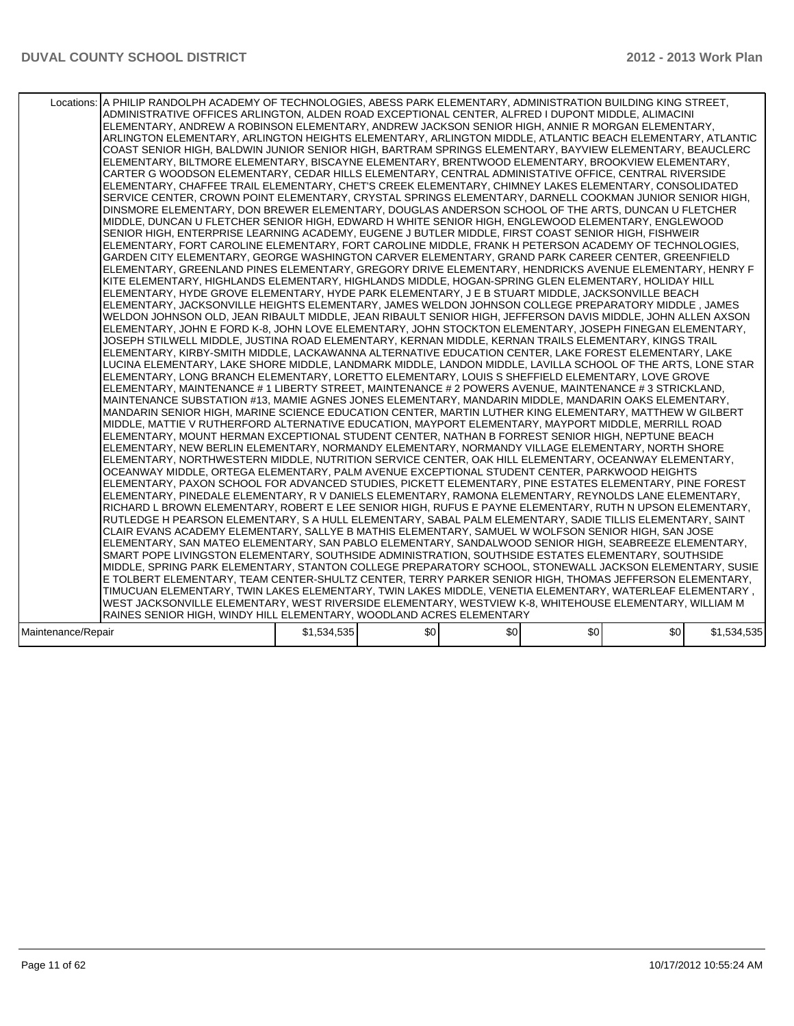|                    | Locations: A PHILIP RANDOLPH ACADEMY OF TECHNOLOGIES, ABESS PARK ELEMENTARY, ADMINISTRATION BUILDING KING STREET,<br>ADMINISTRATIVE OFFICES ARLINGTON, ALDEN ROAD EXCEPTIONAL CENTER, ALFRED I DUPONT MIDDLE, ALIMACINI<br>ELEMENTARY, ANDREW A ROBINSON ELEMENTARY, ANDREW JACKSON SENIOR HIGH, ANNIE R MORGAN ELEMENTARY,<br>ARLINGTON ELEMENTARY, ARLINGTON HEIGHTS ELEMENTARY, ARLINGTON MIDDLE, ATLANTIC BEACH ELEMENTARY, ATLANTIC<br>COAST SENIOR HIGH, BALDWIN JUNIOR SENIOR HIGH, BARTRAM SPRINGS ELEMENTARY, BAYVIEW ELEMENTARY, BEAUCLERC<br>ELEMENTARY, BILTMORE ELEMENTARY, BISCAYNE ELEMENTARY, BRENTWOOD ELEMENTARY, BROOKVIEW ELEMENTARY,<br>CARTER G WOODSON ELEMENTARY, CEDAR HILLS ELEMENTARY, CENTRAL ADMINISTATIVE OFFICE, CENTRAL RIVERSIDE<br>ELEMENTARY, CHAFFEE TRAIL ELEMENTARY, CHET'S CREEK ELEMENTARY, CHIMNEY LAKES ELEMENTARY, CONSOLIDATED<br>SERVICE CENTER, CROWN POINT ELEMENTARY, CRYSTAL SPRINGS ELEMENTARY, DARNELL COOKMAN JUNIOR SENIOR HIGH,<br>DINSMORE ELEMENTARY, DON BREWER ELEMENTARY, DOUGLAS ANDERSON SCHOOL OF THE ARTS, DUNCAN U FLETCHER<br>MIDDLE, DUNCAN U FLETCHER SENIOR HIGH, EDWARD H WHITE SENIOR HIGH, ENGLEWOOD ELEMENTARY, ENGLEWOOD<br>SENIOR HIGH, ENTERPRISE LEARNING ACADEMY, EUGENE J BUTLER MIDDLE, FIRST COAST SENIOR HIGH, FISHWEIR<br>ELEMENTARY, FORT CAROLINE ELEMENTARY, FORT CAROLINE MIDDLE, FRANK H PETERSON ACADEMY OF TECHNOLOGIES,<br>GARDEN CITY ELEMENTARY, GEORGE WASHINGTON CARVER ELEMENTARY, GRAND PARK CAREER CENTER, GREENFIELD<br>ELEMENTARY, GREENLAND PINES ELEMENTARY, GREGORY DRIVE ELEMENTARY, HENDRICKS AVENUE ELEMENTARY, HENRY F<br>KITE ELEMENTARY, HIGHLANDS ELEMENTARY, HIGHLANDS MIDDLE, HOGAN-SPRING GLEN ELEMENTARY, HOLIDAY HILL<br>ELEMENTARY, HYDE GROVE ELEMENTARY, HYDE PARK ELEMENTARY, J E B STUART MIDDLE, JACKSONVILLE BEACH<br>ELEMENTARY, JACKSONVILLE HEIGHTS ELEMENTARY, JAMES WELDON JOHNSON COLLEGE PREPARATORY MIDDLE, JAMES<br>WELDON JOHNSON OLD, JEAN RIBAULT MIDDLE, JEAN RIBAULT SENIOR HIGH, JEFFERSON DAVIS MIDDLE, JOHN ALLEN AXSON<br>ELEMENTARY, JOHN E FORD K-8, JOHN LOVE ELEMENTARY, JOHN STOCKTON ELEMENTARY, JOSEPH FINEGAN ELEMENTARY,<br>JOSEPH STILWELL MIDDLE, JUSTINA ROAD ELEMENTARY, KERNAN MIDDLE, KERNAN TRAILS ELEMENTARY, KINGS TRAIL<br>ELEMENTARY, KIRBY-SMITH MIDDLE, LACKAWANNA ALTERNATIVE EDUCATION CENTER, LAKE FOREST ELEMENTARY, LAKE<br>LUCINA ELEMENTARY, LAKE SHORE MIDDLE, LANDMARK MIDDLE, LANDON MIDDLE, LAVILLA SCHOOL OF THE ARTS, LONE STAR<br>ELEMENTARY, LONG BRANCH ELEMENTARY, LORETTO ELEMENTARY, LOUIS S SHEFFIELD ELEMENTARY, LOVE GROVE<br>ELEMENTARY, MAINTENANCE # 1 LIBERTY STREET, MAINTENANCE # 2 POWERS AVENUE, MAINTENANCE # 3 STRICKLAND,<br>MAINTENANCE SUBSTATION #13, MAMIE AGNES JONES ELEMENTARY, MANDARIN MIDDLE, MANDARIN OAKS ELEMENTARY,<br>MANDARIN SENIOR HIGH, MARINE SCIENCE EDUCATION CENTER, MARTIN LUTHER KING ELEMENTARY, MATTHEW W GILBERT<br>MIDDLE, MATTIE V RUTHERFORD ALTERNATIVE EDUCATION, MAYPORT ELEMENTARY, MAYPORT MIDDLE, MERRILL ROAD<br>ELEMENTARY, MOUNT HERMAN EXCEPTIONAL STUDENT CENTER, NATHAN B FORREST SENIOR HIGH, NEPTUNE BEACH<br>ELEMENTARY, NEW BERLIN ELEMENTARY, NORMANDY ELEMENTARY, NORMANDY VILLAGE ELEMENTARY, NORTH SHORE<br>ELEMENTARY, NORTHWESTERN MIDDLE, NUTRITION SERVICE CENTER, OAK HILL ELEMENTARY, OCEANWAY ELEMENTARY,<br>OCEANWAY MIDDLE, ORTEGA ELEMENTARY, PALM AVENUE EXCEPTIONAL STUDENT CENTER, PARKWOOD HEIGHTS<br>ELEMENTARY, PAXON SCHOOL FOR ADVANCED STUDIES, PICKETT ELEMENTARY, PINE ESTATES ELEMENTARY, PINE FOREST<br>ELEMENTARY, PINEDALE ELEMENTARY, R V DANIELS ELEMENTARY, RAMONA ELEMENTARY, REYNOLDS LANE ELEMENTARY,<br>RICHARD L BROWN ELEMENTARY, ROBERT E LEE SENIOR HIGH, RUFUS E PAYNE ELEMENTARY, RUTH N UPSON ELEMENTARY,<br>RUTLEDGE H PEARSON ELEMENTARY, S A HULL ELEMENTARY, SABAL PALM ELEMENTARY, SADIE TILLIS ELEMENTARY, SAINT<br>CLAIR EVANS ACADEMY ELEMENTARY, SALLYE B MATHIS ELEMENTARY, SAMUEL W WOLFSON SENIOR HIGH, SAN JOSE<br>ELEMENTARY, SAN MATEO ELEMENTARY, SAN PABLO ELEMENTARY, SANDALWOOD SENIOR HIGH, SEABREEZE ELEMENTARY,<br>SMART POPE LIVINGSTON ELEMENTARY, SOUTHSIDE ADMINISTRATION, SOUTHSIDE ESTATES ELEMENTARY, SOUTHSIDE<br>MIDDLE, SPRING PARK ELEMENTARY, STANTON COLLEGE PREPARATORY SCHOOL, STONEWALL JACKSON ELEMENTARY, SUSIE<br>E TOLBERT ELEMENTARY, TEAM CENTER-SHULTZ CENTER, TERRY PARKER SENIOR HIGH, THOMAS JEFFERSON ELEMENTARY,<br>TIMUCUAN ELEMENTARY, TWIN LAKES ELEMENTARY, TWIN LAKES MIDDLE, VENETIA ELEMENTARY, WATERLEAF ELEMENTARY,<br>WEST JACKSONVILLE ELEMENTARY, WEST RIVERSIDE ELEMENTARY, WESTVIEW K-8, WHITEHOUSE ELEMENTARY, WILLIAM M<br>RAINES SENIOR HIGH, WINDY HILL ELEMENTARY, WOODLAND ACRES ELEMENTARY |             |     |     |     |     |             |
|--------------------|---------------------------------------------------------------------------------------------------------------------------------------------------------------------------------------------------------------------------------------------------------------------------------------------------------------------------------------------------------------------------------------------------------------------------------------------------------------------------------------------------------------------------------------------------------------------------------------------------------------------------------------------------------------------------------------------------------------------------------------------------------------------------------------------------------------------------------------------------------------------------------------------------------------------------------------------------------------------------------------------------------------------------------------------------------------------------------------------------------------------------------------------------------------------------------------------------------------------------------------------------------------------------------------------------------------------------------------------------------------------------------------------------------------------------------------------------------------------------------------------------------------------------------------------------------------------------------------------------------------------------------------------------------------------------------------------------------------------------------------------------------------------------------------------------------------------------------------------------------------------------------------------------------------------------------------------------------------------------------------------------------------------------------------------------------------------------------------------------------------------------------------------------------------------------------------------------------------------------------------------------------------------------------------------------------------------------------------------------------------------------------------------------------------------------------------------------------------------------------------------------------------------------------------------------------------------------------------------------------------------------------------------------------------------------------------------------------------------------------------------------------------------------------------------------------------------------------------------------------------------------------------------------------------------------------------------------------------------------------------------------------------------------------------------------------------------------------------------------------------------------------------------------------------------------------------------------------------------------------------------------------------------------------------------------------------------------------------------------------------------------------------------------------------------------------------------------------------------------------------------------------------------------------------------------------------------------------------------------------------------------------------------------------------------------------------------------------------------------------------------------------------------------------------------------------------------------------------------------------------------------------------------------------------------------------------------------------------------------------------------------------------------------------------------------------------------------------------------------------------------------------------------------------------------------------------------------------------------------------------------------------------------------------------------------------------------------------------------------------------------------------------------------------------------------------------------------------------------------------------------------------------------------------------------------------------------------------------------------------------------------------------------------------------------------------------------------------------------------------------------------------------|-------------|-----|-----|-----|-----|-------------|
| Maintenance/Repair |                                                                                                                                                                                                                                                                                                                                                                                                                                                                                                                                                                                                                                                                                                                                                                                                                                                                                                                                                                                                                                                                                                                                                                                                                                                                                                                                                                                                                                                                                                                                                                                                                                                                                                                                                                                                                                                                                                                                                                                                                                                                                                                                                                                                                                                                                                                                                                                                                                                                                                                                                                                                                                                                                                                                                                                                                                                                                                                                                                                                                                                                                                                                                                                                                                                                                                                                                                                                                                                                                                                                                                                                                                                                                                                                                                                                                                                                                                                                                                                                                                                                                                                                                                                                                                                                                                                                                                                                                                                                                                                                                                                                                                                                                                                                                               | \$1,534,535 | \$0 | \$0 | \$0 | \$0 | \$1,534,535 |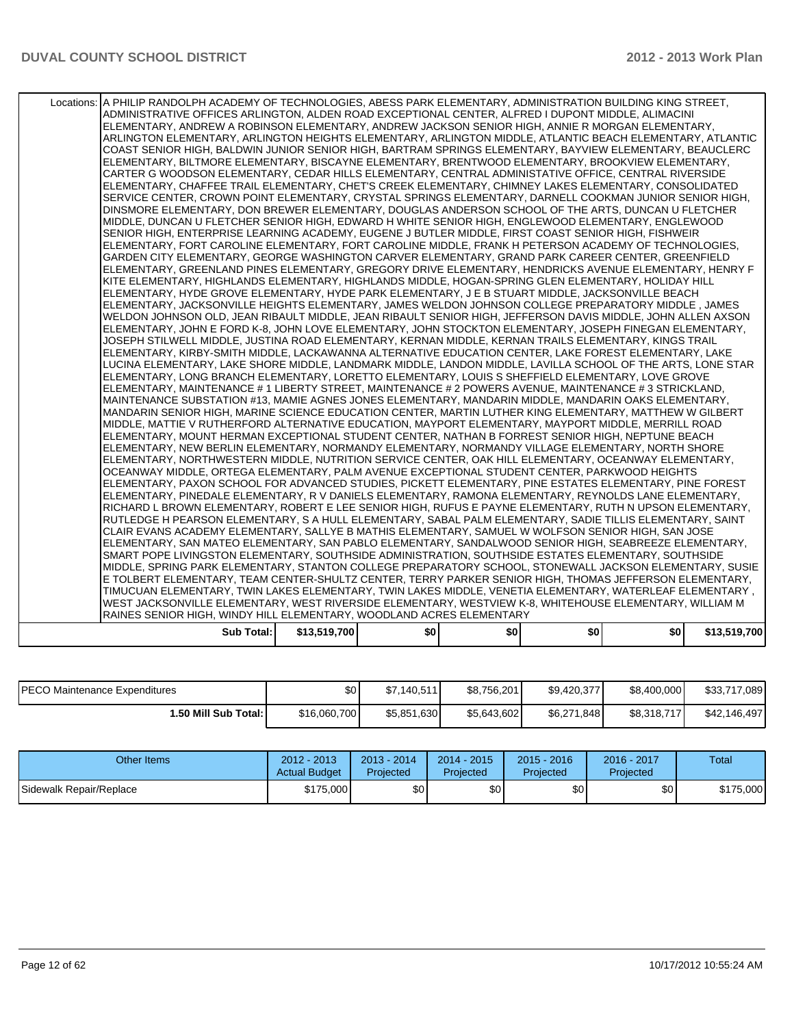| Sub Total:                                                                                                                                                                                              | \$13,519,700 | \$0 | \$O | \$0 | \$O I | \$13,519,700 |
|---------------------------------------------------------------------------------------------------------------------------------------------------------------------------------------------------------|--------------|-----|-----|-----|-------|--------------|
| RAINES SENIOR HIGH, WINDY HILL ELEMENTARY, WOODLAND ACRES ELEMENTARY                                                                                                                                    |              |     |     |     |       |              |
| WEST JACKSONVILLE ELEMENTARY, WEST RIVERSIDE ELEMENTARY, WESTVIEW K-8, WHITEHOUSE ELEMENTARY, WILLIAM M                                                                                                 |              |     |     |     |       |              |
| , TIMUCUAN ELEMENTARY, TWIN LAKES ELEMENTARY, TWIN LAKES MIDDLE, VENETIA ELEMENTARY, WATERLEAF ELEMENTARY (                                                                                             |              |     |     |     |       |              |
| E TOLBERT ELEMENTARY, TEAM CENTER-SHULTZ CENTER, TERRY PARKER SENIOR HIGH, THOMAS JEFFERSON ELEMENTARY,                                                                                                 |              |     |     |     |       |              |
| MIDDLE, SPRING PARK ELEMENTARY, STANTON COLLEGE PREPARATORY SCHOOL, STONEWALL JACKSON ELEMENTARY, SUSIE                                                                                                 |              |     |     |     |       |              |
| SMART POPE LIVINGSTON ELEMENTARY, SOUTHSIDE ADMINISTRATION, SOUTHSIDE ESTATES ELEMENTARY, SOUTHSIDE                                                                                                     |              |     |     |     |       |              |
| ELEMENTARY, SAN MATEO ELEMENTARY, SAN PABLO ELEMENTARY, SANDALWOOD SENIOR HIGH, SEABREEZE ELEMENTARY,                                                                                                   |              |     |     |     |       |              |
| CLAIR EVANS ACADEMY ELEMENTARY, SALLYE B MATHIS ELEMENTARY, SAMUEL W WOLFSON SENIOR HIGH, SAN JOSE                                                                                                      |              |     |     |     |       |              |
| RUTLEDGE H PEARSON ELEMENTARY. S A HULL ELEMENTARY. SABAL PALM ELEMENTARY. SADIE TILLIS ELEMENTARY. SAINT                                                                                               |              |     |     |     |       |              |
| RICHARD L BROWN ELEMENTARY, ROBERT E LEE SENIOR HIGH, RUFUS E PAYNE ELEMENTARY, RUTH N UPSON ELEMENTARY,                                                                                                |              |     |     |     |       |              |
| ELEMENTARY, PINEDALE ELEMENTARY, R V DANIELS ELEMENTARY, RAMONA ELEMENTARY, REYNOLDS LANE ELEMENTARY,                                                                                                   |              |     |     |     |       |              |
| ELEMENTARY, PAXON SCHOOL FOR ADVANCED STUDIES, PICKETT ELEMENTARY, PINE ESTATES ELEMENTARY, PINE FOREST                                                                                                 |              |     |     |     |       |              |
| OCEANWAY MIDDLE, ORTEGA ELEMENTARY, PALM AVENUE EXCEPTIONAL STUDENT CENTER, PARKWOOD HEIGHTS                                                                                                            |              |     |     |     |       |              |
| ELEMENTARY, NORTHWESTERN MIDDLE, NUTRITION SERVICE CENTER, OAK HILL ELEMENTARY, OCEANWAY ELEMENTARY,                                                                                                    |              |     |     |     |       |              |
| ELEMENTARY, NEW BERLIN ELEMENTARY, NORMANDY ELEMENTARY, NORMANDY VILLAGE ELEMENTARY, NORTH SHORE                                                                                                        |              |     |     |     |       |              |
| ELEMENTARY, MOUNT HERMAN EXCEPTIONAL STUDENT CENTER, NATHAN B FORREST SENIOR HIGH, NEPTUNE BEACH                                                                                                        |              |     |     |     |       |              |
| MIDDLE, MATTIE V RUTHERFORD ALTERNATIVE EDUCATION, MAYPORT ELEMENTARY, MAYPORT MIDDLE, MERRILL ROAD                                                                                                     |              |     |     |     |       |              |
| MANDARIN SENIOR HIGH, MARINE SCIENCE EDUCATION CENTER, MARTIN LUTHER KING ELEMENTARY, MATTHEW W GILBERT                                                                                                 |              |     |     |     |       |              |
| MAINTENANCE SUBSTATION #13, MAMIE AGNES JONES ELEMENTARY, MANDARIN MIDDLE, MANDARIN OAKS ELEMENTARY,                                                                                                    |              |     |     |     |       |              |
| ELEMENTARY, MAINTENANCE # 1 LIBERTY STREET, MAINTENANCE # 2 POWERS AVENUE, MAINTENANCE # 3 STRICKLAND,                                                                                                  |              |     |     |     |       |              |
| ELEMENTARY, LONG BRANCH ELEMENTARY, LORETTO ELEMENTARY, LOUIS S SHEFFIELD ELEMENTARY, LOVE GROVE                                                                                                        |              |     |     |     |       |              |
| LUCINA ELEMENTARY, LAKE SHORE MIDDLE, LANDMARK MIDDLE, LANDON MIDDLE, LAVILLA SCHOOL OF THE ARTS, LONE STAR                                                                                             |              |     |     |     |       |              |
| ELEMENTARY, KIRBY-SMITH MIDDLE, LACKAWANNA ALTERNATIVE EDUCATION CENTER, LAKE FOREST ELEMENTARY, LAKE                                                                                                   |              |     |     |     |       |              |
| JOSEPH STILWELL MIDDLE, JUSTINA ROAD ELEMENTARY, KERNAN MIDDLE, KERNAN TRAILS ELEMENTARY, KINGS TRAIL                                                                                                   |              |     |     |     |       |              |
| ELEMENTARY, JOHN E FORD K-8, JOHN LOVE ELEMENTARY, JOHN STOCKTON ELEMENTARY, JOSEPH FINEGAN ELEMENTARY,                                                                                                 |              |     |     |     |       |              |
| WELDON JOHNSON OLD, JEAN RIBAULT MIDDLE, JEAN RIBAULT SENIOR HIGH, JEFFERSON DAVIS MIDDLE, JOHN ALLEN AXSON                                                                                             |              |     |     |     |       |              |
| ELEMENTARY, JACKSONVILLE HEIGHTS ELEMENTARY, JAMES WELDON JOHNSON COLLEGE PREPARATORY MIDDLE, JAMES                                                                                                     |              |     |     |     |       |              |
| KITE ELEMENTARY, HIGHLANDS ELEMENTARY, HIGHLANDS MIDDLE, HOGAN-SPRING GLEN ELEMENTARY, HOLIDAY HILL<br>ELEMENTARY, HYDE GROVE ELEMENTARY, HYDE PARK ELEMENTARY, J E B STUART MIDDLE, JACKSONVILLE BEACH |              |     |     |     |       |              |
| ELEMENTARY, GREENLAND PINES ELEMENTARY, GREGORY DRIVE ELEMENTARY, HENDRICKS AVENUE ELEMENTARY, HENRY F                                                                                                  |              |     |     |     |       |              |
| GARDEN CITY ELEMENTARY, GEORGE WASHINGTON CARVER ELEMENTARY, GRAND PARK CAREER CENTER, GREENFIELD                                                                                                       |              |     |     |     |       |              |
| ELEMENTARY, FORT CAROLINE ELEMENTARY, FORT CAROLINE MIDDLE, FRANK H PETERSON ACADEMY OF TECHNOLOGIES,                                                                                                   |              |     |     |     |       |              |
| SENIOR HIGH, ENTERPRISE LEARNING ACADEMY, EUGENE J BUTLER MIDDLE, FIRST COAST SENIOR HIGH, FISHWEIR                                                                                                     |              |     |     |     |       |              |
| MIDDLE, DUNCAN U FLETCHER SENIOR HIGH, EDWARD H WHITE SENIOR HIGH, ENGLEWOOD ELEMENTARY, ENGLEWOOD                                                                                                      |              |     |     |     |       |              |
| DINSMORE ELEMENTARY, DON BREWER ELEMENTARY, DOUGLAS ANDERSON SCHOOL OF THE ARTS, DUNCAN U FLETCHER                                                                                                      |              |     |     |     |       |              |
| SERVICE CENTER, CROWN POINT ELEMENTARY, CRYSTAL SPRINGS ELEMENTARY, DARNELL COOKMAN JUNIOR SENIOR HIGH,                                                                                                 |              |     |     |     |       |              |
|                                                                                                                                                                                                         |              |     |     |     |       |              |
| ELEMENTARY, CHAFFEE TRAIL ELEMENTARY, CHET'S CREEK ELEMENTARY, CHIMNEY LAKES ELEMENTARY, CONSOLIDATED                                                                                                   |              |     |     |     |       |              |
| CARTER G WOODSON ELEMENTARY, CEDAR HILLS ELEMENTARY, CENTRAL ADMINISTATIVE OFFICE, CENTRAL RIVERSIDE                                                                                                    |              |     |     |     |       |              |
| ELEMENTARY, BILTMORE ELEMENTARY, BISCAYNE ELEMENTARY, BRENTWOOD ELEMENTARY, BROOKVIEW ELEMENTARY,                                                                                                       |              |     |     |     |       |              |
| COAST SENIOR HIGH, BALDWIN JUNIOR SENIOR HIGH, BARTRAM SPRINGS ELEMENTARY, BAYVIEW ELEMENTARY, BEAUCLERC                                                                                                |              |     |     |     |       |              |
| ARLINGTON ELEMENTARY, ARLINGTON HEIGHTS ELEMENTARY, ARLINGTON MIDDLE, ATLANTIC BEACH ELEMENTARY, ATLANTIC                                                                                               |              |     |     |     |       |              |
| ELEMENTARY, ANDREW A ROBINSON ELEMENTARY, ANDREW JACKSON SENIOR HIGH, ANNIE R MORGAN ELEMENTARY,                                                                                                        |              |     |     |     |       |              |
| ADMINISTRATIVE OFFICES ARLINGTON, ALDEN ROAD EXCEPTIONAL CENTER, ALFRED I DUPONT MIDDLE, ALIMACINI                                                                                                      |              |     |     |     |       |              |
| Locations: A PHILIP RANDOLPH ACADEMY OF TECHNOLOGIES, ABESS PARK ELEMENTARY, ADMINISTRATION BUILDING KING STREET,                                                                                       |              |     |     |     |       |              |
|                                                                                                                                                                                                         |              |     |     |     |       |              |

| <b>IPECO Maintenance Expenditures</b> | \$0          | \$7,140,511 | \$8,756,201 | \$9,420,377 | \$8,400,000 | \$33,717,089 |
|---------------------------------------|--------------|-------------|-------------|-------------|-------------|--------------|
| 1.50 Mill Sub Total: I                | \$16,060,700 | \$5,851,630 | \$5,643,602 | \$6,271,848 | \$8,318,717 | \$42,146,497 |

| Other Items             | 2012 - 2013<br><b>Actual Budget</b> | $2013 - 2014$<br>Projected | $2014 - 2015$<br><b>Projected</b> | $2015 - 2016$<br>Projected | 2016 - 2017<br>Projected | Total     |
|-------------------------|-------------------------------------|----------------------------|-----------------------------------|----------------------------|--------------------------|-----------|
| Sidewalk Repair/Replace | \$175,000                           | \$0 <sub>1</sub>           | \$0                               | \$0                        | \$0                      | \$175,000 |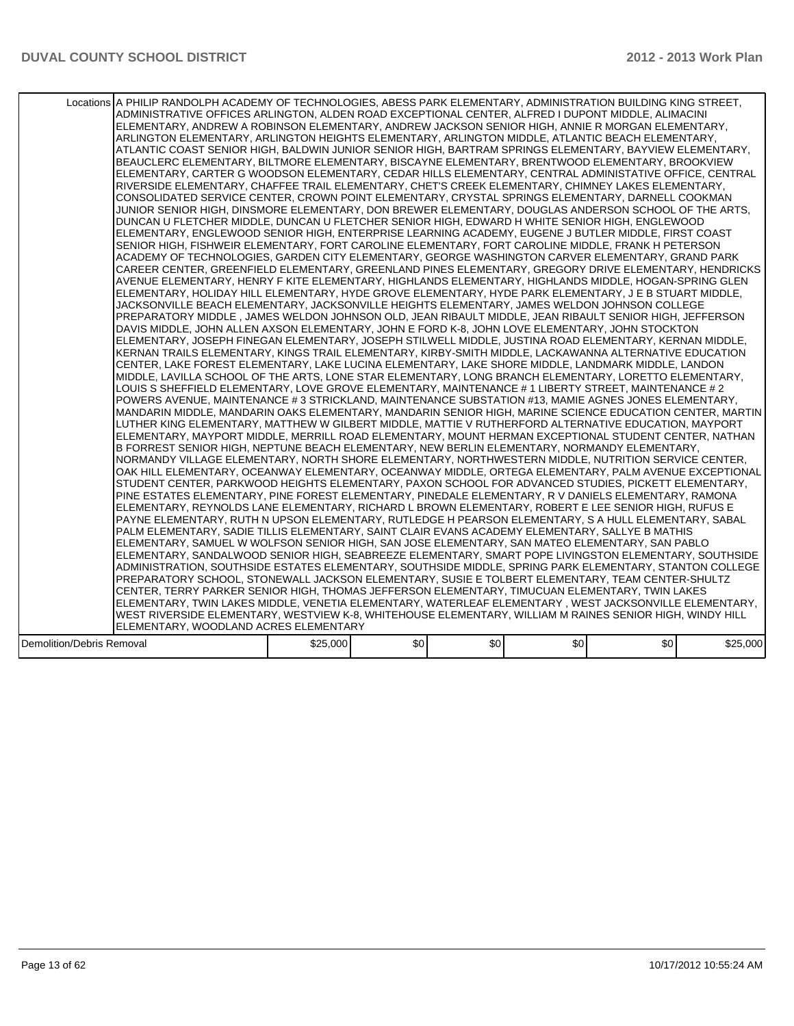|                                  | Locations A PHILIP RANDOLPH ACADEMY OF TECHNOLOGIES, ABESS PARK ELEMENTARY, ADMINISTRATION BUILDING KING STREET,<br>ADMINISTRATIVE OFFICES ARLINGTON, ALDEN ROAD EXCEPTIONAL CENTER, ALFRED I DUPONT MIDDLE, ALIMACINI <br>ELEMENTARY, ANDREW A ROBINSON ELEMENTARY, ANDREW JACKSON SENIOR HIGH, ANNIE R MORGAN ELEMENTARY,<br>ARLINGTON ELEMENTARY, ARLINGTON HEIGHTS ELEMENTARY, ARLINGTON MIDDLE, ATLANTIC BEACH ELEMENTARY,<br>ATLANTIC COAST SENIOR HIGH, BALDWIN JUNIOR SENIOR HIGH, BARTRAM SPRINGS ELEMENTARY, BAYVIEW ELEMENTARY,<br>BEAUCLERC ELEMENTARY, BILTMORE ELEMENTARY, BISCAYNE ELEMENTARY, BRENTWOOD ELEMENTARY, BROOKVIEW<br>ELEMENTARY, CARTER G WOODSON ELEMENTARY, CEDAR HILLS ELEMENTARY, CENTRAL ADMINISTATIVE OFFICE, CENTRAL<br>RIVERSIDE ELEMENTARY, CHAFFEE TRAIL ELEMENTARY, CHET'S CREEK ELEMENTARY, CHIMNEY LAKES ELEMENTARY,<br>CONSOLIDATED SERVICE CENTER, CROWN POINT ELEMENTARY, CRYSTAL SPRINGS ELEMENTARY, DARNELL COOKMAN<br>JUNIOR SENIOR HIGH, DINSMORE ELEMENTARY, DON BREWER ELEMENTARY, DOUGLAS ANDERSON SCHOOL OF THE ARTS.<br>DUNCAN U FLETCHER MIDDLE, DUNCAN U FLETCHER SENIOR HIGH, EDWARD H WHITE SENIOR HIGH, ENGLEWOOD<br>ELEMENTARY, ENGLEWOOD SENIOR HIGH, ENTERPRISE LEARNING ACADEMY, EUGENE J BUTLER MIDDLE, FIRST COAST<br>SENIOR HIGH, FISHWEIR ELEMENTARY, FORT CAROLINE ELEMENTARY, FORT CAROLINE MIDDLE, FRANK H PETERSON<br>ACADEMY OF TECHNOLOGIES, GARDEN CITY ELEMENTARY, GEORGE WASHINGTON CARVER ELEMENTARY, GRAND PARK<br>CAREER CENTER, GREENFIELD ELEMENTARY, GREENLAND PINES ELEMENTARY, GREGORY DRIVE ELEMENTARY, HENDRICKS<br>AVENUE ELEMENTARY, HENRY F KITE ELEMENTARY, HIGHLANDS ELEMENTARY, HIGHLANDS MIDDLE, HOGAN-SPRING GLEN<br>ELEMENTARY, HOLIDAY HILL ELEMENTARY, HYDE GROVE ELEMENTARY, HYDE PARK ELEMENTARY, J E B STUART MIDDLE,<br>JACKSONVILLE BEACH ELEMENTARY, JACKSONVILLE HEIGHTS ELEMENTARY, JAMES WELDON JOHNSON COLLEGE<br>PREPARATORY MIDDLE , JAMES WELDON JOHNSON OLD, JEAN RIBAULT MIDDLE, JEAN RIBAULT SENIOR HIGH, JEFFERSON<br>DAVIS MIDDLE, JOHN ALLEN AXSON ELEMENTARY, JOHN E FORD K-8, JOHN LOVE ELEMENTARY, JOHN STOCKTON<br>ELEMENTARY, JOSEPH FINEGAN ELEMENTARY, JOSEPH STILWELL MIDDLE, JUSTINA ROAD ELEMENTARY, KERNAN MIDDLE,<br>KERNAN TRAILS ELEMENTARY, KINGS TRAIL ELEMENTARY, KIRBY-SMITH MIDDLE, LACKAWANNA ALTERNATIVE EDUCATION<br>CENTER, LAKE FOREST ELEMENTARY, LAKE LUCINA ELEMENTARY, LAKE SHORE MIDDLE, LANDMARK MIDDLE, LANDON<br>MIDDLE, LAVILLA SCHOOL OF THE ARTS, LONE STAR ELEMENTARY, LONG BRANCH ELEMENTARY, LORETTO ELEMENTARY,<br>LOUIS S SHEFFIELD ELEMENTARY, LOVE GROVE ELEMENTARY, MAINTENANCE # 1 LIBERTY STREET, MAINTENANCE # 2<br>POWERS AVENUE, MAINTENANCE # 3 STRICKLAND, MAINTENANCE SUBSTATION #13, MAMIE AGNES JONES ELEMENTARY,<br>MANDARIN MIDDLE, MANDARIN OAKS ELEMENTARY, MANDARIN SENIOR HIGH, MARINE SCIENCE EDUCATION CENTER, MARTIN<br>LUTHER KING ELEMENTARY, MATTHEW W GILBERT MIDDLE, MATTIE V RUTHERFORD ALTERNATIVE EDUCATION, MAYPORT<br>IELEMENTARY. MAYPORT MIDDLE. MERRILL ROAD ELEMENTARY. MOUNT HERMAN EXCEPTIONAL STUDENT CENTER. NATHAN<br>B FORREST SENIOR HIGH, NEPTUNE BEACH ELEMENTARY, NEW BERLIN ELEMENTARY, NORMANDY ELEMENTARY,<br>INORMANDY VILLAGE ELEMENTARY. NORTH SHORE ELEMENTARY. NORTHWESTERN MIDDLE. NUTRITION SERVICE CENTER.<br>OAK HILL ELEMENTARY, OCEANWAY ELEMENTARY, OCEANWAY MIDDLE, ORTEGA ELEMENTARY, PALM AVENUE EXCEPTIONAL<br>STUDENT CENTER, PARKWOOD HEIGHTS ELEMENTARY, PAXON SCHOOL FOR ADVANCED STUDIES, PICKETT ELEMENTARY,<br>PINE ESTATES ELEMENTARY, PINE FOREST ELEMENTARY, PINEDALE ELEMENTARY, R V DANIELS ELEMENTARY, RAMONA<br>ELEMENTARY, REYNOLDS LANE ELEMENTARY, RICHARD L BROWN ELEMENTARY, ROBERT E LEE SENIOR HIGH, RUFUS E<br>PAYNE ELEMENTARY, RUTH N UPSON ELEMENTARY, RUTLEDGE H PEARSON ELEMENTARY, S A HULL ELEMENTARY, SABAL<br>PALM ELEMENTARY, SADIE TILLIS ELEMENTARY, SAINT CLAIR EVANS ACADEMY ELEMENTARY, SALLYE B MATHIS<br>ELEMENTARY, SAMUEL W WOLFSON SENIOR HIGH, SAN JOSE ELEMENTARY, SAN MATEO ELEMENTARY, SAN PABLO<br>ELEMENTARY, SANDALWOOD SENIOR HIGH, SEABREEZE ELEMENTARY, SMART POPE LIVINGSTON ELEMENTARY, SOUTHSIDE<br>ADMINISTRATION, SOUTHSIDE ESTATES ELEMENTARY, SOUTHSIDE MIDDLE, SPRING PARK ELEMENTARY, STANTON COLLEGE<br>PREPARATORY SCHOOL, STONEWALL JACKSON ELEMENTARY, SUSIE E TOLBERT ELEMENTARY, TEAM CENTER-SHULTZ<br>CENTER, TERRY PARKER SENIOR HIGH, THOMAS JEFFERSON ELEMENTARY, TIMUCUAN ELEMENTARY, TWIN LAKES<br>ELEMENTARY, TWIN LAKES MIDDLE, VENETIA ELEMENTARY, WATERLEAF ELEMENTARY , WEST JACKSONVILLE ELEMENTARY,<br>WEST RIVERSIDE ELEMENTARY, WESTVIEW K-8, WHITEHOUSE ELEMENTARY, WILLIAM M RAINES SENIOR HIGH, WINDY HILL |          |      |     |     |     |          |
|----------------------------------|-----------------------------------------------------------------------------------------------------------------------------------------------------------------------------------------------------------------------------------------------------------------------------------------------------------------------------------------------------------------------------------------------------------------------------------------------------------------------------------------------------------------------------------------------------------------------------------------------------------------------------------------------------------------------------------------------------------------------------------------------------------------------------------------------------------------------------------------------------------------------------------------------------------------------------------------------------------------------------------------------------------------------------------------------------------------------------------------------------------------------------------------------------------------------------------------------------------------------------------------------------------------------------------------------------------------------------------------------------------------------------------------------------------------------------------------------------------------------------------------------------------------------------------------------------------------------------------------------------------------------------------------------------------------------------------------------------------------------------------------------------------------------------------------------------------------------------------------------------------------------------------------------------------------------------------------------------------------------------------------------------------------------------------------------------------------------------------------------------------------------------------------------------------------------------------------------------------------------------------------------------------------------------------------------------------------------------------------------------------------------------------------------------------------------------------------------------------------------------------------------------------------------------------------------------------------------------------------------------------------------------------------------------------------------------------------------------------------------------------------------------------------------------------------------------------------------------------------------------------------------------------------------------------------------------------------------------------------------------------------------------------------------------------------------------------------------------------------------------------------------------------------------------------------------------------------------------------------------------------------------------------------------------------------------------------------------------------------------------------------------------------------------------------------------------------------------------------------------------------------------------------------------------------------------------------------------------------------------------------------------------------------------------------------------------------------------------------------------------------------------------------------------------------------------------------------------------------------------------------------------------------------------------------------------------------------------------------------------------------------------------------------------------------------------------------------------------------------------------------------------------------------------------------------------------------------------------------------------------------------------------------------------------------------------------------------------------------------------------------------------------------------------------------------------------------------------------------------------------------------------------------------------------------------------------------------------------------------------------------------------------------------------------------------------------------------------------------------------------|----------|------|-----|-----|-----|----------|
|                                  |                                                                                                                                                                                                                                                                                                                                                                                                                                                                                                                                                                                                                                                                                                                                                                                                                                                                                                                                                                                                                                                                                                                                                                                                                                                                                                                                                                                                                                                                                                                                                                                                                                                                                                                                                                                                                                                                                                                                                                                                                                                                                                                                                                                                                                                                                                                                                                                                                                                                                                                                                                                                                                                                                                                                                                                                                                                                                                                                                                                                                                                                                                                                                                                                                                                                                                                                                                                                                                                                                                                                                                                                                                                                                                                                                                                                                                                                                                                                                                                                                                                                                                                                                                                                                                                                                                                                                                                                                                                                                                                                                                                                                                                                                                                             |          |      |     |     |     |          |
|                                  |                                                                                                                                                                                                                                                                                                                                                                                                                                                                                                                                                                                                                                                                                                                                                                                                                                                                                                                                                                                                                                                                                                                                                                                                                                                                                                                                                                                                                                                                                                                                                                                                                                                                                                                                                                                                                                                                                                                                                                                                                                                                                                                                                                                                                                                                                                                                                                                                                                                                                                                                                                                                                                                                                                                                                                                                                                                                                                                                                                                                                                                                                                                                                                                                                                                                                                                                                                                                                                                                                                                                                                                                                                                                                                                                                                                                                                                                                                                                                                                                                                                                                                                                                                                                                                                                                                                                                                                                                                                                                                                                                                                                                                                                                                                             |          |      |     |     |     |          |
|                                  | ELEMENTARY, WOODLAND ACRES ELEMENTARY                                                                                                                                                                                                                                                                                                                                                                                                                                                                                                                                                                                                                                                                                                                                                                                                                                                                                                                                                                                                                                                                                                                                                                                                                                                                                                                                                                                                                                                                                                                                                                                                                                                                                                                                                                                                                                                                                                                                                                                                                                                                                                                                                                                                                                                                                                                                                                                                                                                                                                                                                                                                                                                                                                                                                                                                                                                                                                                                                                                                                                                                                                                                                                                                                                                                                                                                                                                                                                                                                                                                                                                                                                                                                                                                                                                                                                                                                                                                                                                                                                                                                                                                                                                                                                                                                                                                                                                                                                                                                                                                                                                                                                                                                       |          |      |     |     |     |          |
| <b>Demolition/Debris Removal</b> |                                                                                                                                                                                                                                                                                                                                                                                                                                                                                                                                                                                                                                                                                                                                                                                                                                                                                                                                                                                                                                                                                                                                                                                                                                                                                                                                                                                                                                                                                                                                                                                                                                                                                                                                                                                                                                                                                                                                                                                                                                                                                                                                                                                                                                                                                                                                                                                                                                                                                                                                                                                                                                                                                                                                                                                                                                                                                                                                                                                                                                                                                                                                                                                                                                                                                                                                                                                                                                                                                                                                                                                                                                                                                                                                                                                                                                                                                                                                                                                                                                                                                                                                                                                                                                                                                                                                                                                                                                                                                                                                                                                                                                                                                                                             | \$25,000 | \$0] | \$0 | \$0 | \$0 | \$25,000 |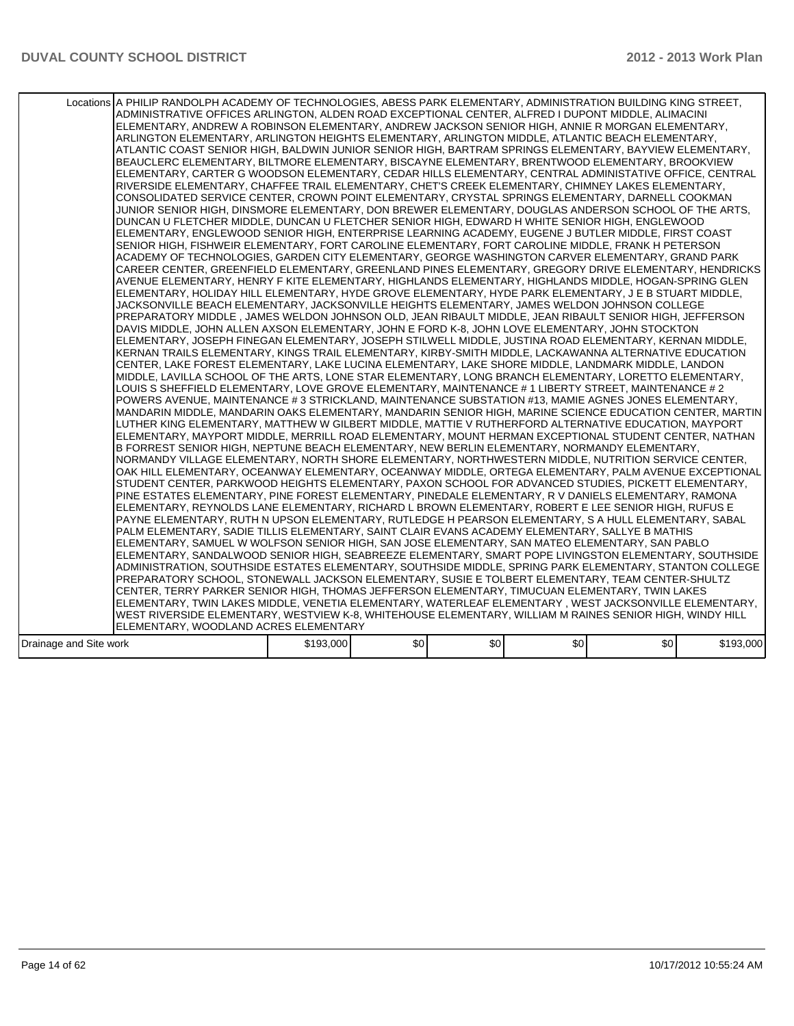|                        | Locations A PHILIP RANDOLPH ACADEMY OF TECHNOLOGIES, ABESS PARK ELEMENTARY, ADMINISTRATION BUILDING KING STREET,<br>ADMINISTRATIVE OFFICES ARLINGTON, ALDEN ROAD EXCEPTIONAL CENTER, ALFRED I DUPONT MIDDLE, ALIMACINI <br>ELEMENTARY, ANDREW A ROBINSON ELEMENTARY, ANDREW JACKSON SENIOR HIGH, ANNIE R MORGAN ELEMENTARY,<br>ARLINGTON ELEMENTARY, ARLINGTON HEIGHTS ELEMENTARY, ARLINGTON MIDDLE, ATLANTIC BEACH ELEMENTARY,<br>ATLANTIC COAST SENIOR HIGH. BALDWIN JUNIOR SENIOR HIGH. BARTRAM SPRINGS ELEMENTARY. BAYVIEW ELEMENTARY.<br>BEAUCLERC ELEMENTARY, BILTMORE ELEMENTARY, BISCAYNE ELEMENTARY, BRENTWOOD ELEMENTARY, BROOKVIEW<br>ELEMENTARY, CARTER G WOODSON ELEMENTARY, CEDAR HILLS ELEMENTARY, CENTRAL ADMINISTATIVE OFFICE, CENTRAL<br>RIVERSIDE ELEMENTARY, CHAFFEE TRAIL ELEMENTARY, CHET'S CREEK ELEMENTARY, CHIMNEY LAKES ELEMENTARY,<br>CONSOLIDATED SERVICE CENTER, CROWN POINT ELEMENTARY, CRYSTAL SPRINGS ELEMENTARY, DARNELL COOKMAN<br>JUNIOR SENIOR HIGH, DINSMORE ELEMENTARY, DON BREWER ELEMENTARY, DOUGLAS ANDERSON SCHOOL OF THE ARTS.<br>DUNCAN U FLETCHER MIDDLE, DUNCAN U FLETCHER SENIOR HIGH, EDWARD H WHITE SENIOR HIGH, ENGLEWOOD<br>ELEMENTARY, ENGLEWOOD SENIOR HIGH, ENTERPRISE LEARNING ACADEMY, EUGENE J BUTLER MIDDLE, FIRST COAST<br>SENIOR HIGH, FISHWEIR ELEMENTARY, FORT CAROLINE ELEMENTARY, FORT CAROLINE MIDDLE, FRANK H PETERSON<br>ACADEMY OF TECHNOLOGIES, GARDEN CITY ELEMENTARY, GEORGE WASHINGTON CARVER ELEMENTARY, GRAND PARK<br>CAREER CENTER, GREENFIELD ELEMENTARY, GREENLAND PINES ELEMENTARY, GREGORY DRIVE ELEMENTARY, HENDRICKS<br>AVENUE ELEMENTARY, HENRY F KITE ELEMENTARY, HIGHLANDS ELEMENTARY, HIGHLANDS MIDDLE, HOGAN-SPRING GLEN<br>ELEMENTARY, HOLIDAY HILL ELEMENTARY, HYDE GROVE ELEMENTARY, HYDE PARK ELEMENTARY, J E B STUART MIDDLE,<br>JACKSONVILLE BEACH ELEMENTARY, JACKSONVILLE HEIGHTS ELEMENTARY, JAMES WELDON JOHNSON COLLEGE<br>PREPARATORY MIDDLE , JAMES WELDON JOHNSON OLD, JEAN RIBAULT MIDDLE, JEAN RIBAULT SENIOR HIGH, JEFFERSON<br>DAVIS MIDDLE, JOHN ALLEN AXSON ELEMENTARY, JOHN E FORD K-8, JOHN LOVE ELEMENTARY, JOHN STOCKTON<br>ELEMENTARY, JOSEPH FINEGAN ELEMENTARY, JOSEPH STILWELL MIDDLE, JUSTINA ROAD ELEMENTARY, KERNAN MIDDLE,<br>KERNAN TRAILS ELEMENTARY, KINGS TRAIL ELEMENTARY, KIRBY-SMITH MIDDLE, LACKAWANNA ALTERNATIVE EDUCATION<br>CENTER, LAKE FOREST ELEMENTARY, LAKE LUCINA ELEMENTARY, LAKE SHORE MIDDLE, LANDMARK MIDDLE, LANDON <br>MIDDLE, LAVILLA SCHOOL OF THE ARTS, LONE STAR ELEMENTARY, LONG BRANCH ELEMENTARY, LORETTO ELEMENTARY,<br>LOUIS S SHEFFIELD ELEMENTARY, LOVE GROVE ELEMENTARY, MAINTENANCE # 1 LIBERTY STREET, MAINTENANCE # 2<br>POWERS AVENUE, MAINTENANCE # 3 STRICKLAND, MAINTENANCE SUBSTATION #13, MAMIE AGNES JONES ELEMENTARY,<br>MANDARIN MIDDLE, MANDARIN OAKS ELEMENTARY, MANDARIN SENIOR HIGH, MARINE SCIENCE EDUCATION CENTER, MARTIN<br>LUTHER KING ELEMENTARY, MATTHEW W GILBERT MIDDLE, MATTIE V RUTHERFORD ALTERNATIVE EDUCATION, MAYPORT<br>ELEMENTARY, MAYPORT MIDDLE, MERRILL ROAD ELEMENTARY, MOUNT HERMAN EXCEPTIONAL STUDENT CENTER, NATHAN<br>B FORREST SENIOR HIGH, NEPTUNE BEACH ELEMENTARY, NEW BERLIN ELEMENTARY, NORMANDY ELEMENTARY,<br>NORMANDY VILLAGE ELEMENTARY, NORTH SHORE ELEMENTARY, NORTHWESTERN MIDDLE, NUTRITION SERVICE CENTER,<br>OAK HILL ELEMENTARY, OCEANWAY ELEMENTARY, OCEANWAY MIDDLE, ORTEGA ELEMENTARY, PALM AVENUE EXCEPTIONAL<br>STUDENT CENTER, PARKWOOD HEIGHTS ELEMENTARY, PAXON SCHOOL FOR ADVANCED STUDIES, PICKETT ELEMENTARY,<br>PINE ESTATES ELEMENTARY, PINE FOREST ELEMENTARY, PINEDALE ELEMENTARY, R V DANIELS ELEMENTARY, RAMONA<br>ELEMENTARY, REYNOLDS LANE ELEMENTARY, RICHARD L BROWN ELEMENTARY, ROBERT E LEE SENIOR HIGH, RUFUS E<br>PAYNE ELEMENTARY, RUTH N UPSON ELEMENTARY, RUTLEDGE H PEARSON ELEMENTARY, S A HULL ELEMENTARY, SABAL<br>PALM ELEMENTARY, SADIE TILLIS ELEMENTARY, SAINT CLAIR EVANS ACADEMY ELEMENTARY, SALLYE B MATHIS<br>ELEMENTARY, SAMUEL W WOLFSON SENIOR HIGH, SAN JOSE ELEMENTARY, SAN MATEO ELEMENTARY, SAN PABLO<br>ELEMENTARY, SANDALWOOD SENIOR HIGH, SEABREEZE ELEMENTARY, SMART POPE LIVINGSTON ELEMENTARY, SOUTHSIDE<br>ADMINISTRATION, SOUTHSIDE ESTATES ELEMENTARY, SOUTHSIDE MIDDLE, SPRING PARK ELEMENTARY, STANTON COLLEGE<br>PREPARATORY SCHOOL, STONEWALL JACKSON ELEMENTARY, SUSIE E TOLBERT ELEMENTARY, TEAM CENTER-SHULTZ<br>CENTER, TERRY PARKER SENIOR HIGH, THOMAS JEFFERSON ELEMENTARY, TIMUCUAN ELEMENTARY, TWIN LAKES |           |      |     |                  |     |           |
|------------------------|-----------------------------------------------------------------------------------------------------------------------------------------------------------------------------------------------------------------------------------------------------------------------------------------------------------------------------------------------------------------------------------------------------------------------------------------------------------------------------------------------------------------------------------------------------------------------------------------------------------------------------------------------------------------------------------------------------------------------------------------------------------------------------------------------------------------------------------------------------------------------------------------------------------------------------------------------------------------------------------------------------------------------------------------------------------------------------------------------------------------------------------------------------------------------------------------------------------------------------------------------------------------------------------------------------------------------------------------------------------------------------------------------------------------------------------------------------------------------------------------------------------------------------------------------------------------------------------------------------------------------------------------------------------------------------------------------------------------------------------------------------------------------------------------------------------------------------------------------------------------------------------------------------------------------------------------------------------------------------------------------------------------------------------------------------------------------------------------------------------------------------------------------------------------------------------------------------------------------------------------------------------------------------------------------------------------------------------------------------------------------------------------------------------------------------------------------------------------------------------------------------------------------------------------------------------------------------------------------------------------------------------------------------------------------------------------------------------------------------------------------------------------------------------------------------------------------------------------------------------------------------------------------------------------------------------------------------------------------------------------------------------------------------------------------------------------------------------------------------------------------------------------------------------------------------------------------------------------------------------------------------------------------------------------------------------------------------------------------------------------------------------------------------------------------------------------------------------------------------------------------------------------------------------------------------------------------------------------------------------------------------------------------------------------------------------------------------------------------------------------------------------------------------------------------------------------------------------------------------------------------------------------------------------------------------------------------------------------------------------------------------------------------------------------------------------------------------------------------------------------------------------------------------------------------------------------------------------------------------------------------------------------------------------------------------------------------------------------------------------------------------------------------------------------------------------------------------------------------------------------------------|-----------|------|-----|------------------|-----|-----------|
|                        |                                                                                                                                                                                                                                                                                                                                                                                                                                                                                                                                                                                                                                                                                                                                                                                                                                                                                                                                                                                                                                                                                                                                                                                                                                                                                                                                                                                                                                                                                                                                                                                                                                                                                                                                                                                                                                                                                                                                                                                                                                                                                                                                                                                                                                                                                                                                                                                                                                                                                                                                                                                                                                                                                                                                                                                                                                                                                                                                                                                                                                                                                                                                                                                                                                                                                                                                                                                                                                                                                                                                                                                                                                                                                                                                                                                                                                                                                                                                                                                                                                                                                                                                                                                                                                                                                                                                                                                                                                                                                                     |           |      |     |                  |     |           |
|                        |                                                                                                                                                                                                                                                                                                                                                                                                                                                                                                                                                                                                                                                                                                                                                                                                                                                                                                                                                                                                                                                                                                                                                                                                                                                                                                                                                                                                                                                                                                                                                                                                                                                                                                                                                                                                                                                                                                                                                                                                                                                                                                                                                                                                                                                                                                                                                                                                                                                                                                                                                                                                                                                                                                                                                                                                                                                                                                                                                                                                                                                                                                                                                                                                                                                                                                                                                                                                                                                                                                                                                                                                                                                                                                                                                                                                                                                                                                                                                                                                                                                                                                                                                                                                                                                                                                                                                                                                                                                                                                     |           |      |     |                  |     |           |
|                        |                                                                                                                                                                                                                                                                                                                                                                                                                                                                                                                                                                                                                                                                                                                                                                                                                                                                                                                                                                                                                                                                                                                                                                                                                                                                                                                                                                                                                                                                                                                                                                                                                                                                                                                                                                                                                                                                                                                                                                                                                                                                                                                                                                                                                                                                                                                                                                                                                                                                                                                                                                                                                                                                                                                                                                                                                                                                                                                                                                                                                                                                                                                                                                                                                                                                                                                                                                                                                                                                                                                                                                                                                                                                                                                                                                                                                                                                                                                                                                                                                                                                                                                                                                                                                                                                                                                                                                                                                                                                                                     |           |      |     |                  |     |           |
|                        | ELEMENTARY, TWIN LAKES MIDDLE, VENETIA ELEMENTARY, WATERLEAF ELEMENTARY , WEST JACKSONVILLE ELEMENTARY,                                                                                                                                                                                                                                                                                                                                                                                                                                                                                                                                                                                                                                                                                                                                                                                                                                                                                                                                                                                                                                                                                                                                                                                                                                                                                                                                                                                                                                                                                                                                                                                                                                                                                                                                                                                                                                                                                                                                                                                                                                                                                                                                                                                                                                                                                                                                                                                                                                                                                                                                                                                                                                                                                                                                                                                                                                                                                                                                                                                                                                                                                                                                                                                                                                                                                                                                                                                                                                                                                                                                                                                                                                                                                                                                                                                                                                                                                                                                                                                                                                                                                                                                                                                                                                                                                                                                                                                             |           |      |     |                  |     |           |
|                        | WEST RIVERSIDE ELEMENTARY, WESTVIEW K-8, WHITEHOUSE ELEMENTARY, WILLIAM M RAINES SENIOR HIGH, WINDY HILL                                                                                                                                                                                                                                                                                                                                                                                                                                                                                                                                                                                                                                                                                                                                                                                                                                                                                                                                                                                                                                                                                                                                                                                                                                                                                                                                                                                                                                                                                                                                                                                                                                                                                                                                                                                                                                                                                                                                                                                                                                                                                                                                                                                                                                                                                                                                                                                                                                                                                                                                                                                                                                                                                                                                                                                                                                                                                                                                                                                                                                                                                                                                                                                                                                                                                                                                                                                                                                                                                                                                                                                                                                                                                                                                                                                                                                                                                                                                                                                                                                                                                                                                                                                                                                                                                                                                                                                            |           |      |     |                  |     |           |
|                        | ELEMENTARY, WOODLAND ACRES ELEMENTARY                                                                                                                                                                                                                                                                                                                                                                                                                                                                                                                                                                                                                                                                                                                                                                                                                                                                                                                                                                                                                                                                                                                                                                                                                                                                                                                                                                                                                                                                                                                                                                                                                                                                                                                                                                                                                                                                                                                                                                                                                                                                                                                                                                                                                                                                                                                                                                                                                                                                                                                                                                                                                                                                                                                                                                                                                                                                                                                                                                                                                                                                                                                                                                                                                                                                                                                                                                                                                                                                                                                                                                                                                                                                                                                                                                                                                                                                                                                                                                                                                                                                                                                                                                                                                                                                                                                                                                                                                                                               |           |      |     |                  |     |           |
|                        |                                                                                                                                                                                                                                                                                                                                                                                                                                                                                                                                                                                                                                                                                                                                                                                                                                                                                                                                                                                                                                                                                                                                                                                                                                                                                                                                                                                                                                                                                                                                                                                                                                                                                                                                                                                                                                                                                                                                                                                                                                                                                                                                                                                                                                                                                                                                                                                                                                                                                                                                                                                                                                                                                                                                                                                                                                                                                                                                                                                                                                                                                                                                                                                                                                                                                                                                                                                                                                                                                                                                                                                                                                                                                                                                                                                                                                                                                                                                                                                                                                                                                                                                                                                                                                                                                                                                                                                                                                                                                                     |           |      |     |                  |     |           |
| Drainage and Site work |                                                                                                                                                                                                                                                                                                                                                                                                                                                                                                                                                                                                                                                                                                                                                                                                                                                                                                                                                                                                                                                                                                                                                                                                                                                                                                                                                                                                                                                                                                                                                                                                                                                                                                                                                                                                                                                                                                                                                                                                                                                                                                                                                                                                                                                                                                                                                                                                                                                                                                                                                                                                                                                                                                                                                                                                                                                                                                                                                                                                                                                                                                                                                                                                                                                                                                                                                                                                                                                                                                                                                                                                                                                                                                                                                                                                                                                                                                                                                                                                                                                                                                                                                                                                                                                                                                                                                                                                                                                                                                     | \$193,000 | \$0] | \$0 | \$0 <sub>1</sub> | \$0 | \$193,000 |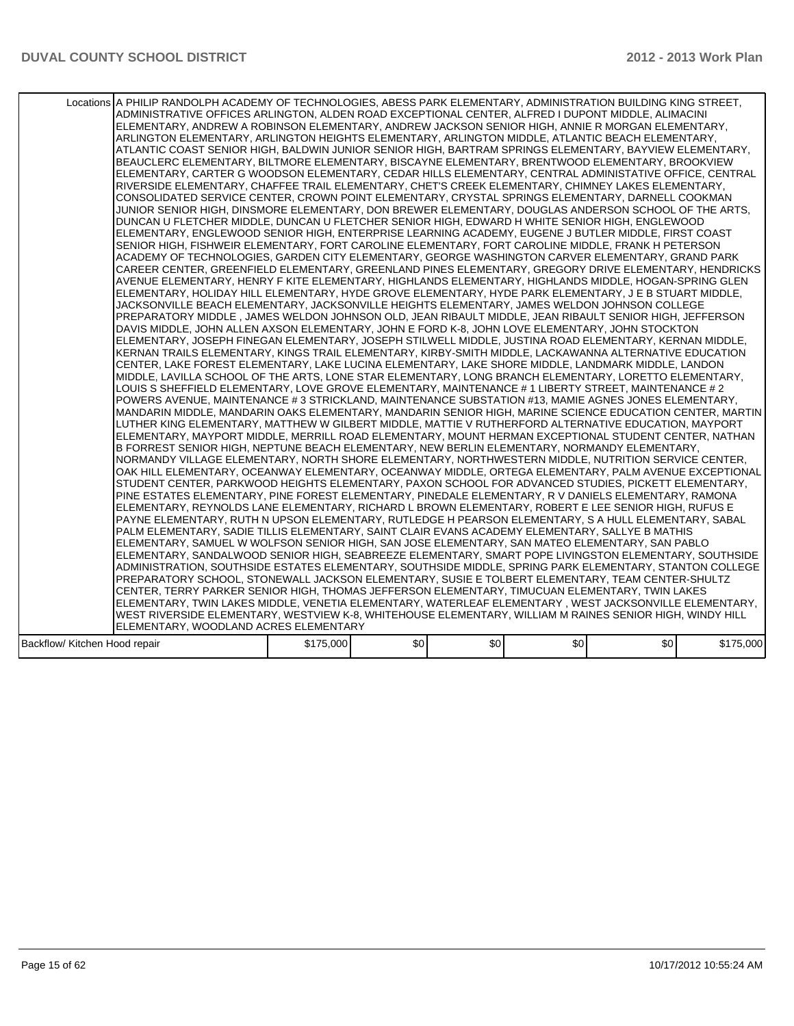|                               | Locations A PHILIP RANDOLPH ACADEMY OF TECHNOLOGIES, ABESS PARK ELEMENTARY, ADMINISTRATION BUILDING KING STREET,<br>ADMINISTRATIVE OFFICES ARLINGTON, ALDEN ROAD EXCEPTIONAL CENTER, ALFRED I DUPONT MIDDLE, ALIMACINI<br>ELEMENTARY, ANDREW A ROBINSON ELEMENTARY, ANDREW JACKSON SENIOR HIGH, ANNIE R MORGAN ELEMENTARY,<br>ARLINGTON ELEMENTARY, ARLINGTON HEIGHTS ELEMENTARY, ARLINGTON MIDDLE, ATLANTIC BEACH ELEMENTARY,<br>ATLANTIC COAST SENIOR HIGH, BALDWIN JUNIOR SENIOR HIGH, BARTRAM SPRINGS ELEMENTARY, BAYVIEW ELEMENTARY,<br>BEAUCLERC ELEMENTARY, BILTMORE ELEMENTARY, BISCAYNE ELEMENTARY, BRENTWOOD ELEMENTARY, BROOKVIEW<br>ELEMENTARY, CARTER G WOODSON ELEMENTARY, CEDAR HILLS ELEMENTARY, CENTRAL ADMINISTATIVE OFFICE, CENTRAL<br>RIVERSIDE ELEMENTARY, CHAFFEE TRAIL ELEMENTARY, CHET'S CREEK ELEMENTARY, CHIMNEY LAKES ELEMENTARY,<br>CONSOLIDATED SERVICE CENTER, CROWN POINT ELEMENTARY, CRYSTAL SPRINGS ELEMENTARY, DARNELL COOKMAN<br>JUNIOR SENIOR HIGH. DINSMORE ELEMENTARY. DON BREWER ELEMENTARY. DOUGLAS ANDERSON SCHOOL OF THE ARTS.<br>DUNCAN U FLETCHER MIDDLE, DUNCAN U FLETCHER SENIOR HIGH, EDWARD H WHITE SENIOR HIGH, ENGLEWOOD<br>ELEMENTARY, ENGLEWOOD SENIOR HIGH, ENTERPRISE LEARNING ACADEMY, EUGENE J BUTLER MIDDLE, FIRST COAST<br>SENIOR HIGH, FISHWEIR ELEMENTARY, FORT CAROLINE ELEMENTARY, FORT CAROLINE MIDDLE, FRANK H PETERSON<br>ACADEMY OF TECHNOLOGIES, GARDEN CITY ELEMENTARY, GEORGE WASHINGTON CARVER ELEMENTARY, GRAND PARK<br>CAREER CENTER, GREENFIELD ELEMENTARY, GREENLAND PINES ELEMENTARY, GREGORY DRIVE ELEMENTARY, HENDRICKS<br>AVENUE ELEMENTARY. HENRY F KITE ELEMENTARY. HIGHLANDS ELEMENTARY. HIGHLANDS MIDDLE. HOGAN-SPRING GLEN<br>ELEMENTARY, HOLIDAY HILL ELEMENTARY, HYDE GROVE ELEMENTARY, HYDE PARK ELEMENTARY, J E B STUART MIDDLE,<br>JACKSONVILLE BEACH ELEMENTARY, JACKSONVILLE HEIGHTS ELEMENTARY, JAMES WELDON JOHNSON COLLEGE<br>PREPARATORY MIDDLE , JAMES WELDON JOHNSON OLD, JEAN RIBAULT MIDDLE, JEAN RIBAULT SENIOR HIGH, JEFFERSON<br>DAVIS MIDDLE, JOHN ALLEN AXSON ELEMENTARY, JOHN E FORD K-8, JOHN LOVE ELEMENTARY, JOHN STOCKTON<br> ELEMENTARY, JOSEPH FINEGAN ELEMENTARY, JOSEPH STILWELL MIDDLE, JUSTINA ROAD ELEMENTARY, KERNAN MIDDLE,<br>KERNAN TRAILS ELEMENTARY, KINGS TRAIL ELEMENTARY, KIRBY-SMITH MIDDLE, LACKAWANNA ALTERNATIVE EDUCATION<br>CENTER, LAKE FOREST ELEMENTARY, LAKE LUCINA ELEMENTARY, LAKE SHORE MIDDLE, LANDMARK MIDDLE, LANDON<br>MIDDLE, LAVILLA SCHOOL OF THE ARTS, LONE STAR ELEMENTARY, LONG BRANCH ELEMENTARY, LORETTO ELEMENTARY,<br>LOUIS S SHEFFIELD ELEMENTARY, LOVE GROVE ELEMENTARY, MAINTENANCE # 1 LIBERTY STREET, MAINTENANCE # 2<br>POWERS AVENUE, MAINTENANCE # 3 STRICKLAND, MAINTENANCE SUBSTATION #13, MAMIE AGNES JONES ELEMENTARY,<br>MANDARIN MIDDLE, MANDARIN OAKS ELEMENTARY, MANDARIN SENIOR HIGH, MARINE SCIENCE EDUCATION CENTER, MARTIN<br>LUTHER KING ELEMENTARY, MATTHEW W GILBERT MIDDLE, MATTIE V RUTHERFORD ALTERNATIVE EDUCATION, MAYPORT<br>ELEMENTARY, MAYPORT MIDDLE, MERRILL ROAD ELEMENTARY, MOUNT HERMAN EXCEPTIONAL STUDENT CENTER, NATHAN<br>B FORREST SENIOR HIGH, NEPTUNE BEACH ELEMENTARY, NEW BERLIN ELEMENTARY, NORMANDY ELEMENTARY,<br>NORMANDY VILLAGE ELEMENTARY, NORTH SHORE ELEMENTARY, NORTHWESTERN MIDDLE, NUTRITION SERVICE CENTER,<br>OAK HILL ELEMENTARY, OCEANWAY ELEMENTARY, OCEANWAY MIDDLE, ORTEGA ELEMENTARY, PALM AVENUE EXCEPTIONAL<br>STUDENT CENTER, PARKWOOD HEIGHTS ELEMENTARY, PAXON SCHOOL FOR ADVANCED STUDIES, PICKETT ELEMENTARY,<br>PINE ESTATES ELEMENTARY, PINE FOREST ELEMENTARY, PINEDALE ELEMENTARY, R V DANIELS ELEMENTARY, RAMONA<br>ELEMENTARY, REYNOLDS LANE ELEMENTARY, RICHARD L BROWN ELEMENTARY, ROBERT E LEE SENIOR HIGH, RUFUS E<br>PAYNE ELEMENTARY, RUTH N UPSON ELEMENTARY, RUTLEDGE H PEARSON ELEMENTARY, S A HULL ELEMENTARY, SABAL<br>PALM ELEMENTARY, SADIE TILLIS ELEMENTARY, SAINT CLAIR EVANS ACADEMY ELEMENTARY, SALLYE B MATHIS<br>ELEMENTARY, SAMUEL W WOLFSON SENIOR HIGH, SAN JOSE ELEMENTARY, SAN MATEO ELEMENTARY, SAN PABLO<br>ELEMENTARY, SANDALWOOD SENIOR HIGH, SEABREEZE ELEMENTARY, SMART POPE LIVINGSTON ELEMENTARY, SOUTHSIDE<br>ADMINISTRATION, SOUTHSIDE ESTATES ELEMENTARY, SOUTHSIDE MIDDLE, SPRING PARK ELEMENTARY, STANTON COLLEGE<br>PREPARATORY SCHOOL, STONEWALL JACKSON ELEMENTARY, SUSIE E TOLBERT ELEMENTARY, TEAM CENTER-SHULTZ<br>CENTER, TERRY PARKER SENIOR HIGH, THOMAS JEFFERSON ELEMENTARY, TIMUCUAN ELEMENTARY, TWIN LAKES<br>ELEMENTARY, TWIN LAKES MIDDLE, VENETIA ELEMENTARY, WATERLEAF ELEMENTARY , WEST JACKSONVILLE ELEMENTARY, |           |      |     |     |     |           |
|-------------------------------|---------------------------------------------------------------------------------------------------------------------------------------------------------------------------------------------------------------------------------------------------------------------------------------------------------------------------------------------------------------------------------------------------------------------------------------------------------------------------------------------------------------------------------------------------------------------------------------------------------------------------------------------------------------------------------------------------------------------------------------------------------------------------------------------------------------------------------------------------------------------------------------------------------------------------------------------------------------------------------------------------------------------------------------------------------------------------------------------------------------------------------------------------------------------------------------------------------------------------------------------------------------------------------------------------------------------------------------------------------------------------------------------------------------------------------------------------------------------------------------------------------------------------------------------------------------------------------------------------------------------------------------------------------------------------------------------------------------------------------------------------------------------------------------------------------------------------------------------------------------------------------------------------------------------------------------------------------------------------------------------------------------------------------------------------------------------------------------------------------------------------------------------------------------------------------------------------------------------------------------------------------------------------------------------------------------------------------------------------------------------------------------------------------------------------------------------------------------------------------------------------------------------------------------------------------------------------------------------------------------------------------------------------------------------------------------------------------------------------------------------------------------------------------------------------------------------------------------------------------------------------------------------------------------------------------------------------------------------------------------------------------------------------------------------------------------------------------------------------------------------------------------------------------------------------------------------------------------------------------------------------------------------------------------------------------------------------------------------------------------------------------------------------------------------------------------------------------------------------------------------------------------------------------------------------------------------------------------------------------------------------------------------------------------------------------------------------------------------------------------------------------------------------------------------------------------------------------------------------------------------------------------------------------------------------------------------------------------------------------------------------------------------------------------------------------------------------------------------------------------------------------------------------------------------------------------------------------------------------------------------------------------------------------------------------------------------------------------------------------------------------------------------------------------------------------------------------------------------------------------------------------------------------------------------------------------------------------------------------------------|-----------|------|-----|-----|-----|-----------|
|                               |                                                                                                                                                                                                                                                                                                                                                                                                                                                                                                                                                                                                                                                                                                                                                                                                                                                                                                                                                                                                                                                                                                                                                                                                                                                                                                                                                                                                                                                                                                                                                                                                                                                                                                                                                                                                                                                                                                                                                                                                                                                                                                                                                                                                                                                                                                                                                                                                                                                                                                                                                                                                                                                                                                                                                                                                                                                                                                                                                                                                                                                                                                                                                                                                                                                                                                                                                                                                                                                                                                                                                                                                                                                                                                                                                                                                                                                                                                                                                                                                                                                                                                                                                                                                                                                                                                                                                                                                                                                                                                                                                                                                               |           |      |     |     |     |           |
|                               |                                                                                                                                                                                                                                                                                                                                                                                                                                                                                                                                                                                                                                                                                                                                                                                                                                                                                                                                                                                                                                                                                                                                                                                                                                                                                                                                                                                                                                                                                                                                                                                                                                                                                                                                                                                                                                                                                                                                                                                                                                                                                                                                                                                                                                                                                                                                                                                                                                                                                                                                                                                                                                                                                                                                                                                                                                                                                                                                                                                                                                                                                                                                                                                                                                                                                                                                                                                                                                                                                                                                                                                                                                                                                                                                                                                                                                                                                                                                                                                                                                                                                                                                                                                                                                                                                                                                                                                                                                                                                                                                                                                                               |           |      |     |     |     |           |
|                               |                                                                                                                                                                                                                                                                                                                                                                                                                                                                                                                                                                                                                                                                                                                                                                                                                                                                                                                                                                                                                                                                                                                                                                                                                                                                                                                                                                                                                                                                                                                                                                                                                                                                                                                                                                                                                                                                                                                                                                                                                                                                                                                                                                                                                                                                                                                                                                                                                                                                                                                                                                                                                                                                                                                                                                                                                                                                                                                                                                                                                                                                                                                                                                                                                                                                                                                                                                                                                                                                                                                                                                                                                                                                                                                                                                                                                                                                                                                                                                                                                                                                                                                                                                                                                                                                                                                                                                                                                                                                                                                                                                                                               |           |      |     |     |     |           |
|                               |                                                                                                                                                                                                                                                                                                                                                                                                                                                                                                                                                                                                                                                                                                                                                                                                                                                                                                                                                                                                                                                                                                                                                                                                                                                                                                                                                                                                                                                                                                                                                                                                                                                                                                                                                                                                                                                                                                                                                                                                                                                                                                                                                                                                                                                                                                                                                                                                                                                                                                                                                                                                                                                                                                                                                                                                                                                                                                                                                                                                                                                                                                                                                                                                                                                                                                                                                                                                                                                                                                                                                                                                                                                                                                                                                                                                                                                                                                                                                                                                                                                                                                                                                                                                                                                                                                                                                                                                                                                                                                                                                                                                               |           |      |     |     |     |           |
|                               | WEST RIVERSIDE ELEMENTARY, WESTVIEW K-8, WHITEHOUSE ELEMENTARY, WILLIAM M RAINES SENIOR HIGH, WINDY HILL                                                                                                                                                                                                                                                                                                                                                                                                                                                                                                                                                                                                                                                                                                                                                                                                                                                                                                                                                                                                                                                                                                                                                                                                                                                                                                                                                                                                                                                                                                                                                                                                                                                                                                                                                                                                                                                                                                                                                                                                                                                                                                                                                                                                                                                                                                                                                                                                                                                                                                                                                                                                                                                                                                                                                                                                                                                                                                                                                                                                                                                                                                                                                                                                                                                                                                                                                                                                                                                                                                                                                                                                                                                                                                                                                                                                                                                                                                                                                                                                                                                                                                                                                                                                                                                                                                                                                                                                                                                                                                      |           |      |     |     |     |           |
|                               | ELEMENTARY, WOODLAND ACRES ELEMENTARY                                                                                                                                                                                                                                                                                                                                                                                                                                                                                                                                                                                                                                                                                                                                                                                                                                                                                                                                                                                                                                                                                                                                                                                                                                                                                                                                                                                                                                                                                                                                                                                                                                                                                                                                                                                                                                                                                                                                                                                                                                                                                                                                                                                                                                                                                                                                                                                                                                                                                                                                                                                                                                                                                                                                                                                                                                                                                                                                                                                                                                                                                                                                                                                                                                                                                                                                                                                                                                                                                                                                                                                                                                                                                                                                                                                                                                                                                                                                                                                                                                                                                                                                                                                                                                                                                                                                                                                                                                                                                                                                                                         |           |      |     |     |     |           |
| Backflow/ Kitchen Hood repair |                                                                                                                                                                                                                                                                                                                                                                                                                                                                                                                                                                                                                                                                                                                                                                                                                                                                                                                                                                                                                                                                                                                                                                                                                                                                                                                                                                                                                                                                                                                                                                                                                                                                                                                                                                                                                                                                                                                                                                                                                                                                                                                                                                                                                                                                                                                                                                                                                                                                                                                                                                                                                                                                                                                                                                                                                                                                                                                                                                                                                                                                                                                                                                                                                                                                                                                                                                                                                                                                                                                                                                                                                                                                                                                                                                                                                                                                                                                                                                                                                                                                                                                                                                                                                                                                                                                                                                                                                                                                                                                                                                                                               | \$175,000 | \$0] | \$0 | \$0 | \$0 | \$175,000 |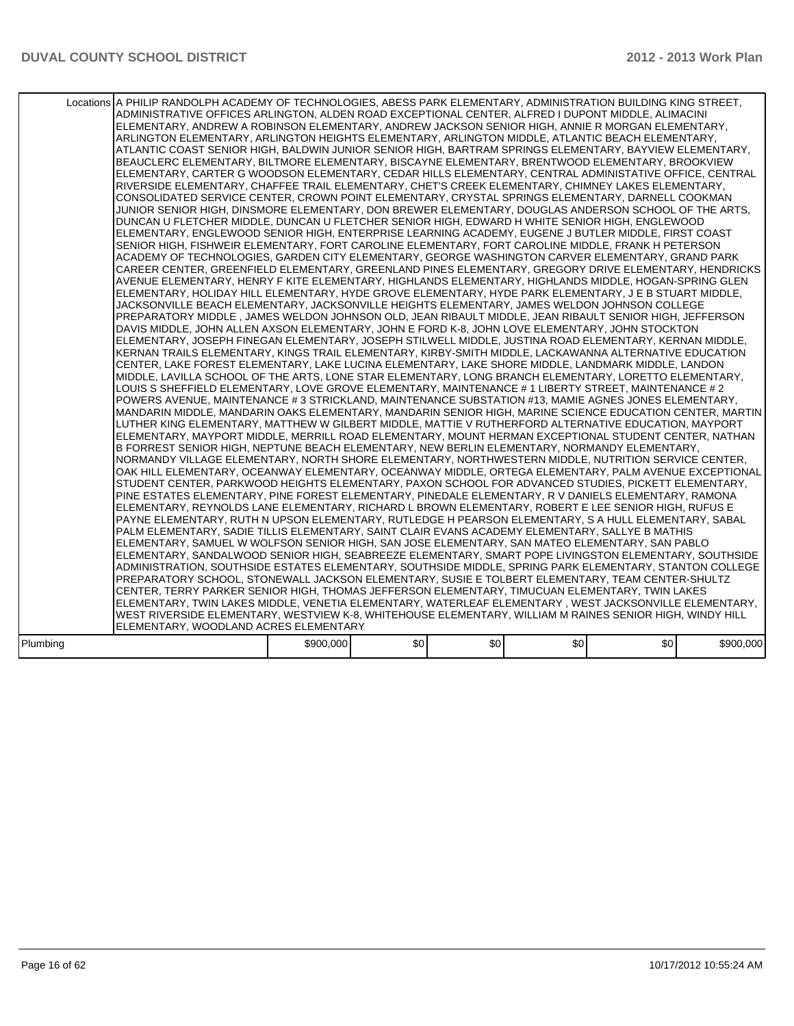|          | Locations A PHILIP RANDOLPH ACADEMY OF TECHNOLOGIES, ABESS PARK ELEMENTARY, ADMINISTRATION BUILDING KING STREET,<br>ADMINISTRATIVE OFFICES ARLINGTON, ALDEN ROAD EXCEPTIONAL CENTER, ALFRED I DUPONT MIDDLE, ALIMACINI<br>ELEMENTARY, ANDREW A ROBINSON ELEMENTARY, ANDREW JACKSON SENIOR HIGH, ANNIE R MORGAN ELEMENTARY,<br>ARLINGTON ELEMENTARY, ARLINGTON HEIGHTS ELEMENTARY, ARLINGTON MIDDLE, ATLANTIC BEACH ELEMENTARY,<br>ATLANTIC COAST SENIOR HIGH, BALDWIN JUNIOR SENIOR HIGH, BARTRAM SPRINGS ELEMENTARY, BAYVIEW ELEMENTARY,<br>BEAUCLERC ELEMENTARY, BILTMORE ELEMENTARY, BISCAYNE ELEMENTARY, BRENTWOOD ELEMENTARY, BROOKVIEW<br>ELEMENTARY, CARTER G WOODSON ELEMENTARY, CEDAR HILLS ELEMENTARY, CENTRAL ADMINISTATIVE OFFICE, CENTRAL<br>RIVERSIDE ELEMENTARY, CHAFFEE TRAIL ELEMENTARY, CHET'S CREEK ELEMENTARY, CHIMNEY LAKES ELEMENTARY,<br>CONSOLIDATED SERVICE CENTER, CROWN POINT ELEMENTARY, CRYSTAL SPRINGS ELEMENTARY, DARNELL COOKMAN<br>JUNIOR SENIOR HIGH, DINSMORE ELEMENTARY, DON BREWER ELEMENTARY, DOUGLAS ANDERSON SCHOOL OF THE ARTS.<br>DUNCAN U FLETCHER MIDDLE, DUNCAN U FLETCHER SENIOR HIGH, EDWARD H WHITE SENIOR HIGH, ENGLEWOOD<br>ELEMENTARY, ENGLEWOOD SENIOR HIGH, ENTERPRISE LEARNING ACADEMY, EUGENE J BUTLER MIDDLE, FIRST COAST<br>SENIOR HIGH, FISHWEIR ELEMENTARY, FORT CAROLINE ELEMENTARY, FORT CAROLINE MIDDLE, FRANK H PETERSON<br>ACADEMY OF TECHNOLOGIES, GARDEN CITY ELEMENTARY, GEORGE WASHINGTON CARVER ELEMENTARY, GRAND PARK<br>CAREER CENTER, GREENFIELD ELEMENTARY, GREENLAND PINES ELEMENTARY, GREGORY DRIVE ELEMENTARY, HENDRICKS<br>AVENUE ELEMENTARY, HENRY F KITE ELEMENTARY, HIGHLANDS ELEMENTARY, HIGHLANDS MIDDLE, HOGAN-SPRING GLEN<br>ELEMENTARY, HOLIDAY HILL ELEMENTARY, HYDE GROVE ELEMENTARY, HYDE PARK ELEMENTARY, J E B STUART MIDDLE,<br>JACKSONVILLE BEACH ELEMENTARY, JACKSONVILLE HEIGHTS ELEMENTARY, JAMES WELDON JOHNSON COLLEGE<br>PREPARATORY MIDDLE , JAMES WELDON JOHNSON OLD, JEAN RIBAULT MIDDLE, JEAN RIBAULT SENIOR HIGH, JEFFERSON<br>DAVIS MIDDLE, JOHN ALLEN AXSON ELEMENTARY, JOHN E FORD K-8, JOHN LOVE ELEMENTARY, JOHN STOCKTON<br>ELEMENTARY, JOSEPH FINEGAN ELEMENTARY, JOSEPH STILWELL MIDDLE, JUSTINA ROAD ELEMENTARY, KERNAN MIDDLE,<br>KERNAN TRAILS ELEMENTARY, KINGS TRAIL ELEMENTARY, KIRBY-SMITH MIDDLE, LACKAWANNA ALTERNATIVE EDUCATION<br>CENTER, LAKE FOREST ELEMENTARY, LAKE LUCINA ELEMENTARY, LAKE SHORE MIDDLE, LANDMARK MIDDLE, LANDON<br>MIDDLE, LAVILLA SCHOOL OF THE ARTS, LONE STAR ELEMENTARY, LONG BRANCH ELEMENTARY, LORETTO ELEMENTARY,<br>LOUIS S SHEFFIELD ELEMENTARY, LOVE GROVE ELEMENTARY, MAINTENANCE # 1 LIBERTY STREET, MAINTENANCE # 2<br>POWERS AVENUE, MAINTENANCE # 3 STRICKLAND, MAINTENANCE SUBSTATION #13, MAMIE AGNES JONES ELEMENTARY,<br>MANDARIN MIDDLE, MANDARIN OAKS ELEMENTARY, MANDARIN SENIOR HIGH, MARINE SCIENCE EDUCATION CENTER, MARTIN<br>LUTHER KING ELEMENTARY, MATTHEW W GILBERT MIDDLE, MATTIE V RUTHERFORD ALTERNATIVE EDUCATION, MAYPORT<br>ELEMENTARY, MAYPORT MIDDLE, MERRILL ROAD ELEMENTARY, MOUNT HERMAN EXCEPTIONAL STUDENT CENTER, NATHAN<br>B FORREST SENIOR HIGH, NEPTUNE BEACH ELEMENTARY, NEW BERLIN ELEMENTARY, NORMANDY ELEMENTARY,<br>NORMANDY VILLAGE ELEMENTARY, NORTH SHORE ELEMENTARY, NORTHWESTERN MIDDLE, NUTRITION SERVICE CENTER,<br>OAK HILL ELEMENTARY, OCEANWAY ELEMENTARY, OCEANWAY MIDDLE, ORTEGA ELEMENTARY, PALM AVENUE EXCEPTIONAL<br>STUDENT CENTER, PARKWOOD HEIGHTS ELEMENTARY, PAXON SCHOOL FOR ADVANCED STUDIES, PICKETT ELEMENTARY,<br>PINE ESTATES ELEMENTARY, PINE FOREST ELEMENTARY, PINEDALE ELEMENTARY, R V DANIELS ELEMENTARY, RAMONA<br>ELEMENTARY, REYNOLDS LANE ELEMENTARY, RICHARD L BROWN ELEMENTARY, ROBERT E LEE SENIOR HIGH, RUFUS E<br>PAYNE ELEMENTARY, RUTH N UPSON ELEMENTARY, RUTLEDGE H PEARSON ELEMENTARY, S A HULL ELEMENTARY, SABAL<br>PALM ELEMENTARY, SADIE TILLIS ELEMENTARY, SAINT CLAIR EVANS ACADEMY ELEMENTARY, SALLYE B MATHIS<br>ELEMENTARY, SAMUEL W WOLFSON SENIOR HIGH, SAN JOSE ELEMENTARY, SAN MATEO ELEMENTARY, SAN PABLO<br>ELEMENTARY, SANDALWOOD SENIOR HIGH, SEABREEZE ELEMENTARY, SMART POPE LIVINGSTON ELEMENTARY, SOUTHSIDE<br>ADMINISTRATION, SOUTHSIDE ESTATES ELEMENTARY, SOUTHSIDE MIDDLE, SPRING PARK ELEMENTARY, STANTON COLLEGE<br>PREPARATORY SCHOOL, STONEWALL JACKSON ELEMENTARY, SUSIE E TOLBERT ELEMENTARY, TEAM CENTER-SHULTZ<br>CENTER, TERRY PARKER SENIOR HIGH, THOMAS JEFFERSON ELEMENTARY, TIMUCUAN ELEMENTARY, TWIN LAKES<br>ELEMENTARY, TWIN LAKES MIDDLE, VENETIA ELEMENTARY, WATERLEAF ELEMENTARY, WEST JACKSONVILLE ELEMENTARY,<br>WEST RIVERSIDE ELEMENTARY, WESTVIEW K-8, WHITEHOUSE ELEMENTARY, WILLIAM M RAINES SENIOR HIGH, WINDY HILL<br>ELEMENTARY, WOODLAND ACRES ELEMENTARY |           |      |     |                  |                  |           |
|----------|------------------------------------------------------------------------------------------------------------------------------------------------------------------------------------------------------------------------------------------------------------------------------------------------------------------------------------------------------------------------------------------------------------------------------------------------------------------------------------------------------------------------------------------------------------------------------------------------------------------------------------------------------------------------------------------------------------------------------------------------------------------------------------------------------------------------------------------------------------------------------------------------------------------------------------------------------------------------------------------------------------------------------------------------------------------------------------------------------------------------------------------------------------------------------------------------------------------------------------------------------------------------------------------------------------------------------------------------------------------------------------------------------------------------------------------------------------------------------------------------------------------------------------------------------------------------------------------------------------------------------------------------------------------------------------------------------------------------------------------------------------------------------------------------------------------------------------------------------------------------------------------------------------------------------------------------------------------------------------------------------------------------------------------------------------------------------------------------------------------------------------------------------------------------------------------------------------------------------------------------------------------------------------------------------------------------------------------------------------------------------------------------------------------------------------------------------------------------------------------------------------------------------------------------------------------------------------------------------------------------------------------------------------------------------------------------------------------------------------------------------------------------------------------------------------------------------------------------------------------------------------------------------------------------------------------------------------------------------------------------------------------------------------------------------------------------------------------------------------------------------------------------------------------------------------------------------------------------------------------------------------------------------------------------------------------------------------------------------------------------------------------------------------------------------------------------------------------------------------------------------------------------------------------------------------------------------------------------------------------------------------------------------------------------------------------------------------------------------------------------------------------------------------------------------------------------------------------------------------------------------------------------------------------------------------------------------------------------------------------------------------------------------------------------------------------------------------------------------------------------------------------------------------------------------------------------------------------------------------------------------------------------------------------------------------------------------------------------------------------------------------------------------------------------------------------------------------------------------------------------------------------------------------------------------------------------------------------------------------------------------------------------------------------------------------------------------------------------------------------------------------------|-----------|------|-----|------------------|------------------|-----------|
|          |                                                                                                                                                                                                                                                                                                                                                                                                                                                                                                                                                                                                                                                                                                                                                                                                                                                                                                                                                                                                                                                                                                                                                                                                                                                                                                                                                                                                                                                                                                                                                                                                                                                                                                                                                                                                                                                                                                                                                                                                                                                                                                                                                                                                                                                                                                                                                                                                                                                                                                                                                                                                                                                                                                                                                                                                                                                                                                                                                                                                                                                                                                                                                                                                                                                                                                                                                                                                                                                                                                                                                                                                                                                                                                                                                                                                                                                                                                                                                                                                                                                                                                                                                                                                                                                                                                                                                                                                                                                                                                                                                                                                                                                                                                                                                                  |           |      |     |                  |                  |           |
| Plumbing |                                                                                                                                                                                                                                                                                                                                                                                                                                                                                                                                                                                                                                                                                                                                                                                                                                                                                                                                                                                                                                                                                                                                                                                                                                                                                                                                                                                                                                                                                                                                                                                                                                                                                                                                                                                                                                                                                                                                                                                                                                                                                                                                                                                                                                                                                                                                                                                                                                                                                                                                                                                                                                                                                                                                                                                                                                                                                                                                                                                                                                                                                                                                                                                                                                                                                                                                                                                                                                                                                                                                                                                                                                                                                                                                                                                                                                                                                                                                                                                                                                                                                                                                                                                                                                                                                                                                                                                                                                                                                                                                                                                                                                                                                                                                                                  | \$900,000 | \$0] | \$0 | \$0 <sub>1</sub> | \$0 <sub>1</sub> | \$900,000 |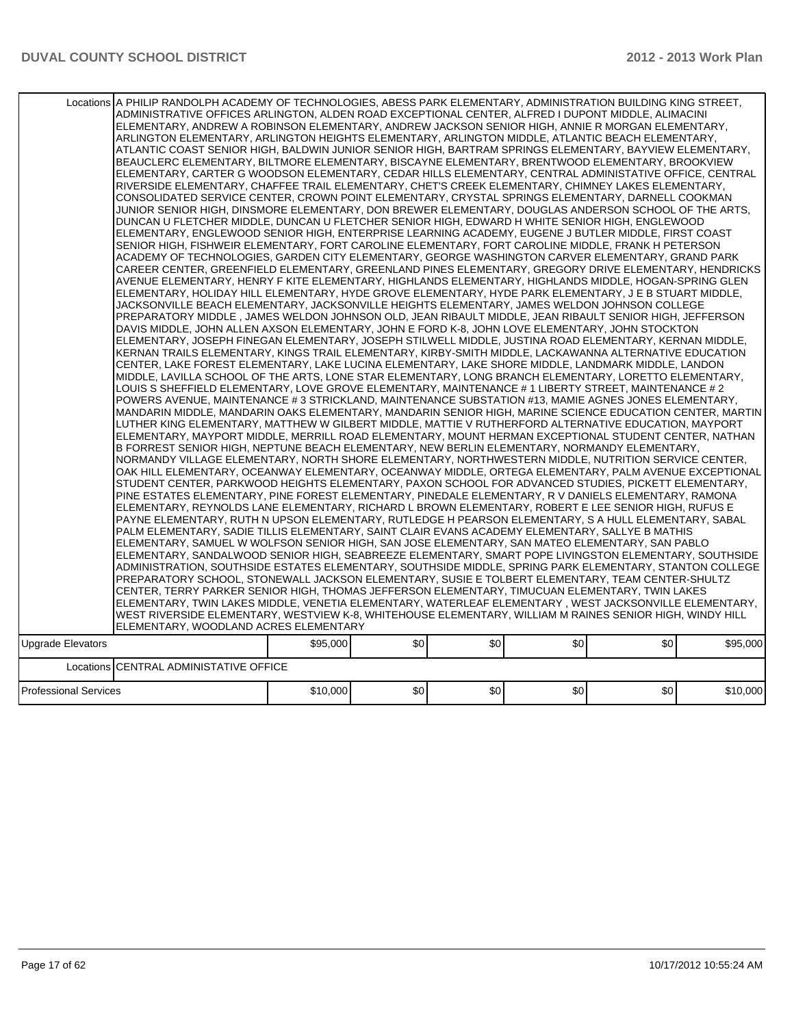|                              | Locations A PHILIP RANDOLPH ACADEMY OF TECHNOLOGIES, ABESS PARK ELEMENTARY, ADMINISTRATION BUILDING KING STREET,<br>ADMINISTRATIVE OFFICES ARLINGTON, ALDEN ROAD EXCEPTIONAL CENTER, ALFRED I DUPONT MIDDLE, ALIMACINI<br>ELEMENTARY, ANDREW A ROBINSON ELEMENTARY, ANDREW JACKSON SENIOR HIGH, ANNIE R MORGAN ELEMENTARY,<br>ARLINGTON ELEMENTARY, ARLINGTON HEIGHTS ELEMENTARY, ARLINGTON MIDDLE, ATLANTIC BEACH ELEMENTARY,<br>ATLANTIC COAST SENIOR HIGH, BALDWIN JUNIOR SENIOR HIGH, BARTRAM SPRINGS ELEMENTARY, BAYVIEW ELEMENTARY,<br>BEAUCLERC ELEMENTARY, BILTMORE ELEMENTARY, BISCAYNE ELEMENTARY, BRENTWOOD ELEMENTARY, BROOKVIEW<br>ELEMENTARY, CARTER G WOODSON ELEMENTARY, CEDAR HILLS ELEMENTARY, CENTRAL ADMINISTATIVE OFFICE, CENTRAL<br>RIVERSIDE ELEMENTARY, CHAFFEE TRAIL ELEMENTARY, CHET'S CREEK ELEMENTARY, CHIMNEY LAKES ELEMENTARY,<br>CONSOLIDATED SERVICE CENTER, CROWN POINT ELEMENTARY, CRYSTAL SPRINGS ELEMENTARY, DARNELL COOKMAN<br>JUNIOR SENIOR HIGH, DINSMORE ELEMENTARY, DON BREWER ELEMENTARY, DOUGLAS ANDERSON SCHOOL OF THE ARTS,<br>DUNCAN U FLETCHER MIDDLE, DUNCAN U FLETCHER SENIOR HIGH, EDWARD H WHITE SENIOR HIGH, ENGLEWOOD<br>ELEMENTARY, ENGLEWOOD SENIOR HIGH, ENTERPRISE LEARNING ACADEMY, EUGENE J BUTLER MIDDLE, FIRST COAST<br>SENIOR HIGH, FISHWEIR ELEMENTARY, FORT CAROLINE ELEMENTARY, FORT CAROLINE MIDDLE, FRANK H PETERSON<br>ACADEMY OF TECHNOLOGIES, GARDEN CITY ELEMENTARY, GEORGE WASHINGTON CARVER ELEMENTARY, GRAND PARK<br>CAREER CENTER, GREENFIELD ELEMENTARY, GREENLAND PINES ELEMENTARY, GREGORY DRIVE ELEMENTARY, HENDRICKS<br>AVENUE ELEMENTARY, HENRY F KITE ELEMENTARY, HIGHLANDS ELEMENTARY, HIGHLANDS MIDDLE, HOGAN-SPRING GLEN<br>ELEMENTARY, HOLIDAY HILL ELEMENTARY, HYDE GROVE ELEMENTARY, HYDE PARK ELEMENTARY, J E B STUART MIDDLE,<br>JACKSONVILLE BEACH ELEMENTARY, JACKSONVILLE HEIGHTS ELEMENTARY, JAMES WELDON JOHNSON COLLEGE<br>PREPARATORY MIDDLE , JAMES WELDON JOHNSON OLD, JEAN RIBAULT MIDDLE, JEAN RIBAULT SENIOR HIGH, JEFFERSON<br>DAVIS MIDDLE, JOHN ALLEN AXSON ELEMENTARY, JOHN E FORD K-8, JOHN LOVE ELEMENTARY, JOHN STOCKTON<br>ELEMENTARY, JOSEPH FINEGAN ELEMENTARY, JOSEPH STILWELL MIDDLE, JUSTINA ROAD ELEMENTARY, KERNAN MIDDLE,<br>KERNAN TRAILS ELEMENTARY, KINGS TRAIL ELEMENTARY, KIRBY-SMITH MIDDLE, LACKAWANNA ALTERNATIVE EDUCATION <br>ICENTER, LAKE FOREST ELEMENTARY, LAKE LUCINA ELEMENTARY, LAKE SHORE MIDDLE, LANDMARK MIDDLE, LANDON<br>MIDDLE, LAVILLA SCHOOL OF THE ARTS, LONE STAR ELEMENTARY, LONG BRANCH ELEMENTARY, LORETTO ELEMENTARY,<br>LOUIS S SHEFFIELD ELEMENTARY, LOVE GROVE ELEMENTARY, MAINTENANCE # 1 LIBERTY STREET, MAINTENANCE # 2<br>POWERS AVENUE, MAINTENANCE # 3 STRICKLAND, MAINTENANCE SUBSTATION #13, MAMIE AGNES JONES ELEMENTARY,<br>MANDARIN MIDDLE, MANDARIN OAKS ELEMENTARY, MANDARIN SENIOR HIGH, MARINE SCIENCE EDUCATION CENTER, MARTIN<br>LUTHER KING ELEMENTARY, MATTHEW W GILBERT MIDDLE, MATTIE V RUTHERFORD ALTERNATIVE EDUCATION, MAYPORT<br>IELEMENTARY, MAYPORT MIDDLE, MERRILL ROAD ELEMENTARY, MOUNT HERMAN EXCEPTIONAL STUDENT CENTER, NATHAN<br>B FORREST SENIOR HIGH, NEPTUNE BEACH ELEMENTARY, NEW BERLIN ELEMENTARY, NORMANDY ELEMENTARY,<br>NORMANDY VILLAGE ELEMENTARY, NORTH SHORE ELEMENTARY, NORTHWESTERN MIDDLE, NUTRITION SERVICE CENTER,<br>OAK HILL ELEMENTARY, OCEANWAY ELEMENTARY, OCEANWAY MIDDLE, ORTEGA ELEMENTARY, PALM AVENUE EXCEPTIONAL<br>STUDENT CENTER, PARKWOOD HEIGHTS ELEMENTARY, PAXON SCHOOL FOR ADVANCED STUDIES, PICKETT ELEMENTARY,<br>PINE ESTATES ELEMENTARY, PINE FOREST ELEMENTARY, PINEDALE ELEMENTARY, R V DANIELS ELEMENTARY, RAMONA<br>ELEMENTARY, REYNOLDS LANE ELEMENTARY, RICHARD L BROWN ELEMENTARY, ROBERT E LEE SENIOR HIGH, RUFUS E<br>PAYNE ELEMENTARY, RUTH N UPSON ELEMENTARY, RUTLEDGE H PEARSON ELEMENTARY, S A HULL ELEMENTARY, SABAL<br>PALM ELEMENTARY, SADIE TILLIS ELEMENTARY, SAINT CLAIR EVANS ACADEMY ELEMENTARY, SALLYE B MATHIS<br>ELEMENTARY, SAMUEL W WOLFSON SENIOR HIGH, SAN JOSE ELEMENTARY, SAN MATEO ELEMENTARY, SAN PABLO<br>ELEMENTARY, SANDALWOOD SENIOR HIGH, SEABREEZE ELEMENTARY, SMART POPE LIVINGSTON ELEMENTARY, SOUTHSIDE<br>ADMINISTRATION, SOUTHSIDE ESTATES ELEMENTARY, SOUTHSIDE MIDDLE, SPRING PARK ELEMENTARY, STANTON COLLEGE<br>PREPARATORY SCHOOL, STONEWALL JACKSON ELEMENTARY, SUSIE E TOLBERT ELEMENTARY, TEAM CENTER-SHULTZ<br>CENTER, TERRY PARKER SENIOR HIGH, THOMAS JEFFERSON ELEMENTARY, TIMUCUAN ELEMENTARY, TWIN LAKES<br>ELEMENTARY, TWIN LAKES MIDDLE, VENETIA ELEMENTARY, WATERLEAF ELEMENTARY, WEST JACKSONVILLE ELEMENTARY,<br>WEST RIVERSIDE ELEMENTARY, WESTVIEW K-8, WHITEHOUSE ELEMENTARY, WILLIAM M RAINES SENIOR HIGH, WINDY HILL <br>ELEMENTARY, WOODLAND ACRES ELEMENTARY |          |     |     |                  |                  |          |
|------------------------------|----------------------------------------------------------------------------------------------------------------------------------------------------------------------------------------------------------------------------------------------------------------------------------------------------------------------------------------------------------------------------------------------------------------------------------------------------------------------------------------------------------------------------------------------------------------------------------------------------------------------------------------------------------------------------------------------------------------------------------------------------------------------------------------------------------------------------------------------------------------------------------------------------------------------------------------------------------------------------------------------------------------------------------------------------------------------------------------------------------------------------------------------------------------------------------------------------------------------------------------------------------------------------------------------------------------------------------------------------------------------------------------------------------------------------------------------------------------------------------------------------------------------------------------------------------------------------------------------------------------------------------------------------------------------------------------------------------------------------------------------------------------------------------------------------------------------------------------------------------------------------------------------------------------------------------------------------------------------------------------------------------------------------------------------------------------------------------------------------------------------------------------------------------------------------------------------------------------------------------------------------------------------------------------------------------------------------------------------------------------------------------------------------------------------------------------------------------------------------------------------------------------------------------------------------------------------------------------------------------------------------------------------------------------------------------------------------------------------------------------------------------------------------------------------------------------------------------------------------------------------------------------------------------------------------------------------------------------------------------------------------------------------------------------------------------------------------------------------------------------------------------------------------------------------------------------------------------------------------------------------------------------------------------------------------------------------------------------------------------------------------------------------------------------------------------------------------------------------------------------------------------------------------------------------------------------------------------------------------------------------------------------------------------------------------------------------------------------------------------------------------------------------------------------------------------------------------------------------------------------------------------------------------------------------------------------------------------------------------------------------------------------------------------------------------------------------------------------------------------------------------------------------------------------------------------------------------------------------------------------------------------------------------------------------------------------------------------------------------------------------------------------------------------------------------------------------------------------------------------------------------------------------------------------------------------------------------------------------------------------------------------------------------------------------------------------------------------------------------------------------------------------------|----------|-----|-----|------------------|------------------|----------|
| Upgrade Elevators            |                                                                                                                                                                                                                                                                                                                                                                                                                                                                                                                                                                                                                                                                                                                                                                                                                                                                                                                                                                                                                                                                                                                                                                                                                                                                                                                                                                                                                                                                                                                                                                                                                                                                                                                                                                                                                                                                                                                                                                                                                                                                                                                                                                                                                                                                                                                                                                                                                                                                                                                                                                                                                                                                                                                                                                                                                                                                                                                                                                                                                                                                                                                                                                                                                                                                                                                                                                                                                                                                                                                                                                                                                                                                                                                                                                                                                                                                                                                                                                                                                                                                                                                                                                                                                                                                                                                                                                                                                                                                                                                                                                                                                                                                                                                                                                      | \$95,000 | \$0 | \$0 | \$0              | \$0              | \$95,000 |
|                              | Locations CENTRAL ADMINISTATIVE OFFICE                                                                                                                                                                                                                                                                                                                                                                                                                                                                                                                                                                                                                                                                                                                                                                                                                                                                                                                                                                                                                                                                                                                                                                                                                                                                                                                                                                                                                                                                                                                                                                                                                                                                                                                                                                                                                                                                                                                                                                                                                                                                                                                                                                                                                                                                                                                                                                                                                                                                                                                                                                                                                                                                                                                                                                                                                                                                                                                                                                                                                                                                                                                                                                                                                                                                                                                                                                                                                                                                                                                                                                                                                                                                                                                                                                                                                                                                                                                                                                                                                                                                                                                                                                                                                                                                                                                                                                                                                                                                                                                                                                                                                                                                                                                               |          |     |     |                  |                  |          |
| <b>Professional Services</b> |                                                                                                                                                                                                                                                                                                                                                                                                                                                                                                                                                                                                                                                                                                                                                                                                                                                                                                                                                                                                                                                                                                                                                                                                                                                                                                                                                                                                                                                                                                                                                                                                                                                                                                                                                                                                                                                                                                                                                                                                                                                                                                                                                                                                                                                                                                                                                                                                                                                                                                                                                                                                                                                                                                                                                                                                                                                                                                                                                                                                                                                                                                                                                                                                                                                                                                                                                                                                                                                                                                                                                                                                                                                                                                                                                                                                                                                                                                                                                                                                                                                                                                                                                                                                                                                                                                                                                                                                                                                                                                                                                                                                                                                                                                                                                                      | \$10,000 | \$0 | \$0 | \$0 <sub>1</sub> | \$0 <sub>1</sub> | \$10,000 |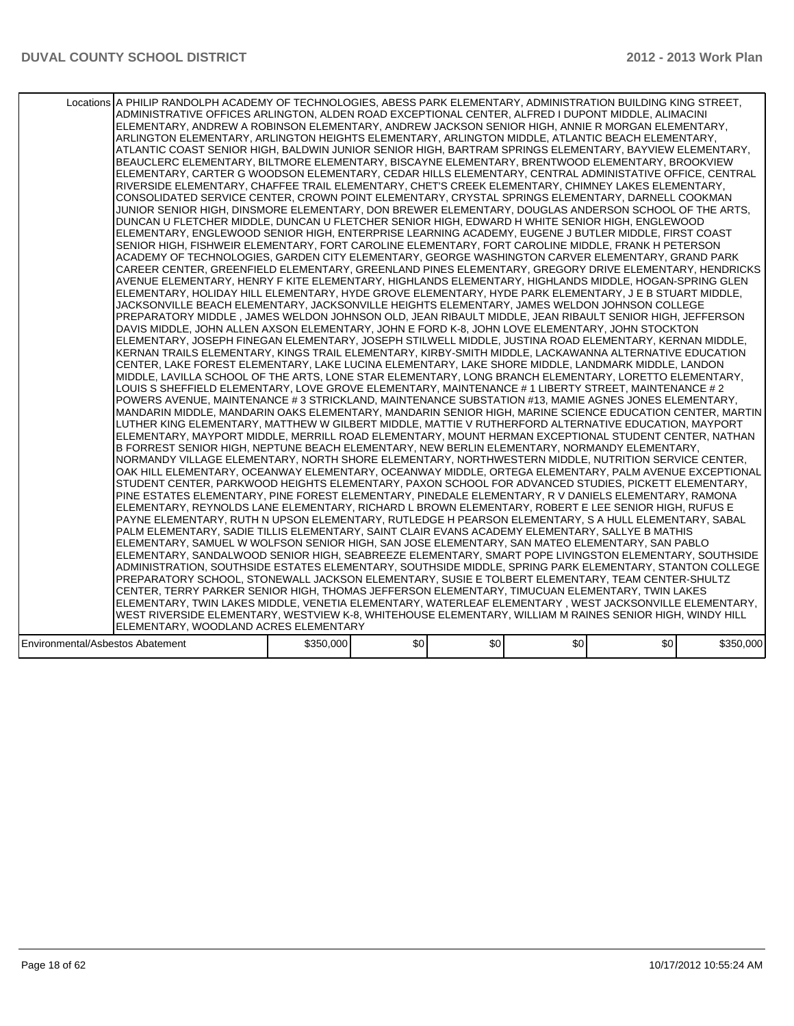|                                  | Locations A PHILIP RANDOLPH ACADEMY OF TECHNOLOGIES, ABESS PARK ELEMENTARY, ADMINISTRATION BUILDING KING STREET,<br>ADMINISTRATIVE OFFICES ARLINGTON, ALDEN ROAD EXCEPTIONAL CENTER, ALFRED I DUPONT MIDDLE, ALIMACINI<br>ELEMENTARY, ANDREW A ROBINSON ELEMENTARY, ANDREW JACKSON SENIOR HIGH, ANNIE R MORGAN ELEMENTARY,<br>ARLINGTON ELEMENTARY, ARLINGTON HEIGHTS ELEMENTARY, ARLINGTON MIDDLE, ATLANTIC BEACH ELEMENTARY,<br>ATLANTIC COAST SENIOR HIGH, BALDWIN JUNIOR SENIOR HIGH, BARTRAM SPRINGS ELEMENTARY, BAYVIEW ELEMENTARY,<br>BEAUCLERC ELEMENTARY, BILTMORE ELEMENTARY, BISCAYNE ELEMENTARY, BRENTWOOD ELEMENTARY, BROOKVIEW<br>ELEMENTARY, CARTER G WOODSON ELEMENTARY, CEDAR HILLS ELEMENTARY, CENTRAL ADMINISTATIVE OFFICE, CENTRAL<br>RIVERSIDE ELEMENTARY, CHAFFEE TRAIL ELEMENTARY, CHET'S CREEK ELEMENTARY, CHIMNEY LAKES ELEMENTARY,<br>CONSOLIDATED SERVICE CENTER, CROWN POINT ELEMENTARY, CRYSTAL SPRINGS ELEMENTARY, DARNELL COOKMAN<br>JUNIOR SENIOR HIGH. DINSMORE ELEMENTARY. DON BREWER ELEMENTARY. DOUGLAS ANDERSON SCHOOL OF THE ARTS.<br>DUNCAN U FLETCHER MIDDLE, DUNCAN U FLETCHER SENIOR HIGH, EDWARD H WHITE SENIOR HIGH, ENGLEWOOD<br>ELEMENTARY, ENGLEWOOD SENIOR HIGH, ENTERPRISE LEARNING ACADEMY, EUGENE J BUTLER MIDDLE, FIRST COAST<br>SENIOR HIGH, FISHWEIR ELEMENTARY, FORT CAROLINE ELEMENTARY, FORT CAROLINE MIDDLE, FRANK H PETERSON<br>ACADEMY OF TECHNOLOGIES. GARDEN CITY ELEMENTARY. GEORGE WASHINGTON CARVER ELEMENTARY. GRAND PARK<br>CAREER CENTER, GREENFIELD ELEMENTARY, GREENLAND PINES ELEMENTARY, GREGORY DRIVE ELEMENTARY, HENDRICKS<br>AVENUE ELEMENTARY. HENRY F KITE ELEMENTARY. HIGHLANDS ELEMENTARY. HIGHLANDS MIDDLE. HOGAN-SPRING GLEN<br>ELEMENTARY, HOLIDAY HILL ELEMENTARY, HYDE GROVE ELEMENTARY, HYDE PARK ELEMENTARY, J E B STUART MIDDLE,<br>JACKSONVILLE BEACH ELEMENTARY, JACKSONVILLE HEIGHTS ELEMENTARY, JAMES WELDON JOHNSON COLLEGE<br>PREPARATORY MIDDLE , JAMES WELDON JOHNSON OLD, JEAN RIBAULT MIDDLE, JEAN RIBAULT SENIOR HIGH, JEFFERSON<br>DAVIS MIDDLE, JOHN ALLEN AXSON ELEMENTARY, JOHN E FORD K-8, JOHN LOVE ELEMENTARY, JOHN STOCKTON<br> ELEMENTARY, JOSEPH FINEGAN ELEMENTARY, JOSEPH STILWELL MIDDLE, JUSTINA ROAD ELEMENTARY, KERNAN MIDDLE,<br>KERNAN TRAILS ELEMENTARY, KINGS TRAIL ELEMENTARY, KIRBY-SMITH MIDDLE, LACKAWANNA ALTERNATIVE EDUCATION<br>CENTER, LAKE FOREST ELEMENTARY, LAKE LUCINA ELEMENTARY, LAKE SHORE MIDDLE, LANDMARK MIDDLE, LANDON<br>MIDDLE, LAVILLA SCHOOL OF THE ARTS, LONE STAR ELEMENTARY, LONG BRANCH ELEMENTARY, LORETTO ELEMENTARY,<br>LOUIS S SHEFFIELD ELEMENTARY, LOVE GROVE ELEMENTARY, MAINTENANCE # 1 LIBERTY STREET, MAINTENANCE # 2<br>POWERS AVENUE, MAINTENANCE # 3 STRICKLAND, MAINTENANCE SUBSTATION #13, MAMIE AGNES JONES ELEMENTARY,<br>MANDARIN MIDDLE, MANDARIN OAKS ELEMENTARY, MANDARIN SENIOR HIGH, MARINE SCIENCE EDUCATION CENTER, MARTIN<br>LUTHER KING ELEMENTARY, MATTHEW W GILBERT MIDDLE, MATTIE V RUTHERFORD ALTERNATIVE EDUCATION, MAYPORT<br>ELEMENTARY, MAYPORT MIDDLE, MERRILL ROAD ELEMENTARY, MOUNT HERMAN EXCEPTIONAL STUDENT CENTER, NATHAN<br>B FORREST SENIOR HIGH, NEPTUNE BEACH ELEMENTARY, NEW BERLIN ELEMENTARY, NORMANDY ELEMENTARY,<br>NORMANDY VILLAGE ELEMENTARY, NORTH SHORE ELEMENTARY, NORTHWESTERN MIDDLE, NUTRITION SERVICE CENTER,<br>OAK HILL ELEMENTARY, OCEANWAY ELEMENTARY, OCEANWAY MIDDLE, ORTEGA ELEMENTARY, PALM AVENUE EXCEPTIONAL<br>STUDENT CENTER, PARKWOOD HEIGHTS ELEMENTARY, PAXON SCHOOL FOR ADVANCED STUDIES, PICKETT ELEMENTARY,<br>PINE ESTATES ELEMENTARY, PINE FOREST ELEMENTARY, PINEDALE ELEMENTARY, R V DANIELS ELEMENTARY, RAMONA<br>ELEMENTARY, REYNOLDS LANE ELEMENTARY, RICHARD L BROWN ELEMENTARY, ROBERT E LEE SENIOR HIGH, RUFUS E<br>PAYNE ELEMENTARY, RUTH N UPSON ELEMENTARY, RUTLEDGE H PEARSON ELEMENTARY, S A HULL ELEMENTARY, SABAL<br>PALM ELEMENTARY, SADIE TILLIS ELEMENTARY, SAINT CLAIR EVANS ACADEMY ELEMENTARY, SALLYE B MATHIS<br>ELEMENTARY, SAMUEL W WOLFSON SENIOR HIGH, SAN JOSE ELEMENTARY, SAN MATEO ELEMENTARY, SAN PABLO<br>ELEMENTARY, SANDALWOOD SENIOR HIGH, SEABREEZE ELEMENTARY, SMART POPE LIVINGSTON ELEMENTARY, SOUTHSIDE<br>ADMINISTRATION, SOUTHSIDE ESTATES ELEMENTARY, SOUTHSIDE MIDDLE, SPRING PARK ELEMENTARY, STANTON COLLEGE<br>PREPARATORY SCHOOL, STONEWALL JACKSON ELEMENTARY, SUSIE E TOLBERT ELEMENTARY, TEAM CENTER-SHULTZ<br>CENTER, TERRY PARKER SENIOR HIGH, THOMAS JEFFERSON ELEMENTARY, TIMUCUAN ELEMENTARY, TWIN LAKES<br>ELEMENTARY, TWIN LAKES MIDDLE, VENETIA ELEMENTARY, WATERLEAF ELEMENTARY , WEST JACKSONVILLE ELEMENTARY, |           |      |     |                  |     |           |
|----------------------------------|---------------------------------------------------------------------------------------------------------------------------------------------------------------------------------------------------------------------------------------------------------------------------------------------------------------------------------------------------------------------------------------------------------------------------------------------------------------------------------------------------------------------------------------------------------------------------------------------------------------------------------------------------------------------------------------------------------------------------------------------------------------------------------------------------------------------------------------------------------------------------------------------------------------------------------------------------------------------------------------------------------------------------------------------------------------------------------------------------------------------------------------------------------------------------------------------------------------------------------------------------------------------------------------------------------------------------------------------------------------------------------------------------------------------------------------------------------------------------------------------------------------------------------------------------------------------------------------------------------------------------------------------------------------------------------------------------------------------------------------------------------------------------------------------------------------------------------------------------------------------------------------------------------------------------------------------------------------------------------------------------------------------------------------------------------------------------------------------------------------------------------------------------------------------------------------------------------------------------------------------------------------------------------------------------------------------------------------------------------------------------------------------------------------------------------------------------------------------------------------------------------------------------------------------------------------------------------------------------------------------------------------------------------------------------------------------------------------------------------------------------------------------------------------------------------------------------------------------------------------------------------------------------------------------------------------------------------------------------------------------------------------------------------------------------------------------------------------------------------------------------------------------------------------------------------------------------------------------------------------------------------------------------------------------------------------------------------------------------------------------------------------------------------------------------------------------------------------------------------------------------------------------------------------------------------------------------------------------------------------------------------------------------------------------------------------------------------------------------------------------------------------------------------------------------------------------------------------------------------------------------------------------------------------------------------------------------------------------------------------------------------------------------------------------------------------------------------------------------------------------------------------------------------------------------------------------------------------------------------------------------------------------------------------------------------------------------------------------------------------------------------------------------------------------------------------------------------------------------------------------------------------------------------------------------------------------------------------------------------------|-----------|------|-----|------------------|-----|-----------|
|                                  |                                                                                                                                                                                                                                                                                                                                                                                                                                                                                                                                                                                                                                                                                                                                                                                                                                                                                                                                                                                                                                                                                                                                                                                                                                                                                                                                                                                                                                                                                                                                                                                                                                                                                                                                                                                                                                                                                                                                                                                                                                                                                                                                                                                                                                                                                                                                                                                                                                                                                                                                                                                                                                                                                                                                                                                                                                                                                                                                                                                                                                                                                                                                                                                                                                                                                                                                                                                                                                                                                                                                                                                                                                                                                                                                                                                                                                                                                                                                                                                                                                                                                                                                                                                                                                                                                                                                                                                                                                                                                                                                                                                                               |           |      |     |                  |     |           |
|                                  |                                                                                                                                                                                                                                                                                                                                                                                                                                                                                                                                                                                                                                                                                                                                                                                                                                                                                                                                                                                                                                                                                                                                                                                                                                                                                                                                                                                                                                                                                                                                                                                                                                                                                                                                                                                                                                                                                                                                                                                                                                                                                                                                                                                                                                                                                                                                                                                                                                                                                                                                                                                                                                                                                                                                                                                                                                                                                                                                                                                                                                                                                                                                                                                                                                                                                                                                                                                                                                                                                                                                                                                                                                                                                                                                                                                                                                                                                                                                                                                                                                                                                                                                                                                                                                                                                                                                                                                                                                                                                                                                                                                                               |           |      |     |                  |     |           |
|                                  |                                                                                                                                                                                                                                                                                                                                                                                                                                                                                                                                                                                                                                                                                                                                                                                                                                                                                                                                                                                                                                                                                                                                                                                                                                                                                                                                                                                                                                                                                                                                                                                                                                                                                                                                                                                                                                                                                                                                                                                                                                                                                                                                                                                                                                                                                                                                                                                                                                                                                                                                                                                                                                                                                                                                                                                                                                                                                                                                                                                                                                                                                                                                                                                                                                                                                                                                                                                                                                                                                                                                                                                                                                                                                                                                                                                                                                                                                                                                                                                                                                                                                                                                                                                                                                                                                                                                                                                                                                                                                                                                                                                                               |           |      |     |                  |     |           |
|                                  | WEST RIVERSIDE ELEMENTARY, WESTVIEW K-8, WHITEHOUSE ELEMENTARY, WILLIAM M RAINES SENIOR HIGH, WINDY HILL                                                                                                                                                                                                                                                                                                                                                                                                                                                                                                                                                                                                                                                                                                                                                                                                                                                                                                                                                                                                                                                                                                                                                                                                                                                                                                                                                                                                                                                                                                                                                                                                                                                                                                                                                                                                                                                                                                                                                                                                                                                                                                                                                                                                                                                                                                                                                                                                                                                                                                                                                                                                                                                                                                                                                                                                                                                                                                                                                                                                                                                                                                                                                                                                                                                                                                                                                                                                                                                                                                                                                                                                                                                                                                                                                                                                                                                                                                                                                                                                                                                                                                                                                                                                                                                                                                                                                                                                                                                                                                      |           |      |     |                  |     |           |
|                                  | ELEMENTARY, WOODLAND ACRES ELEMENTARY                                                                                                                                                                                                                                                                                                                                                                                                                                                                                                                                                                                                                                                                                                                                                                                                                                                                                                                                                                                                                                                                                                                                                                                                                                                                                                                                                                                                                                                                                                                                                                                                                                                                                                                                                                                                                                                                                                                                                                                                                                                                                                                                                                                                                                                                                                                                                                                                                                                                                                                                                                                                                                                                                                                                                                                                                                                                                                                                                                                                                                                                                                                                                                                                                                                                                                                                                                                                                                                                                                                                                                                                                                                                                                                                                                                                                                                                                                                                                                                                                                                                                                                                                                                                                                                                                                                                                                                                                                                                                                                                                                         |           |      |     |                  |     |           |
| Environmental/Asbestos Abatement |                                                                                                                                                                                                                                                                                                                                                                                                                                                                                                                                                                                                                                                                                                                                                                                                                                                                                                                                                                                                                                                                                                                                                                                                                                                                                                                                                                                                                                                                                                                                                                                                                                                                                                                                                                                                                                                                                                                                                                                                                                                                                                                                                                                                                                                                                                                                                                                                                                                                                                                                                                                                                                                                                                                                                                                                                                                                                                                                                                                                                                                                                                                                                                                                                                                                                                                                                                                                                                                                                                                                                                                                                                                                                                                                                                                                                                                                                                                                                                                                                                                                                                                                                                                                                                                                                                                                                                                                                                                                                                                                                                                                               | \$350,000 | \$0] | \$0 | \$0 <sub>1</sub> | \$0 | \$350,000 |
|                                  |                                                                                                                                                                                                                                                                                                                                                                                                                                                                                                                                                                                                                                                                                                                                                                                                                                                                                                                                                                                                                                                                                                                                                                                                                                                                                                                                                                                                                                                                                                                                                                                                                                                                                                                                                                                                                                                                                                                                                                                                                                                                                                                                                                                                                                                                                                                                                                                                                                                                                                                                                                                                                                                                                                                                                                                                                                                                                                                                                                                                                                                                                                                                                                                                                                                                                                                                                                                                                                                                                                                                                                                                                                                                                                                                                                                                                                                                                                                                                                                                                                                                                                                                                                                                                                                                                                                                                                                                                                                                                                                                                                                                               |           |      |     |                  |     |           |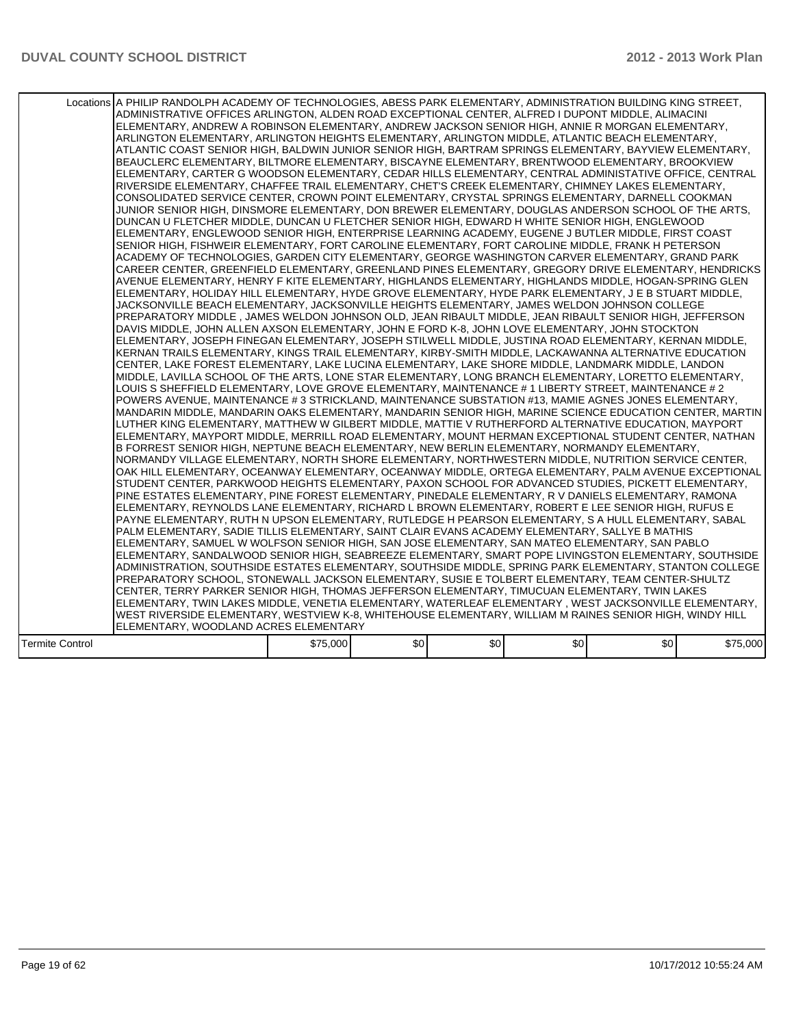|                 | Locations A PHILIP RANDOLPH ACADEMY OF TECHNOLOGIES, ABESS PARK ELEMENTARY, ADMINISTRATION BUILDING KING STREET,<br>ADMINISTRATIVE OFFICES ARLINGTON, ALDEN ROAD EXCEPTIONAL CENTER, ALFRED I DUPONT MIDDLE, ALIMACINI<br>ELEMENTARY, ANDREW A ROBINSON ELEMENTARY, ANDREW JACKSON SENIOR HIGH, ANNIE R MORGAN ELEMENTARY,<br>ARLINGTON ELEMENTARY, ARLINGTON HEIGHTS ELEMENTARY, ARLINGTON MIDDLE, ATLANTIC BEACH ELEMENTARY,<br>ATLANTIC COAST SENIOR HIGH. BALDWIN JUNIOR SENIOR HIGH. BARTRAM SPRINGS ELEMENTARY. BAYVIEW ELEMENTARY.<br>BEAUCLERC ELEMENTARY, BILTMORE ELEMENTARY, BISCAYNE ELEMENTARY, BRENTWOOD ELEMENTARY, BROOKVIEW<br>ELEMENTARY, CARTER G WOODSON ELEMENTARY, CEDAR HILLS ELEMENTARY, CENTRAL ADMINISTATIVE OFFICE, CENTRAL<br>RIVERSIDE ELEMENTARY, CHAFFEE TRAIL ELEMENTARY, CHET'S CREEK ELEMENTARY, CHIMNEY LAKES ELEMENTARY,<br>CONSOLIDATED SERVICE CENTER, CROWN POINT ELEMENTARY, CRYSTAL SPRINGS ELEMENTARY, DARNELL COOKMAN<br>JUNIOR SENIOR HIGH, DINSMORE ELEMENTARY, DON BREWER ELEMENTARY, DOUGLAS ANDERSON SCHOOL OF THE ARTS.<br>DUNCAN U FLETCHER MIDDLE, DUNCAN U FLETCHER SENIOR HIGH, EDWARD H WHITE SENIOR HIGH, ENGLEWOOD<br>ELEMENTARY, ENGLEWOOD SENIOR HIGH, ENTERPRISE LEARNING ACADEMY, EUGENE J BUTLER MIDDLE, FIRST COAST<br>SENIOR HIGH, FISHWEIR ELEMENTARY, FORT CAROLINE ELEMENTARY, FORT CAROLINE MIDDLE, FRANK H PETERSON<br>ACADEMY OF TECHNOLOGIES, GARDEN CITY ELEMENTARY, GEORGE WASHINGTON CARVER ELEMENTARY, GRAND PARK<br>CAREER CENTER, GREENFIELD ELEMENTARY, GREENLAND PINES ELEMENTARY, GREGORY DRIVE ELEMENTARY, HENDRICKS<br>AVENUE ELEMENTARY, HENRY F KITE ELEMENTARY, HIGHLANDS ELEMENTARY, HIGHLANDS MIDDLE, HOGAN-SPRING GLEN<br>ELEMENTARY, HOLIDAY HILL ELEMENTARY, HYDE GROVE ELEMENTARY, HYDE PARK ELEMENTARY, J E B STUART MIDDLE,<br>JACKSONVILLE BEACH ELEMENTARY, JACKSONVILLE HEIGHTS ELEMENTARY, JAMES WELDON JOHNSON COLLEGE<br>PREPARATORY MIDDLE , JAMES WELDON JOHNSON OLD, JEAN RIBAULT MIDDLE, JEAN RIBAULT SENIOR HIGH, JEFFERSON<br>DAVIS MIDDLE, JOHN ALLEN AXSON ELEMENTARY, JOHN E FORD K-8, JOHN LOVE ELEMENTARY, JOHN STOCKTON<br>IELEMENTARY. JOSEPH FINEGAN ELEMENTARY. JOSEPH STILWELL MIDDLE. JUSTINA ROAD ELEMENTARY. KERNAN MIDDLE.<br>KERNAN TRAILS ELEMENTARY, KINGS TRAIL ELEMENTARY, KIRBY-SMITH MIDDLE, LACKAWANNA ALTERNATIVE EDUCATION<br>CENTER, LAKE FOREST ELEMENTARY, LAKE LUCINA ELEMENTARY, LAKE SHORE MIDDLE, LANDMARK MIDDLE, LANDON<br>MIDDLE, LAVILLA SCHOOL OF THE ARTS, LONE STAR ELEMENTARY, LONG BRANCH ELEMENTARY, LORETTO ELEMENTARY,<br>LOUIS S SHEFFIELD ELEMENTARY, LOVE GROVE ELEMENTARY, MAINTENANCE # 1 LIBERTY STREET, MAINTENANCE # 2<br>POWERS AVENUE, MAINTENANCE # 3 STRICKLAND, MAINTENANCE SUBSTATION #13, MAMIE AGNES JONES ELEMENTARY,<br>MANDARIN MIDDLE, MANDARIN OAKS ELEMENTARY, MANDARIN SENIOR HIGH, MARINE SCIENCE EDUCATION CENTER, MARTIN<br>LUTHER KING ELEMENTARY, MATTHEW W GILBERT MIDDLE, MATTIE V RUTHERFORD ALTERNATIVE EDUCATION, MAYPORT<br>ELEMENTARY, MAYPORT MIDDLE, MERRILL ROAD ELEMENTARY, MOUNT HERMAN EXCEPTIONAL STUDENT CENTER, NATHAN<br>B FORREST SENIOR HIGH, NEPTUNE BEACH ELEMENTARY, NEW BERLIN ELEMENTARY, NORMANDY ELEMENTARY,<br>NORMANDY VILLAGE ELEMENTARY, NORTH SHORE ELEMENTARY, NORTHWESTERN MIDDLE, NUTRITION SERVICE CENTER,<br>OAK HILL ELEMENTARY, OCEANWAY ELEMENTARY, OCEANWAY MIDDLE, ORTEGA ELEMENTARY, PALM AVENUE EXCEPTIONAL<br>STUDENT CENTER, PARKWOOD HEIGHTS ELEMENTARY, PAXON SCHOOL FOR ADVANCED STUDIES, PICKETT ELEMENTARY,<br>PINE ESTATES ELEMENTARY, PINE FOREST ELEMENTARY, PINEDALE ELEMENTARY, R V DANIELS ELEMENTARY, RAMONA<br>ELEMENTARY, REYNOLDS LANE ELEMENTARY, RICHARD L BROWN ELEMENTARY, ROBERT E LEE SENIOR HIGH, RUFUS E<br>IPAYNE ELEMENTARY. RUTH N UPSON ELEMENTARY. RUTLEDGE H PEARSON ELEMENTARY. S A HULL ELEMENTARY. SABAL<br>PALM ELEMENTARY, SADIE TILLIS ELEMENTARY, SAINT CLAIR EVANS ACADEMY ELEMENTARY, SALLYE B MATHIS<br>ELEMENTARY, SAMUEL W WOLFSON SENIOR HIGH, SAN JOSE ELEMENTARY, SAN MATEO ELEMENTARY, SAN PABLO<br>ELEMENTARY, SANDALWOOD SENIOR HIGH, SEABREEZE ELEMENTARY, SMART POPE LIVINGSTON ELEMENTARY, SOUTHSIDE<br>ADMINISTRATION, SOUTHSIDE ESTATES ELEMENTARY, SOUTHSIDE MIDDLE, SPRING PARK ELEMENTARY, STANTON COLLEGE<br>PREPARATORY SCHOOL, STONEWALL JACKSON ELEMENTARY, SUSIE E TOLBERT ELEMENTARY, TEAM CENTER-SHULTZ<br>CENTER, TERRY PARKER SENIOR HIGH, THOMAS JEFFERSON ELEMENTARY, TIMUCUAN ELEMENTARY, TWIN LAKES<br> ELEMENTARY, TWIN LAKES MIDDLE, VENETIA ELEMENTARY, WATERLEAF ELEMENTARY , WEST JACKSONVILLE ELEMENTARY,<br>WEST RIVERSIDE ELEMENTARY, WESTVIEW K-8, WHITEHOUSE ELEMENTARY, WILLIAM M RAINES SENIOR HIGH, WINDY HILL |          |      |     |                  |     |          |
|-----------------|-----------------------------------------------------------------------------------------------------------------------------------------------------------------------------------------------------------------------------------------------------------------------------------------------------------------------------------------------------------------------------------------------------------------------------------------------------------------------------------------------------------------------------------------------------------------------------------------------------------------------------------------------------------------------------------------------------------------------------------------------------------------------------------------------------------------------------------------------------------------------------------------------------------------------------------------------------------------------------------------------------------------------------------------------------------------------------------------------------------------------------------------------------------------------------------------------------------------------------------------------------------------------------------------------------------------------------------------------------------------------------------------------------------------------------------------------------------------------------------------------------------------------------------------------------------------------------------------------------------------------------------------------------------------------------------------------------------------------------------------------------------------------------------------------------------------------------------------------------------------------------------------------------------------------------------------------------------------------------------------------------------------------------------------------------------------------------------------------------------------------------------------------------------------------------------------------------------------------------------------------------------------------------------------------------------------------------------------------------------------------------------------------------------------------------------------------------------------------------------------------------------------------------------------------------------------------------------------------------------------------------------------------------------------------------------------------------------------------------------------------------------------------------------------------------------------------------------------------------------------------------------------------------------------------------------------------------------------------------------------------------------------------------------------------------------------------------------------------------------------------------------------------------------------------------------------------------------------------------------------------------------------------------------------------------------------------------------------------------------------------------------------------------------------------------------------------------------------------------------------------------------------------------------------------------------------------------------------------------------------------------------------------------------------------------------------------------------------------------------------------------------------------------------------------------------------------------------------------------------------------------------------------------------------------------------------------------------------------------------------------------------------------------------------------------------------------------------------------------------------------------------------------------------------------------------------------------------------------------------------------------------------------------------------------------------------------------------------------------------------------------------------------------------------------------------------------------------------------------------------------------------------------------------------------------------------------------------------------------------------------------------------------------------------------------------------------------------------------------|----------|------|-----|------------------|-----|----------|
|                 |                                                                                                                                                                                                                                                                                                                                                                                                                                                                                                                                                                                                                                                                                                                                                                                                                                                                                                                                                                                                                                                                                                                                                                                                                                                                                                                                                                                                                                                                                                                                                                                                                                                                                                                                                                                                                                                                                                                                                                                                                                                                                                                                                                                                                                                                                                                                                                                                                                                                                                                                                                                                                                                                                                                                                                                                                                                                                                                                                                                                                                                                                                                                                                                                                                                                                                                                                                                                                                                                                                                                                                                                                                                                                                                                                                                                                                                                                                                                                                                                                                                                                                                                                                                                                                                                                                                                                                                                                                                                                                                                                                                                                                                                                                                             |          |      |     |                  |     |          |
|                 | ELEMENTARY, WOODLAND ACRES ELEMENTARY                                                                                                                                                                                                                                                                                                                                                                                                                                                                                                                                                                                                                                                                                                                                                                                                                                                                                                                                                                                                                                                                                                                                                                                                                                                                                                                                                                                                                                                                                                                                                                                                                                                                                                                                                                                                                                                                                                                                                                                                                                                                                                                                                                                                                                                                                                                                                                                                                                                                                                                                                                                                                                                                                                                                                                                                                                                                                                                                                                                                                                                                                                                                                                                                                                                                                                                                                                                                                                                                                                                                                                                                                                                                                                                                                                                                                                                                                                                                                                                                                                                                                                                                                                                                                                                                                                                                                                                                                                                                                                                                                                                                                                                                                       |          |      |     |                  |     |          |
| Termite Control |                                                                                                                                                                                                                                                                                                                                                                                                                                                                                                                                                                                                                                                                                                                                                                                                                                                                                                                                                                                                                                                                                                                                                                                                                                                                                                                                                                                                                                                                                                                                                                                                                                                                                                                                                                                                                                                                                                                                                                                                                                                                                                                                                                                                                                                                                                                                                                                                                                                                                                                                                                                                                                                                                                                                                                                                                                                                                                                                                                                                                                                                                                                                                                                                                                                                                                                                                                                                                                                                                                                                                                                                                                                                                                                                                                                                                                                                                                                                                                                                                                                                                                                                                                                                                                                                                                                                                                                                                                                                                                                                                                                                                                                                                                                             | \$75,000 | \$0] | \$0 | \$0 <sub>1</sub> | \$0 | \$75,000 |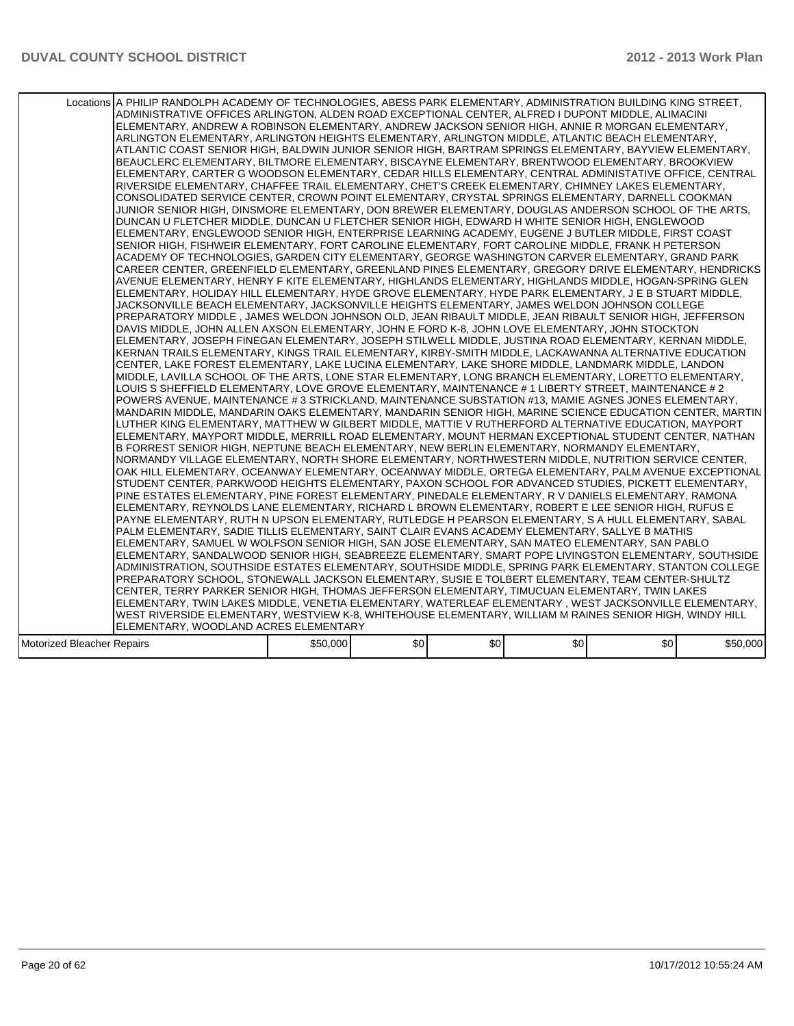|                            | Locations A PHILIP RANDOLPH ACADEMY OF TECHNOLOGIES, ABESS PARK ELEMENTARY, ADMINISTRATION BUILDING KING STREET,<br>ADMINISTRATIVE OFFICES ARLINGTON, ALDEN ROAD EXCEPTIONAL CENTER, ALFRED I DUPONT MIDDLE, ALIMACINI<br>ELEMENTARY. ANDREW A ROBINSON ELEMENTARY. ANDREW JACKSON SENIOR HIGH. ANNIE R MORGAN ELEMENTARY.<br>ARLINGTON ELEMENTARY, ARLINGTON HEIGHTS ELEMENTARY, ARLINGTON MIDDLE, ATLANTIC BEACH ELEMENTARY,<br>ATLANTIC COAST SENIOR HIGH, BALDWIN JUNIOR SENIOR HIGH, BARTRAM SPRINGS ELEMENTARY, BAYVIEW ELEMENTARY,<br>BEAUCLERC ELEMENTARY, BILTMORE ELEMENTARY, BISCAYNE ELEMENTARY, BRENTWOOD ELEMENTARY, BROOKVIEW<br>ELEMENTARY, CARTER G WOODSON ELEMENTARY, CEDAR HILLS ELEMENTARY, CENTRAL ADMINISTATIVE OFFICE, CENTRAL<br>RIVERSIDE ELEMENTARY, CHAFFEE TRAIL ELEMENTARY, CHET'S CREEK ELEMENTARY, CHIMNEY LAKES ELEMENTARY,<br>CONSOLIDATED SERVICE CENTER, CROWN POINT ELEMENTARY, CRYSTAL SPRINGS ELEMENTARY, DARNELL COOKMAN<br>JUNIOR SENIOR HIGH, DINSMORE ELEMENTARY, DON BREWER ELEMENTARY, DOUGLAS ANDERSON SCHOOL OF THE ARTS,<br>DUNCAN U FLETCHER MIDDLE, DUNCAN U FLETCHER SENIOR HIGH, EDWARD H WHITE SENIOR HIGH, ENGLEWOOD<br>ELEMENTARY, ENGLEWOOD SENIOR HIGH, ENTERPRISE LEARNING ACADEMY, EUGENE J BUTLER MIDDLE, FIRST COAST<br>SENIOR HIGH, FISHWEIR ELEMENTARY, FORT CAROLINE ELEMENTARY, FORT CAROLINE MIDDLE, FRANK H PETERSON<br>ACADEMY OF TECHNOLOGIES, GARDEN CITY ELEMENTARY, GEORGE WASHINGTON CARVER ELEMENTARY, GRAND PARK<br>CAREER CENTER, GREENFIELD ELEMENTARY, GREENLAND PINES ELEMENTARY, GREGORY DRIVE ELEMENTARY, HENDRICKS<br>AVENUE ELEMENTARY, HENRY F KITE ELEMENTARY, HIGHLANDS ELEMENTARY, HIGHLANDS MIDDLE, HOGAN-SPRING GLEN<br>ELEMENTARY, HOLIDAY HILL ELEMENTARY, HYDE GROVE ELEMENTARY, HYDE PARK ELEMENTARY, J E B STUART MIDDLE,<br>JACKSONVILLE BEACH ELEMENTARY, JACKSONVILLE HEIGHTS ELEMENTARY, JAMES WELDON JOHNSON COLLEGE<br>PREPARATORY MIDDLE , JAMES WELDON JOHNSON OLD, JEAN RIBAULT MIDDLE, JEAN RIBAULT SENIOR HIGH, JEFFERSON<br>DAVIS MIDDLE, JOHN ALLEN AXSON ELEMENTARY, JOHN E FORD K-8, JOHN LOVE ELEMENTARY, JOHN STOCKTON<br>ELEMENTARY, JOSEPH FINEGAN ELEMENTARY, JOSEPH STILWELL MIDDLE, JUSTINA ROAD ELEMENTARY, KERNAN MIDDLE,<br>KERNAN TRAILS ELEMENTARY, KINGS TRAIL ELEMENTARY, KIRBY-SMITH MIDDLE, LACKAWANNA ALTERNATIVE EDUCATION<br>CENTER, LAKE FOREST ELEMENTARY, LAKE LUCINA ELEMENTARY, LAKE SHORE MIDDLE, LANDMARK MIDDLE, LANDON <br>MIDDLE, LAVILLA SCHOOL OF THE ARTS, LONE STAR ELEMENTARY, LONG BRANCH ELEMENTARY, LORETTO ELEMENTARY,<br>LLOUIS S SHEFFIELD ELEMENTARY, LOVE GROVE ELEMENTARY, MAINTENANCE # 1 LIBERTY STREET, MAINTENANCE # 2<br>POWERS AVENUE. MAINTENANCE # 3 STRICKLAND. MAINTENANCE SUBSTATION #13. MAMIE AGNES JONES ELEMENTARY.<br>MANDARIN MIDDLE, MANDARIN OAKS ELEMENTARY, MANDARIN SENIOR HIGH, MARINE SCIENCE EDUCATION CENTER, MARTIN<br>LUTHER KING ELEMENTARY, MATTHEW W GILBERT MIDDLE, MATTIE V RUTHERFORD ALTERNATIVE EDUCATION, MAYPORT<br>ELEMENTARY, MAYPORT MIDDLE, MERRILL ROAD ELEMENTARY, MOUNT HERMAN EXCEPTIONAL STUDENT CENTER, NATHAN<br>B FORREST SENIOR HIGH, NEPTUNE BEACH ELEMENTARY, NEW BERLIN ELEMENTARY, NORMANDY ELEMENTARY,<br>NORMANDY VILLAGE ELEMENTARY, NORTH SHORE ELEMENTARY, NORTHWESTERN MIDDLE, NUTRITION SERVICE CENTER,<br>OAK HILL ELEMENTARY, OCEANWAY ELEMENTARY, OCEANWAY MIDDLE, ORTEGA ELEMENTARY, PALM AVENUE EXCEPTIONAL<br>STUDENT CENTER, PARKWOOD HEIGHTS ELEMENTARY, PAXON SCHOOL FOR ADVANCED STUDIES, PICKETT ELEMENTARY,<br>PINE ESTATES ELEMENTARY, PINE FOREST ELEMENTARY, PINEDALE ELEMENTARY, R V DANIELS ELEMENTARY, RAMONA<br>ELEMENTARY, REYNOLDS LANE ELEMENTARY, RICHARD L BROWN ELEMENTARY, ROBERT E LEE SENIOR HIGH, RUFUS E<br>PAYNE ELEMENTARY, RUTH N UPSON ELEMENTARY, RUTLEDGE H PEARSON ELEMENTARY, S A HULL ELEMENTARY, SABAL<br>PALM ELEMENTARY, SADIE TILLIS ELEMENTARY, SAINT CLAIR EVANS ACADEMY ELEMENTARY, SALLYE B MATHIS<br>ELEMENTARY, SAMUEL W WOLFSON SENIOR HIGH, SAN JOSE ELEMENTARY, SAN MATEO ELEMENTARY, SAN PABLO<br>ELEMENTARY, SANDALWOOD SENIOR HIGH, SEABREEZE ELEMENTARY, SMART POPE LIVINGSTON ELEMENTARY, SOUTHSIDE<br>ADMINISTRATION, SOUTHSIDE ESTATES ELEMENTARY, SOUTHSIDE MIDDLE, SPRING PARK ELEMENTARY, STANTON COLLEGE<br>PREPARATORY SCHOOL, STONEWALL JACKSON ELEMENTARY, SUSIE E TOLBERT ELEMENTARY, TEAM CENTER-SHULTZ<br>CENTER, TERRY PARKER SENIOR HIGH, THOMAS JEFFERSON ELEMENTARY, TIMUCUAN ELEMENTARY, TWIN LAKES<br>ELEMENTARY, TWIN LAKES MIDDLE, VENETIA ELEMENTARY, WATERLEAF ELEMENTARY , WEST JACKSONVILLE ELEMENTARY,<br>WEST RIVERSIDE ELEMENTARY, WESTVIEW K-8, WHITEHOUSE ELEMENTARY, WILLIAM M RAINES SENIOR HIGH, WINDY HILL<br>ELEMENTARY, WOODLAND ACRES ELEMENTARY |          |      |     |                  |     |          |
|----------------------------|---------------------------------------------------------------------------------------------------------------------------------------------------------------------------------------------------------------------------------------------------------------------------------------------------------------------------------------------------------------------------------------------------------------------------------------------------------------------------------------------------------------------------------------------------------------------------------------------------------------------------------------------------------------------------------------------------------------------------------------------------------------------------------------------------------------------------------------------------------------------------------------------------------------------------------------------------------------------------------------------------------------------------------------------------------------------------------------------------------------------------------------------------------------------------------------------------------------------------------------------------------------------------------------------------------------------------------------------------------------------------------------------------------------------------------------------------------------------------------------------------------------------------------------------------------------------------------------------------------------------------------------------------------------------------------------------------------------------------------------------------------------------------------------------------------------------------------------------------------------------------------------------------------------------------------------------------------------------------------------------------------------------------------------------------------------------------------------------------------------------------------------------------------------------------------------------------------------------------------------------------------------------------------------------------------------------------------------------------------------------------------------------------------------------------------------------------------------------------------------------------------------------------------------------------------------------------------------------------------------------------------------------------------------------------------------------------------------------------------------------------------------------------------------------------------------------------------------------------------------------------------------------------------------------------------------------------------------------------------------------------------------------------------------------------------------------------------------------------------------------------------------------------------------------------------------------------------------------------------------------------------------------------------------------------------------------------------------------------------------------------------------------------------------------------------------------------------------------------------------------------------------------------------------------------------------------------------------------------------------------------------------------------------------------------------------------------------------------------------------------------------------------------------------------------------------------------------------------------------------------------------------------------------------------------------------------------------------------------------------------------------------------------------------------------------------------------------------------------------------------------------------------------------------------------------------------------------------------------------------------------------------------------------------------------------------------------------------------------------------------------------------------------------------------------------------------------------------------------------------------------------------------------------------------------------------------------------------------------------------------------------------------------------------------------------------------------------------------------------------------------------------------|----------|------|-----|------------------|-----|----------|
|                            |                                                                                                                                                                                                                                                                                                                                                                                                                                                                                                                                                                                                                                                                                                                                                                                                                                                                                                                                                                                                                                                                                                                                                                                                                                                                                                                                                                                                                                                                                                                                                                                                                                                                                                                                                                                                                                                                                                                                                                                                                                                                                                                                                                                                                                                                                                                                                                                                                                                                                                                                                                                                                                                                                                                                                                                                                                                                                                                                                                                                                                                                                                                                                                                                                                                                                                                                                                                                                                                                                                                                                                                                                                                                                                                                                                                                                                                                                                                                                                                                                                                                                                                                                                                                                                                                                                                                                                                                                                                                                                                                                                                                                                                                                                                                                                     |          | \$0] | \$0 | \$0 <sub>1</sub> | \$0 |          |
| Motorized Bleacher Repairs |                                                                                                                                                                                                                                                                                                                                                                                                                                                                                                                                                                                                                                                                                                                                                                                                                                                                                                                                                                                                                                                                                                                                                                                                                                                                                                                                                                                                                                                                                                                                                                                                                                                                                                                                                                                                                                                                                                                                                                                                                                                                                                                                                                                                                                                                                                                                                                                                                                                                                                                                                                                                                                                                                                                                                                                                                                                                                                                                                                                                                                                                                                                                                                                                                                                                                                                                                                                                                                                                                                                                                                                                                                                                                                                                                                                                                                                                                                                                                                                                                                                                                                                                                                                                                                                                                                                                                                                                                                                                                                                                                                                                                                                                                                                                                                     | \$50,000 |      |     |                  |     | \$50,000 |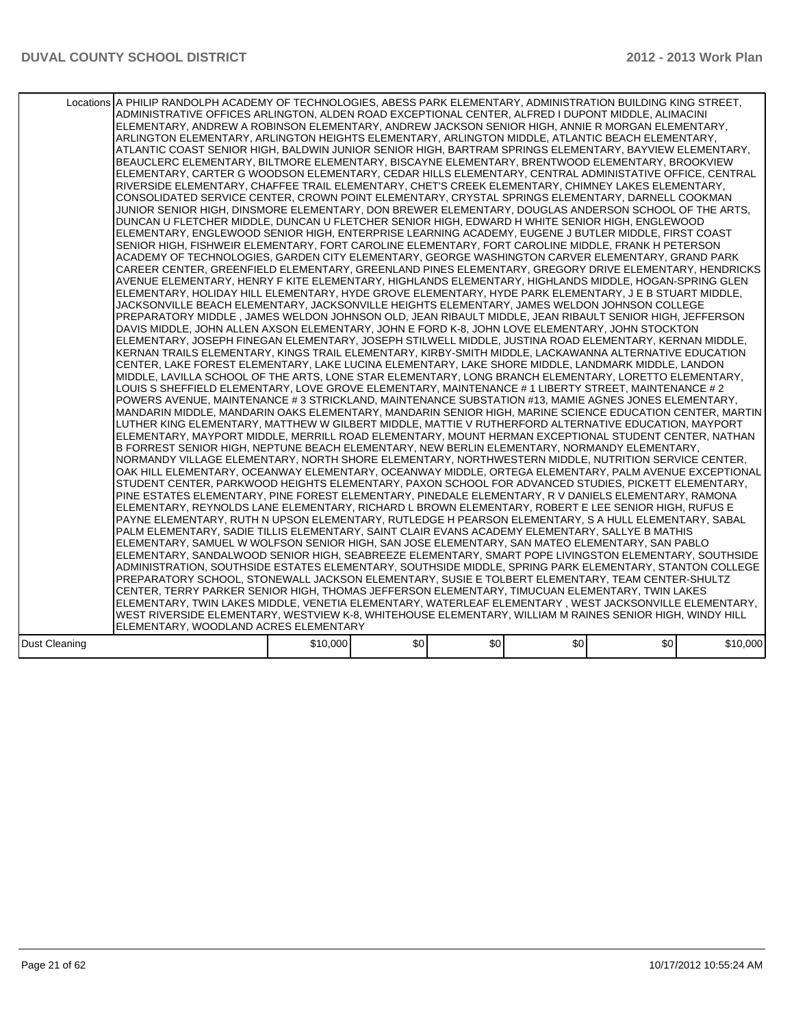|               | Locations A PHILIP RANDOLPH ACADEMY OF TECHNOLOGIES, ABESS PARK ELEMENTARY, ADMINISTRATION BUILDING KING STREET,<br>ADMINISTRATIVE OFFICES ARLINGTON, ALDEN ROAD EXCEPTIONAL CENTER, ALFRED I DUPONT MIDDLE, ALIMACINI<br>ELEMENTARY, ANDREW A ROBINSON ELEMENTARY, ANDREW JACKSON SENIOR HIGH, ANNIE R MORGAN ELEMENTARY,<br>ARLINGTON ELEMENTARY, ARLINGTON HEIGHTS ELEMENTARY, ARLINGTON MIDDLE, ATLANTIC BEACH ELEMENTARY,<br>ATLANTIC COAST SENIOR HIGH, BALDWIN JUNIOR SENIOR HIGH, BARTRAM SPRINGS ELEMENTARY, BAYVIEW ELEMENTARY,<br>BEAUCLERC ELEMENTARY, BILTMORE ELEMENTARY, BISCAYNE ELEMENTARY, BRENTWOOD ELEMENTARY, BROOKVIEW<br>ELEMENTARY, CARTER G WOODSON ELEMENTARY, CEDAR HILLS ELEMENTARY, CENTRAL ADMINISTATIVE OFFICE, CENTRAL<br>RIVERSIDE ELEMENTARY, CHAFFEE TRAIL ELEMENTARY, CHET'S CREEK ELEMENTARY, CHIMNEY LAKES ELEMENTARY,<br>CONSOLIDATED SERVICE CENTER, CROWN POINT ELEMENTARY, CRYSTAL SPRINGS ELEMENTARY, DARNELL COOKMAN<br>JUNIOR SENIOR HIGH. DINSMORE ELEMENTARY. DON BREWER ELEMENTARY. DOUGLAS ANDERSON SCHOOL OF THE ARTS.<br>DUNCAN U FLETCHER MIDDLE, DUNCAN U FLETCHER SENIOR HIGH, EDWARD H WHITE SENIOR HIGH, ENGLEWOOD<br>ELEMENTARY, ENGLEWOOD SENIOR HIGH, ENTERPRISE LEARNING ACADEMY, EUGENE J BUTLER MIDDLE, FIRST COAST<br>SENIOR HIGH, FISHWEIR ELEMENTARY, FORT CAROLINE ELEMENTARY, FORT CAROLINE MIDDLE, FRANK H PETERSON<br>ACADEMY OF TECHNOLOGIES, GARDEN CITY ELEMENTARY, GEORGE WASHINGTON CARVER ELEMENTARY, GRAND PARK<br>CAREER CENTER, GREENFIELD ELEMENTARY, GREENLAND PINES ELEMENTARY, GREGORY DRIVE ELEMENTARY, HENDRICKS<br>AVENUE ELEMENTARY, HENRY F KITE ELEMENTARY, HIGHLANDS ELEMENTARY, HIGHLANDS MIDDLE, HOGAN-SPRING GLEN<br>ELEMENTARY, HOLIDAY HILL ELEMENTARY, HYDE GROVE ELEMENTARY, HYDE PARK ELEMENTARY, J E B STUART MIDDLE,<br>JACKSONVILLE BEACH ELEMENTARY, JACKSONVILLE HEIGHTS ELEMENTARY, JAMES WELDON JOHNSON COLLEGE<br>PREPARATORY MIDDLE , JAMES WELDON JOHNSON OLD, JEAN RIBAULT MIDDLE, JEAN RIBAULT SENIOR HIGH, JEFFERSON<br>DAVIS MIDDLE, JOHN ALLEN AXSON ELEMENTARY, JOHN E FORD K-8, JOHN LOVE ELEMENTARY, JOHN STOCKTON<br>ELEMENTARY, JOSEPH FINEGAN ELEMENTARY, JOSEPH STILWELL MIDDLE, JUSTINA ROAD ELEMENTARY, KERNAN MIDDLE,<br>KERNAN TRAILS ELEMENTARY, KINGS TRAIL ELEMENTARY, KIRBY-SMITH MIDDLE, LACKAWANNA ALTERNATIVE EDUCATION<br>CENTER, LAKE FOREST ELEMENTARY, LAKE LUCINA ELEMENTARY, LAKE SHORE MIDDLE, LANDMARK MIDDLE, LANDON <br>MIDDLE, LAVILLA SCHOOL OF THE ARTS, LONE STAR ELEMENTARY, LONG BRANCH ELEMENTARY, LORETTO ELEMENTARY,<br>LLOUIS S SHEFFIELD ELEMENTARY, LOVE GROVE ELEMENTARY, MAINTENANCE # 1 LIBERTY STREET, MAINTENANCE # 2<br>POWERS AVENUE, MAINTENANCE # 3 STRICKLAND, MAINTENANCE SUBSTATION #13, MAMIE AGNES JONES ELEMENTARY,<br>MANDARIN MIDDLE, MANDARIN OAKS ELEMENTARY, MANDARIN SENIOR HIGH, MARINE SCIENCE EDUCATION CENTER, MARTIN<br>LUTHER KING ELEMENTARY, MATTHEW W GILBERT MIDDLE, MATTIE V RUTHERFORD ALTERNATIVE EDUCATION, MAYPORT<br>ELEMENTARY, MAYPORT MIDDLE, MERRILL ROAD ELEMENTARY, MOUNT HERMAN EXCEPTIONAL STUDENT CENTER, NATHAN<br>B FORREST SENIOR HIGH, NEPTUNE BEACH ELEMENTARY, NEW BERLIN ELEMENTARY, NORMANDY ELEMENTARY,<br>NORMANDY VILLAGE ELEMENTARY, NORTH SHORE ELEMENTARY, NORTHWESTERN MIDDLE, NUTRITION SERVICE CENTER,<br>OAK HILL ELEMENTARY, OCEANWAY ELEMENTARY, OCEANWAY MIDDLE, ORTEGA ELEMENTARY, PALM AVENUE EXCEPTIONAL<br>STUDENT CENTER, PARKWOOD HEIGHTS ELEMENTARY, PAXON SCHOOL FOR ADVANCED STUDIES, PICKETT ELEMENTARY,<br>PINE ESTATES ELEMENTARY, PINE FOREST ELEMENTARY, PINEDALE ELEMENTARY, R V DANIELS ELEMENTARY, RAMONA<br>ELEMENTARY, REYNOLDS LANE ELEMENTARY, RICHARD L BROWN ELEMENTARY, ROBERT E LEE SENIOR HIGH, RUFUS E<br>PAYNE ELEMENTARY, RUTH N UPSON ELEMENTARY, RUTLEDGE H PEARSON ELEMENTARY, S A HULL ELEMENTARY, SABAL<br>PALM ELEMENTARY, SADIE TILLIS ELEMENTARY, SAINT CLAIR EVANS ACADEMY ELEMENTARY, SALLYE B MATHIS<br>ELEMENTARY, SAMUEL W WOLFSON SENIOR HIGH, SAN JOSE ELEMENTARY, SAN MATEO ELEMENTARY, SAN PABLO<br>ELEMENTARY, SANDALWOOD SENIOR HIGH, SEABREEZE ELEMENTARY, SMART POPE LIVINGSTON ELEMENTARY, SOUTHSIDE<br>ADMINISTRATION, SOUTHSIDE ESTATES ELEMENTARY, SOUTHSIDE MIDDLE, SPRING PARK ELEMENTARY, STANTON COLLEGE<br>PREPARATORY SCHOOL, STONEWALL JACKSON ELEMENTARY, SUSIE E TOLBERT ELEMENTARY, TEAM CENTER-SHULTZ<br>CENTER, TERRY PARKER SENIOR HIGH, THOMAS JEFFERSON ELEMENTARY, TIMUCUAN ELEMENTARY, TWIN LAKES<br>ELEMENTARY, TWIN LAKES MIDDLE, VENETIA ELEMENTARY, WATERLEAF ELEMENTARY, WEST JACKSONVILLE ELEMENTARY,<br>WEST RIVERSIDE ELEMENTARY, WESTVIEW K-8, WHITEHOUSE ELEMENTARY, WILLIAM M RAINES SENIOR HIGH, WINDY HILL<br>ELEMENTARY, WOODLAND ACRES ELEMENTARY |          |      |     |                  |                  |          |
|---------------|--------------------------------------------------------------------------------------------------------------------------------------------------------------------------------------------------------------------------------------------------------------------------------------------------------------------------------------------------------------------------------------------------------------------------------------------------------------------------------------------------------------------------------------------------------------------------------------------------------------------------------------------------------------------------------------------------------------------------------------------------------------------------------------------------------------------------------------------------------------------------------------------------------------------------------------------------------------------------------------------------------------------------------------------------------------------------------------------------------------------------------------------------------------------------------------------------------------------------------------------------------------------------------------------------------------------------------------------------------------------------------------------------------------------------------------------------------------------------------------------------------------------------------------------------------------------------------------------------------------------------------------------------------------------------------------------------------------------------------------------------------------------------------------------------------------------------------------------------------------------------------------------------------------------------------------------------------------------------------------------------------------------------------------------------------------------------------------------------------------------------------------------------------------------------------------------------------------------------------------------------------------------------------------------------------------------------------------------------------------------------------------------------------------------------------------------------------------------------------------------------------------------------------------------------------------------------------------------------------------------------------------------------------------------------------------------------------------------------------------------------------------------------------------------------------------------------------------------------------------------------------------------------------------------------------------------------------------------------------------------------------------------------------------------------------------------------------------------------------------------------------------------------------------------------------------------------------------------------------------------------------------------------------------------------------------------------------------------------------------------------------------------------------------------------------------------------------------------------------------------------------------------------------------------------------------------------------------------------------------------------------------------------------------------------------------------------------------------------------------------------------------------------------------------------------------------------------------------------------------------------------------------------------------------------------------------------------------------------------------------------------------------------------------------------------------------------------------------------------------------------------------------------------------------------------------------------------------------------------------------------------------------------------------------------------------------------------------------------------------------------------------------------------------------------------------------------------------------------------------------------------------------------------------------------------------------------------------------------------------------------------------------------------------------------------------------------------------------------------------------------------------------|----------|------|-----|------------------|------------------|----------|
|               |                                                                                                                                                                                                                                                                                                                                                                                                                                                                                                                                                                                                                                                                                                                                                                                                                                                                                                                                                                                                                                                                                                                                                                                                                                                                                                                                                                                                                                                                                                                                                                                                                                                                                                                                                                                                                                                                                                                                                                                                                                                                                                                                                                                                                                                                                                                                                                                                                                                                                                                                                                                                                                                                                                                                                                                                                                                                                                                                                                                                                                                                                                                                                                                                                                                                                                                                                                                                                                                                                                                                                                                                                                                                                                                                                                                                                                                                                                                                                                                                                                                                                                                                                                                                                                                                                                                                                                                                                                                                                                                                                                                                                                                                                                                                                                    |          |      |     |                  |                  |          |
| Dust Cleaning |                                                                                                                                                                                                                                                                                                                                                                                                                                                                                                                                                                                                                                                                                                                                                                                                                                                                                                                                                                                                                                                                                                                                                                                                                                                                                                                                                                                                                                                                                                                                                                                                                                                                                                                                                                                                                                                                                                                                                                                                                                                                                                                                                                                                                                                                                                                                                                                                                                                                                                                                                                                                                                                                                                                                                                                                                                                                                                                                                                                                                                                                                                                                                                                                                                                                                                                                                                                                                                                                                                                                                                                                                                                                                                                                                                                                                                                                                                                                                                                                                                                                                                                                                                                                                                                                                                                                                                                                                                                                                                                                                                                                                                                                                                                                                                    | \$10,000 | \$0] | \$0 | \$0 <sub>1</sub> | \$0 <sub>1</sub> | \$10,000 |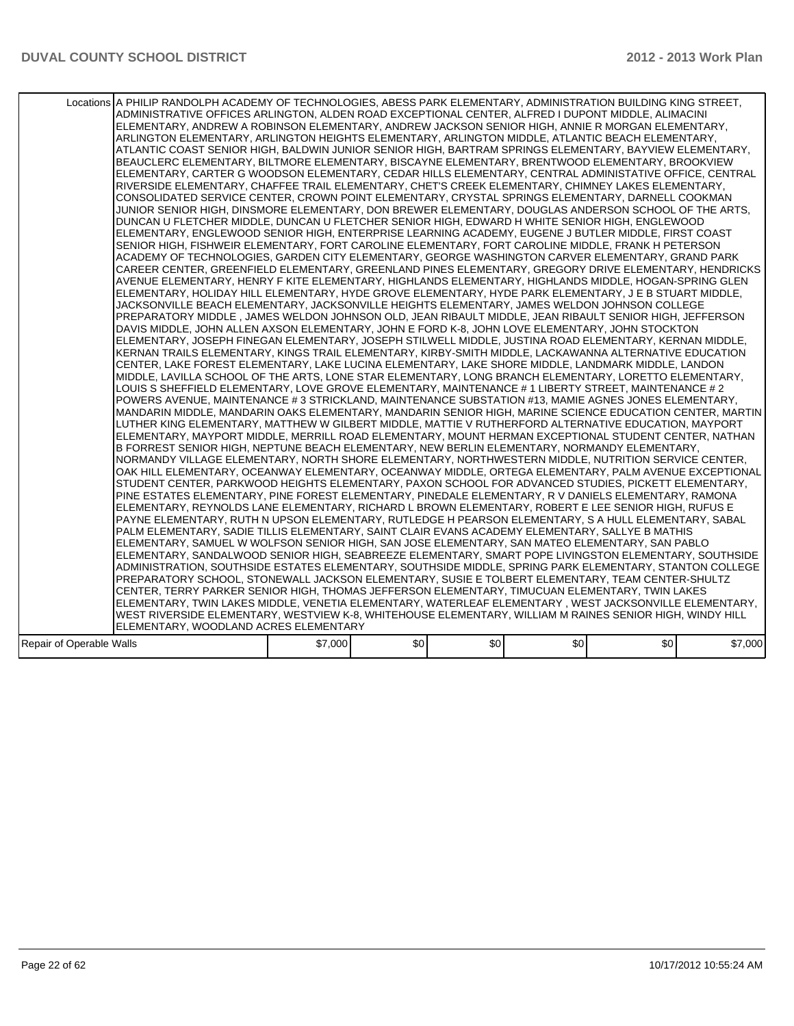|                          | Locations A PHILIP RANDOLPH ACADEMY OF TECHNOLOGIES, ABESS PARK ELEMENTARY, ADMINISTRATION BUILDING KING STREET,<br>ADMINISTRATIVE OFFICES ARLINGTON, ALDEN ROAD EXCEPTIONAL CENTER, ALFRED I DUPONT MIDDLE, ALIMACINI<br>ELEMENTARY, ANDREW A ROBINSON ELEMENTARY, ANDREW JACKSON SENIOR HIGH, ANNIE R MORGAN ELEMENTARY,<br>ARLINGTON ELEMENTARY, ARLINGTON HEIGHTS ELEMENTARY, ARLINGTON MIDDLE, ATLANTIC BEACH ELEMENTARY,<br>ATLANTIC COAST SENIOR HIGH, BALDWIN JUNIOR SENIOR HIGH, BARTRAM SPRINGS ELEMENTARY, BAYVIEW ELEMENTARY,<br>BEAUCLERC ELEMENTARY, BILTMORE ELEMENTARY, BISCAYNE ELEMENTARY, BRENTWOOD ELEMENTARY, BROOKVIEW<br>ELEMENTARY, CARTER G WOODSON ELEMENTARY, CEDAR HILLS ELEMENTARY, CENTRAL ADMINISTATIVE OFFICE, CENTRAL<br>RIVERSIDE ELEMENTARY, CHAFFEE TRAIL ELEMENTARY, CHET'S CREEK ELEMENTARY, CHIMNEY LAKES ELEMENTARY,<br>CONSOLIDATED SERVICE CENTER, CROWN POINT ELEMENTARY, CRYSTAL SPRINGS ELEMENTARY, DARNELL COOKMAN<br>JUNIOR SENIOR HIGH, DINSMORE ELEMENTARY, DON BREWER ELEMENTARY, DOUGLAS ANDERSON SCHOOL OF THE ARTS,<br>DUNCAN U FLETCHER MIDDLE, DUNCAN U FLETCHER SENIOR HIGH, EDWARD H WHITE SENIOR HIGH, ENGLEWOOD<br>ELEMENTARY, ENGLEWOOD SENIOR HIGH, ENTERPRISE LEARNING ACADEMY, EUGENE J BUTLER MIDDLE, FIRST COAST<br>SENIOR HIGH, FISHWEIR ELEMENTARY, FORT CAROLINE ELEMENTARY, FORT CAROLINE MIDDLE, FRANK H PETERSON<br>ACADEMY OF TECHNOLOGIES. GARDEN CITY ELEMENTARY. GEORGE WASHINGTON CARVER ELEMENTARY. GRAND PARK<br>CAREER CENTER, GREENFIELD ELEMENTARY, GREENLAND PINES ELEMENTARY, GREGORY DRIVE ELEMENTARY, HENDRICKS<br>AVENUE ELEMENTARY. HENRY F KITE ELEMENTARY. HIGHLANDS ELEMENTARY. HIGHLANDS MIDDLE. HOGAN-SPRING GLEN<br>ELEMENTARY, HOLIDAY HILL ELEMENTARY, HYDE GROVE ELEMENTARY, HYDE PARK ELEMENTARY, J E B STUART MIDDLE,<br>JACKSONVILLE BEACH ELEMENTARY, JACKSONVILLE HEIGHTS ELEMENTARY, JAMES WELDON JOHNSON COLLEGE<br>PREPARATORY MIDDLE , JAMES WELDON JOHNSON OLD, JEAN RIBAULT MIDDLE, JEAN RIBAULT SENIOR HIGH, JEFFERSON<br>DAVIS MIDDLE, JOHN ALLEN AXSON ELEMENTARY, JOHN E FORD K-8, JOHN LOVE ELEMENTARY, JOHN STOCKTON<br>ELEMENTARY, JOSEPH FINEGAN ELEMENTARY, JOSEPH STILWELL MIDDLE, JUSTINA ROAD ELEMENTARY, KERNAN MIDDLE,<br>KERNAN TRAILS ELEMENTARY, KINGS TRAIL ELEMENTARY, KIRBY-SMITH MIDDLE, LACKAWANNA ALTERNATIVE EDUCATION<br>CENTER, LAKE FOREST ELEMENTARY, LAKE LUCINA ELEMENTARY, LAKE SHORE MIDDLE, LANDMARK MIDDLE, LANDON <br>MIDDLE, LAVILLA SCHOOL OF THE ARTS, LONE STAR ELEMENTARY, LONG BRANCH ELEMENTARY, LORETTO ELEMENTARY,<br>LLOUIS S SHEFFIELD ELEMENTARY, LOVE GROVE ELEMENTARY, MAINTENANCE # 1 LIBERTY STREET, MAINTENANCE # 2<br>POWERS AVENUE, MAINTENANCE # 3 STRICKLAND, MAINTENANCE SUBSTATION #13, MAMIE AGNES JONES ELEMENTARY,<br>MANDARIN MIDDLE. MANDARIN OAKS ELEMENTARY. MANDARIN SENIOR HIGH. MARINE SCIENCE EDUCATION CENTER. MARTIN<br>LUTHER KING ELEMENTARY, MATTHEW W GILBERT MIDDLE, MATTIE V RUTHERFORD ALTERNATIVE EDUCATION, MAYPORT<br>ELEMENTARY, MAYPORT MIDDLE, MERRILL ROAD ELEMENTARY, MOUNT HERMAN EXCEPTIONAL STUDENT CENTER, NATHAN<br>B FORREST SENIOR HIGH, NEPTUNE BEACH ELEMENTARY, NEW BERLIN ELEMENTARY, NORMANDY ELEMENTARY,<br>NORMANDY VILLAGE ELEMENTARY, NORTH SHORE ELEMENTARY, NORTHWESTERN MIDDLE, NUTRITION SERVICE CENTER,<br>OAK HILL ELEMENTARY, OCEANWAY ELEMENTARY, OCEANWAY MIDDLE, ORTEGA ELEMENTARY, PALM AVENUE EXCEPTIONAL<br>STUDENT CENTER, PARKWOOD HEIGHTS ELEMENTARY, PAXON SCHOOL FOR ADVANCED STUDIES, PICKETT ELEMENTARY,<br>PINE ESTATES ELEMENTARY, PINE FOREST ELEMENTARY, PINEDALE ELEMENTARY, R V DANIELS ELEMENTARY, RAMONA<br>ELEMENTARY, REYNOLDS LANE ELEMENTARY, RICHARD L BROWN ELEMENTARY, ROBERT E LEE SENIOR HIGH, RUFUS E<br>PAYNE ELEMENTARY, RUTH N UPSON ELEMENTARY, RUTLEDGE H PEARSON ELEMENTARY, S A HULL ELEMENTARY, SABAL<br>PALM ELEMENTARY, SADIE TILLIS ELEMENTARY, SAINT CLAIR EVANS ACADEMY ELEMENTARY, SALLYE B MATHIS<br>IELEMENTARY. SAMUEL W WOLFSON SENIOR HIGH. SAN JOSE ELEMENTARY. SAN MATEO ELEMENTARY. SAN PABLO<br>ELEMENTARY, SANDALWOOD SENIOR HIGH, SEABREEZE ELEMENTARY, SMART POPE LIVINGSTON ELEMENTARY, SOUTHSIDE<br>ADMINISTRATION, SOUTHSIDE ESTATES ELEMENTARY, SOUTHSIDE MIDDLE, SPRING PARK ELEMENTARY, STANTON COLLEGE<br>PREPARATORY SCHOOL, STONEWALL JACKSON ELEMENTARY, SUSIE E TOLBERT ELEMENTARY, TEAM CENTER-SHULTZ<br>CENTER, TERRY PARKER SENIOR HIGH, THOMAS JEFFERSON ELEMENTARY, TIMUCUAN ELEMENTARY, TWIN LAKES<br> ELEMENTARY, TWIN LAKES MIDDLE, VENETIA ELEMENTARY, WATERLEAF ELEMENTARY , WEST JACKSONVILLE ELEMENTARY,<br>WEST RIVERSIDE ELEMENTARY, WESTVIEW K-8, WHITEHOUSE ELEMENTARY, WILLIAM M RAINES SENIOR HIGH, WINDY HILL <br>ELEMENTARY, WOODLAND ACRES ELEMENTARY |         |      |     |                  |     |         |
|--------------------------|------------------------------------------------------------------------------------------------------------------------------------------------------------------------------------------------------------------------------------------------------------------------------------------------------------------------------------------------------------------------------------------------------------------------------------------------------------------------------------------------------------------------------------------------------------------------------------------------------------------------------------------------------------------------------------------------------------------------------------------------------------------------------------------------------------------------------------------------------------------------------------------------------------------------------------------------------------------------------------------------------------------------------------------------------------------------------------------------------------------------------------------------------------------------------------------------------------------------------------------------------------------------------------------------------------------------------------------------------------------------------------------------------------------------------------------------------------------------------------------------------------------------------------------------------------------------------------------------------------------------------------------------------------------------------------------------------------------------------------------------------------------------------------------------------------------------------------------------------------------------------------------------------------------------------------------------------------------------------------------------------------------------------------------------------------------------------------------------------------------------------------------------------------------------------------------------------------------------------------------------------------------------------------------------------------------------------------------------------------------------------------------------------------------------------------------------------------------------------------------------------------------------------------------------------------------------------------------------------------------------------------------------------------------------------------------------------------------------------------------------------------------------------------------------------------------------------------------------------------------------------------------------------------------------------------------------------------------------------------------------------------------------------------------------------------------------------------------------------------------------------------------------------------------------------------------------------------------------------------------------------------------------------------------------------------------------------------------------------------------------------------------------------------------------------------------------------------------------------------------------------------------------------------------------------------------------------------------------------------------------------------------------------------------------------------------------------------------------------------------------------------------------------------------------------------------------------------------------------------------------------------------------------------------------------------------------------------------------------------------------------------------------------------------------------------------------------------------------------------------------------------------------------------------------------------------------------------------------------------------------------------------------------------------------------------------------------------------------------------------------------------------------------------------------------------------------------------------------------------------------------------------------------------------------------------------------------------------------------------------------------------------------------------------------------------------------------------------------------------------------------------------------|---------|------|-----|------------------|-----|---------|
|                          |                                                                                                                                                                                                                                                                                                                                                                                                                                                                                                                                                                                                                                                                                                                                                                                                                                                                                                                                                                                                                                                                                                                                                                                                                                                                                                                                                                                                                                                                                                                                                                                                                                                                                                                                                                                                                                                                                                                                                                                                                                                                                                                                                                                                                                                                                                                                                                                                                                                                                                                                                                                                                                                                                                                                                                                                                                                                                                                                                                                                                                                                                                                                                                                                                                                                                                                                                                                                                                                                                                                                                                                                                                                                                                                                                                                                                                                                                                                                                                                                                                                                                                                                                                                                                                                                                                                                                                                                                                                                                                                                                                                                                                                                                                                                                                        |         |      |     |                  |     |         |
|                          |                                                                                                                                                                                                                                                                                                                                                                                                                                                                                                                                                                                                                                                                                                                                                                                                                                                                                                                                                                                                                                                                                                                                                                                                                                                                                                                                                                                                                                                                                                                                                                                                                                                                                                                                                                                                                                                                                                                                                                                                                                                                                                                                                                                                                                                                                                                                                                                                                                                                                                                                                                                                                                                                                                                                                                                                                                                                                                                                                                                                                                                                                                                                                                                                                                                                                                                                                                                                                                                                                                                                                                                                                                                                                                                                                                                                                                                                                                                                                                                                                                                                                                                                                                                                                                                                                                                                                                                                                                                                                                                                                                                                                                                                                                                                                                        |         |      |     |                  |     |         |
| Repair of Operable Walls |                                                                                                                                                                                                                                                                                                                                                                                                                                                                                                                                                                                                                                                                                                                                                                                                                                                                                                                                                                                                                                                                                                                                                                                                                                                                                                                                                                                                                                                                                                                                                                                                                                                                                                                                                                                                                                                                                                                                                                                                                                                                                                                                                                                                                                                                                                                                                                                                                                                                                                                                                                                                                                                                                                                                                                                                                                                                                                                                                                                                                                                                                                                                                                                                                                                                                                                                                                                                                                                                                                                                                                                                                                                                                                                                                                                                                                                                                                                                                                                                                                                                                                                                                                                                                                                                                                                                                                                                                                                                                                                                                                                                                                                                                                                                                                        | \$7,000 | \$0] | \$0 | \$0 <sub>1</sub> | \$0 | \$7,000 |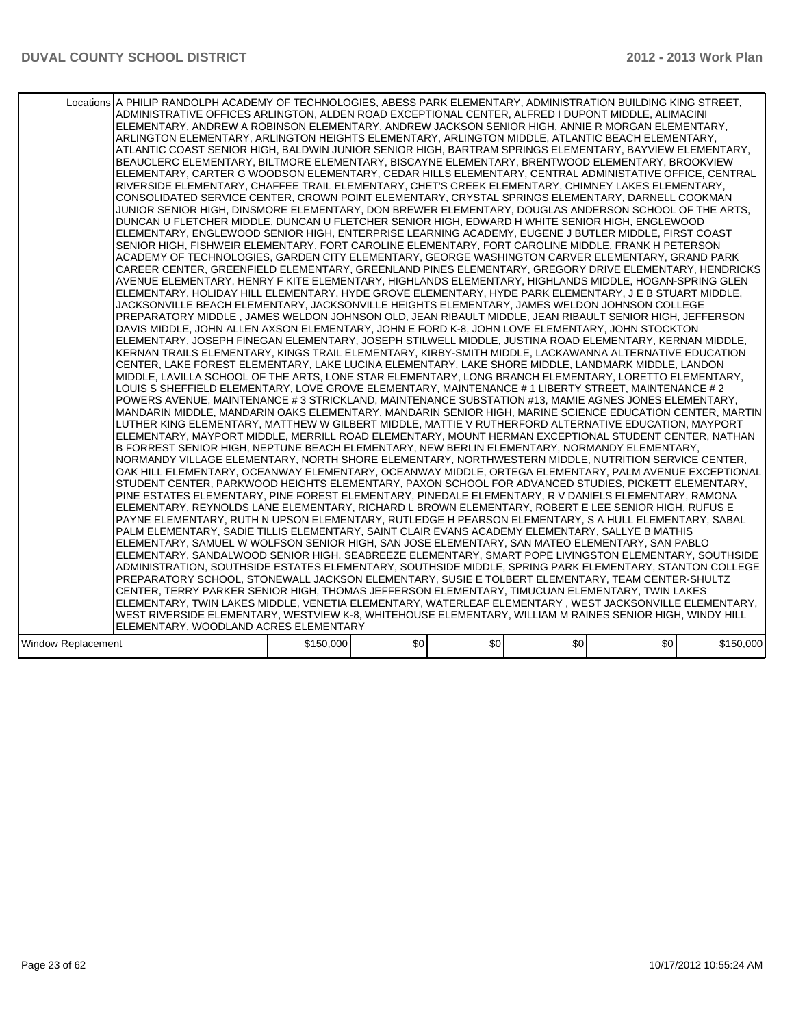|                    | Locations A PHILIP RANDOLPH ACADEMY OF TECHNOLOGIES, ABESS PARK ELEMENTARY, ADMINISTRATION BUILDING KING STREET,<br>ADMINISTRATIVE OFFICES ARLINGTON, ALDEN ROAD EXCEPTIONAL CENTER, ALFRED I DUPONT MIDDLE, ALIMACINI <br>ELEMENTARY, ANDREW A ROBINSON ELEMENTARY, ANDREW JACKSON SENIOR HIGH, ANNIE R MORGAN ELEMENTARY,<br>ARLINGTON ELEMENTARY, ARLINGTON HEIGHTS ELEMENTARY, ARLINGTON MIDDLE, ATLANTIC BEACH ELEMENTARY,<br>ATLANTIC COAST SENIOR HIGH. BALDWIN JUNIOR SENIOR HIGH. BARTRAM SPRINGS ELEMENTARY. BAYVIEW ELEMENTARY.<br>BEAUCLERC ELEMENTARY, BILTMORE ELEMENTARY, BISCAYNE ELEMENTARY, BRENTWOOD ELEMENTARY, BROOKVIEW<br>ELEMENTARY, CARTER G WOODSON ELEMENTARY, CEDAR HILLS ELEMENTARY, CENTRAL ADMINISTATIVE OFFICE, CENTRAL<br>RIVERSIDE ELEMENTARY, CHAFFEE TRAIL ELEMENTARY, CHET'S CREEK ELEMENTARY, CHIMNEY LAKES ELEMENTARY,<br>CONSOLIDATED SERVICE CENTER, CROWN POINT ELEMENTARY, CRYSTAL SPRINGS ELEMENTARY, DARNELL COOKMAN<br>JUNIOR SENIOR HIGH, DINSMORE ELEMENTARY, DON BREWER ELEMENTARY, DOUGLAS ANDERSON SCHOOL OF THE ARTS.<br>DUNCAN U FLETCHER MIDDLE, DUNCAN U FLETCHER SENIOR HIGH, EDWARD H WHITE SENIOR HIGH, ENGLEWOOD<br>ELEMENTARY, ENGLEWOOD SENIOR HIGH, ENTERPRISE LEARNING ACADEMY, EUGENE J BUTLER MIDDLE, FIRST COAST<br>SENIOR HIGH, FISHWEIR ELEMENTARY, FORT CAROLINE ELEMENTARY, FORT CAROLINE MIDDLE, FRANK H PETERSON<br>ACADEMY OF TECHNOLOGIES, GARDEN CITY ELEMENTARY, GEORGE WASHINGTON CARVER ELEMENTARY, GRAND PARK<br>CAREER CENTER, GREENFIELD ELEMENTARY, GREENLAND PINES ELEMENTARY, GREGORY DRIVE ELEMENTARY, HENDRICKS<br>AVENUE ELEMENTARY, HENRY F KITE ELEMENTARY, HIGHLANDS ELEMENTARY, HIGHLANDS MIDDLE, HOGAN-SPRING GLEN<br>ELEMENTARY, HOLIDAY HILL ELEMENTARY, HYDE GROVE ELEMENTARY, HYDE PARK ELEMENTARY, J E B STUART MIDDLE,<br>JACKSONVILLE BEACH ELEMENTARY, JACKSONVILLE HEIGHTS ELEMENTARY, JAMES WELDON JOHNSON COLLEGE<br>PREPARATORY MIDDLE , JAMES WELDON JOHNSON OLD, JEAN RIBAULT MIDDLE, JEAN RIBAULT SENIOR HIGH, JEFFERSON<br>DAVIS MIDDLE, JOHN ALLEN AXSON ELEMENTARY, JOHN E FORD K-8, JOHN LOVE ELEMENTARY, JOHN STOCKTON<br>ELEMENTARY, JOSEPH FINEGAN ELEMENTARY, JOSEPH STILWELL MIDDLE, JUSTINA ROAD ELEMENTARY, KERNAN MIDDLE,<br>KERNAN TRAILS ELEMENTARY, KINGS TRAIL ELEMENTARY, KIRBY-SMITH MIDDLE, LACKAWANNA ALTERNATIVE EDUCATION<br>CENTER, LAKE FOREST ELEMENTARY, LAKE LUCINA ELEMENTARY, LAKE SHORE MIDDLE, LANDMARK MIDDLE, LANDON <br>MIDDLE, LAVILLA SCHOOL OF THE ARTS, LONE STAR ELEMENTARY, LONG BRANCH ELEMENTARY, LORETTO ELEMENTARY,<br>LLOUIS S SHEFFIELD ELEMENTARY, LOVE GROVE ELEMENTARY, MAINTENANCE # 1 LIBERTY STREET, MAINTENANCE # 2<br>POWERS AVENUE, MAINTENANCE # 3 STRICKLAND, MAINTENANCE SUBSTATION #13, MAMIE AGNES JONES ELEMENTARY,<br>MANDARIN MIDDLE, MANDARIN OAKS ELEMENTARY, MANDARIN SENIOR HIGH, MARINE SCIENCE EDUCATION CENTER, MARTIN<br>LUTHER KING ELEMENTARY, MATTHEW W GILBERT MIDDLE, MATTIE V RUTHERFORD ALTERNATIVE EDUCATION, MAYPORT<br>ELEMENTARY, MAYPORT MIDDLE, MERRILL ROAD ELEMENTARY, MOUNT HERMAN EXCEPTIONAL STUDENT CENTER, NATHAN<br>B FORREST SENIOR HIGH, NEPTUNE BEACH ELEMENTARY, NEW BERLIN ELEMENTARY, NORMANDY ELEMENTARY,<br>NORMANDY VILLAGE ELEMENTARY, NORTH SHORE ELEMENTARY, NORTHWESTERN MIDDLE, NUTRITION SERVICE CENTER,<br>OAK HILL ELEMENTARY, OCEANWAY ELEMENTARY, OCEANWAY MIDDLE, ORTEGA ELEMENTARY, PALM AVENUE EXCEPTIONAL<br>STUDENT CENTER, PARKWOOD HEIGHTS ELEMENTARY, PAXON SCHOOL FOR ADVANCED STUDIES, PICKETT ELEMENTARY,<br>PINE ESTATES ELEMENTARY, PINE FOREST ELEMENTARY, PINEDALE ELEMENTARY, R V DANIELS ELEMENTARY, RAMONA<br>ELEMENTARY, REYNOLDS LANE ELEMENTARY, RICHARD L BROWN ELEMENTARY, ROBERT E LEE SENIOR HIGH, RUFUS E<br>PAYNE ELEMENTARY, RUTH N UPSON ELEMENTARY, RUTLEDGE H PEARSON ELEMENTARY, S A HULL ELEMENTARY, SABAL<br>PALM ELEMENTARY, SADIE TILLIS ELEMENTARY, SAINT CLAIR EVANS ACADEMY ELEMENTARY, SALLYE B MATHIS<br>ELEMENTARY, SAMUEL W WOLFSON SENIOR HIGH, SAN JOSE ELEMENTARY, SAN MATEO ELEMENTARY, SAN PABLO<br>ELEMENTARY, SANDALWOOD SENIOR HIGH, SEABREEZE ELEMENTARY, SMART POPE LIVINGSTON ELEMENTARY, SOUTHSIDE<br>ADMINISTRATION, SOUTHSIDE ESTATES ELEMENTARY, SOUTHSIDE MIDDLE, SPRING PARK ELEMENTARY, STANTON COLLEGE<br>PREPARATORY SCHOOL, STONEWALL JACKSON ELEMENTARY, SUSIE E TOLBERT ELEMENTARY, TEAM CENTER-SHULTZ<br>CENTER, TERRY PARKER SENIOR HIGH, THOMAS JEFFERSON ELEMENTARY, TIMUCUAN ELEMENTARY, TWIN LAKES |           |      |     |                  |     |           |
|--------------------|------------------------------------------------------------------------------------------------------------------------------------------------------------------------------------------------------------------------------------------------------------------------------------------------------------------------------------------------------------------------------------------------------------------------------------------------------------------------------------------------------------------------------------------------------------------------------------------------------------------------------------------------------------------------------------------------------------------------------------------------------------------------------------------------------------------------------------------------------------------------------------------------------------------------------------------------------------------------------------------------------------------------------------------------------------------------------------------------------------------------------------------------------------------------------------------------------------------------------------------------------------------------------------------------------------------------------------------------------------------------------------------------------------------------------------------------------------------------------------------------------------------------------------------------------------------------------------------------------------------------------------------------------------------------------------------------------------------------------------------------------------------------------------------------------------------------------------------------------------------------------------------------------------------------------------------------------------------------------------------------------------------------------------------------------------------------------------------------------------------------------------------------------------------------------------------------------------------------------------------------------------------------------------------------------------------------------------------------------------------------------------------------------------------------------------------------------------------------------------------------------------------------------------------------------------------------------------------------------------------------------------------------------------------------------------------------------------------------------------------------------------------------------------------------------------------------------------------------------------------------------------------------------------------------------------------------------------------------------------------------------------------------------------------------------------------------------------------------------------------------------------------------------------------------------------------------------------------------------------------------------------------------------------------------------------------------------------------------------------------------------------------------------------------------------------------------------------------------------------------------------------------------------------------------------------------------------------------------------------------------------------------------------------------------------------------------------------------------------------------------------------------------------------------------------------------------------------------------------------------------------------------------------------------------------------------------------------------------------------------------------------------------------------------------------------------------------------------------------------------------------------------------------------------------------------------------------------------------------------------------------------------------------------------------------------------------------------------------------------------------------------------------------------------------------------------------------------------------------------------------------|-----------|------|-----|------------------|-----|-----------|
|                    |                                                                                                                                                                                                                                                                                                                                                                                                                                                                                                                                                                                                                                                                                                                                                                                                                                                                                                                                                                                                                                                                                                                                                                                                                                                                                                                                                                                                                                                                                                                                                                                                                                                                                                                                                                                                                                                                                                                                                                                                                                                                                                                                                                                                                                                                                                                                                                                                                                                                                                                                                                                                                                                                                                                                                                                                                                                                                                                                                                                                                                                                                                                                                                                                                                                                                                                                                                                                                                                                                                                                                                                                                                                                                                                                                                                                                                                                                                                                                                                                                                                                                                                                                                                                                                                                                                                                                                                                                                                                                                      |           |      |     |                  |     |           |
|                    |                                                                                                                                                                                                                                                                                                                                                                                                                                                                                                                                                                                                                                                                                                                                                                                                                                                                                                                                                                                                                                                                                                                                                                                                                                                                                                                                                                                                                                                                                                                                                                                                                                                                                                                                                                                                                                                                                                                                                                                                                                                                                                                                                                                                                                                                                                                                                                                                                                                                                                                                                                                                                                                                                                                                                                                                                                                                                                                                                                                                                                                                                                                                                                                                                                                                                                                                                                                                                                                                                                                                                                                                                                                                                                                                                                                                                                                                                                                                                                                                                                                                                                                                                                                                                                                                                                                                                                                                                                                                                                      |           |      |     |                  |     |           |
|                    |                                                                                                                                                                                                                                                                                                                                                                                                                                                                                                                                                                                                                                                                                                                                                                                                                                                                                                                                                                                                                                                                                                                                                                                                                                                                                                                                                                                                                                                                                                                                                                                                                                                                                                                                                                                                                                                                                                                                                                                                                                                                                                                                                                                                                                                                                                                                                                                                                                                                                                                                                                                                                                                                                                                                                                                                                                                                                                                                                                                                                                                                                                                                                                                                                                                                                                                                                                                                                                                                                                                                                                                                                                                                                                                                                                                                                                                                                                                                                                                                                                                                                                                                                                                                                                                                                                                                                                                                                                                                                                      |           |      |     |                  |     |           |
|                    |                                                                                                                                                                                                                                                                                                                                                                                                                                                                                                                                                                                                                                                                                                                                                                                                                                                                                                                                                                                                                                                                                                                                                                                                                                                                                                                                                                                                                                                                                                                                                                                                                                                                                                                                                                                                                                                                                                                                                                                                                                                                                                                                                                                                                                                                                                                                                                                                                                                                                                                                                                                                                                                                                                                                                                                                                                                                                                                                                                                                                                                                                                                                                                                                                                                                                                                                                                                                                                                                                                                                                                                                                                                                                                                                                                                                                                                                                                                                                                                                                                                                                                                                                                                                                                                                                                                                                                                                                                                                                                      |           |      |     |                  |     |           |
|                    | ELEMENTARY, TWIN LAKES MIDDLE, VENETIA ELEMENTARY, WATERLEAF ELEMENTARY , WEST JACKSONVILLE ELEMENTARY,                                                                                                                                                                                                                                                                                                                                                                                                                                                                                                                                                                                                                                                                                                                                                                                                                                                                                                                                                                                                                                                                                                                                                                                                                                                                                                                                                                                                                                                                                                                                                                                                                                                                                                                                                                                                                                                                                                                                                                                                                                                                                                                                                                                                                                                                                                                                                                                                                                                                                                                                                                                                                                                                                                                                                                                                                                                                                                                                                                                                                                                                                                                                                                                                                                                                                                                                                                                                                                                                                                                                                                                                                                                                                                                                                                                                                                                                                                                                                                                                                                                                                                                                                                                                                                                                                                                                                                                              |           |      |     |                  |     |           |
|                    | WEST RIVERSIDE ELEMENTARY, WESTVIEW K-8, WHITEHOUSE ELEMENTARY, WILLIAM M RAINES SENIOR HIGH, WINDY HILL                                                                                                                                                                                                                                                                                                                                                                                                                                                                                                                                                                                                                                                                                                                                                                                                                                                                                                                                                                                                                                                                                                                                                                                                                                                                                                                                                                                                                                                                                                                                                                                                                                                                                                                                                                                                                                                                                                                                                                                                                                                                                                                                                                                                                                                                                                                                                                                                                                                                                                                                                                                                                                                                                                                                                                                                                                                                                                                                                                                                                                                                                                                                                                                                                                                                                                                                                                                                                                                                                                                                                                                                                                                                                                                                                                                                                                                                                                                                                                                                                                                                                                                                                                                                                                                                                                                                                                                             |           |      |     |                  |     |           |
|                    | ELEMENTARY, WOODLAND ACRES ELEMENTARY                                                                                                                                                                                                                                                                                                                                                                                                                                                                                                                                                                                                                                                                                                                                                                                                                                                                                                                                                                                                                                                                                                                                                                                                                                                                                                                                                                                                                                                                                                                                                                                                                                                                                                                                                                                                                                                                                                                                                                                                                                                                                                                                                                                                                                                                                                                                                                                                                                                                                                                                                                                                                                                                                                                                                                                                                                                                                                                                                                                                                                                                                                                                                                                                                                                                                                                                                                                                                                                                                                                                                                                                                                                                                                                                                                                                                                                                                                                                                                                                                                                                                                                                                                                                                                                                                                                                                                                                                                                                |           |      |     |                  |     |           |
| Window Replacement |                                                                                                                                                                                                                                                                                                                                                                                                                                                                                                                                                                                                                                                                                                                                                                                                                                                                                                                                                                                                                                                                                                                                                                                                                                                                                                                                                                                                                                                                                                                                                                                                                                                                                                                                                                                                                                                                                                                                                                                                                                                                                                                                                                                                                                                                                                                                                                                                                                                                                                                                                                                                                                                                                                                                                                                                                                                                                                                                                                                                                                                                                                                                                                                                                                                                                                                                                                                                                                                                                                                                                                                                                                                                                                                                                                                                                                                                                                                                                                                                                                                                                                                                                                                                                                                                                                                                                                                                                                                                                                      | \$150,000 | \$0] | \$0 | \$0 <sub>1</sub> | \$0 | \$150,000 |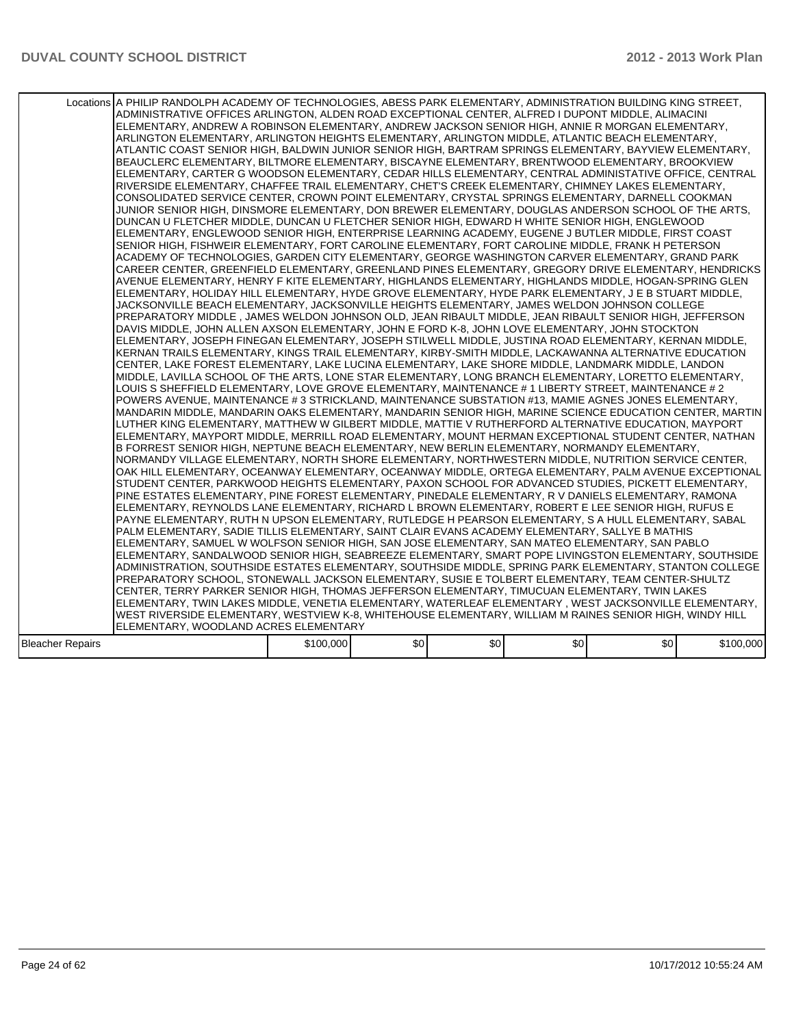|                  | Locations A PHILIP RANDOLPH ACADEMY OF TECHNOLOGIES, ABESS PARK ELEMENTARY, ADMINISTRATION BUILDING KING STREET,<br>ADMINISTRATIVE OFFICES ARLINGTON, ALDEN ROAD EXCEPTIONAL CENTER, ALFRED I DUPONT MIDDLE, ALIMACINI<br>ELEMENTARY, ANDREW A ROBINSON ELEMENTARY, ANDREW JACKSON SENIOR HIGH, ANNIE R MORGAN ELEMENTARY,<br>ARLINGTON ELEMENTARY, ARLINGTON HEIGHTS ELEMENTARY, ARLINGTON MIDDLE, ATLANTIC BEACH ELEMENTARY,<br>ATLANTIC COAST SENIOR HIGH, BALDWIN JUNIOR SENIOR HIGH, BARTRAM SPRINGS ELEMENTARY, BAYVIEW ELEMENTARY,<br>BEAUCLERC ELEMENTARY, BILTMORE ELEMENTARY, BISCAYNE ELEMENTARY, BRENTWOOD ELEMENTARY, BROOKVIEW<br>ELEMENTARY, CARTER G WOODSON ELEMENTARY, CEDAR HILLS ELEMENTARY, CENTRAL ADMINISTATIVE OFFICE, CENTRAL<br>RIVERSIDE ELEMENTARY, CHAFFEE TRAIL ELEMENTARY, CHET'S CREEK ELEMENTARY, CHIMNEY LAKES ELEMENTARY,<br>CONSOLIDATED SERVICE CENTER, CROWN POINT ELEMENTARY, CRYSTAL SPRINGS ELEMENTARY, DARNELL COOKMAN<br>JUNIOR SENIOR HIGH, DINSMORE ELEMENTARY, DON BREWER ELEMENTARY, DOUGLAS ANDERSON SCHOOL OF THE ARTS,<br>DUNCAN U FLETCHER MIDDLE, DUNCAN U FLETCHER SENIOR HIGH, EDWARD H WHITE SENIOR HIGH, ENGLEWOOD<br>ELEMENTARY, ENGLEWOOD SENIOR HIGH, ENTERPRISE LEARNING ACADEMY, EUGENE J BUTLER MIDDLE, FIRST COAST<br>SENIOR HIGH, FISHWEIR ELEMENTARY, FORT CAROLINE ELEMENTARY, FORT CAROLINE MIDDLE, FRANK H PETERSON<br>ACADEMY OF TECHNOLOGIES, GARDEN CITY ELEMENTARY, GEORGE WASHINGTON CARVER ELEMENTARY, GRAND PARK<br>CAREER CENTER, GREENFIELD ELEMENTARY, GREENLAND PINES ELEMENTARY, GREGORY DRIVE ELEMENTARY, HENDRICKS<br>AVENUE ELEMENTARY. HENRY F KITE ELEMENTARY. HIGHLANDS ELEMENTARY. HIGHLANDS MIDDLE. HOGAN-SPRING GLEN<br>ELEMENTARY, HOLIDAY HILL ELEMENTARY, HYDE GROVE ELEMENTARY, HYDE PARK ELEMENTARY, J E B STUART MIDDLE,<br>JACKSONVILLE BEACH ELEMENTARY, JACKSONVILLE HEIGHTS ELEMENTARY, JAMES WELDON JOHNSON COLLEGE<br>PREPARATORY MIDDLE, JAMES WELDON JOHNSON OLD, JEAN RIBAULT MIDDLE, JEAN RIBAULT SENIOR HIGH, JEFFERSON<br>DAVIS MIDDLE, JOHN ALLEN AXSON ELEMENTARY, JOHN E FORD K-8, JOHN LOVE ELEMENTARY, JOHN STOCKTON<br>ELEMENTARY, JOSEPH FINEGAN ELEMENTARY, JOSEPH STILWELL MIDDLE, JUSTINA ROAD ELEMENTARY, KERNAN MIDDLE,<br>KERNAN TRAILS ELEMENTARY, KINGS TRAIL ELEMENTARY, KIRBY-SMITH MIDDLE, LACKAWANNA ALTERNATIVE EDUCATION<br>CENTER, LAKE FOREST ELEMENTARY, LAKE LUCINA ELEMENTARY, LAKE SHORE MIDDLE, LANDMARK MIDDLE, LANDON <br>MIDDLE, LAVILLA SCHOOL OF THE ARTS, LONE STAR ELEMENTARY, LONG BRANCH ELEMENTARY, LORETTO ELEMENTARY,<br>LOUIS S SHEFFIELD ELEMENTARY, LOVE GROVE ELEMENTARY, MAINTENANCE # 1 LIBERTY STREET, MAINTENANCE # 2<br>POWERS AVENUE, MAINTENANCE # 3 STRICKLAND, MAINTENANCE SUBSTATION #13, MAMIE AGNES JONES ELEMENTARY,<br>MANDARIN MIDDLE. MANDARIN OAKS ELEMENTARY. MANDARIN SENIOR HIGH. MARINE SCIENCE EDUCATION CENTER. MARTIN I<br>LUTHER KING ELEMENTARY, MATTHEW W GILBERT MIDDLE, MATTIE V RUTHERFORD ALTERNATIVE EDUCATION, MAYPORT<br>ELEMENTARY, MAYPORT MIDDLE, MERRILL ROAD ELEMENTARY, MOUNT HERMAN EXCEPTIONAL STUDENT CENTER, NATHAN<br>B FORREST SENIOR HIGH, NEPTUNE BEACH ELEMENTARY, NEW BERLIN ELEMENTARY, NORMANDY ELEMENTARY,<br>NORMANDY VILLAGE ELEMENTARY, NORTH SHORE ELEMENTARY, NORTHWESTERN MIDDLE, NUTRITION SERVICE CENTER,<br>OAK HILL ELEMENTARY, OCEANWAY ELEMENTARY, OCEANWAY MIDDLE, ORTEGA ELEMENTARY, PALM AVENUE EXCEPTIONAL<br>STUDENT CENTER, PARKWOOD HEIGHTS ELEMENTARY, PAXON SCHOOL FOR ADVANCED STUDIES, PICKETT ELEMENTARY,<br>PINE ESTATES ELEMENTARY, PINE FOREST ELEMENTARY, PINEDALE ELEMENTARY, R V DANIELS ELEMENTARY, RAMONA<br>ELEMENTARY, REYNOLDS LANE ELEMENTARY, RICHARD L BROWN ELEMENTARY, ROBERT E LEE SENIOR HIGH, RUFUS E<br>PAYNE ELEMENTARY, RUTH N UPSON ELEMENTARY, RUTLEDGE H PEARSON ELEMENTARY, S A HULL ELEMENTARY, SABAL<br>PALM ELEMENTARY, SADIE TILLIS ELEMENTARY, SAINT CLAIR EVANS ACADEMY ELEMENTARY, SALLYE B MATHIS<br>IELEMENTARY. SAMUEL W WOLFSON SENIOR HIGH. SAN JOSE ELEMENTARY. SAN MATEO ELEMENTARY. SAN PABLO<br>ELEMENTARY, SANDALWOOD SENIOR HIGH, SEABREEZE ELEMENTARY, SMART POPE LIVINGSTON ELEMENTARY, SOUTHSIDE<br>ADMINISTRATION, SOUTHSIDE ESTATES ELEMENTARY, SOUTHSIDE MIDDLE, SPRING PARK ELEMENTARY, STANTON COLLEGE<br>PREPARATORY SCHOOL, STONEWALL JACKSON ELEMENTARY, SUSIE E TOLBERT ELEMENTARY, TEAM CENTER-SHULTZ<br>CENTER, TERRY PARKER SENIOR HIGH, THOMAS JEFFERSON ELEMENTARY, TIMUCUAN ELEMENTARY, TWIN LAKES<br> ELEMENTARY, TWIN LAKES MIDDLE, VENETIA ELEMENTARY, WATERLEAF ELEMENTARY , WEST JACKSONVILLE ELEMENTARY,<br>WEST RIVERSIDE ELEMENTARY, WESTVIEW K-8, WHITEHOUSE ELEMENTARY, WILLIAM M RAINES SENIOR HIGH, WINDY HILL |           |      |     |     |     |           |
|------------------|------------------------------------------------------------------------------------------------------------------------------------------------------------------------------------------------------------------------------------------------------------------------------------------------------------------------------------------------------------------------------------------------------------------------------------------------------------------------------------------------------------------------------------------------------------------------------------------------------------------------------------------------------------------------------------------------------------------------------------------------------------------------------------------------------------------------------------------------------------------------------------------------------------------------------------------------------------------------------------------------------------------------------------------------------------------------------------------------------------------------------------------------------------------------------------------------------------------------------------------------------------------------------------------------------------------------------------------------------------------------------------------------------------------------------------------------------------------------------------------------------------------------------------------------------------------------------------------------------------------------------------------------------------------------------------------------------------------------------------------------------------------------------------------------------------------------------------------------------------------------------------------------------------------------------------------------------------------------------------------------------------------------------------------------------------------------------------------------------------------------------------------------------------------------------------------------------------------------------------------------------------------------------------------------------------------------------------------------------------------------------------------------------------------------------------------------------------------------------------------------------------------------------------------------------------------------------------------------------------------------------------------------------------------------------------------------------------------------------------------------------------------------------------------------------------------------------------------------------------------------------------------------------------------------------------------------------------------------------------------------------------------------------------------------------------------------------------------------------------------------------------------------------------------------------------------------------------------------------------------------------------------------------------------------------------------------------------------------------------------------------------------------------------------------------------------------------------------------------------------------------------------------------------------------------------------------------------------------------------------------------------------------------------------------------------------------------------------------------------------------------------------------------------------------------------------------------------------------------------------------------------------------------------------------------------------------------------------------------------------------------------------------------------------------------------------------------------------------------------------------------------------------------------------------------------------------------------------------------------------------------------------------------------------------------------------------------------------------------------------------------------------------------------------------------------------------------------------------------------------------------------------------------------------------------------------------------------------------------------------------------------------------------------------------------------------------------------------------------|-----------|------|-----|-----|-----|-----------|
|                  | ELEMENTARY, WOODLAND ACRES ELEMENTARY                                                                                                                                                                                                                                                                                                                                                                                                                                                                                                                                                                                                                                                                                                                                                                                                                                                                                                                                                                                                                                                                                                                                                                                                                                                                                                                                                                                                                                                                                                                                                                                                                                                                                                                                                                                                                                                                                                                                                                                                                                                                                                                                                                                                                                                                                                                                                                                                                                                                                                                                                                                                                                                                                                                                                                                                                                                                                                                                                                                                                                                                                                                                                                                                                                                                                                                                                                                                                                                                                                                                                                                                                                                                                                                                                                                                                                                                                                                                                                                                                                                                                                                                                                                                                                                                                                                                                                                                                                                                                                                                                                                                                                                                                        |           |      |     |     |     |           |
| Bleacher Repairs |                                                                                                                                                                                                                                                                                                                                                                                                                                                                                                                                                                                                                                                                                                                                                                                                                                                                                                                                                                                                                                                                                                                                                                                                                                                                                                                                                                                                                                                                                                                                                                                                                                                                                                                                                                                                                                                                                                                                                                                                                                                                                                                                                                                                                                                                                                                                                                                                                                                                                                                                                                                                                                                                                                                                                                                                                                                                                                                                                                                                                                                                                                                                                                                                                                                                                                                                                                                                                                                                                                                                                                                                                                                                                                                                                                                                                                                                                                                                                                                                                                                                                                                                                                                                                                                                                                                                                                                                                                                                                                                                                                                                                                                                                                                              | \$100,000 | \$0] | \$0 | \$0 | \$0 | \$100,000 |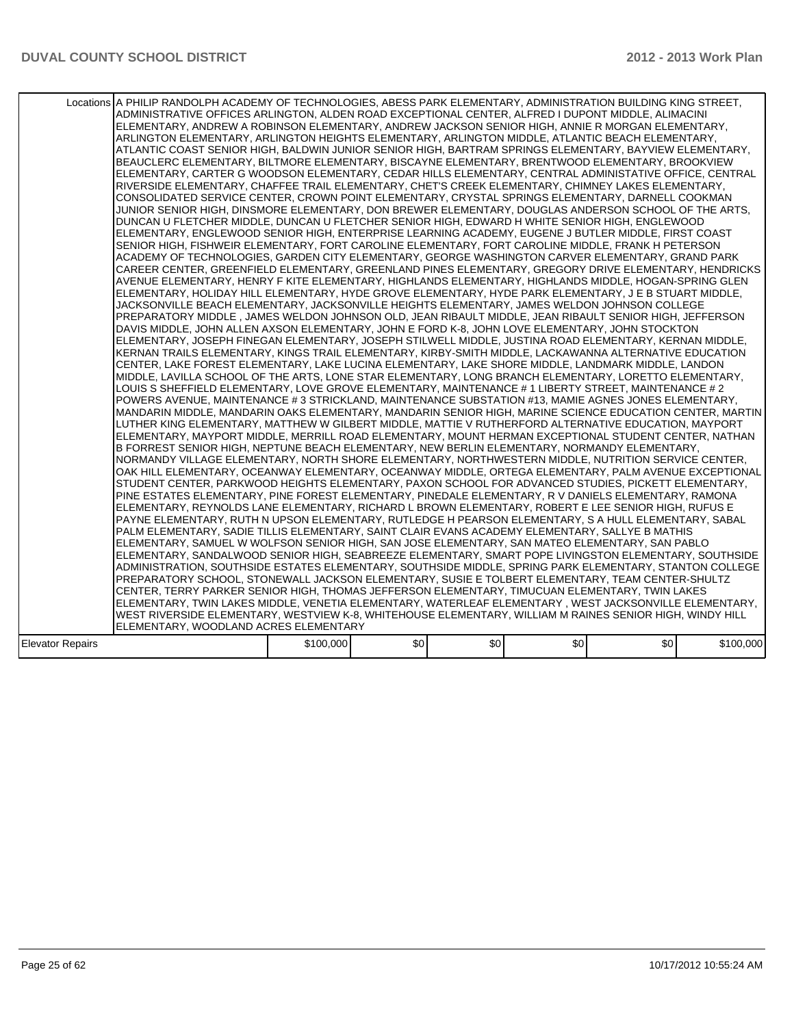|                  | Locations A PHILIP RANDOLPH ACADEMY OF TECHNOLOGIES, ABESS PARK ELEMENTARY, ADMINISTRATION BUILDING KING STREET,<br>ADMINISTRATIVE OFFICES ARLINGTON, ALDEN ROAD EXCEPTIONAL CENTER, ALFRED I DUPONT MIDDLE, ALIMACINI<br>ELEMENTARY, ANDREW A ROBINSON ELEMENTARY, ANDREW JACKSON SENIOR HIGH, ANNIE R MORGAN ELEMENTARY,<br>ARLINGTON ELEMENTARY, ARLINGTON HEIGHTS ELEMENTARY, ARLINGTON MIDDLE, ATLANTIC BEACH ELEMENTARY,<br>ATLANTIC COAST SENIOR HIGH, BALDWIN JUNIOR SENIOR HIGH, BARTRAM SPRINGS ELEMENTARY, BAYVIEW ELEMENTARY,<br>BEAUCLERC ELEMENTARY, BILTMORE ELEMENTARY, BISCAYNE ELEMENTARY, BRENTWOOD ELEMENTARY, BROOKVIEW<br>ELEMENTARY, CARTER G WOODSON ELEMENTARY, CEDAR HILLS ELEMENTARY, CENTRAL ADMINISTATIVE OFFICE, CENTRAL<br>RIVERSIDE ELEMENTARY, CHAFFEE TRAIL ELEMENTARY, CHET'S CREEK ELEMENTARY, CHIMNEY LAKES ELEMENTARY,<br>CONSOLIDATED SERVICE CENTER, CROWN POINT ELEMENTARY, CRYSTAL SPRINGS ELEMENTARY, DARNELL COOKMAN<br>JUNIOR SENIOR HIGH, DINSMORE ELEMENTARY, DON BREWER ELEMENTARY, DOUGLAS ANDERSON SCHOOL OF THE ARTS,<br>DUNCAN U FLETCHER MIDDLE, DUNCAN U FLETCHER SENIOR HIGH, EDWARD H WHITE SENIOR HIGH, ENGLEWOOD<br>ELEMENTARY, ENGLEWOOD SENIOR HIGH, ENTERPRISE LEARNING ACADEMY, EUGENE J BUTLER MIDDLE, FIRST COAST<br>SENIOR HIGH, FISHWEIR ELEMENTARY, FORT CAROLINE ELEMENTARY, FORT CAROLINE MIDDLE, FRANK H PETERSON<br>ACADEMY OF TECHNOLOGIES. GARDEN CITY ELEMENTARY. GEORGE WASHINGTON CARVER ELEMENTARY. GRAND PARK<br>CAREER CENTER, GREENFIELD ELEMENTARY, GREENLAND PINES ELEMENTARY, GREGORY DRIVE ELEMENTARY, HENDRICKS<br>AVENUE ELEMENTARY. HENRY F KITE ELEMENTARY. HIGHLANDS ELEMENTARY. HIGHLANDS MIDDLE. HOGAN-SPRING GLEN<br>ELEMENTARY, HOLIDAY HILL ELEMENTARY, HYDE GROVE ELEMENTARY, HYDE PARK ELEMENTARY, J E B STUART MIDDLE,<br>JACKSONVILLE BEACH ELEMENTARY, JACKSONVILLE HEIGHTS ELEMENTARY, JAMES WELDON JOHNSON COLLEGE<br>PREPARATORY MIDDLE , JAMES WELDON JOHNSON OLD, JEAN RIBAULT MIDDLE, JEAN RIBAULT SENIOR HIGH, JEFFERSON<br>DAVIS MIDDLE, JOHN ALLEN AXSON ELEMENTARY, JOHN E FORD K-8, JOHN LOVE ELEMENTARY, JOHN STOCKTON<br>ELEMENTARY, JOSEPH FINEGAN ELEMENTARY, JOSEPH STILWELL MIDDLE, JUSTINA ROAD ELEMENTARY, KERNAN MIDDLE,<br>KERNAN TRAILS ELEMENTARY, KINGS TRAIL ELEMENTARY, KIRBY-SMITH MIDDLE, LACKAWANNA ALTERNATIVE EDUCATION<br>CENTER, LAKE FOREST ELEMENTARY, LAKE LUCINA ELEMENTARY, LAKE SHORE MIDDLE, LANDMARK MIDDLE, LANDON <br>MIDDLE, LAVILLA SCHOOL OF THE ARTS, LONE STAR ELEMENTARY, LONG BRANCH ELEMENTARY, LORETTO ELEMENTARY,<br>LLOUIS S SHEFFIELD ELEMENTARY, LOVE GROVE ELEMENTARY, MAINTENANCE # 1 LIBERTY STREET, MAINTENANCE # 2<br>POWERS AVENUE, MAINTENANCE # 3 STRICKLAND, MAINTENANCE SUBSTATION #13, MAMIE AGNES JONES ELEMENTARY,<br>MANDARIN MIDDLE. MANDARIN OAKS ELEMENTARY. MANDARIN SENIOR HIGH. MARINE SCIENCE EDUCATION CENTER. MARTIN<br>LUTHER KING ELEMENTARY, MATTHEW W GILBERT MIDDLE, MATTIE V RUTHERFORD ALTERNATIVE EDUCATION, MAYPORT<br>ELEMENTARY, MAYPORT MIDDLE, MERRILL ROAD ELEMENTARY, MOUNT HERMAN EXCEPTIONAL STUDENT CENTER, NATHAN<br>B FORREST SENIOR HIGH, NEPTUNE BEACH ELEMENTARY, NEW BERLIN ELEMENTARY, NORMANDY ELEMENTARY,<br>NORMANDY VILLAGE ELEMENTARY, NORTH SHORE ELEMENTARY, NORTHWESTERN MIDDLE, NUTRITION SERVICE CENTER,<br>OAK HILL ELEMENTARY, OCEANWAY ELEMENTARY, OCEANWAY MIDDLE, ORTEGA ELEMENTARY, PALM AVENUE EXCEPTIONAL<br>STUDENT CENTER, PARKWOOD HEIGHTS ELEMENTARY, PAXON SCHOOL FOR ADVANCED STUDIES, PICKETT ELEMENTARY,<br>PINE ESTATES ELEMENTARY, PINE FOREST ELEMENTARY, PINEDALE ELEMENTARY, R V DANIELS ELEMENTARY, RAMONA<br>ELEMENTARY, REYNOLDS LANE ELEMENTARY, RICHARD L BROWN ELEMENTARY, ROBERT E LEE SENIOR HIGH, RUFUS E<br>PAYNE ELEMENTARY, RUTH N UPSON ELEMENTARY, RUTLEDGE H PEARSON ELEMENTARY, S A HULL ELEMENTARY, SABAL<br>PALM ELEMENTARY, SADIE TILLIS ELEMENTARY, SAINT CLAIR EVANS ACADEMY ELEMENTARY, SALLYE B MATHIS<br>IELEMENTARY. SAMUEL W WOLFSON SENIOR HIGH. SAN JOSE ELEMENTARY. SAN MATEO ELEMENTARY. SAN PABLO<br>ELEMENTARY, SANDALWOOD SENIOR HIGH, SEABREEZE ELEMENTARY, SMART POPE LIVINGSTON ELEMENTARY, SOUTHSIDE<br>ADMINISTRATION, SOUTHSIDE ESTATES ELEMENTARY, SOUTHSIDE MIDDLE, SPRING PARK ELEMENTARY, STANTON COLLEGE<br>PREPARATORY SCHOOL, STONEWALL JACKSON ELEMENTARY, SUSIE E TOLBERT ELEMENTARY, TEAM CENTER-SHULTZ<br>CENTER, TERRY PARKER SENIOR HIGH, THOMAS JEFFERSON ELEMENTARY, TIMUCUAN ELEMENTARY, TWIN LAKES<br> ELEMENTARY, TWIN LAKES MIDDLE, VENETIA ELEMENTARY, WATERLEAF ELEMENTARY , WEST JACKSONVILLE ELEMENTARY,<br>WEST RIVERSIDE ELEMENTARY, WESTVIEW K-8, WHITEHOUSE ELEMENTARY, WILLIAM M RAINES SENIOR HIGH, WINDY HILL |           |      |     |                  |                  |           |
|------------------|------------------------------------------------------------------------------------------------------------------------------------------------------------------------------------------------------------------------------------------------------------------------------------------------------------------------------------------------------------------------------------------------------------------------------------------------------------------------------------------------------------------------------------------------------------------------------------------------------------------------------------------------------------------------------------------------------------------------------------------------------------------------------------------------------------------------------------------------------------------------------------------------------------------------------------------------------------------------------------------------------------------------------------------------------------------------------------------------------------------------------------------------------------------------------------------------------------------------------------------------------------------------------------------------------------------------------------------------------------------------------------------------------------------------------------------------------------------------------------------------------------------------------------------------------------------------------------------------------------------------------------------------------------------------------------------------------------------------------------------------------------------------------------------------------------------------------------------------------------------------------------------------------------------------------------------------------------------------------------------------------------------------------------------------------------------------------------------------------------------------------------------------------------------------------------------------------------------------------------------------------------------------------------------------------------------------------------------------------------------------------------------------------------------------------------------------------------------------------------------------------------------------------------------------------------------------------------------------------------------------------------------------------------------------------------------------------------------------------------------------------------------------------------------------------------------------------------------------------------------------------------------------------------------------------------------------------------------------------------------------------------------------------------------------------------------------------------------------------------------------------------------------------------------------------------------------------------------------------------------------------------------------------------------------------------------------------------------------------------------------------------------------------------------------------------------------------------------------------------------------------------------------------------------------------------------------------------------------------------------------------------------------------------------------------------------------------------------------------------------------------------------------------------------------------------------------------------------------------------------------------------------------------------------------------------------------------------------------------------------------------------------------------------------------------------------------------------------------------------------------------------------------------------------------------------------------------------------------------------------------------------------------------------------------------------------------------------------------------------------------------------------------------------------------------------------------------------------------------------------------------------------------------------------------------------------------------------------------------------------------------------------------------------------------------------------------------------------------------|-----------|------|-----|------------------|------------------|-----------|
|                  |                                                                                                                                                                                                                                                                                                                                                                                                                                                                                                                                                                                                                                                                                                                                                                                                                                                                                                                                                                                                                                                                                                                                                                                                                                                                                                                                                                                                                                                                                                                                                                                                                                                                                                                                                                                                                                                                                                                                                                                                                                                                                                                                                                                                                                                                                                                                                                                                                                                                                                                                                                                                                                                                                                                                                                                                                                                                                                                                                                                                                                                                                                                                                                                                                                                                                                                                                                                                                                                                                                                                                                                                                                                                                                                                                                                                                                                                                                                                                                                                                                                                                                                                                                                                                                                                                                                                                                                                                                                                                                                                                                                                                                                                                                                              |           |      |     |                  |                  |           |
|                  | ELEMENTARY, WOODLAND ACRES ELEMENTARY                                                                                                                                                                                                                                                                                                                                                                                                                                                                                                                                                                                                                                                                                                                                                                                                                                                                                                                                                                                                                                                                                                                                                                                                                                                                                                                                                                                                                                                                                                                                                                                                                                                                                                                                                                                                                                                                                                                                                                                                                                                                                                                                                                                                                                                                                                                                                                                                                                                                                                                                                                                                                                                                                                                                                                                                                                                                                                                                                                                                                                                                                                                                                                                                                                                                                                                                                                                                                                                                                                                                                                                                                                                                                                                                                                                                                                                                                                                                                                                                                                                                                                                                                                                                                                                                                                                                                                                                                                                                                                                                                                                                                                                                                        |           |      |     |                  |                  |           |
|                  |                                                                                                                                                                                                                                                                                                                                                                                                                                                                                                                                                                                                                                                                                                                                                                                                                                                                                                                                                                                                                                                                                                                                                                                                                                                                                                                                                                                                                                                                                                                                                                                                                                                                                                                                                                                                                                                                                                                                                                                                                                                                                                                                                                                                                                                                                                                                                                                                                                                                                                                                                                                                                                                                                                                                                                                                                                                                                                                                                                                                                                                                                                                                                                                                                                                                                                                                                                                                                                                                                                                                                                                                                                                                                                                                                                                                                                                                                                                                                                                                                                                                                                                                                                                                                                                                                                                                                                                                                                                                                                                                                                                                                                                                                                                              |           |      |     |                  |                  |           |
| Elevator Repairs |                                                                                                                                                                                                                                                                                                                                                                                                                                                                                                                                                                                                                                                                                                                                                                                                                                                                                                                                                                                                                                                                                                                                                                                                                                                                                                                                                                                                                                                                                                                                                                                                                                                                                                                                                                                                                                                                                                                                                                                                                                                                                                                                                                                                                                                                                                                                                                                                                                                                                                                                                                                                                                                                                                                                                                                                                                                                                                                                                                                                                                                                                                                                                                                                                                                                                                                                                                                                                                                                                                                                                                                                                                                                                                                                                                                                                                                                                                                                                                                                                                                                                                                                                                                                                                                                                                                                                                                                                                                                                                                                                                                                                                                                                                                              | \$100,000 | \$0] | \$0 | \$0 <sub>1</sub> | \$0 <sub>1</sub> | \$100,000 |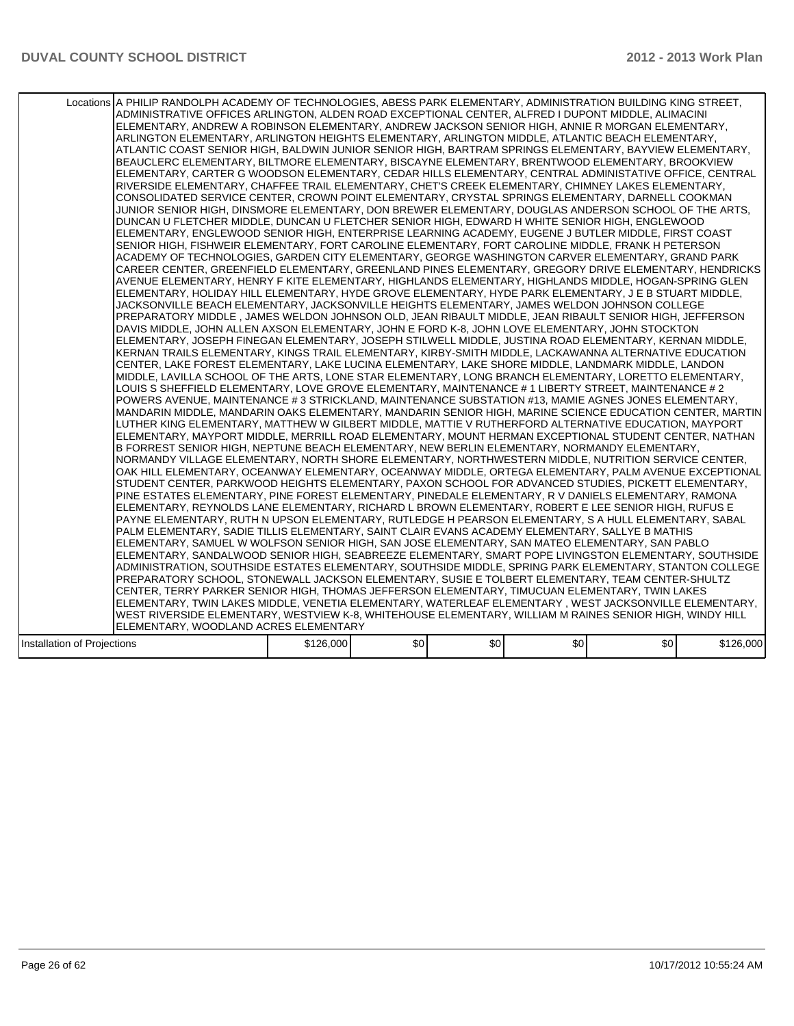|                             | Locations A PHILIP RANDOLPH ACADEMY OF TECHNOLOGIES, ABESS PARK ELEMENTARY, ADMINISTRATION BUILDING KING STREET,<br>ADMINISTRATIVE OFFICES ARLINGTON, ALDEN ROAD EXCEPTIONAL CENTER, ALFRED I DUPONT MIDDLE, ALIMACINI<br>ELEMENTARY, ANDREW A ROBINSON ELEMENTARY, ANDREW JACKSON SENIOR HIGH, ANNIE R MORGAN ELEMENTARY,<br>ARLINGTON ELEMENTARY, ARLINGTON HEIGHTS ELEMENTARY, ARLINGTON MIDDLE, ATLANTIC BEACH ELEMENTARY,<br>ATLANTIC COAST SENIOR HIGH, BALDWIN JUNIOR SENIOR HIGH, BARTRAM SPRINGS ELEMENTARY, BAYVIEW ELEMENTARY,<br>BEAUCLERC ELEMENTARY, BILTMORE ELEMENTARY, BISCAYNE ELEMENTARY, BRENTWOOD ELEMENTARY, BROOKVIEW<br>ELEMENTARY, CARTER G WOODSON ELEMENTARY, CEDAR HILLS ELEMENTARY, CENTRAL ADMINISTATIVE OFFICE, CENTRAL<br>RIVERSIDE ELEMENTARY, CHAFFEE TRAIL ELEMENTARY, CHET'S CREEK ELEMENTARY, CHIMNEY LAKES ELEMENTARY,<br>CONSOLIDATED SERVICE CENTER, CROWN POINT ELEMENTARY, CRYSTAL SPRINGS ELEMENTARY, DARNELL COOKMAN<br>JUNIOR SENIOR HIGH, DINSMORE ELEMENTARY, DON BREWER ELEMENTARY, DOUGLAS ANDERSON SCHOOL OF THE ARTS,<br>DUNCAN U FLETCHER MIDDLE, DUNCAN U FLETCHER SENIOR HIGH, EDWARD H WHITE SENIOR HIGH, ENGLEWOOD<br>ELEMENTARY, ENGLEWOOD SENIOR HIGH, ENTERPRISE LEARNING ACADEMY, EUGENE J BUTLER MIDDLE, FIRST COAST<br>SENIOR HIGH, FISHWEIR ELEMENTARY, FORT CAROLINE ELEMENTARY, FORT CAROLINE MIDDLE, FRANK H PETERSON<br>ACADEMY OF TECHNOLOGIES, GARDEN CITY ELEMENTARY, GEORGE WASHINGTON CARVER ELEMENTARY, GRAND PARK<br>CAREER CENTER, GREENFIELD ELEMENTARY, GREENLAND PINES ELEMENTARY, GREGORY DRIVE ELEMENTARY, HENDRICKS<br>AVENUE ELEMENTARY. HENRY F KITE ELEMENTARY. HIGHLANDS ELEMENTARY. HIGHLANDS MIDDLE. HOGAN-SPRING GLEN<br>ELEMENTARY, HOLIDAY HILL ELEMENTARY, HYDE GROVE ELEMENTARY, HYDE PARK ELEMENTARY, J E B STUART MIDDLE,<br>JACKSONVILLE BEACH ELEMENTARY, JACKSONVILLE HEIGHTS ELEMENTARY, JAMES WELDON JOHNSON COLLEGE<br>PREPARATORY MIDDLE, JAMES WELDON JOHNSON OLD, JEAN RIBAULT MIDDLE, JEAN RIBAULT SENIOR HIGH, JEFFERSON<br>DAVIS MIDDLE, JOHN ALLEN AXSON ELEMENTARY, JOHN E FORD K-8, JOHN LOVE ELEMENTARY, JOHN STOCKTON<br>ELEMENTARY, JOSEPH FINEGAN ELEMENTARY, JOSEPH STILWELL MIDDLE, JUSTINA ROAD ELEMENTARY, KERNAN MIDDLE,<br>KERNAN TRAILS ELEMENTARY, KINGS TRAIL ELEMENTARY, KIRBY-SMITH MIDDLE, LACKAWANNA ALTERNATIVE EDUCATION<br>CENTER, LAKE FOREST ELEMENTARY, LAKE LUCINA ELEMENTARY, LAKE SHORE MIDDLE, LANDMARK MIDDLE, LANDON <br>MIDDLE, LAVILLA SCHOOL OF THE ARTS, LONE STAR ELEMENTARY, LONG BRANCH ELEMENTARY, LORETTO ELEMENTARY,<br>LOUIS S SHEFFIELD ELEMENTARY, LOVE GROVE ELEMENTARY, MAINTENANCE # 1 LIBERTY STREET, MAINTENANCE # 2<br>POWERS AVENUE, MAINTENANCE # 3 STRICKLAND, MAINTENANCE SUBSTATION #13, MAMIE AGNES JONES ELEMENTARY,<br>MANDARIN MIDDLE. MANDARIN OAKS ELEMENTARY. MANDARIN SENIOR HIGH. MARINE SCIENCE EDUCATION CENTER. MARTIN I<br>LUTHER KING ELEMENTARY, MATTHEW W GILBERT MIDDLE, MATTIE V RUTHERFORD ALTERNATIVE EDUCATION, MAYPORT<br>ELEMENTARY, MAYPORT MIDDLE, MERRILL ROAD ELEMENTARY, MOUNT HERMAN EXCEPTIONAL STUDENT CENTER, NATHAN<br>B FORREST SENIOR HIGH, NEPTUNE BEACH ELEMENTARY, NEW BERLIN ELEMENTARY, NORMANDY ELEMENTARY,<br>NORMANDY VILLAGE ELEMENTARY, NORTH SHORE ELEMENTARY, NORTHWESTERN MIDDLE, NUTRITION SERVICE CENTER,<br>OAK HILL ELEMENTARY, OCEANWAY ELEMENTARY, OCEANWAY MIDDLE, ORTEGA ELEMENTARY, PALM AVENUE EXCEPTIONAL<br>STUDENT CENTER, PARKWOOD HEIGHTS ELEMENTARY, PAXON SCHOOL FOR ADVANCED STUDIES, PICKETT ELEMENTARY,<br>PINE ESTATES ELEMENTARY, PINE FOREST ELEMENTARY, PINEDALE ELEMENTARY, R V DANIELS ELEMENTARY, RAMONA<br>ELEMENTARY, REYNOLDS LANE ELEMENTARY, RICHARD L BROWN ELEMENTARY, ROBERT E LEE SENIOR HIGH, RUFUS E<br>PAYNE ELEMENTARY, RUTH N UPSON ELEMENTARY, RUTLEDGE H PEARSON ELEMENTARY, S A HULL ELEMENTARY, SABAL<br>PALM ELEMENTARY, SADIE TILLIS ELEMENTARY, SAINT CLAIR EVANS ACADEMY ELEMENTARY, SALLYE B MATHIS<br>IELEMENTARY. SAMUEL W WOLFSON SENIOR HIGH. SAN JOSE ELEMENTARY. SAN MATEO ELEMENTARY. SAN PABLO<br>ELEMENTARY, SANDALWOOD SENIOR HIGH, SEABREEZE ELEMENTARY, SMART POPE LIVINGSTON ELEMENTARY, SOUTHSIDE<br>ADMINISTRATION, SOUTHSIDE ESTATES ELEMENTARY, SOUTHSIDE MIDDLE, SPRING PARK ELEMENTARY, STANTON COLLEGE<br>PREPARATORY SCHOOL, STONEWALL JACKSON ELEMENTARY, SUSIE E TOLBERT ELEMENTARY, TEAM CENTER-SHULTZ<br>CENTER, TERRY PARKER SENIOR HIGH, THOMAS JEFFERSON ELEMENTARY, TIMUCUAN ELEMENTARY, TWIN LAKES<br> ELEMENTARY, TWIN LAKES MIDDLE, VENETIA ELEMENTARY, WATERLEAF ELEMENTARY , WEST JACKSONVILLE ELEMENTARY,<br>WEST RIVERSIDE ELEMENTARY, WESTVIEW K-8, WHITEHOUSE ELEMENTARY, WILLIAM M RAINES SENIOR HIGH, WINDY HILL <br>ELEMENTARY, WOODLAND ACRES ELEMENTARY |           |      |     |     |     |           |
|-----------------------------|------------------------------------------------------------------------------------------------------------------------------------------------------------------------------------------------------------------------------------------------------------------------------------------------------------------------------------------------------------------------------------------------------------------------------------------------------------------------------------------------------------------------------------------------------------------------------------------------------------------------------------------------------------------------------------------------------------------------------------------------------------------------------------------------------------------------------------------------------------------------------------------------------------------------------------------------------------------------------------------------------------------------------------------------------------------------------------------------------------------------------------------------------------------------------------------------------------------------------------------------------------------------------------------------------------------------------------------------------------------------------------------------------------------------------------------------------------------------------------------------------------------------------------------------------------------------------------------------------------------------------------------------------------------------------------------------------------------------------------------------------------------------------------------------------------------------------------------------------------------------------------------------------------------------------------------------------------------------------------------------------------------------------------------------------------------------------------------------------------------------------------------------------------------------------------------------------------------------------------------------------------------------------------------------------------------------------------------------------------------------------------------------------------------------------------------------------------------------------------------------------------------------------------------------------------------------------------------------------------------------------------------------------------------------------------------------------------------------------------------------------------------------------------------------------------------------------------------------------------------------------------------------------------------------------------------------------------------------------------------------------------------------------------------------------------------------------------------------------------------------------------------------------------------------------------------------------------------------------------------------------------------------------------------------------------------------------------------------------------------------------------------------------------------------------------------------------------------------------------------------------------------------------------------------------------------------------------------------------------------------------------------------------------------------------------------------------------------------------------------------------------------------------------------------------------------------------------------------------------------------------------------------------------------------------------------------------------------------------------------------------------------------------------------------------------------------------------------------------------------------------------------------------------------------------------------------------------------------------------------------------------------------------------------------------------------------------------------------------------------------------------------------------------------------------------------------------------------------------------------------------------------------------------------------------------------------------------------------------------------------------------------------------------------------------------------------------------------------------------------------------------------------|-----------|------|-----|-----|-----|-----------|
|                             |                                                                                                                                                                                                                                                                                                                                                                                                                                                                                                                                                                                                                                                                                                                                                                                                                                                                                                                                                                                                                                                                                                                                                                                                                                                                                                                                                                                                                                                                                                                                                                                                                                                                                                                                                                                                                                                                                                                                                                                                                                                                                                                                                                                                                                                                                                                                                                                                                                                                                                                                                                                                                                                                                                                                                                                                                                                                                                                                                                                                                                                                                                                                                                                                                                                                                                                                                                                                                                                                                                                                                                                                                                                                                                                                                                                                                                                                                                                                                                                                                                                                                                                                                                                                                                                                                                                                                                                                                                                                                                                                                                                                                                                                                                                                                                        |           | \$0] | \$0 | \$0 | \$0 |           |
| Installation of Projections |                                                                                                                                                                                                                                                                                                                                                                                                                                                                                                                                                                                                                                                                                                                                                                                                                                                                                                                                                                                                                                                                                                                                                                                                                                                                                                                                                                                                                                                                                                                                                                                                                                                                                                                                                                                                                                                                                                                                                                                                                                                                                                                                                                                                                                                                                                                                                                                                                                                                                                                                                                                                                                                                                                                                                                                                                                                                                                                                                                                                                                                                                                                                                                                                                                                                                                                                                                                                                                                                                                                                                                                                                                                                                                                                                                                                                                                                                                                                                                                                                                                                                                                                                                                                                                                                                                                                                                                                                                                                                                                                                                                                                                                                                                                                                                        | \$126,000 |      |     |     |     | \$126,000 |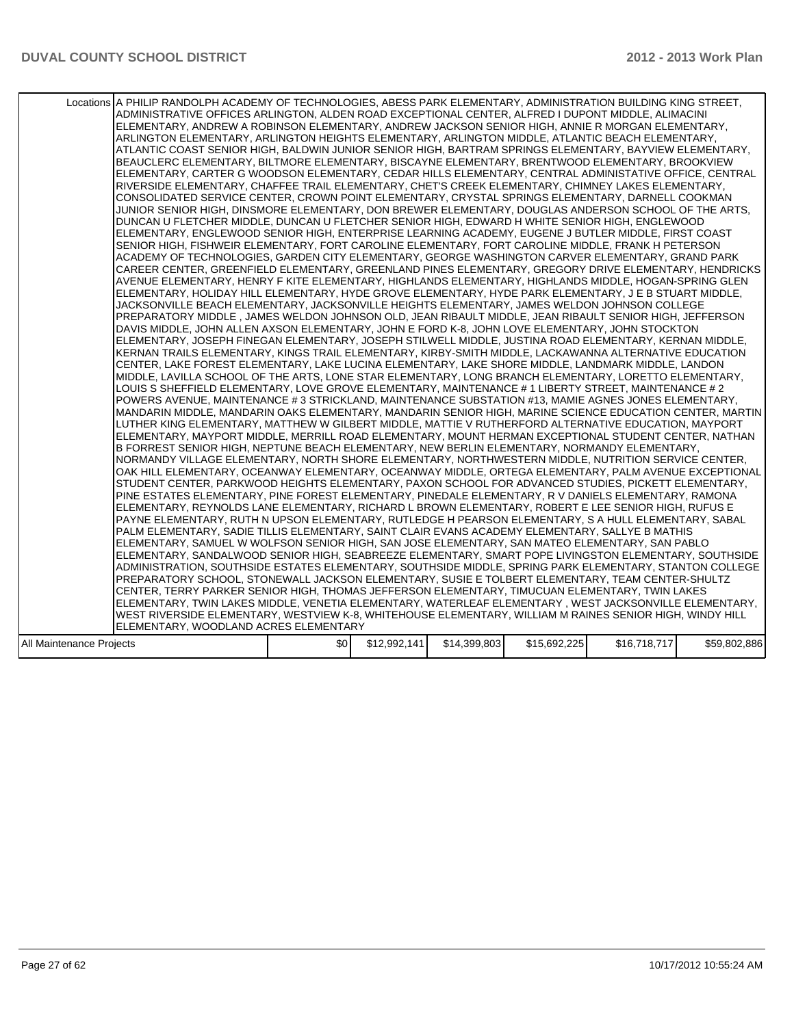|                          | Locations A PHILIP RANDOLPH ACADEMY OF TECHNOLOGIES, ABESS PARK ELEMENTARY, ADMINISTRATION BUILDING KING STREET,<br>ADMINISTRATIVE OFFICES ARLINGTON, ALDEN ROAD EXCEPTIONAL CENTER, ALFRED I DUPONT MIDDLE, ALIMACINI<br>ELEMENTARY, ANDREW A ROBINSON ELEMENTARY, ANDREW JACKSON SENIOR HIGH, ANNIE R MORGAN ELEMENTARY,<br>ARLINGTON ELEMENTARY, ARLINGTON HEIGHTS ELEMENTARY, ARLINGTON MIDDLE, ATLANTIC BEACH ELEMENTARY,<br>ATLANTIC COAST SENIOR HIGH, BALDWIN JUNIOR SENIOR HIGH, BARTRAM SPRINGS ELEMENTARY, BAYVIEW ELEMENTARY,<br>BEAUCLERC ELEMENTARY, BILTMORE ELEMENTARY, BISCAYNE ELEMENTARY, BRENTWOOD ELEMENTARY, BROOKVIEW<br>ELEMENTARY, CARTER G WOODSON ELEMENTARY, CEDAR HILLS ELEMENTARY, CENTRAL ADMINISTATIVE OFFICE, CENTRAL<br>RIVERSIDE ELEMENTARY, CHAFFEE TRAIL ELEMENTARY, CHET'S CREEK ELEMENTARY, CHIMNEY LAKES ELEMENTARY,<br>CONSOLIDATED SERVICE CENTER, CROWN POINT ELEMENTARY, CRYSTAL SPRINGS ELEMENTARY, DARNELL COOKMAN<br>JUNIOR SENIOR HIGH, DINSMORE ELEMENTARY, DON BREWER ELEMENTARY, DOUGLAS ANDERSON SCHOOL OF THE ARTS.<br>DUNCAN U FLETCHER MIDDLE, DUNCAN U FLETCHER SENIOR HIGH, EDWARD H WHITE SENIOR HIGH, ENGLEWOOD<br>ELEMENTARY, ENGLEWOOD SENIOR HIGH, ENTERPRISE LEARNING ACADEMY, EUGENE J BUTLER MIDDLE, FIRST COAST<br>SENIOR HIGH, FISHWEIR ELEMENTARY, FORT CAROLINE ELEMENTARY, FORT CAROLINE MIDDLE, FRANK H PETERSON<br>ACADEMY OF TECHNOLOGIES, GARDEN CITY ELEMENTARY, GEORGE WASHINGTON CARVER ELEMENTARY, GRAND PARK<br>CAREER CENTER, GREENFIELD ELEMENTARY, GREENLAND PINES ELEMENTARY, GREGORY DRIVE ELEMENTARY, HENDRICKS<br>AVENUE ELEMENTARY. HENRY F KITE ELEMENTARY. HIGHLANDS ELEMENTARY. HIGHLANDS MIDDLE. HOGAN-SPRING GLEN<br>ELEMENTARY, HOLIDAY HILL ELEMENTARY, HYDE GROVE ELEMENTARY, HYDE PARK ELEMENTARY, J E B STUART MIDDLE,<br>JACKSONVILLE BEACH ELEMENTARY, JACKSONVILLE HEIGHTS ELEMENTARY, JAMES WELDON JOHNSON COLLEGE<br>PREPARATORY MIDDLE , JAMES WELDON JOHNSON OLD, JEAN RIBAULT MIDDLE, JEAN RIBAULT SENIOR HIGH, JEFFERSON<br>DAVIS MIDDLE, JOHN ALLEN AXSON ELEMENTARY, JOHN E FORD K-8, JOHN LOVE ELEMENTARY, JOHN STOCKTON<br> ELEMENTARY, JOSEPH FINEGAN ELEMENTARY, JOSEPH STILWELL MIDDLE, JUSTINA ROAD ELEMENTARY, KERNAN MIDDLE,<br>KERNAN TRAILS ELEMENTARY, KINGS TRAIL ELEMENTARY, KIRBY-SMITH MIDDLE, LACKAWANNA ALTERNATIVE EDUCATION<br>CENTER, LAKE FOREST ELEMENTARY, LAKE LUCINA ELEMENTARY, LAKE SHORE MIDDLE, LANDMARK MIDDLE, LANDON<br>MIDDLE, LAVILLA SCHOOL OF THE ARTS, LONE STAR ELEMENTARY, LONG BRANCH ELEMENTARY, LORETTO ELEMENTARY,<br>LOUIS S SHEFFIELD ELEMENTARY, LOVE GROVE ELEMENTARY, MAINTENANCE # 1 LIBERTY STREET, MAINTENANCE # 2<br>POWERS AVENUE, MAINTENANCE # 3 STRICKLAND, MAINTENANCE SUBSTATION #13, MAMIE AGNES JONES ELEMENTARY,<br>MANDARIN MIDDLE, MANDARIN OAKS ELEMENTARY, MANDARIN SENIOR HIGH, MARINE SCIENCE EDUCATION CENTER, MARTIN<br>LUTHER KING ELEMENTARY, MATTHEW W GILBERT MIDDLE, MATTIE V RUTHERFORD ALTERNATIVE EDUCATION, MAYPORT<br>ELEMENTARY, MAYPORT MIDDLE, MERRILL ROAD ELEMENTARY, MOUNT HERMAN EXCEPTIONAL STUDENT CENTER, NATHAN<br>B FORREST SENIOR HIGH, NEPTUNE BEACH ELEMENTARY, NEW BERLIN ELEMENTARY, NORMANDY ELEMENTARY,<br>NORMANDY VILLAGE ELEMENTARY, NORTH SHORE ELEMENTARY, NORTHWESTERN MIDDLE, NUTRITION SERVICE CENTER,<br>OAK HILL ELEMENTARY, OCEANWAY ELEMENTARY, OCEANWAY MIDDLE, ORTEGA ELEMENTARY, PALM AVENUE EXCEPTIONAL<br>STUDENT CENTER, PARKWOOD HEIGHTS ELEMENTARY, PAXON SCHOOL FOR ADVANCED STUDIES, PICKETT ELEMENTARY,<br>PINE ESTATES ELEMENTARY, PINE FOREST ELEMENTARY, PINEDALE ELEMENTARY, R V DANIELS ELEMENTARY, RAMONA<br>ELEMENTARY, REYNOLDS LANE ELEMENTARY, RICHARD L BROWN ELEMENTARY, ROBERT E LEE SENIOR HIGH, RUFUS E<br>PAYNE ELEMENTARY, RUTH N UPSON ELEMENTARY, RUTLEDGE H PEARSON ELEMENTARY, S A HULL ELEMENTARY, SABAL<br>PALM ELEMENTARY, SADIE TILLIS ELEMENTARY, SAINT CLAIR EVANS ACADEMY ELEMENTARY, SALLYE B MATHIS<br>ELEMENTARY, SAMUEL W WOLFSON SENIOR HIGH, SAN JOSE ELEMENTARY, SAN MATEO ELEMENTARY, SAN PABLO<br>ELEMENTARY, SANDALWOOD SENIOR HIGH, SEABREEZE ELEMENTARY, SMART POPE LIVINGSTON ELEMENTARY, SOUTHSIDE<br>ADMINISTRATION, SOUTHSIDE ESTATES ELEMENTARY, SOUTHSIDE MIDDLE, SPRING PARK ELEMENTARY, STANTON COLLEGE<br>PREPARATORY SCHOOL, STONEWALL JACKSON ELEMENTARY, SUSIE E TOLBERT ELEMENTARY, TEAM CENTER-SHULTZ<br>CENTER, TERRY PARKER SENIOR HIGH, THOMAS JEFFERSON ELEMENTARY, TIMUCUAN ELEMENTARY, TWIN LAKES<br>ELEMENTARY, TWIN LAKES MIDDLE, VENETIA ELEMENTARY, WATERLEAF ELEMENTARY , WEST JACKSONVILLE ELEMENTARY, |     |              |              |              |              |              |
|--------------------------|---------------------------------------------------------------------------------------------------------------------------------------------------------------------------------------------------------------------------------------------------------------------------------------------------------------------------------------------------------------------------------------------------------------------------------------------------------------------------------------------------------------------------------------------------------------------------------------------------------------------------------------------------------------------------------------------------------------------------------------------------------------------------------------------------------------------------------------------------------------------------------------------------------------------------------------------------------------------------------------------------------------------------------------------------------------------------------------------------------------------------------------------------------------------------------------------------------------------------------------------------------------------------------------------------------------------------------------------------------------------------------------------------------------------------------------------------------------------------------------------------------------------------------------------------------------------------------------------------------------------------------------------------------------------------------------------------------------------------------------------------------------------------------------------------------------------------------------------------------------------------------------------------------------------------------------------------------------------------------------------------------------------------------------------------------------------------------------------------------------------------------------------------------------------------------------------------------------------------------------------------------------------------------------------------------------------------------------------------------------------------------------------------------------------------------------------------------------------------------------------------------------------------------------------------------------------------------------------------------------------------------------------------------------------------------------------------------------------------------------------------------------------------------------------------------------------------------------------------------------------------------------------------------------------------------------------------------------------------------------------------------------------------------------------------------------------------------------------------------------------------------------------------------------------------------------------------------------------------------------------------------------------------------------------------------------------------------------------------------------------------------------------------------------------------------------------------------------------------------------------------------------------------------------------------------------------------------------------------------------------------------------------------------------------------------------------------------------------------------------------------------------------------------------------------------------------------------------------------------------------------------------------------------------------------------------------------------------------------------------------------------------------------------------------------------------------------------------------------------------------------------------------------------------------------------------------------------------------------------------------------------------------------------------------------------------------------------------------------------------------------------------------------------------------------------------------------------------------------------------------------------------------------------------------------------------------------------------------------------------|-----|--------------|--------------|--------------|--------------|--------------|
|                          |                                                                                                                                                                                                                                                                                                                                                                                                                                                                                                                                                                                                                                                                                                                                                                                                                                                                                                                                                                                                                                                                                                                                                                                                                                                                                                                                                                                                                                                                                                                                                                                                                                                                                                                                                                                                                                                                                                                                                                                                                                                                                                                                                                                                                                                                                                                                                                                                                                                                                                                                                                                                                                                                                                                                                                                                                                                                                                                                                                                                                                                                                                                                                                                                                                                                                                                                                                                                                                                                                                                                                                                                                                                                                                                                                                                                                                                                                                                                                                                                                                                                                                                                                                                                                                                                                                                                                                                                                                                                                                                                                                                                               |     |              |              |              |              |              |
|                          |                                                                                                                                                                                                                                                                                                                                                                                                                                                                                                                                                                                                                                                                                                                                                                                                                                                                                                                                                                                                                                                                                                                                                                                                                                                                                                                                                                                                                                                                                                                                                                                                                                                                                                                                                                                                                                                                                                                                                                                                                                                                                                                                                                                                                                                                                                                                                                                                                                                                                                                                                                                                                                                                                                                                                                                                                                                                                                                                                                                                                                                                                                                                                                                                                                                                                                                                                                                                                                                                                                                                                                                                                                                                                                                                                                                                                                                                                                                                                                                                                                                                                                                                                                                                                                                                                                                                                                                                                                                                                                                                                                                                               |     |              |              |              |              |              |
|                          |                                                                                                                                                                                                                                                                                                                                                                                                                                                                                                                                                                                                                                                                                                                                                                                                                                                                                                                                                                                                                                                                                                                                                                                                                                                                                                                                                                                                                                                                                                                                                                                                                                                                                                                                                                                                                                                                                                                                                                                                                                                                                                                                                                                                                                                                                                                                                                                                                                                                                                                                                                                                                                                                                                                                                                                                                                                                                                                                                                                                                                                                                                                                                                                                                                                                                                                                                                                                                                                                                                                                                                                                                                                                                                                                                                                                                                                                                                                                                                                                                                                                                                                                                                                                                                                                                                                                                                                                                                                                                                                                                                                                               |     |              |              |              |              |              |
|                          |                                                                                                                                                                                                                                                                                                                                                                                                                                                                                                                                                                                                                                                                                                                                                                                                                                                                                                                                                                                                                                                                                                                                                                                                                                                                                                                                                                                                                                                                                                                                                                                                                                                                                                                                                                                                                                                                                                                                                                                                                                                                                                                                                                                                                                                                                                                                                                                                                                                                                                                                                                                                                                                                                                                                                                                                                                                                                                                                                                                                                                                                                                                                                                                                                                                                                                                                                                                                                                                                                                                                                                                                                                                                                                                                                                                                                                                                                                                                                                                                                                                                                                                                                                                                                                                                                                                                                                                                                                                                                                                                                                                                               |     |              |              |              |              |              |
|                          | WEST RIVERSIDE ELEMENTARY, WESTVIEW K-8, WHITEHOUSE ELEMENTARY, WILLIAM M RAINES SENIOR HIGH, WINDY HILL                                                                                                                                                                                                                                                                                                                                                                                                                                                                                                                                                                                                                                                                                                                                                                                                                                                                                                                                                                                                                                                                                                                                                                                                                                                                                                                                                                                                                                                                                                                                                                                                                                                                                                                                                                                                                                                                                                                                                                                                                                                                                                                                                                                                                                                                                                                                                                                                                                                                                                                                                                                                                                                                                                                                                                                                                                                                                                                                                                                                                                                                                                                                                                                                                                                                                                                                                                                                                                                                                                                                                                                                                                                                                                                                                                                                                                                                                                                                                                                                                                                                                                                                                                                                                                                                                                                                                                                                                                                                                                      |     |              |              |              |              |              |
|                          | ELEMENTARY, WOODLAND ACRES ELEMENTARY                                                                                                                                                                                                                                                                                                                                                                                                                                                                                                                                                                                                                                                                                                                                                                                                                                                                                                                                                                                                                                                                                                                                                                                                                                                                                                                                                                                                                                                                                                                                                                                                                                                                                                                                                                                                                                                                                                                                                                                                                                                                                                                                                                                                                                                                                                                                                                                                                                                                                                                                                                                                                                                                                                                                                                                                                                                                                                                                                                                                                                                                                                                                                                                                                                                                                                                                                                                                                                                                                                                                                                                                                                                                                                                                                                                                                                                                                                                                                                                                                                                                                                                                                                                                                                                                                                                                                                                                                                                                                                                                                                         |     |              |              |              |              |              |
| All Maintenance Projects |                                                                                                                                                                                                                                                                                                                                                                                                                                                                                                                                                                                                                                                                                                                                                                                                                                                                                                                                                                                                                                                                                                                                                                                                                                                                                                                                                                                                                                                                                                                                                                                                                                                                                                                                                                                                                                                                                                                                                                                                                                                                                                                                                                                                                                                                                                                                                                                                                                                                                                                                                                                                                                                                                                                                                                                                                                                                                                                                                                                                                                                                                                                                                                                                                                                                                                                                                                                                                                                                                                                                                                                                                                                                                                                                                                                                                                                                                                                                                                                                                                                                                                                                                                                                                                                                                                                                                                                                                                                                                                                                                                                                               | \$0 | \$12,992,141 | \$14,399,803 | \$15,692,225 | \$16,718,717 | \$59,802,886 |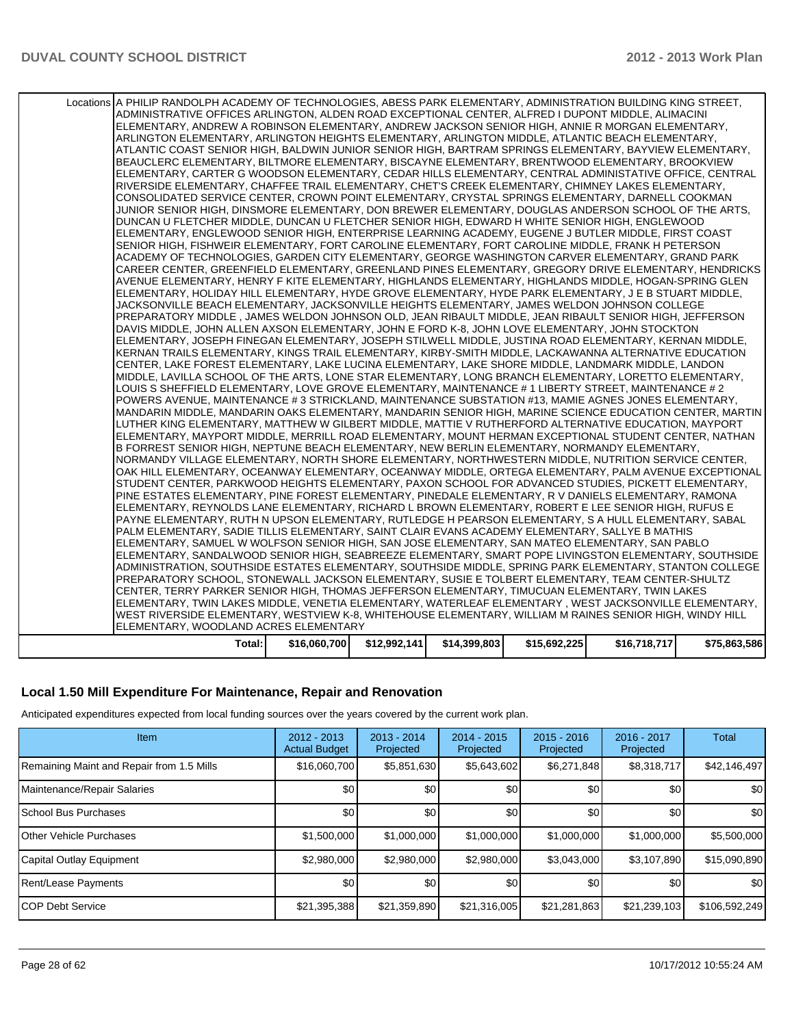| Total:                                                                                                                                                                                                     | \$16,060,700 | \$12,992,141 | \$14,399,803 | \$15,692,225 | \$16,718,717 | \$75,863,586 |
|------------------------------------------------------------------------------------------------------------------------------------------------------------------------------------------------------------|--------------|--------------|--------------|--------------|--------------|--------------|
| ELEMENTARY, WOODLAND ACRES ELEMENTARY                                                                                                                                                                      |              |              |              |              |              |              |
| WEST RIVERSIDE ELEMENTARY, WESTVIEW K-8, WHITEHOUSE ELEMENTARY, WILLIAM M RAINES SENIOR HIGH, WINDY HILL                                                                                                   |              |              |              |              |              |              |
| ELEMENTARY, TWIN LAKES MIDDLE, VENETIA ELEMENTARY, WATERLEAF ELEMENTARY, WEST JACKSONVILLE ELEMENTARY,                                                                                                     |              |              |              |              |              |              |
| CENTER, TERRY PARKER SENIOR HIGH, THOMAS JEFFERSON ELEMENTARY, TIMUCUAN ELEMENTARY, TWIN LAKES                                                                                                             |              |              |              |              |              |              |
| PREPARATORY SCHOOL, STONEWALL JACKSON ELEMENTARY, SUSIE E TOLBERT ELEMENTARY, TEAM CENTER-SHULTZ                                                                                                           |              |              |              |              |              |              |
| ADMINISTRATION, SOUTHSIDE ESTATES ELEMENTARY, SOUTHSIDE MIDDLE, SPRING PARK ELEMENTARY, STANTON COLLEGE                                                                                                    |              |              |              |              |              |              |
| ELEMENTARY, SANDALWOOD SENIOR HIGH, SEABREEZE ELEMENTARY, SMART POPE LIVINGSTON ELEMENTARY, SOUTHSIDE                                                                                                      |              |              |              |              |              |              |
| ELEMENTARY, SAMUEL W WOLFSON SENIOR HIGH, SAN JOSE ELEMENTARY, SAN MATEO ELEMENTARY, SAN PABLO                                                                                                             |              |              |              |              |              |              |
| PALM ELEMENTARY, SADIE TILLIS ELEMENTARY, SAINT CLAIR EVANS ACADEMY ELEMENTARY, SALLYE B MATHIS                                                                                                            |              |              |              |              |              |              |
| PAYNE ELEMENTARY, RUTH N UPSON ELEMENTARY, RUTLEDGE H PEARSON ELEMENTARY, S A HULL ELEMENTARY, SABAL                                                                                                       |              |              |              |              |              |              |
| ELEMENTARY, REYNOLDS LANE ELEMENTARY, RICHARD L BROWN ELEMENTARY, ROBERT E LEE SENIOR HIGH, RUFUS E                                                                                                        |              |              |              |              |              |              |
| PINE ESTATES ELEMENTARY, PINE FOREST ELEMENTARY, PINEDALE ELEMENTARY, R V DANIELS ELEMENTARY, RAMONA                                                                                                       |              |              |              |              |              |              |
| STUDENT CENTER, PARKWOOD HEIGHTS ELEMENTARY, PAXON SCHOOL FOR ADVANCED STUDIES, PICKETT ELEMENTARY,                                                                                                        |              |              |              |              |              |              |
| OAK HILL ELEMENTARY, OCEANWAY ELEMENTARY, OCEANWAY MIDDLE, ORTEGA ELEMENTARY, PALM AVENUE EXCEPTIONAL                                                                                                      |              |              |              |              |              |              |
| NORMANDY VILLAGE ELEMENTARY, NORTH SHORE ELEMENTARY, NORTHWESTERN MIDDLE, NUTRITION SERVICE CENTER,                                                                                                        |              |              |              |              |              |              |
| ELEMENTARY, MAYPORT MIDDLE, MERRILL ROAD ELEMENTARY, MOUNT HERMAN EXCEPTIONAL STUDENT CENTER, NATHAN<br>B FORREST SENIOR HIGH, NEPTUNE BEACH ELEMENTARY, NEW BERLIN ELEMENTARY, NORMANDY ELEMENTARY,       |              |              |              |              |              |              |
| LUTHER KING ELEMENTARY, MATTHEW W GILBERT MIDDLE, MATTIE V RUTHERFORD ALTERNATIVE EDUCATION, MAYPORT                                                                                                       |              |              |              |              |              |              |
| MANDARIN MIDDLE, MANDARIN OAKS ELEMENTARY, MANDARIN SENIOR HIGH, MARINE SCIENCE EDUCATION CENTER, MARTIN                                                                                                   |              |              |              |              |              |              |
| POWERS AVENUE, MAINTENANCE #3 STRICKLAND, MAINTENANCE SUBSTATION #13, MAMIE AGNES JONES ELEMENTARY,                                                                                                        |              |              |              |              |              |              |
| LOUIS S SHEFFIELD ELEMENTARY, LOVE GROVE ELEMENTARY, MAINTENANCE # 1 LIBERTY STREET, MAINTENANCE # 2                                                                                                       |              |              |              |              |              |              |
| MIDDLE, LAVILLA SCHOOL OF THE ARTS, LONE STAR ELEMENTARY, LONG BRANCH ELEMENTARY, LORETTO ELEMENTARY,                                                                                                      |              |              |              |              |              |              |
| CENTER, LAKE FOREST ELEMENTARY, LAKE LUCINA ELEMENTARY, LAKE SHORE MIDDLE, LANDMARK MIDDLE, LANDON                                                                                                         |              |              |              |              |              |              |
| KERNAN TRAILS ELEMENTARY, KINGS TRAIL ELEMENTARY, KIRBY-SMITH MIDDLE, LACKAWANNA ALTERNATIVE EDUCATION                                                                                                     |              |              |              |              |              |              |
| ELEMENTARY, JOSEPH FINEGAN ELEMENTARY, JOSEPH STILWELL MIDDLE, JUSTINA ROAD ELEMENTARY, KERNAN MIDDLE,                                                                                                     |              |              |              |              |              |              |
| DAVIS MIDDLE, JOHN ALLEN AXSON ELEMENTARY, JOHN E FORD K-8, JOHN LOVE ELEMENTARY, JOHN STOCKTON                                                                                                            |              |              |              |              |              |              |
| PREPARATORY MIDDLE, JAMES WELDON JOHNSON OLD, JEAN RIBAULT MIDDLE, JEAN RIBAULT SENIOR HIGH, JEFFERSON                                                                                                     |              |              |              |              |              |              |
| JACKSONVILLE BEACH ELEMENTARY, JACKSONVILLE HEIGHTS ELEMENTARY, JAMES WELDON JOHNSON COLLEGE                                                                                                               |              |              |              |              |              |              |
| ELEMENTARY, HOLIDAY HILL ELEMENTARY, HYDE GROVE ELEMENTARY, HYDE PARK ELEMENTARY, J E B STUART MIDDLE,                                                                                                     |              |              |              |              |              |              |
| AVENUE ELEMENTARY. HENRY F KITE ELEMENTARY. HIGHLANDS ELEMENTARY. HIGHLANDS MIDDLE. HOGAN-SPRING GLEN                                                                                                      |              |              |              |              |              |              |
| CAREER CENTER, GREENFIELD ELEMENTARY, GREENLAND PINES ELEMENTARY, GREGORY DRIVE ELEMENTARY, HENDRICKS                                                                                                      |              |              |              |              |              |              |
| ACADEMY OF TECHNOLOGIES, GARDEN CITY ELEMENTARY, GEORGE WASHINGTON CARVER ELEMENTARY, GRAND PARK                                                                                                           |              |              |              |              |              |              |
| SENIOR HIGH, FISHWEIR ELEMENTARY, FORT CAROLINE ELEMENTARY, FORT CAROLINE MIDDLE, FRANK H PETERSON                                                                                                         |              |              |              |              |              |              |
| ELEMENTARY, ENGLEWOOD SENIOR HIGH, ENTERPRISE LEARNING ACADEMY, EUGENE J BUTLER MIDDLE, FIRST COAST                                                                                                        |              |              |              |              |              |              |
| DUNCAN U FLETCHER MIDDLE, DUNCAN U FLETCHER SENIOR HIGH, EDWARD H WHITE SENIOR HIGH, ENGLEWOOD                                                                                                             |              |              |              |              |              |              |
| JUNIOR SENIOR HIGH, DINSMORE ELEMENTARY, DON BREWER ELEMENTARY, DOUGLAS ANDERSON SCHOOL OF THE ARTS,                                                                                                       |              |              |              |              |              |              |
| CONSOLIDATED SERVICE CENTER, CROWN POINT ELEMENTARY, CRYSTAL SPRINGS ELEMENTARY, DARNELL COOKMAN                                                                                                           |              |              |              |              |              |              |
| RIVERSIDE ELEMENTARY, CHAFFEE TRAIL ELEMENTARY, CHET'S CREEK ELEMENTARY, CHIMNEY LAKES ELEMENTARY,                                                                                                         |              |              |              |              |              |              |
| ELEMENTARY, CARTER G WOODSON ELEMENTARY, CEDAR HILLS ELEMENTARY, CENTRAL ADMINISTATIVE OFFICE, CENTRAL                                                                                                     |              |              |              |              |              |              |
| ATLANTIC COAST SENIOR HIGH, BALDWIN JUNIOR SENIOR HIGH, BARTRAM SPRINGS ELEMENTARY, BAYVIEW ELEMENTARY,<br>BEAUCLERC ELEMENTARY, BILTMORE ELEMENTARY, BISCAYNE ELEMENTARY, BRENTWOOD ELEMENTARY, BROOKVIEW |              |              |              |              |              |              |
| ARLINGTON ELEMENTARY, ARLINGTON HEIGHTS ELEMENTARY, ARLINGTON MIDDLE, ATLANTIC BEACH ELEMENTARY,                                                                                                           |              |              |              |              |              |              |
| ELEMENTARY, ANDREW A ROBINSON ELEMENTARY, ANDREW JACKSON SENIOR HIGH, ANNIE R MORGAN ELEMENTARY,                                                                                                           |              |              |              |              |              |              |
| ADMINISTRATIVE OFFICES ARLINGTON, ALDEN ROAD EXCEPTIONAL CENTER, ALFRED I DUPONT MIDDLE, ALIMACINI                                                                                                         |              |              |              |              |              |              |
| Locations A PHILIP RANDOLPH ACADEMY OF TECHNOLOGIES, ABESS PARK ELEMENTARY, ADMINISTRATION BUILDING KING STREET,                                                                                           |              |              |              |              |              |              |
|                                                                                                                                                                                                            |              |              |              |              |              |              |

#### **Local 1.50 Mill Expenditure For Maintenance, Repair and Renovation**

Anticipated expenditures expected from local funding sources over the years covered by the current work plan.

| Item                                      | $2012 - 2013$<br><b>Actual Budget</b> | $2013 - 2014$<br>Projected | $2014 - 2015$<br>Projected | $2015 - 2016$<br>Projected | 2016 - 2017<br>Projected | <b>Total</b>  |
|-------------------------------------------|---------------------------------------|----------------------------|----------------------------|----------------------------|--------------------------|---------------|
| Remaining Maint and Repair from 1.5 Mills | \$16,060,700                          | \$5,851,630                | \$5,643,602                | \$6,271,848                | \$8,318,717              | \$42,146,497  |
| Maintenance/Repair Salaries               | \$0                                   | \$0                        | \$0                        | \$0 <sub>1</sub>           | \$0 <sub>1</sub>         | \$0           |
| <b>School Bus Purchases</b>               | \$0                                   | \$0                        | \$0                        | \$0                        | \$0 <sub>1</sub>         | \$0           |
| <b>Other Vehicle Purchases</b>            | \$1,500,000                           | \$1,000,000                | \$1,000,000                | \$1,000,000                | \$1,000,000              | \$5,500,000   |
| Capital Outlay Equipment                  | \$2,980,000                           | \$2,980,000                | \$2,980,000                | \$3,043,000                | \$3,107,890              | \$15,090,890  |
| Rent/Lease Payments                       | \$0                                   | \$0                        | \$0                        | \$0                        | \$0 <sub>1</sub>         | \$0           |
| <b>ICOP Debt Service</b>                  | \$21,395,388                          | \$21,359,890               | \$21,316,005               | \$21,281,863               | \$21,239,103             | \$106,592,249 |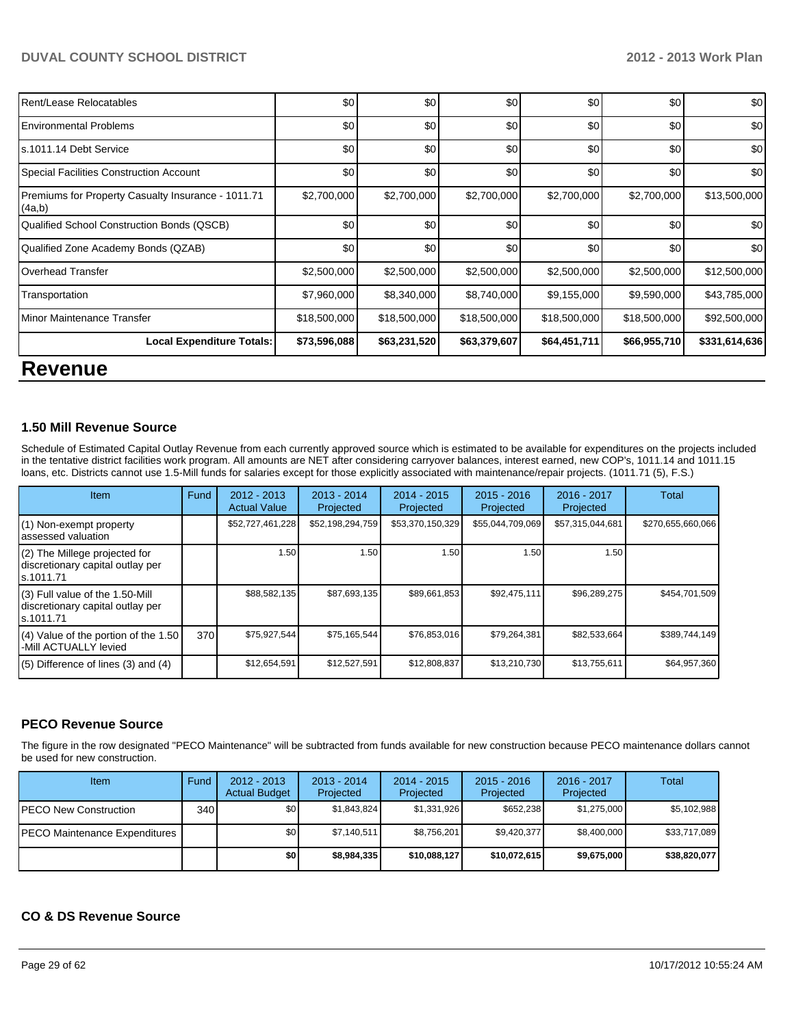| Rent/Lease Relocatables                                      | \$0          | \$0          | \$0          | \$0          | \$0          | \$0           |
|--------------------------------------------------------------|--------------|--------------|--------------|--------------|--------------|---------------|
| <b>Environmental Problems</b>                                | \$0          | \$0          | \$0          | \$0          | \$0          | \$0           |
| ls.1011.14 Debt Service                                      | \$0          | \$0          | \$0          | \$0          | \$0          | \$0           |
| Special Facilities Construction Account                      | \$0          | \$0          | \$0          | \$0          | \$0          | \$0           |
| Premiums for Property Casualty Insurance - 1011.71<br>(4a,b) | \$2,700,000  | \$2,700,000  | \$2,700,000  | \$2,700,000  | \$2,700,000  | \$13,500,000  |
| Qualified School Construction Bonds (QSCB)                   | \$0          | \$0          | \$0          | \$0          | \$0          | \$0           |
| Qualified Zone Academy Bonds (QZAB)                          | \$0          | \$0          | \$0          | \$0          | \$0          | \$0           |
| Overhead Transfer                                            | \$2,500,000  | \$2,500,000  | \$2,500,000  | \$2,500,000  | \$2,500,000  | \$12,500,000  |
| Transportation                                               | \$7,960,000  | \$8,340,000  | \$8,740,000  | \$9,155,000  | \$9,590,000  | \$43,785,000  |
| Minor Maintenance Transfer                                   | \$18,500,000 | \$18,500,000 | \$18,500,000 | \$18,500,000 | \$18,500,000 | \$92,500,000  |
| <b>Local Expenditure Totals:</b>                             | \$73,596,088 | \$63,231,520 | \$63,379,607 | \$64,451,711 | \$66,955,710 | \$331,614,636 |
| <b>Revenue</b>                                               |              |              |              |              |              |               |

#### **1.50 Mill Revenue Source**

Schedule of Estimated Capital Outlay Revenue from each currently approved source which is estimated to be available for expenditures on the projects included in the tentative district facilities work program. All amounts are NET after considering carryover balances, interest earned, new COP's, 1011.14 and 1011.15 loans, etc. Districts cannot use 1.5-Mill funds for salaries except for those explicitly associated with maintenance/repair projects. (1011.71 (5), F.S.)

| Item                                                                             | Fund | $2012 - 2013$<br><b>Actual Value</b> | $2013 - 2014$<br>Projected | $2014 - 2015$<br>Projected | $2015 - 2016$<br>Projected | 2016 - 2017<br>Projected | Total             |
|----------------------------------------------------------------------------------|------|--------------------------------------|----------------------------|----------------------------|----------------------------|--------------------------|-------------------|
| (1) Non-exempt property<br>assessed valuation                                    |      | \$52,727,461,228                     | \$52,198,294,759           | \$53,370,150,329           | \$55,044,709,069           | \$57,315,044,681         | \$270,655,660,066 |
| (2) The Millege projected for<br>discretionary capital outlay per<br>ls.1011.71  |      | 1.50                                 | 1.50 <b>I</b>              | 1.50                       | 1.50                       | 1.50                     |                   |
| (3) Full value of the 1.50-Mill<br>discretionary capital outlay per<br>s.1011.71 |      | \$88,582,135                         | \$87,693,135               | \$89,661,853               | \$92,475,111               | \$96,289,275             | \$454,701,509     |
| (4) Value of the portion of the 1.50<br>-Mill ACTUALLY levied                    | 370  | \$75,927,544                         | \$75,165,544               | \$76,853,016               | \$79,264,381               | \$82,533,664             | \$389,744,149     |
| $(5)$ Difference of lines $(3)$ and $(4)$                                        |      | \$12,654,591                         | \$12,527,591               | \$12,808,837               | \$13,210,730               | \$13,755,611             | \$64,957,360      |

#### **PECO Revenue Source**

The figure in the row designated "PECO Maintenance" will be subtracted from funds available for new construction because PECO maintenance dollars cannot be used for new construction.

| Item                          | Fund             | $2012 - 2013$<br><b>Actual Budget</b> | $2013 - 2014$<br>Projected | 2014 - 2015<br>Projected | $2015 - 2016$<br>Projected | $2016 - 2017$<br>Projected | Total        |
|-------------------------------|------------------|---------------------------------------|----------------------------|--------------------------|----------------------------|----------------------------|--------------|
| IPECO New Construction        | 340 <sup>l</sup> | \$0 I                                 | \$1,843,824                | \$1,331,926              | \$652.238                  | \$1,275,000                | \$5,102,988  |
| PECO Maintenance Expenditures |                  | \$0 <sub>l</sub>                      | \$7,140,511                | \$8,756,201              | \$9,420,377                | \$8,400,000                | \$33,717,089 |
|                               |                  | \$0 I                                 | \$8,984,335                | \$10,088,127             | \$10,072,615               | \$9.675,000                | \$38,820,077 |

#### **CO & DS Revenue Source**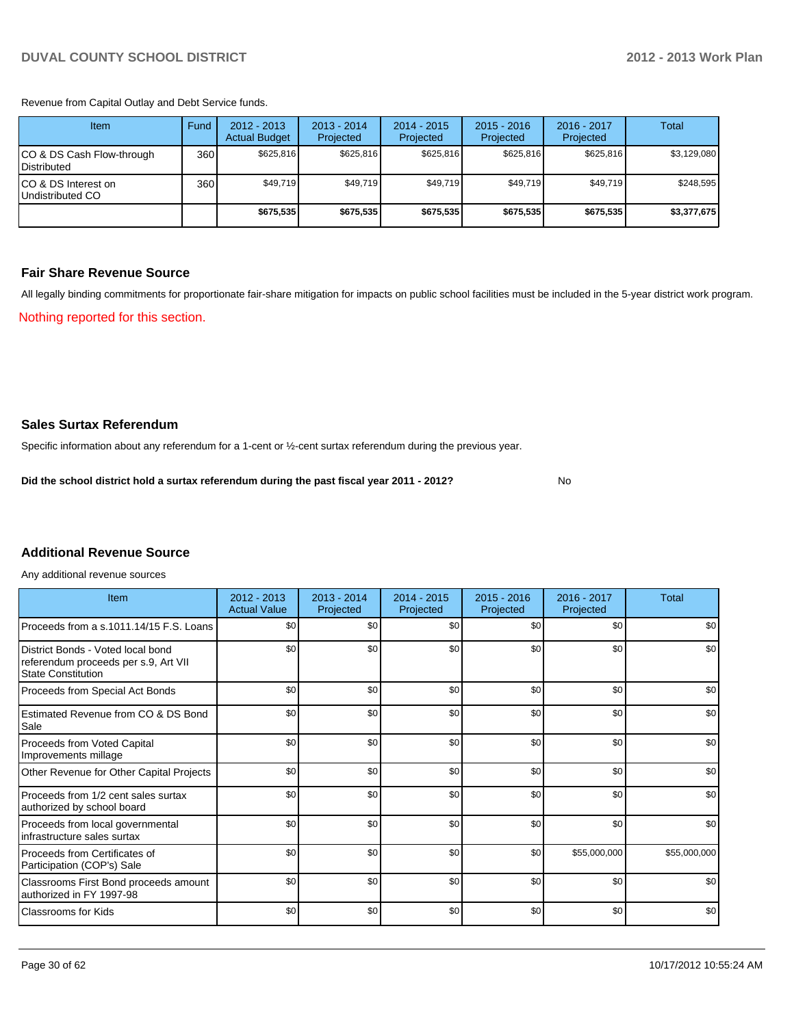Revenue from Capital Outlay and Debt Service funds.

| Item                                               | Fund | 2012 - 2013<br><b>Actual Budget</b> | $2013 - 2014$<br>Projected | $2014 - 2015$<br>Projected | $2015 - 2016$<br>Projected | $2016 - 2017$<br>Projected | Total       |
|----------------------------------------------------|------|-------------------------------------|----------------------------|----------------------------|----------------------------|----------------------------|-------------|
| ICO & DS Cash Flow-through<br><b>I</b> Distributed | 360  | \$625.816                           | \$625,816                  | \$625.816                  | \$625.816                  | \$625.816                  | \$3,129,080 |
| ICO & DS Interest on<br>Undistributed CO           | 360  | \$49,719                            | \$49,719                   | \$49.719                   | \$49,719                   | \$49,719                   | \$248,595   |
|                                                    |      | \$675,535                           | \$675,535                  | \$675.535                  | \$675,535                  | \$675,535                  | \$3,377,675 |

#### **Fair Share Revenue Source**

Nothing reported for this section. All legally binding commitments for proportionate fair-share mitigation for impacts on public school facilities must be included in the 5-year district work program.

**Sales Surtax Referendum**

Specific information about any referendum for a 1-cent or ½-cent surtax referendum during the previous year.

**Did the school district hold a surtax referendum during the past fiscal year 2011 - 2012?**

No

### **Additional Revenue Source**

Any additional revenue sources

| Item                                                                                                   | $2012 - 2013$<br><b>Actual Value</b> | $2013 - 2014$<br>Projected | $2014 - 2015$<br>Projected | $2015 - 2016$<br>Projected | 2016 - 2017<br>Projected | Total        |
|--------------------------------------------------------------------------------------------------------|--------------------------------------|----------------------------|----------------------------|----------------------------|--------------------------|--------------|
| Proceeds from a s.1011.14/15 F.S. Loans                                                                | \$0                                  | \$0                        | \$0                        | \$0                        | \$0                      | \$0          |
| District Bonds - Voted local bond<br>referendum proceeds per s.9, Art VII<br><b>State Constitution</b> | \$0                                  | \$0                        | \$0                        | \$0                        | \$0                      | \$0          |
| Proceeds from Special Act Bonds                                                                        | \$0                                  | \$0                        | \$0                        | \$0                        | \$0                      | \$0          |
| Estimated Revenue from CO & DS Bond<br>Sale                                                            | \$0                                  | \$0                        | \$0                        | \$0                        | \$0                      | \$0          |
| <b>Proceeds from Voted Capital</b><br>Improvements millage                                             | \$0                                  | \$0                        | \$0                        | \$0                        | \$0                      | \$0          |
| Other Revenue for Other Capital Projects                                                               | \$0                                  | \$0                        | \$0                        | \$0                        | \$0                      | \$0          |
| Proceeds from 1/2 cent sales surtax<br>authorized by school board                                      | \$0                                  | \$0                        | \$0                        | \$0                        | \$0                      | \$0          |
| Proceeds from local governmental<br>infrastructure sales surtax                                        | \$0                                  | \$0                        | \$0                        | \$0                        | \$0                      | \$0          |
| Proceeds from Certificates of<br>Participation (COP's) Sale                                            | \$0                                  | \$0                        | \$0                        | \$0                        | \$55,000,000             | \$55,000,000 |
| Classrooms First Bond proceeds amount<br>authorized in FY 1997-98                                      | \$0                                  | \$0                        | \$0                        | \$0                        | \$0                      | \$0          |
| <b>Classrooms for Kids</b>                                                                             | \$0                                  | \$0                        | \$0                        | \$0                        | \$0                      | \$0          |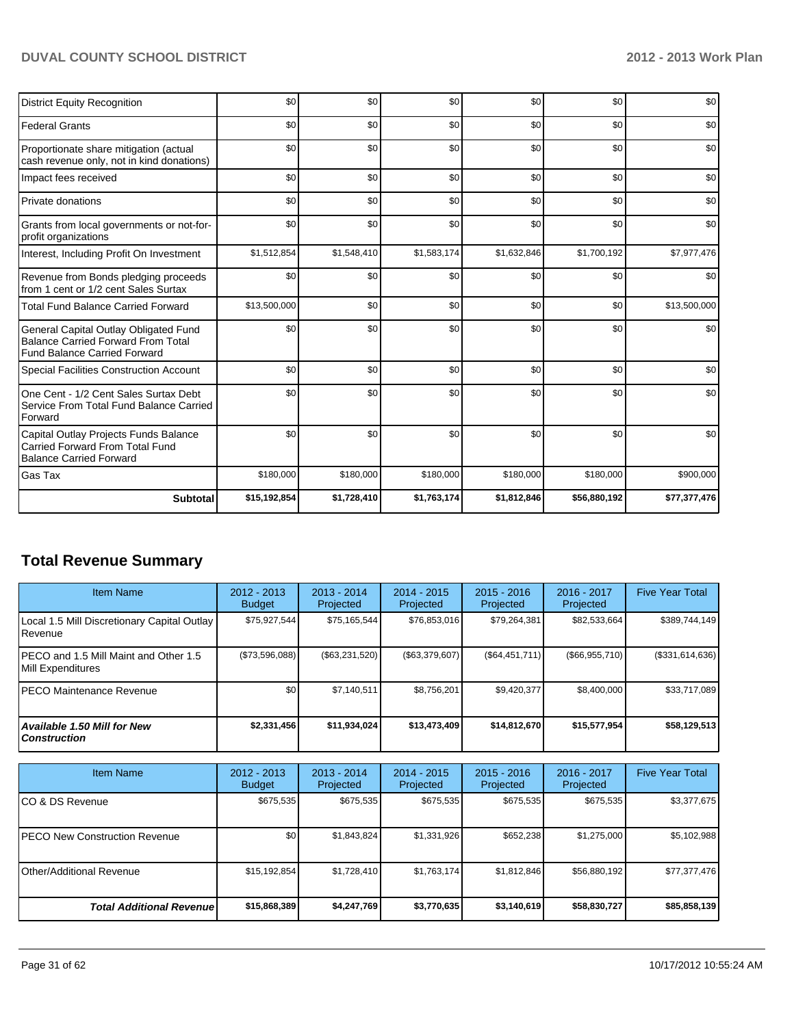| <b>District Equity Recognition</b>                                                                                        | \$0          | \$0         | \$0         | \$0         | \$0          | \$0          |
|---------------------------------------------------------------------------------------------------------------------------|--------------|-------------|-------------|-------------|--------------|--------------|
| <b>Federal Grants</b>                                                                                                     | \$0          | \$0         | \$0         | \$0         | \$0          | \$0          |
| Proportionate share mitigation (actual<br>cash revenue only, not in kind donations)                                       | \$0          | \$0         | \$0         | \$0         | \$0          | \$0          |
| Impact fees received                                                                                                      | \$0          | \$0         | \$0         | \$0         | \$0          | \$0          |
| Private donations                                                                                                         | \$0          | \$0         | \$0         | \$0         | \$0          | \$0          |
| Grants from local governments or not-for-<br>profit organizations                                                         | \$0          | \$0         | \$0         | \$0         | \$0          | \$0          |
| Interest, Including Profit On Investment                                                                                  | \$1,512,854  | \$1,548,410 | \$1,583,174 | \$1,632,846 | \$1,700,192  | \$7,977,476  |
| Revenue from Bonds pledging proceeds<br>from 1 cent or 1/2 cent Sales Surtax                                              | \$0          | \$0         | \$0         | \$0         | \$0          | \$0          |
| <b>Total Fund Balance Carried Forward</b>                                                                                 | \$13,500,000 | \$0         | \$0         | \$0         | \$0          | \$13,500,000 |
| General Capital Outlay Obligated Fund<br><b>Balance Carried Forward From Total</b><br><b>Fund Balance Carried Forward</b> | \$0          | \$0         | \$0         | \$0         | \$0          | \$0          |
| <b>Special Facilities Construction Account</b>                                                                            | \$0          | \$0         | \$0         | \$0         | \$0          | \$0          |
| One Cent - 1/2 Cent Sales Surtax Debt<br>Service From Total Fund Balance Carried<br>Forward                               | \$0          | \$0         | \$0         | \$0         | \$0          | \$0          |
| Capital Outlay Projects Funds Balance<br><b>Carried Forward From Total Fund</b><br><b>Balance Carried Forward</b>         | \$0          | \$0         | \$0         | \$0         | \$0          | \$0          |
| Gas Tax                                                                                                                   | \$180,000    | \$180,000   | \$180,000   | \$180,000   | \$180,000    | \$900,000    |
| <b>Subtotal</b>                                                                                                           | \$15,192,854 | \$1,728,410 | \$1,763,174 | \$1,812,846 | \$56,880,192 | \$77,377,476 |

# **Total Revenue Summary**

| <b>Item Name</b>                                                | $2012 - 2013$<br><b>Budget</b> | $2013 - 2014$<br>Projected | $2014 - 2015$<br>Projected | $2015 - 2016$<br>Projected | $2016 - 2017$<br>Projected | <b>Five Year Total</b> |
|-----------------------------------------------------------------|--------------------------------|----------------------------|----------------------------|----------------------------|----------------------------|------------------------|
| Local 1.5 Mill Discretionary Capital Outlay<br><b>I</b> Revenue | \$75,927,544                   | \$75,165,544               | \$76,853,016               | \$79,264,381               | \$82,533,664               | \$389,744,149          |
| IPECO and 1.5 Mill Maint and Other 1.5<br>Mill Expenditures     | (\$73,596,088)                 | ( \$63, 231, 520)          | (S63, 379, 607)            | (S64, 451, 711)            | (\$66,955,710)             | (\$331,614,636)        |
| IPECO Maintenance Revenue                                       | \$0                            | \$7.140.511                | \$8,756,201                | \$9,420,377                | \$8.400,000                | \$33,717,089           |
| Available 1.50 Mill for New l<br>l Construction                 | \$2,331,456                    | \$11,934,024               | \$13,473,409               | \$14,812,670               | \$15,577,954               | \$58,129,513           |

| <b>Item Name</b>                      | $2012 - 2013$<br><b>Budget</b> | $2013 - 2014$<br>Projected | 2014 - 2015<br>Projected | $2015 - 2016$<br>Projected | 2016 - 2017<br>Projected | <b>Five Year Total</b> |
|---------------------------------------|--------------------------------|----------------------------|--------------------------|----------------------------|--------------------------|------------------------|
| ICO & DS Revenue                      | \$675,535                      | \$675,535                  | \$675,535                | \$675,535                  | \$675,535                | \$3,377,675            |
| <b>IPECO New Construction Revenue</b> | \$0                            | \$1,843,824                | \$1,331,926              | \$652,238                  | \$1,275,000              | \$5,102,988            |
| <b>I</b> Other/Additional Revenue     | \$15,192,854                   | \$1,728,410                | \$1,763,174              | \$1,812,846                | \$56,880,192             | \$77,377,476           |
| <b>Total Additional Revenuel</b>      | \$15,868,389                   | \$4,247,769                | \$3,770,635              | \$3,140,619                | \$58,830,727             | \$85,858,139           |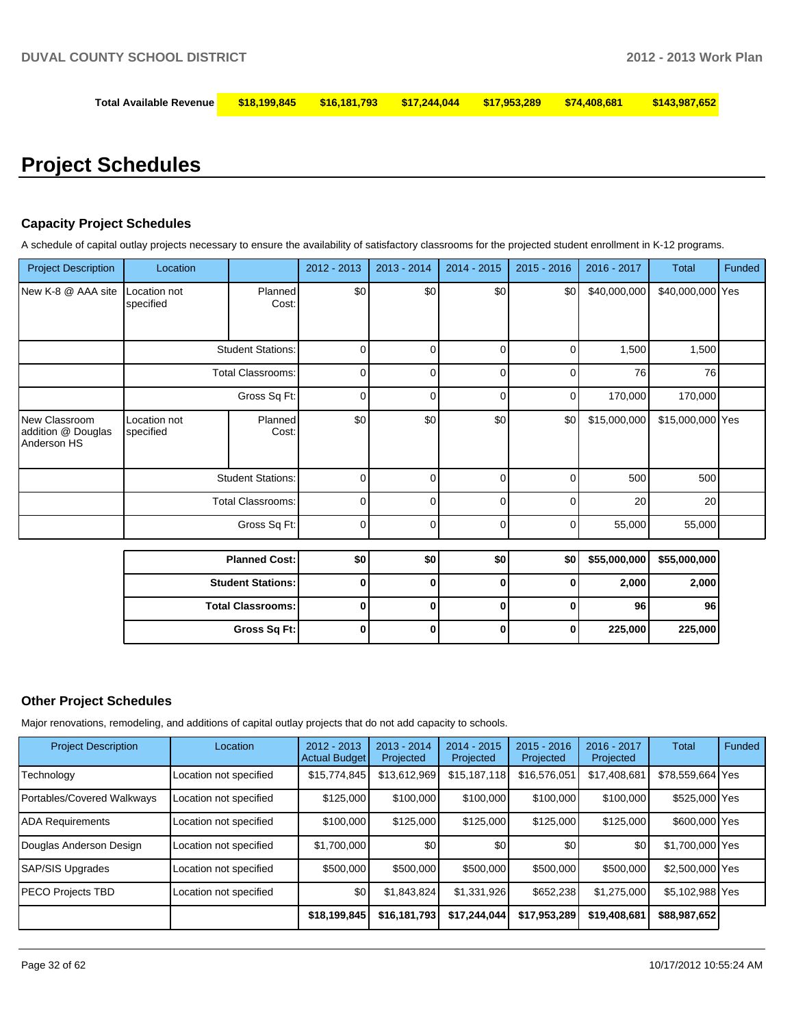| Total Available Revenue | $\frac{\$18,199,845\quad$16,181,793\quad$17,244,044\quad$17,953,289}$ |  |  |  | \$74.408.681 | \$143,987,652 |
|-------------------------|-----------------------------------------------------------------------|--|--|--|--------------|---------------|
|-------------------------|-----------------------------------------------------------------------|--|--|--|--------------|---------------|

# **Project Schedules**

#### **Capacity Project Schedules**

A schedule of capital outlay projects necessary to ensure the availability of satisfactory classrooms for the projected student enrollment in K-12 programs.

| <b>Project Description</b>                         | Location                  |                          | 2012 - 2013 | $2013 - 2014$ | 2014 - 2015    | $2015 - 2016$ | $2016 - 2017$ | <b>Total</b>     | Funded |
|----------------------------------------------------|---------------------------|--------------------------|-------------|---------------|----------------|---------------|---------------|------------------|--------|
| New K-8 @ AAA site                                 | Location not<br>specified | Planned<br>Cost:         | \$0         | \$0           | \$0            | \$0           | \$40,000,000  | \$40,000,000 Yes |        |
|                                                    | <b>Student Stations:</b>  |                          | 0           | 0             | 0              | 0             | 1,500         | 1,500            |        |
|                                                    |                           | <b>Total Classrooms:</b> | $\mathbf 0$ | 0             | $\overline{0}$ | 0             | 76            | 76               |        |
|                                                    |                           | Gross Sq Ft:             | 0           | 0             | 0              | 0             | 170,000       | 170,000          |        |
| New Classroom<br>addition @ Douglas<br>Anderson HS | Location not<br>specified | Planned<br>Cost:         | \$0         | \$0           | \$0            | \$0           | \$15,000,000  | \$15,000,000 Yes |        |
|                                                    |                           | <b>Student Stations:</b> | $\mathbf 0$ | 0             | 0              | 0             | 500           | 500              |        |
|                                                    |                           | <b>Total Classrooms:</b> | 0           | 0             | 0              | 0             | 20            | 20               |        |
|                                                    |                           | Gross Sq Ft:             | $\mathbf 0$ | 0             | 0              | 0             | 55,000        | 55,000           |        |
|                                                    |                           | <b>Planned Cost:</b>     | \$0         | \$0           | \$0            | \$0           | \$55,000,000  | \$55,000,000     |        |
|                                                    | <b>Student Stations:</b>  |                          | 0           | $\bf{0}$      | $\bf{0}$       | 0             | 2,000         | 2,000            |        |
|                                                    | <b>Total Classrooms:</b>  |                          | 0           | $\bf{0}$      | 0              | 0             | 96            | 96               |        |
|                                                    |                           | Gross Sq Ft:             | 0           | $\bf{0}$      | $\bf{0}$       | $\mathbf{0}$  | 225,000       | 225,000          |        |
|                                                    |                           |                          |             |               |                |               |               |                  |        |

#### **Other Project Schedules**

Major renovations, remodeling, and additions of capital outlay projects that do not add capacity to schools.

| <b>Project Description</b> | Location               | $2012 - 2013$<br><b>Actual Budget</b> | $2013 - 2014$<br>Projected | $2014 - 2015$<br>Projected | $2015 - 2016$<br>Projected | 2016 - 2017<br>Projected | Total            | Funded |
|----------------------------|------------------------|---------------------------------------|----------------------------|----------------------------|----------------------------|--------------------------|------------------|--------|
| Technology                 | Location not specified | \$15,774,845                          | \$13,612,969               | \$15,187,118               | \$16,576,051               | \$17,408,681             | \$78.559.664 Yes |        |
| Portables/Covered Walkways | Location not specified | \$125,000                             | \$100,000                  | \$100,000                  | \$100,000                  | \$100,000                | \$525,000 Yes    |        |
| <b>ADA Requirements</b>    | Location not specified | \$100,000                             | \$125,000                  | \$125,000                  | \$125,000                  | \$125,000                | \$600,000 Yes    |        |
| Douglas Anderson Design    | Location not specified | \$1,700,000                           | \$0                        | \$0                        | \$0                        | \$0 <sub>1</sub>         | \$1,700,000 Yes  |        |
| SAP/SIS Upgrades           | Location not specified | \$500,000                             | \$500,000                  | \$500,000                  | \$500,000                  | \$500,000                | \$2,500,000 Yes  |        |
| PECO Projects TBD          | Location not specified | \$0                                   | \$1,843,824                | \$1,331,926                | \$652,238                  | \$1,275,000              | \$5,102,988 Yes  |        |
|                            |                        | \$18,199,845                          | \$16,181,793               | \$17,244,044               | \$17,953,289               | \$19,408,681             | \$88,987,652     |        |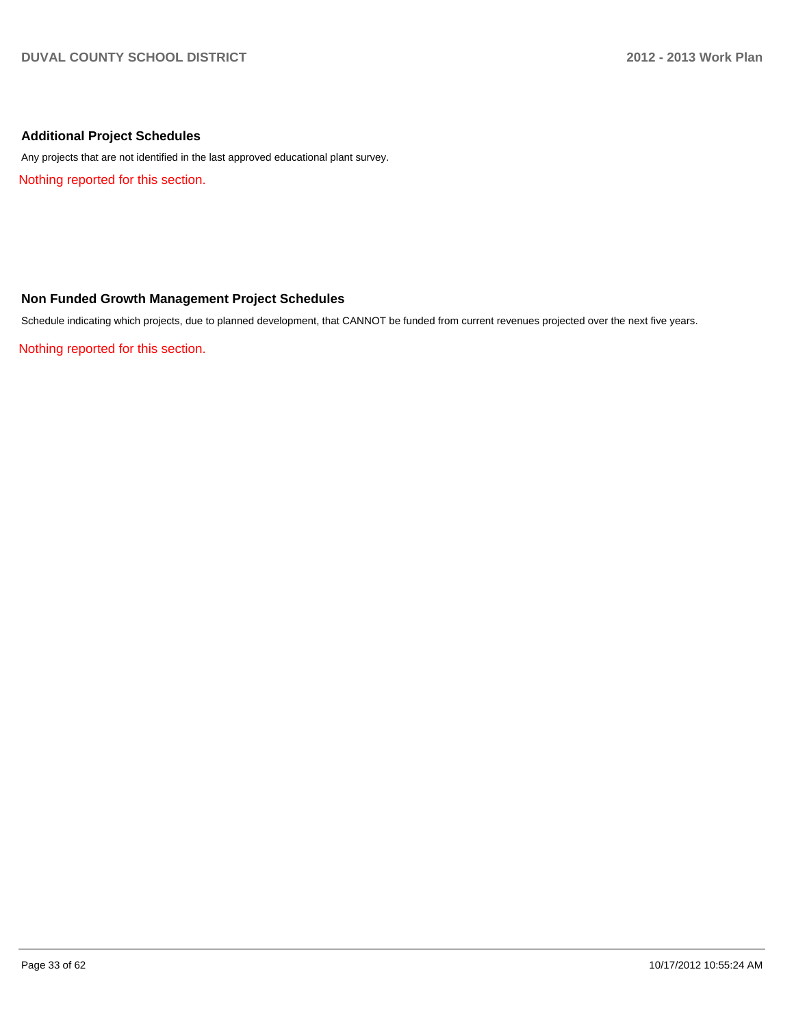# **Additional Project Schedules**

Any projects that are not identified in the last approved educational plant survey.

Nothing reported for this section.

#### **Non Funded Growth Management Project Schedules**

Schedule indicating which projects, due to planned development, that CANNOT be funded from current revenues projected over the next five years.

Nothing reported for this section.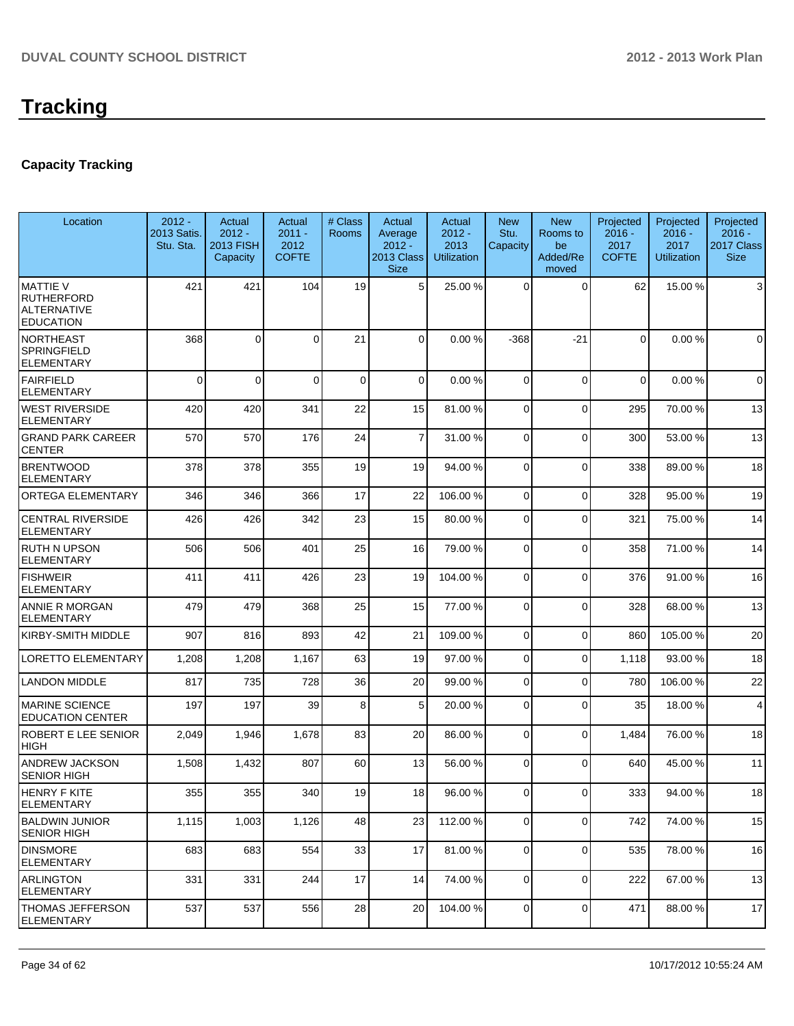# **Capacity Tracking**

| Location                                                                       | $2012 -$<br>2013 Satis.<br>Stu. Sta. | Actual<br>$2012 -$<br><b>2013 FISH</b><br>Capacity | Actual<br>$2011 -$<br>2012<br><b>COFTE</b> | # Class<br>Rooms | Actual<br>Average<br>$2012 -$<br>2013 Class<br><b>Size</b> | Actual<br>$2012 -$<br>2013<br><b>Utilization</b> | <b>New</b><br>Stu.<br>Capacity | <b>New</b><br>Rooms to<br>be<br>Added/Re<br>moved | Projected<br>$2016 -$<br>2017<br><b>COFTE</b> | Projected<br>$2016 -$<br>2017<br><b>Utilization</b> | Projected<br>$2016 -$<br>2017 Class<br><b>Size</b> |
|--------------------------------------------------------------------------------|--------------------------------------|----------------------------------------------------|--------------------------------------------|------------------|------------------------------------------------------------|--------------------------------------------------|--------------------------------|---------------------------------------------------|-----------------------------------------------|-----------------------------------------------------|----------------------------------------------------|
| <b>MATTIE V</b><br><b>RUTHERFORD</b><br><b>ALTERNATIVE</b><br><b>EDUCATION</b> | 421                                  | 421                                                | 104                                        | 19               | 5 <sup>1</sup>                                             | 25.00 %                                          | $\Omega$                       | $\Omega$                                          | 62                                            | 15.00 %                                             | 3                                                  |
| NORTHEAST<br><b>SPRINGFIELD</b><br><b>ELEMENTARY</b>                           | 368                                  | $\mathbf 0$                                        | 0                                          | 21               | 0                                                          | 0.00%                                            | $-368$                         | $-21$                                             | $\Omega$                                      | 0.00%                                               | $\mathbf 0$                                        |
| FAIRFIELD<br><b>ELEMENTARY</b>                                                 | $\mathbf{0}$                         | $\Omega$                                           | $\Omega$                                   | $\mathbf 0$      | $\Omega$                                                   | 0.00%                                            | $\Omega$                       | $\Omega$                                          | $\Omega$                                      | 0.00%                                               | $\mathbf 0$                                        |
| <b>WEST RIVERSIDE</b><br><b>ELEMENTARY</b>                                     | 420                                  | 420                                                | 341                                        | 22               | 15                                                         | 81.00 %                                          | $\Omega$                       | $\Omega$                                          | 295                                           | 70.00%                                              | 13                                                 |
| <b>GRAND PARK CAREER</b><br><b>CENTER</b>                                      | 570                                  | 570                                                | 176                                        | 24               | $\overline{7}$                                             | 31.00 %                                          | $\Omega$                       | $\Omega$                                          | 300                                           | 53.00 %                                             | 13                                                 |
| <b>BRENTWOOD</b><br><b>ELEMENTARY</b>                                          | 378                                  | 378                                                | 355                                        | 19               | 19                                                         | 94.00 %                                          | 0                              | $\Omega$                                          | 338                                           | 89.00 %                                             | 18                                                 |
| <b>ORTEGA ELEMENTARY</b>                                                       | 346                                  | 346                                                | 366                                        | 17               | 22                                                         | 106.00%                                          | 0                              | $\Omega$                                          | 328                                           | 95.00 %                                             | 19                                                 |
| <b>CENTRAL RIVERSIDE</b><br><b>ELEMENTARY</b>                                  | 426                                  | 426                                                | 342                                        | 23               | 15                                                         | 80.00 %                                          | 0                              | $\Omega$                                          | 321                                           | 75.00 %                                             | 14                                                 |
| <b>RUTH N UPSON</b><br><b>ELEMENTARY</b>                                       | 506                                  | 506                                                | 401                                        | 25               | 16                                                         | 79.00 %                                          | 0                              | $\Omega$                                          | 358                                           | 71.00%                                              | 14                                                 |
| <b>FISHWEIR</b><br><b>ELEMENTARY</b>                                           | 411                                  | 411                                                | 426                                        | 23               | 19                                                         | 104.00 %                                         | $\Omega$                       | $\Omega$                                          | 376                                           | 91.00%                                              | 16                                                 |
| ANNIE R MORGAN<br><b>ELEMENTARY</b>                                            | 479                                  | 479                                                | 368                                        | 25               | 15                                                         | 77.00 %                                          | $\overline{0}$                 | $\Omega$                                          | 328                                           | 68.00 %                                             | 13                                                 |
| <b>KIRBY-SMITH MIDDLE</b>                                                      | 907                                  | 816                                                | 893                                        | 42               | 21                                                         | 109.00%                                          | 0                              | $\Omega$                                          | 860                                           | 105.00%                                             | 20                                                 |
| <b>LORETTO ELEMENTARY</b>                                                      | 1,208                                | 1,208                                              | 1,167                                      | 63               | 19                                                         | 97.00 %                                          | 0                              | $\Omega$                                          | 1,118                                         | 93.00%                                              | 18                                                 |
| <b>LANDON MIDDLE</b>                                                           | 817                                  | 735                                                | 728                                        | 36               | 20                                                         | 99.00 %                                          | 0                              | $\Omega$                                          | 780                                           | 106.00%                                             | 22                                                 |
| <b>MARINE SCIENCE</b><br><b>EDUCATION CENTER</b>                               | 197                                  | 197                                                | 39                                         | 8                | 5                                                          | 20.00 %                                          | 0                              | $\Omega$                                          | 35                                            | 18.00%                                              | 4                                                  |
| <b>ROBERT E LEE SENIOR</b><br><b>HIGH</b>                                      | 2,049                                | 1,946                                              | 1,678                                      | 83               | 20                                                         | 86.00 %                                          | 0                              | $\Omega$                                          | 1,484                                         | 76.00%                                              | 18                                                 |
| ANDREW JACKSON<br><b>SENIOR HIGH</b>                                           | 1,508                                | 1,432                                              | 807                                        | 60               | 13                                                         | 56.00 %                                          | $\Omega$                       | $\Omega$                                          | 640                                           | 45.00 %                                             | 11                                                 |
| HENRY F KITE<br><b>ELEMENTARY</b>                                              | 355                                  | 355                                                | 340                                        | 19               | 18                                                         | 96.00 %                                          | $\overline{0}$                 | 0                                                 | 333                                           | 94.00%                                              | 18                                                 |
| <b>BALDWIN JUNIOR</b><br><b>SENIOR HIGH</b>                                    | 1,115                                | 1,003                                              | 1,126                                      | 48               | 23                                                         | 112.00 %                                         | $\overline{0}$                 | $\mathbf 0$                                       | 742                                           | 74.00%                                              | 15                                                 |
| <b>DINSMORE</b><br><b>ELEMENTARY</b>                                           | 683                                  | 683                                                | 554                                        | 33               | 17                                                         | 81.00%                                           | $\overline{0}$                 | $\Omega$                                          | 535                                           | 78.00 %                                             | 16                                                 |
| <b>ARLINGTON</b><br><b>ELEMENTARY</b>                                          | 331                                  | 331                                                | 244                                        | 17               | 14                                                         | 74.00 %                                          | $\overline{0}$                 | $\overline{0}$                                    | 222                                           | 67.00 %                                             | 13                                                 |
| THOMAS JEFFERSON<br>ELEMENTARY                                                 | 537                                  | 537                                                | 556                                        | 28               | 20                                                         | 104.00 %                                         | $\overline{0}$                 | $\overline{0}$                                    | 471                                           | 88.00 %                                             | 17                                                 |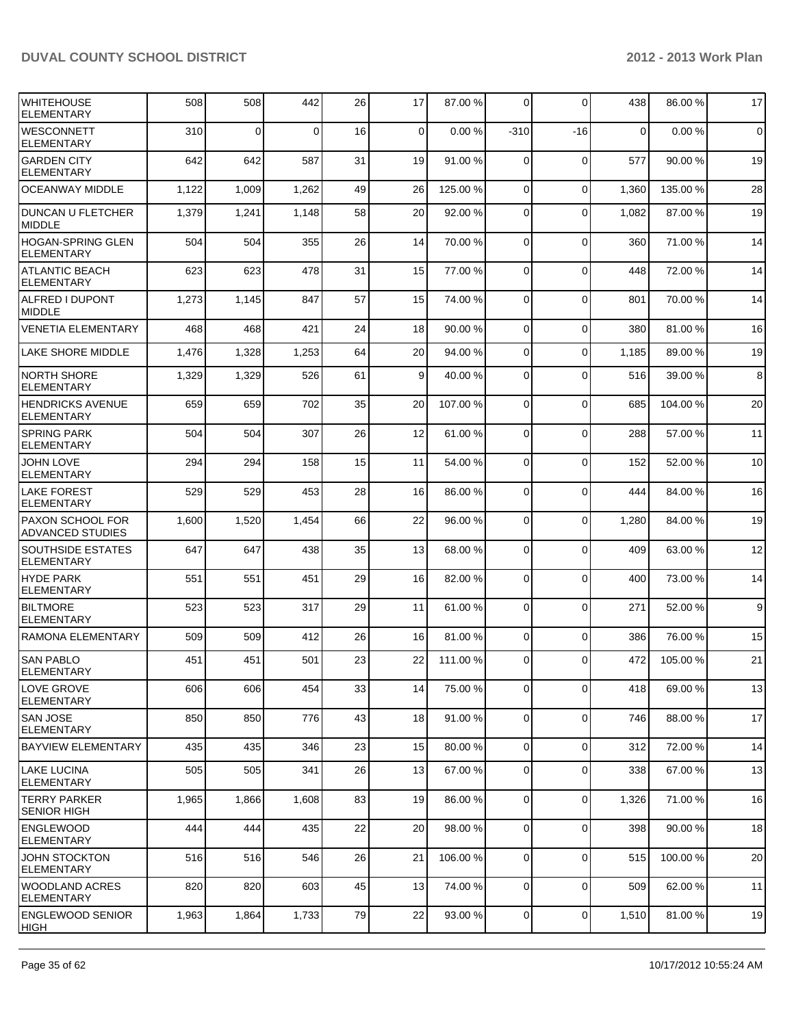| IWHITEHOUSE<br><b>ELEMENTARY</b>              | 508   | 508      | 442   | 26 | 17              | 87.00 %  | $\Omega$       | $\Omega$    | 438         | 86.00 %  | 17          |
|-----------------------------------------------|-------|----------|-------|----|-----------------|----------|----------------|-------------|-------------|----------|-------------|
| <b>WESCONNETT</b><br><b>ELEMENTARY</b>        | 310   | $\Omega$ | 0     | 16 | 0               | 0.00%    | $-310$         | -16         | $\mathbf 0$ | 0.00%    | $\mathbf 0$ |
| <b>GARDEN CITY</b><br><b>ELEMENTARY</b>       | 642   | 642      | 587   | 31 | 19              | 91.00 %  | $\Omega$       | $\Omega$    | 577         | 90.00 %  | 19          |
| <b>OCEANWAY MIDDLE</b>                        | 1,122 | 1,009    | 1,262 | 49 | 26              | 125.00 % | $\overline{0}$ | $\mathbf 0$ | 1,360       | 135.00 % | 28          |
| DUNCAN U FLETCHER<br><b>MIDDLE</b>            | 1,379 | 1,241    | 1,148 | 58 | 20 <sup>1</sup> | 92.00 %  | $\overline{0}$ | $\Omega$    | 1,082       | 87.00 %  | 19          |
| <b>HOGAN-SPRING GLEN</b><br><b>ELEMENTARY</b> | 504   | 504      | 355   | 26 | 14              | 70.00 %  | $\overline{0}$ | $\mathbf 0$ | 360         | 71.00%   | 14          |
| <b>ATLANTIC BEACH</b><br><b>ELEMENTARY</b>    | 623   | 623      | 478   | 31 | 15              | 77.00 %  | 0              | $\mathbf 0$ | 448         | 72.00 %  | 14          |
| ALFRED I DUPONT<br><b>MIDDLE</b>              | 1,273 | 1,145    | 847   | 57 | 15              | 74.00 %  | $\overline{0}$ | $\mathbf 0$ | 801         | 70.00%   | 14          |
| <b>VENETIA ELEMENTARY</b>                     | 468   | 468      | 421   | 24 | 18              | 90.00 %  | $\overline{0}$ | $\mathbf 0$ | 380         | 81.00%   | 16          |
| <b>LAKE SHORE MIDDLE</b>                      | 1,476 | 1,328    | 1,253 | 64 | 20              | 94.00 %  | $\overline{0}$ | $\mathbf 0$ | 1,185       | 89.00%   | 19          |
| INORTH SHORE<br><b>ELEMENTARY</b>             | 1,329 | 1,329    | 526   | 61 | $\vert$ 9       | 40.00 %  | $\overline{0}$ | $\Omega$    | 516         | 39.00 %  | 8           |
| <b>HENDRICKS AVENUE</b><br><b>ELEMENTARY</b>  | 659   | 659      | 702   | 35 | 20              | 107.00 % | 0              | $\mathbf 0$ | 685         | 104.00%  | 20          |
| <b>SPRING PARK</b><br>ELEMENTARY              | 504   | 504      | 307   | 26 | 12              | 61.00 %  | 0              | $\mathbf 0$ | 288         | 57.00 %  | 11          |
| <b>JOHN LOVE</b><br><b>ELEMENTARY</b>         | 294   | 294      | 158   | 15 | 11              | 54.00 %  | $\Omega$       | $\mathbf 0$ | 152         | 52.00 %  | 10          |
| <b>LAKE FOREST</b><br><b>ELEMENTARY</b>       | 529   | 529      | 453   | 28 | 16              | 86.00 %  | $\Omega$       | $\Omega$    | 444         | 84.00%   | 16          |
| <b>PAXON SCHOOL FOR</b><br>ADVANCED STUDIES   | 1,600 | 1,520    | 1,454 | 66 | 22              | 96.00 %  | $\Omega$       | $\mathbf 0$ | 1,280       | 84.00%   | 19          |
| <b>SOUTHSIDE ESTATES</b><br><b>ELEMENTARY</b> | 647   | 647      | 438   | 35 | 13              | 68.00 %  | $\Omega$       | $\mathbf 0$ | 409         | 63.00 %  | 12          |
| <b>HYDE PARK</b><br>ELEMENTARY                | 551   | 551      | 451   | 29 | 16              | 82.00 %  | $\Omega$       | $\mathbf 0$ | 400         | 73.00 %  | 14          |
| <b>BILTMORE</b><br><b>ELEMENTARY</b>          | 523   | 523      | 317   | 29 | 11              | 61.00 %  | $\Omega$       | $\mathbf 0$ | 271         | 52.00 %  | 9           |
| <b>RAMONA ELEMENTARY</b>                      | 509   | 509      | 412   | 26 | 16              | 81.00 %  | 0              | $\Omega$    | 386         | 76.00 %  | 15          |
| <b>SAN PABLO</b><br>ELEMENTARY                | 451   | 451      | 501   | 23 | 22              | 111.00 % | 0              | $\Omega$    | 472         | 105.00 % | 21          |
| <b>LOVE GROVE</b><br><b>ELEMENTARY</b>        | 606   | 606      | 454   | 33 | 14              | 75.00 %  | $\Omega$       | $\mathbf 0$ | 418         | 69.00%   | 13          |
| <b>SAN JOSE</b><br><b>ELEMENTARY</b>          | 850   | 850      | 776   | 43 | 18              | 91.00 %  | $\overline{0}$ | $\mathbf 0$ | 746         | 88.00 %  | 17          |
| <b>BAYVIEW ELEMENTARY</b>                     | 435   | 435      | 346   | 23 | 15              | 80.00 %  | $\overline{0}$ | $\mathbf 0$ | 312         | 72.00 %  | 14          |
| ILAKE LUCINA<br><b>ELEMENTARY</b>             | 505   | 505      | 341   | 26 | 13              | 67.00 %  | $\overline{0}$ | 0           | 338         | 67.00 %  | 13          |
| <b>TERRY PARKER</b><br>SENIOR HIGH            | 1,965 | 1,866    | 1,608 | 83 | 19              | 86.00 %  | 0              | $\mathbf 0$ | 1,326       | 71.00 %  | 16          |
| <b>ENGLEWOOD</b><br><b>ELEMENTARY</b>         | 444   | 444      | 435   | 22 | 20 <sub>2</sub> | 98.00 %  | $\Omega$       | $\mathbf 0$ | 398         | 90.00%   | 18          |
| <b>JOHN STOCKTON</b><br><b>ELEMENTARY</b>     | 516   | 516      | 546   | 26 | 21              | 106.00 % | $\overline{0}$ | $\mathbf 0$ | 515         | 100.00%  | 20          |
| <b>WOODLAND ACRES</b><br><b>ELEMENTARY</b>    | 820   | 820      | 603   | 45 | 13              | 74.00 %  | $\overline{0}$ | $\mathbf 0$ | 509         | 62.00 %  | 11          |
| <b>ENGLEWOOD SENIOR</b><br> HIGH              | 1,963 | 1,864    | 1,733 | 79 | 22              | 93.00 %  | $\overline{0}$ | $\mathbf 0$ | 1,510       | 81.00%   | 19          |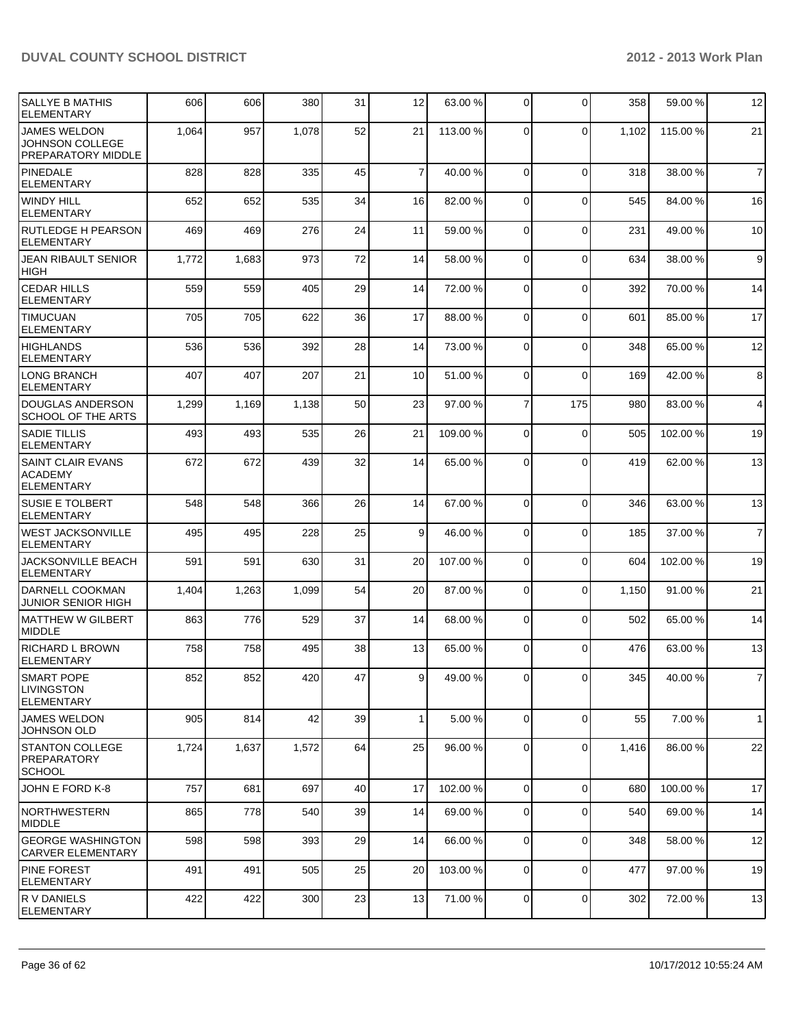| SALLYE B MATHIS<br><b>ELEMENTARY</b>                            | 606   | 606   | 380   | 31 | 12              | 63.00 %  | $\overline{0}$ | $\Omega$       | 358   | 59.00 %  | 12             |
|-----------------------------------------------------------------|-------|-------|-------|----|-----------------|----------|----------------|----------------|-------|----------|----------------|
| <b>JAMES WELDON</b><br>JOHNSON COLLEGE<br>PREPARATORY MIDDLE    | 1,064 | 957   | 1,078 | 52 | 21              | 113.00 % | $\Omega$       | $\mathbf{0}$   | 1,102 | 115.00 % | 21             |
| <b>PINEDALE</b><br><b>ELEMENTARY</b>                            | 828   | 828   | 335   | 45 | $\overline{7}$  | 40.00 %  | $\Omega$       | $\mathbf 0$    | 318   | 38.00 %  | $\overline{7}$ |
| <b>WINDY HILL</b><br><b>ELEMENTARY</b>                          | 652   | 652   | 535   | 34 | 16              | 82.00 %  | $\Omega$       | $\mathbf 0$    | 545   | 84.00 %  | 16             |
| <b>RUTLEDGE H PEARSON</b><br><b>ELEMENTARY</b>                  | 469   | 469   | 276   | 24 | 11              | 59.00 %  | $\Omega$       | $\overline{0}$ | 231   | 49.00 %  | 10             |
| JEAN RIBAULT SENIOR<br>HIGH                                     | 1,772 | 1,683 | 973   | 72 | 14              | 58.00 %  | $\Omega$       | $\mathbf{0}$   | 634   | 38.00 %  | 9              |
| <b>CEDAR HILLS</b><br><b>ELEMENTARY</b>                         | 559   | 559   | 405   | 29 | 14              | 72.00 %  | $\Omega$       | $\mathbf 0$    | 392   | 70.00%   | 14             |
| <b>TIMUCUAN</b><br><b>ELEMENTARY</b>                            | 705   | 705   | 622   | 36 | 17              | 88.00 %  | $\Omega$       | $\mathbf 0$    | 601   | 85.00 %  | 17             |
| <b>HIGHLANDS</b><br><b>ELEMENTARY</b>                           | 536   | 536   | 392   | 28 | 14              | 73.00 %  | $\Omega$       | $\mathbf{0}$   | 348   | 65.00 %  | 12             |
| <b>LONG BRANCH</b><br><b>ELEMENTARY</b>                         | 407   | 407   | 207   | 21 | 10 <sup>1</sup> | 51.00 %  | $\Omega$       | $\mathbf{0}$   | 169   | 42.00 %  | 8              |
| DOUGLAS ANDERSON<br>SCHOOL OF THE ARTS                          | 1,299 | 1,169 | 1,138 | 50 | 23              | 97.00 %  | 7              | 175            | 980   | 83.00 %  | $\overline{4}$ |
| <b>SADIE TILLIS</b><br><b>ELEMENTARY</b>                        | 493   | 493   | 535   | 26 | 21              | 109.00 % | $\Omega$       | $\mathbf 0$    | 505   | 102.00%  | 19             |
| <b>SAINT CLAIR EVANS</b><br><b>ACADEMY</b><br><b>ELEMENTARY</b> | 672   | 672   | 439   | 32 | 14              | 65.00 %  | $\Omega$       | $\mathbf{0}$   | 419   | 62.00%   | 13             |
| <b>SUSIE E TOLBERT</b><br><b>ELEMENTARY</b>                     | 548   | 548   | 366   | 26 | 14              | 67.00 %  | $\Omega$       | $\Omega$       | 346   | 63.00 %  | 13             |
| <b>WEST JACKSONVILLE</b><br><b>ELEMENTARY</b>                   | 495   | 495   | 228   | 25 | $\vert 9 \vert$ | 46.00 %  | $\overline{0}$ | $\mathbf{0}$   | 185   | 37.00 %  | $\overline{7}$ |
| JACKSONVILLE BEACH<br><b>ELEMENTARY</b>                         | 591   | 591   | 630   | 31 | 20              | 107.00 % | $\overline{0}$ | 0              | 604   | 102.00%  | 19             |
| DARNELL COOKMAN<br>JUNIOR SENIOR HIGH                           | 1,404 | 1,263 | 1,099 | 54 | 20 <sub>l</sub> | 87.00 %  | $\Omega$       | $\Omega$       | 1,150 | 91.00 %  | 21             |
| MATTHEW W GILBERT<br><b>MIDDLE</b>                              | 863   | 776   | 529   | 37 | 14              | 68.00 %  | $\Omega$       | 0              | 502   | 65.00 %  | 14             |
| <b>RICHARD L BROWN</b><br><b>ELEMENTARY</b>                     | 758   | 758   | 495   | 38 | 13              | 65.00 %  | $\overline{0}$ | $\Omega$       | 476   | 63.00 %  | 13             |
| SMART POPE<br>ILIVINGSTON<br>ELEMENTARY                         | 852   | 852   | 420   | 47 | 9               | 49.00 %  | 01             | $\overline{0}$ | 345   | 40.00 %  | $\overline{7}$ |
| <b>JAMES WELDON</b><br><b>JOHNSON OLD</b>                       | 905   | 814   | 42    | 39 | 1 <sup>1</sup>  | 5.00 %   | $\overline{0}$ | $\mathbf 0$    | 55    | 7.00 %   | 1              |
| <b>STANTON COLLEGE</b><br><b>PREPARATORY</b><br><b>SCHOOL</b>   | 1,724 | 1,637 | 1,572 | 64 | 25              | 96.00 %  | $\overline{0}$ | 0              | 1,416 | 86.00 %  | 22             |
| JOHN E FORD K-8                                                 | 757   | 681   | 697   | 40 | 17              | 102.00 % | $\overline{0}$ | $\mathbf 0$    | 680   | 100.00%  | 17             |
| NORTHWESTERN<br><b>MIDDLE</b>                                   | 865   | 778   | 540   | 39 | 14              | 69.00 %  | $\overline{0}$ | 0              | 540   | 69.00 %  | 14             |
| <b>GEORGE WASHINGTON</b><br><b>CARVER ELEMENTARY</b>            | 598   | 598   | 393   | 29 | 14              | 66.00 %  | $\overline{0}$ | 0              | 348   | 58.00 %  | 12             |
| <b>PINE FOREST</b><br><b>ELEMENTARY</b>                         | 491   | 491   | 505   | 25 | 20              | 103.00 % | $\overline{0}$ | 0              | 477   | 97.00 %  | 19             |
| R V DANIELS<br><b>ELEMENTARY</b>                                | 422   | 422   | 300   | 23 | 13              | 71.00 %  | $\overline{0}$ | 0              | 302   | 72.00 %  | 13             |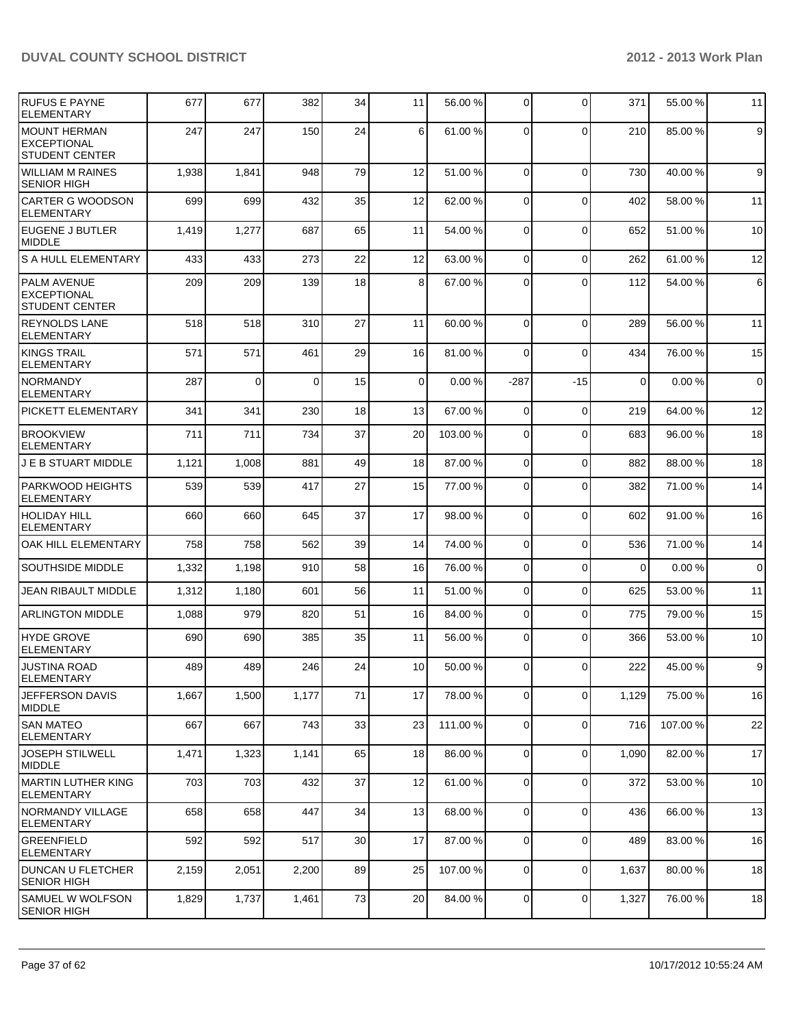| <b>RUFUS E PAYNE</b><br><b>ELEMENTARY</b>                          | 677   | 677   | 382      | 34 | 11              | 56.00 %  | $\overline{0}$ | $\Omega$    | 371         | 55.00 % | 11             |
|--------------------------------------------------------------------|-------|-------|----------|----|-----------------|----------|----------------|-------------|-------------|---------|----------------|
| <b>MOUNT HERMAN</b><br><b>EXCEPTIONAL</b><br><b>STUDENT CENTER</b> | 247   | 247   | 150      | 24 | 6 <sup>1</sup>  | 61.00 %  | $\Omega$       | $\Omega$    | 210         | 85.00 % | 9              |
| <b>WILLIAM M RAINES</b><br><b>SENIOR HIGH</b>                      | 1,938 | 1,841 | 948      | 79 | 12              | 51.00 %  | 0              | $\mathbf 0$ | 730         | 40.00 % | $\mathsf g$    |
| <b>CARTER G WOODSON</b><br>ELEMENTARY                              | 699   | 699   | 432      | 35 | 12              | 62.00 %  | $\Omega$       | $\mathbf 0$ | 402         | 58.00 % | 11             |
| <b>EUGENE J BUTLER</b><br><b>MIDDLE</b>                            | 1,419 | 1,277 | 687      | 65 | 11              | 54.00 %  | $\Omega$       | $\mathbf 0$ | 652         | 51.00 % | 10             |
| <b>S A HULL ELEMENTARY</b>                                         | 433   | 433   | 273      | 22 | 12              | 63.00 %  | $\Omega$       | $\mathbf 0$ | 262         | 61.00%  | 12             |
| <b>PALM AVENUE</b><br><b>EXCEPTIONAL</b><br><b>STUDENT CENTER</b>  | 209   | 209   | 139      | 18 | 8 <sup>1</sup>  | 67.00 %  | $\Omega$       | $\Omega$    | 112         | 54.00%  | 6              |
| <b>REYNOLDS LANE</b><br><b>ELEMENTARY</b>                          | 518   | 518   | 310      | 27 | 11              | 60.00 %  | $\Omega$       | $\mathbf 0$ | 289         | 56.00 % | 11             |
| <b>KINGS TRAIL</b><br><b>ELEMENTARY</b>                            | 571   | 571   | 461      | 29 | 16              | 81.00%   | $\Omega$       | $\Omega$    | 434         | 76.00 % | 15             |
| <b>NORMANDY</b><br><b>ELEMENTARY</b>                               | 287   | 0     | $\Omega$ | 15 | $\Omega$        | 0.00%    | $-287$         | $-15$       | $\mathbf 0$ | 0.00%   | $\overline{0}$ |
| PICKETT ELEMENTARY                                                 | 341   | 341   | 230      | 18 | 13              | 67.00 %  | $\Omega$       | $\mathbf 0$ | 219         | 64.00%  | 12             |
| <b>BROOKVIEW</b><br><b>ELEMENTARY</b>                              | 711   | 711   | 734      | 37 | 20              | 103.00 % | $\Omega$       | $\mathbf 0$ | 683         | 96.00 % | 18             |
| <b>J E B STUART MIDDLE</b>                                         | 1,121 | 1,008 | 881      | 49 | 18              | 87.00 %  | $\overline{0}$ | $\mathbf 0$ | 882         | 88.00 % | 18             |
| <b>PARKWOOD HEIGHTS</b><br><b>ELEMENTARY</b>                       | 539   | 539   | 417      | 27 | 15              | 77.00 %  | $\overline{0}$ | $\mathbf 0$ | 382         | 71.00 % | 14             |
| <b>HOLIDAY HILL</b><br><b>ELEMENTARY</b>                           | 660   | 660   | 645      | 37 | 17              | 98.00 %  | $\Omega$       | $\mathbf 0$ | 602         | 91.00 % | 16             |
| OAK HILL ELEMENTARY                                                | 758   | 758   | 562      | 39 | 14              | 74.00 %  | 0              | $\Omega$    | 536         | 71.00 % | 14             |
| <b>SOUTHSIDE MIDDLE</b>                                            | 1,332 | 1,198 | 910      | 58 | 16              | 76.00 %  | 0              | $\mathbf 0$ | $\Omega$    | 0.00%   | $\overline{0}$ |
| JEAN RIBAULT MIDDLE                                                | 1,312 | 1,180 | 601      | 56 | 11              | 51.00 %  | 0              | $\mathbf 0$ | 625         | 53.00 % | 11             |
| <b>ARLINGTON MIDDLE</b>                                            | 1,088 | 979   | 820      | 51 | 16              | 84.00 %  | 0              | $\Omega$    | 775         | 79.00 % | 15             |
| HYDE GROVE<br><b>ELEMENTARY</b>                                    | 690   | 690   | 385      | 35 | 11              | 56.00 %  | $\Omega$       | $\Omega$    | 366         | 53.00 % | 10             |
| <b>JUSTINA ROAD</b><br><b>ELEMENTARY</b>                           | 489   | 489   | 246      | 24 | 10 <sup>1</sup> | 50.00 %  | $\Omega$       | $\Omega$    | 222         | 45.00 % | $\overline{9}$ |
| JEFFERSON DAVIS<br><b>MIDDLE</b>                                   | 1,667 | 1,500 | 1,177    | 71 | 17              | 78.00 %  | $\overline{0}$ | $\mathbf 0$ | 1,129       | 75.00 % | 16             |
| <b>SAN MATEO</b><br><b>ELEMENTARY</b>                              | 667   | 667   | 743      | 33 | 23              | 111.00 % | $\overline{0}$ | $\mathbf 0$ | 716         | 107.00% | 22             |
| <b>JOSEPH STILWELL</b><br>MIDDLE                                   | 1,471 | 1,323 | 1,141    | 65 | 18              | 86.00 %  | $\overline{0}$ | $\mathbf 0$ | 1,090       | 82.00%  | 17             |
| MARTIN LUTHER KING<br><b>ELEMENTARY</b>                            | 703   | 703   | 432      | 37 | 12              | 61.00 %  | $\Omega$       | $\mathbf 0$ | 372         | 53.00 % | 10             |
| NORMANDY VILLAGE<br><b>ELEMENTARY</b>                              | 658   | 658   | 447      | 34 | 13              | 68.00 %  | $\overline{0}$ | $\mathbf 0$ | 436         | 66.00 % | 13             |
| <b>GREENFIELD</b><br><b>ELEMENTARY</b>                             | 592   | 592   | 517      | 30 | 17              | 87.00 %  | $\overline{0}$ | $\mathbf 0$ | 489         | 83.00 % | 16             |
| DUNCAN U FLETCHER<br><b>SENIOR HIGH</b>                            | 2,159 | 2,051 | 2,200    | 89 | 25              | 107.00 % | $\overline{0}$ | $\mathbf 0$ | 1,637       | 80.00 % | 18             |
| SAMUEL W WOLFSON<br><b>SENIOR HIGH</b>                             | 1,829 | 1,737 | 1,461    | 73 | 20              | 84.00 %  | $\overline{0}$ | $\mathbf 0$ | 1,327       | 76.00 % | 18             |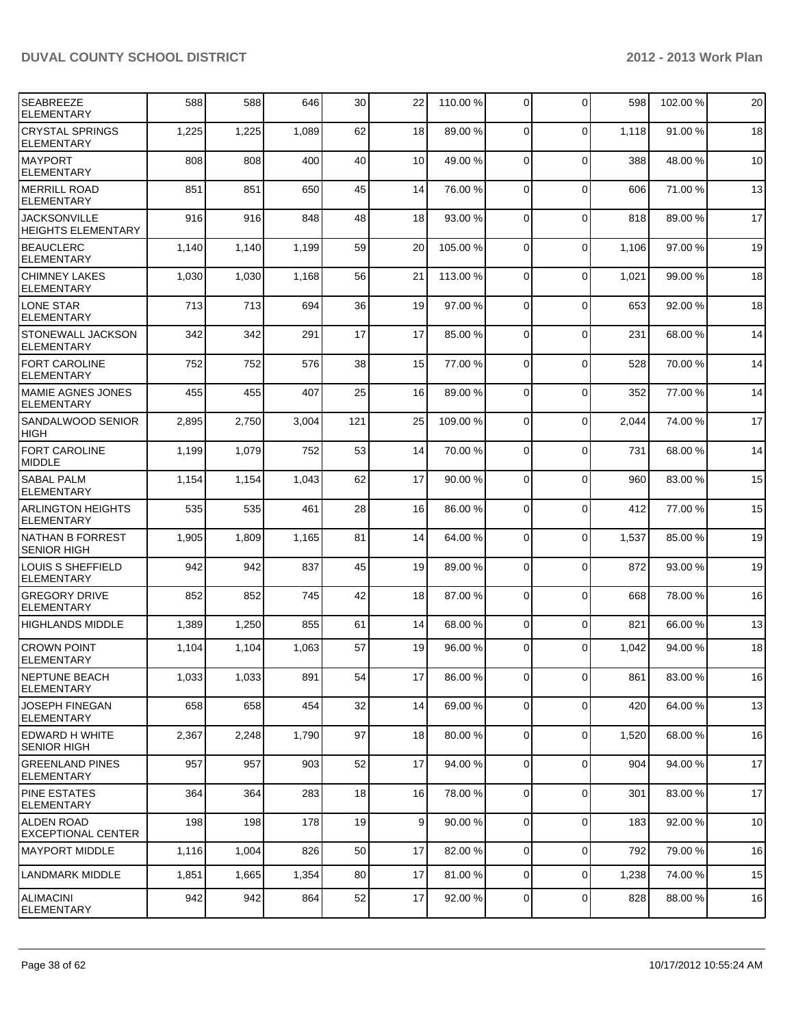| <b>SEABREEZE</b><br><b>ELEMENTARY</b>             | 588   | 588   | 646   | 30  | 22              | 110.00%  | $\overline{0}$ | $\Omega$       | 598   | 102.00% | 20 |
|---------------------------------------------------|-------|-------|-------|-----|-----------------|----------|----------------|----------------|-------|---------|----|
| <b>CRYSTAL SPRINGS</b><br>ELEMENTARY              | 1,225 | 1,225 | 1,089 | 62  | 18              | 89.00 %  | $\Omega$       | 0              | 1,118 | 91.00%  | 18 |
| <b>MAYPORT</b><br><b>ELEMENTARY</b>               | 808   | 808   | 400   | 40  | 10 <sup>1</sup> | 49.00 %  | $\Omega$       | $\mathbf 0$    | 388   | 48.00%  | 10 |
| <b>IMERRILL ROAD</b><br>ELEMENTARY                | 851   | 851   | 650   | 45  | 14              | 76.00 %  | $\overline{0}$ | 0              | 606   | 71.00 % | 13 |
| <b>IJACKSONVILLE</b><br><b>HEIGHTS ELEMENTARY</b> | 916   | 916   | 848   | 48  | 18              | 93.00 %  | $\overline{0}$ | $\mathbf 0$    | 818   | 89.00%  | 17 |
| <b>BEAUCLERC</b><br>ELEMENTARY                    | 1,140 | 1,140 | 1,199 | 59  | 20              | 105.00 % | $\Omega$       | $\mathbf 0$    | 1,106 | 97.00 % | 19 |
| <b>CHIMNEY LAKES</b><br>ELEMENTARY                | 1,030 | 1,030 | 1,168 | 56  | 21              | 113.00 % | $\overline{0}$ | 0              | 1,021 | 99.00 % | 18 |
| LONE STAR<br><b>ELEMENTARY</b>                    | 713   | 713   | 694   | 36  | 19              | 97.00 %  | $\overline{0}$ | 0              | 653   | 92.00 % | 18 |
| <b>STONEWALL JACKSON</b><br><b>ELEMENTARY</b>     | 342   | 342   | 291   | 17  | 17              | 85.00 %  | $\mathbf 0$    | $\mathbf 0$    | 231   | 68.00%  | 14 |
| <b>FORT CAROLINE</b><br>ELEMENTARY                | 752   | 752   | 576   | 38  | 15              | 77.00 %  | $\Omega$       | 0              | 528   | 70.00%  | 14 |
| MAMIE AGNES JONES<br>ELEMENTARY                   | 455   | 455   | 407   | 25  | 16              | 89.00 %  | $\Omega$       | 0              | 352   | 77.00 % | 14 |
| SANDALWOOD SENIOR<br><b>HIGH</b>                  | 2,895 | 2,750 | 3,004 | 121 | 25              | 109.00 % | $\Omega$       | 0              | 2,044 | 74.00%  | 17 |
| <b>FORT CAROLINE</b><br>MIDDLE                    | 1,199 | 1,079 | 752   | 53  | 14              | 70.00 %  | $\mathbf 0$    | $\mathbf 0$    | 731   | 68.00 % | 14 |
| <b>SABAL PALM</b><br>ELEMENTARY                   | 1,154 | 1,154 | 1,043 | 62  | 17              | 90.00 %  | $\Omega$       | 0              | 960   | 83.00 % | 15 |
| IARLINGTON HEIGHTS<br>ELEMENTARY                  | 535   | 535   | 461   | 28  | 16              | 86.00 %  | $\Omega$       | $\overline{0}$ | 412   | 77.00 % | 15 |
| NATHAN B FORREST<br><b>SENIOR HIGH</b>            | 1,905 | 1,809 | 1,165 | 81  | 14              | 64.00 %  | $\Omega$       | 0              | 1,537 | 85.00 % | 19 |
| LOUIS S SHEFFIELD<br>ELEMENTARY                   | 942   | 942   | 837   | 45  | 19              | 89.00 %  | $\Omega$       | $\mathbf 0$    | 872   | 93.00 % | 19 |
| <b>GREGORY DRIVE</b><br><b>ELEMENTARY</b>         | 852   | 852   | 745   | 42  | 18              | 87.00 %  | $\Omega$       | $\mathbf 0$    | 668   | 78.00 % | 16 |
| <b>HIGHLANDS MIDDLE</b>                           | 1,389 | 1,250 | 855   | 61  | 14              | 68.00 %  | $\overline{0}$ | $\mathbf 0$    | 821   | 66.00 % | 13 |
| <b>CROWN POINT</b><br>ELEMENTARY                  | 1,104 | 1,104 | 1,063 | 57  | 19              | 96.00 %  | $\Omega$       | $\Omega$       | 1,042 | 94.00 % | 18 |
| <b>INEPTUNE BEACH</b><br>ELEMENTARY               | 1,033 | 1,033 | 891   | 54  | 17 <sup>1</sup> | 86.00 %  | 0              | 0              | 861   | 83.00 % | 16 |
| JOSEPH FINEGAN<br>ELEMENTARY                      | 658   | 658   | 454   | 32  | 14              | 69.00 %  | $\overline{0}$ | 0              | 420   | 64.00 % | 13 |
| EDWARD H WHITE<br><b>SENIOR HIGH</b>              | 2,367 | 2,248 | 1,790 | 97  | 18              | 80.00 %  | $\overline{0}$ | $\mathbf 0$    | 1,520 | 68.00%  | 16 |
| <b>GREENLAND PINES</b><br><b>IELEMENTARY</b>      | 957   | 957   | 903   | 52  | 17              | 94.00 %  | $\overline{0}$ | 0              | 904   | 94.00%  | 17 |
| <b>PINE ESTATES</b><br><b>ELEMENTARY</b>          | 364   | 364   | 283   | 18  | 16              | 78.00 %  | $\overline{0}$ | 0              | 301   | 83.00 % | 17 |
| ALDEN ROAD<br>EXCEPTIONAL CENTER                  | 198   | 198   | 178   | 19  | 9 <sub>l</sub>  | 90.00 %  | $\overline{0}$ | 0              | 183   | 92.00 % | 10 |
| MAYPORT MIDDLE                                    | 1,116 | 1,004 | 826   | 50  | 17              | 82.00 %  | $\overline{0}$ | 0              | 792   | 79.00 % | 16 |
| LANDMARK MIDDLE                                   | 1,851 | 1,665 | 1,354 | 80  | 17              | 81.00 %  | $\overline{0}$ | $\mathbf 0$    | 1,238 | 74.00 % | 15 |
| ALIMACINI<br>ELEMENTARY                           | 942   | 942   | 864   | 52  | 17              | 92.00 %  | 0              | $\mathbf 0$    | 828   | 88.00 % | 16 |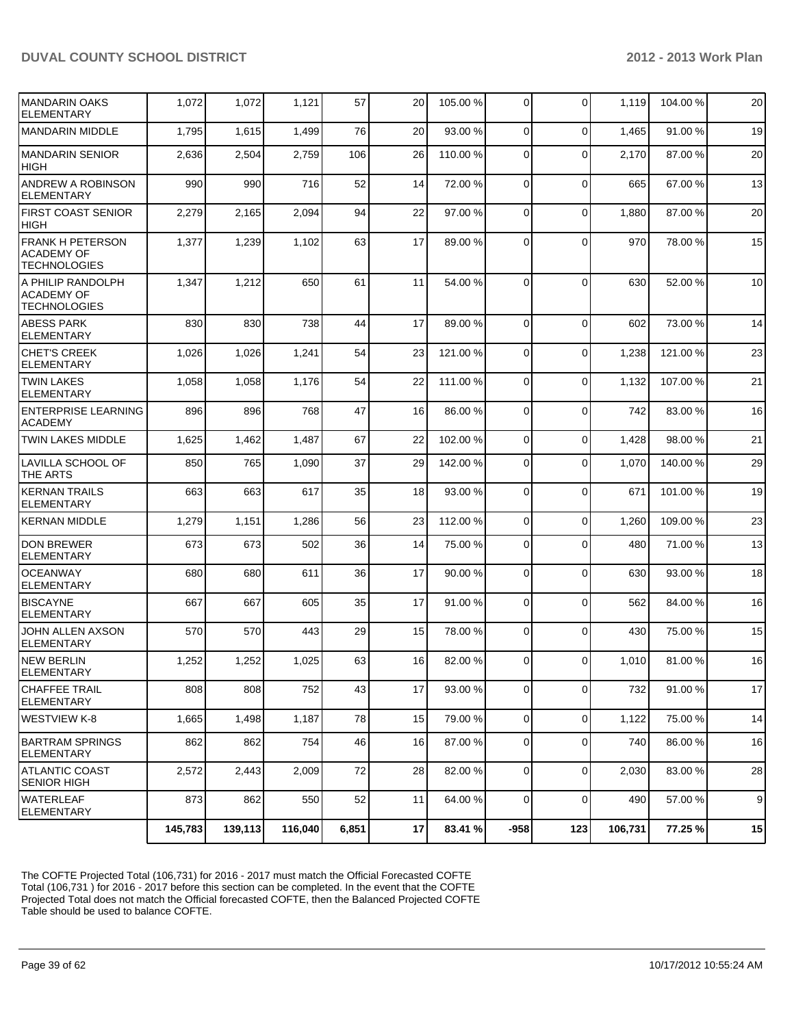| IMANDARIN OAKS<br><b>ELEMENTARY</b>                                 | 1,072   | 1,072   | 1,121   | 57    | 20 | 105.00 % | $\overline{0}$ | $\Omega$    | 1,119   | 104.00 % | 20 |
|---------------------------------------------------------------------|---------|---------|---------|-------|----|----------|----------------|-------------|---------|----------|----|
| <b>MANDARIN MIDDLE</b>                                              | 1,795   | 1,615   | 1,499   | 76    | 20 | 93.00 %  | $\Omega$       | $\mathbf 0$ | 1,465   | 91.00%   | 19 |
| <b>MANDARIN SENIOR</b><br><b>HIGH</b>                               | 2,636   | 2,504   | 2,759   | 106   | 26 | 110.00%  | $\Omega$       | $\Omega$    | 2,170   | 87.00 %  | 20 |
| ANDREW A ROBINSON<br><b>ELEMENTARY</b>                              | 990     | 990     | 716     | 52    | 14 | 72.00 %  | $\overline{0}$ | $\Omega$    | 665     | 67.00%   | 13 |
| <b>FIRST COAST SENIOR</b><br><b>HIGH</b>                            | 2,279   | 2,165   | 2,094   | 94    | 22 | 97.00 %  | 0              | $\mathbf 0$ | 1,880   | 87.00 %  | 20 |
| <b>FRANK H PETERSON</b><br><b>ACADEMY OF</b><br><b>TECHNOLOGIES</b> | 1,377   | 1,239   | 1,102   | 63    | 17 | 89.00 %  | $\Omega$       | $\Omega$    | 970     | 78.00 %  | 15 |
| A PHILIP RANDOLPH<br><b>ACADEMY OF</b><br><b>TECHNOLOGIES</b>       | 1,347   | 1,212   | 650     | 61    | 11 | 54.00 %  | $\Omega$       | $\Omega$    | 630     | 52.00 %  | 10 |
| <b>ABESS PARK</b><br><b>ELEMENTARY</b>                              | 830     | 830     | 738     | 44    | 17 | 89.00 %  | $\Omega$       | $\Omega$    | 602     | 73.00 %  | 14 |
| <b>CHET'S CREEK</b><br><b>ELEMENTARY</b>                            | 1,026   | 1,026   | 1,241   | 54    | 23 | 121.00%  | 0              | $\mathbf 0$ | 1,238   | 121.00%  | 23 |
| <b>TWIN LAKES</b><br><b>ELEMENTARY</b>                              | 1,058   | 1,058   | 1,176   | 54    | 22 | 111.00 % | $\Omega$       | $\Omega$    | 1,132   | 107.00 % | 21 |
| <b>ENTERPRISE LEARNING</b><br><b>ACADEMY</b>                        | 896     | 896     | 768     | 47    | 16 | 86.00 %  | $\overline{0}$ | $\mathbf 0$ | 742     | 83.00 %  | 16 |
| <b>TWIN LAKES MIDDLE</b>                                            | 1,625   | 1,462   | 1,487   | 67    | 22 | 102.00 % | $\Omega$       | $\Omega$    | 1,428   | 98.00%   | 21 |
| <b>LAVILLA SCHOOL OF</b><br>THE ARTS                                | 850     | 765     | 1,090   | 37    | 29 | 142.00 % | $\Omega$       | $\Omega$    | 1,070   | 140.00%  | 29 |
| <b>KERNAN TRAILS</b><br><b>ELEMENTARY</b>                           | 663     | 663     | 617     | 35    | 18 | 93.00 %  | $\Omega$       | $\mathbf 0$ | 671     | 101.00%  | 19 |
| <b>KERNAN MIDDLE</b>                                                | 1,279   | 1,151   | 1,286   | 56    | 23 | 112.00 % | $\Omega$       | $\mathbf 0$ | 1,260   | 109.00%  | 23 |
| <b>DON BREWER</b><br><b>ELEMENTARY</b>                              | 673     | 673     | 502     | 36    | 14 | 75.00 %  | $\Omega$       | $\Omega$    | 480     | 71.00%   | 13 |
| <b>OCEANWAY</b><br><b>ELEMENTARY</b>                                | 680     | 680     | 611     | 36    | 17 | 90.00 %  | $\Omega$       | $\mathbf 0$ | 630     | 93.00 %  | 18 |
| <b>BISCAYNE</b><br><b>ELEMENTARY</b>                                | 667     | 667     | 605     | 35    | 17 | 91.00 %  | $\Omega$       | $\Omega$    | 562     | 84.00%   | 16 |
| JOHN ALLEN AXSON<br><b>ELEMENTARY</b>                               | 570     | 570     | 443     | 29    | 15 | 78.00 %  | $\Omega$       | $\Omega$    | 430     | 75.00 %  | 15 |
| <b>NEW BERLIN</b><br>ELEMENTARY                                     | 1,252   | 1,252   | 1,025   | 63    | 16 | 82.00 %  | $\Omega$       | $\Omega$    | 1,010   | 81.00%   | 16 |
| <b>CHAFFEE TRAIL</b><br><b>ELEMENTARY</b>                           | 808     | 808     | 752     | 43    | 17 | 93.00 %  | $\overline{0}$ | $\mathbf 0$ | 732     | 91.00 %  | 17 |
| WESTVIEW K-8                                                        | 1,665   | 1,498   | 1,187   | 78    | 15 | 79.00 %  | $\overline{0}$ | $\mathbf 0$ | 1,122   | 75.00 %  | 14 |
| <b>BARTRAM SPRINGS</b><br><b>ELEMENTARY</b>                         | 862     | 862     | 754     | 46    | 16 | 87.00 %  | $\overline{0}$ | $\mathbf 0$ | 740     | 86.00%   | 16 |
| ATLANTIC COAST<br><b>SENIOR HIGH</b>                                | 2,572   | 2,443   | 2,009   | 72    | 28 | 82.00 %  | $\overline{0}$ | $\mathbf 0$ | 2,030   | 83.00 %  | 28 |
| <b>WATERLEAF</b><br><b>ELEMENTARY</b>                               | 873     | 862     | 550     | 52    | 11 | 64.00 %  | $\Omega$       | $\mathbf 0$ | 490     | 57.00 %  | 9  |
|                                                                     | 145,783 | 139,113 | 116,040 | 6,851 | 17 | 83.41 %  | $-958$         | 123         | 106,731 | 77.25 %  | 15 |

The COFTE Projected Total (106,731) for 2016 - 2017 must match the Official Forecasted COFTE Total (106,731 ) for 2016 - 2017 before this section can be completed. In the event that the COFTE Projected Total does not match the Official forecasted COFTE, then the Balanced Projected COFTE Table should be used to balance COFTE.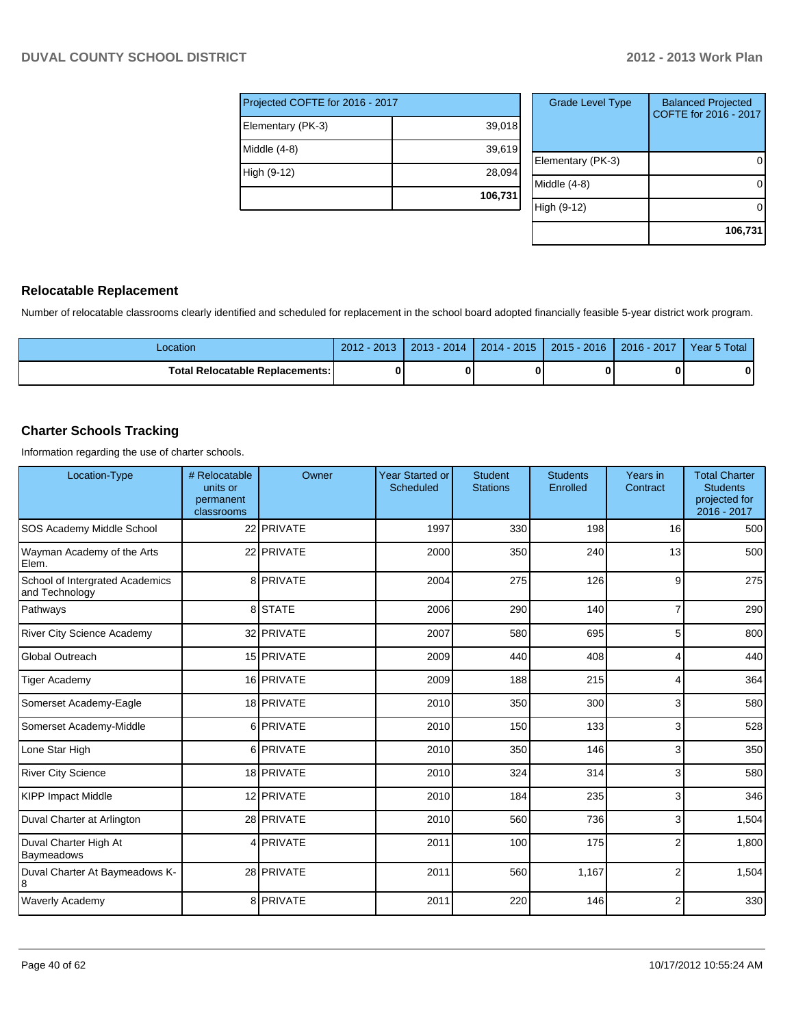| Projected COFTE for 2016 - 2017 |         |  |  |  |  |  |
|---------------------------------|---------|--|--|--|--|--|
| Elementary (PK-3)               | 39,018  |  |  |  |  |  |
| Middle (4-8)                    | 39,619  |  |  |  |  |  |
| High (9-12)                     | 28,094  |  |  |  |  |  |
|                                 | 106,731 |  |  |  |  |  |

| <b>Grade Level Type</b> | <b>Balanced Projected</b><br>COFTE for 2016 - 2017 |
|-------------------------|----------------------------------------------------|
| Elementary (PK-3)       |                                                    |
| Middle (4-8)            |                                                    |
| High (9-12)             |                                                    |
|                         | 106,731                                            |

#### **Relocatable Replacement**

Number of relocatable classrooms clearly identified and scheduled for replacement in the school board adopted financially feasible 5-year district work program.

| Location                        | $-201.7$<br>$2012 -$ | $\sqrt{2014}$<br>2013 | $2014 - 2015$ | $2015 - 2016$ | 2016 - 2017 | 5 Total<br>Year 5 |
|---------------------------------|----------------------|-----------------------|---------------|---------------|-------------|-------------------|
| Total Relocatable Replacements: |                      |                       |               |               |             | 0                 |

#### **Charter Schools Tracking**

Information regarding the use of charter schools.

| Location-Type                                     | # Relocatable<br>units or<br>permanent<br>classrooms | Owner      | <b>Year Started or</b><br>Scheduled | <b>Student</b><br><b>Stations</b> | <b>Students</b><br>Enrolled | Years in<br>Contract | <b>Total Charter</b><br><b>Students</b><br>projected for<br>2016 - 2017 |
|---------------------------------------------------|------------------------------------------------------|------------|-------------------------------------|-----------------------------------|-----------------------------|----------------------|-------------------------------------------------------------------------|
| SOS Academy Middle School                         |                                                      | 22 PRIVATE | 1997                                | 330                               | 198                         | 16                   | 500                                                                     |
| Wayman Academy of the Arts<br>Elem.               |                                                      | 22 PRIVATE | 2000                                | 350                               | 240                         | 13                   | 500                                                                     |
| School of Intergrated Academics<br>and Technology |                                                      | 8 PRIVATE  | 2004                                | 275                               | 126                         | 9                    | 275                                                                     |
| Pathways                                          |                                                      | 8 STATE    | 2006                                | 290                               | 140                         | 7                    | 290                                                                     |
| <b>River City Science Academy</b>                 |                                                      | 32 PRIVATE | 2007                                | 580                               | 695                         | 5                    | 800                                                                     |
| Global Outreach                                   |                                                      | 15 PRIVATE | 2009                                | 440                               | 408                         | 4                    | 440                                                                     |
| <b>Tiger Academy</b>                              |                                                      | 16 PRIVATE | 2009                                | 188                               | 215                         | 4                    | 364                                                                     |
| Somerset Academy-Eagle                            |                                                      | 18 PRIVATE | 2010                                | 350                               | 300                         | 3                    | 580                                                                     |
| Somerset Academy-Middle                           |                                                      | 6 PRIVATE  | 2010                                | 150                               | 133                         | 3                    | 528                                                                     |
| Lone Star High                                    |                                                      | 6 PRIVATE  | 2010                                | 350                               | 146                         | 3                    | 350                                                                     |
| <b>River City Science</b>                         |                                                      | 18 PRIVATE | 2010                                | 324                               | 314                         | 3                    | 580                                                                     |
| <b>KIPP Impact Middle</b>                         |                                                      | 12 PRIVATE | 2010                                | 184                               | 235                         | 3                    | 346                                                                     |
| Duval Charter at Arlington                        |                                                      | 28 PRIVATE | 2010                                | 560                               | 736                         | 3                    | 1,504                                                                   |
| Duval Charter High At<br>Baymeadows               |                                                      | 4 PRIVATE  | 2011                                | 100                               | 175                         | $\overline{2}$       | 1,800                                                                   |
| Duval Charter At Baymeadows K-<br>8               |                                                      | 28 PRIVATE | 2011                                | 560                               | 1,167                       | $\overline{2}$       | 1,504                                                                   |
| <b>Waverly Academy</b>                            |                                                      | 8 PRIVATE  | 2011                                | 220                               | 146                         | $\overline{2}$       | 330                                                                     |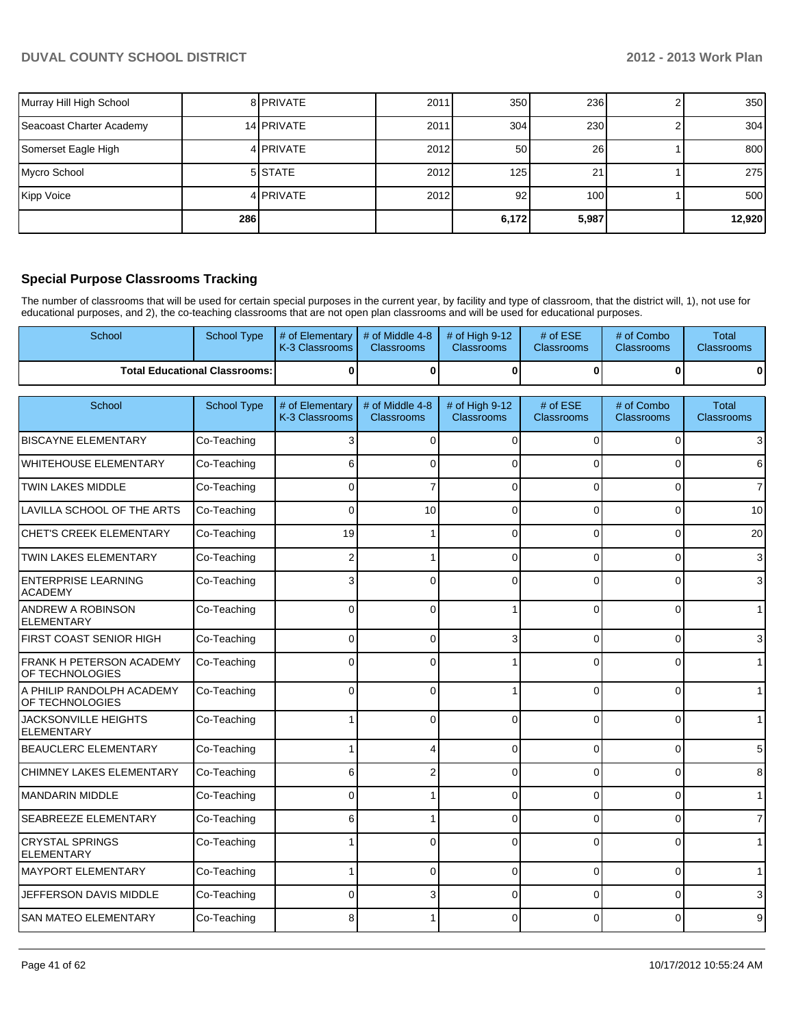| Murray Hill High School  |     | 8 PRIVATE        | 2011 | 350             | 236              | 350    |
|--------------------------|-----|------------------|------|-----------------|------------------|--------|
| Seacoast Charter Academy |     | 14 PRIVATE       | 2011 | 304             | 230              | 304    |
| Somerset Eagle High      |     | 4 PRIVATE        | 2012 | <b>501</b>      | <b>26</b>        | 800    |
| Mycro School             |     | 5 STATE          | 2012 | 125             | 21               | 275    |
| Kipp Voice               |     | 4 <b>PRIVATE</b> | 2012 | 92 <sub>1</sub> | 100 <sup>1</sup> | 500    |
|                          | 286 |                  |      | 6,172           | 5,987            | 12,920 |

#### **Special Purpose Classrooms Tracking**

The number of classrooms that will be used for certain special purposes in the current year, by facility and type of classroom, that the district will, 1), not use for educational purposes, and 2), the co-teaching classrooms that are not open plan classrooms and will be used for educational purposes.

| School                                           | <b>School Type</b>                   | # of Elementary<br>K-3 Classrooms | # of Middle 4-8<br>Classrooms        | # of High 9-12<br>Classrooms        | # of ESE<br><b>Classrooms</b> | # of Combo<br>Classrooms        | <b>Total</b><br>Classrooms        |
|--------------------------------------------------|--------------------------------------|-----------------------------------|--------------------------------------|-------------------------------------|-------------------------------|---------------------------------|-----------------------------------|
|                                                  | <b>Total Educational Classrooms:</b> | 0                                 | $\bf{0}$                             | $\bf{0}$                            | $\mathbf{0}$                  | $\bf{0}$                        | $\mathbf{0}$                      |
| School                                           | <b>School Type</b>                   | # of Elementary<br>K-3 Classrooms | # of Middle 4-8<br><b>Classrooms</b> | # of High 9-12<br><b>Classrooms</b> | # of ESE<br><b>Classrooms</b> | # of Combo<br><b>Classrooms</b> | <b>Total</b><br><b>Classrooms</b> |
| <b>BISCAYNE ELEMENTARY</b>                       | Co-Teaching                          | 3                                 | $\Omega$                             | $\Omega$                            | $\Omega$                      | 0                               | $\overline{3}$                    |
| <b>WHITEHOUSE ELEMENTARY</b>                     | Co-Teaching                          | 6                                 | $\Omega$                             | $\Omega$                            | 0                             | $\Omega$                        | 6                                 |
| <b>TWIN LAKES MIDDLE</b>                         | Co-Teaching                          | $\Omega$                          | $\overline{7}$                       | $\Omega$                            | $\Omega$                      | $\Omega$                        | $\overline{7}$                    |
| LAVILLA SCHOOL OF THE ARTS                       | Co-Teaching                          | $\Omega$                          | 10                                   | $\Omega$                            | $\Omega$                      | $\overline{0}$                  | 10                                |
| <b>CHET'S CREEK ELEMENTARY</b>                   | Co-Teaching                          | 19                                |                                      | $\Omega$                            | $\Omega$                      | 0                               | 20                                |
| <b>TWIN LAKES ELEMENTARY</b>                     | Co-Teaching                          |                                   |                                      | n                                   | $\Omega$                      | $\Omega$                        | 3                                 |
| <b>ENTERPRISE LEARNING</b><br><b>ACADEMY</b>     | Co-Teaching                          | 3                                 | 0                                    | C                                   | $\Omega$                      | $\Omega$                        | 3 <sup>1</sup>                    |
| ANDREW A ROBINSON<br><b>ELEMENTARY</b>           | Co-Teaching                          | 0                                 | $\Omega$                             |                                     | $\Omega$                      | $\Omega$                        | 1                                 |
| FIRST COAST SENIOR HIGH                          | Co-Teaching                          | $\Omega$                          | $\Omega$                             | 3                                   | $\Omega$                      | $\Omega$                        | 3                                 |
| FRANK H PETERSON ACADEMY<br>OF TECHNOLOGIES      | Co-Teaching                          | 0                                 | $\Omega$                             |                                     | $\Omega$                      | $\Omega$                        | 1                                 |
| A PHILIP RANDOLPH ACADEMY<br>OF TECHNOLOGIES     | Co-Teaching                          | 0                                 | 0                                    |                                     | $\Omega$                      | $\Omega$                        | 1                                 |
| <b>JACKSONVILLE HEIGHTS</b><br><b>ELEMENTARY</b> | Co-Teaching                          |                                   | 0                                    | $\Omega$                            | $\Omega$                      | $\Omega$                        | 1                                 |
| <b>BEAUCLERC ELEMENTARY</b>                      | Co-Teaching                          |                                   | 4                                    | $\Omega$                            | $\Omega$                      | $\Omega$                        | 5                                 |
| <b>CHIMNEY LAKES ELEMENTARY</b>                  | Co-Teaching                          | 6                                 | 2                                    | C                                   | 0                             | $\Omega$                        | 8                                 |
| <b>MANDARIN MIDDLE</b>                           | Co-Teaching                          | 0                                 |                                      | $\Omega$                            | $\Omega$                      | $\Omega$                        | 1                                 |
| SEABREEZE ELEMENTARY                             | Co-Teaching                          | 6                                 |                                      | $\Omega$                            | $\Omega$                      | $\overline{0}$                  | 7                                 |
| <b>CRYSTAL SPRINGS</b><br><b>ELEMENTARY</b>      | Co-Teaching                          |                                   | 0                                    | $\Omega$                            | $\Omega$                      | $\Omega$                        |                                   |
| <b>MAYPORT ELEMENTARY</b>                        | Co-Teaching                          |                                   | $\mathbf 0$                          | 0                                   | $\Omega$                      | 0                               |                                   |
| JEFFERSON DAVIS MIDDLE                           | Co-Teaching                          | 0                                 | 3                                    | $\Omega$                            | $\Omega$                      | $\overline{0}$                  | 3                                 |
| <b>SAN MATEO ELEMENTARY</b>                      | Co-Teaching                          | 8                                 |                                      | $\Omega$                            | $\Omega$                      | $\Omega$                        | 9                                 |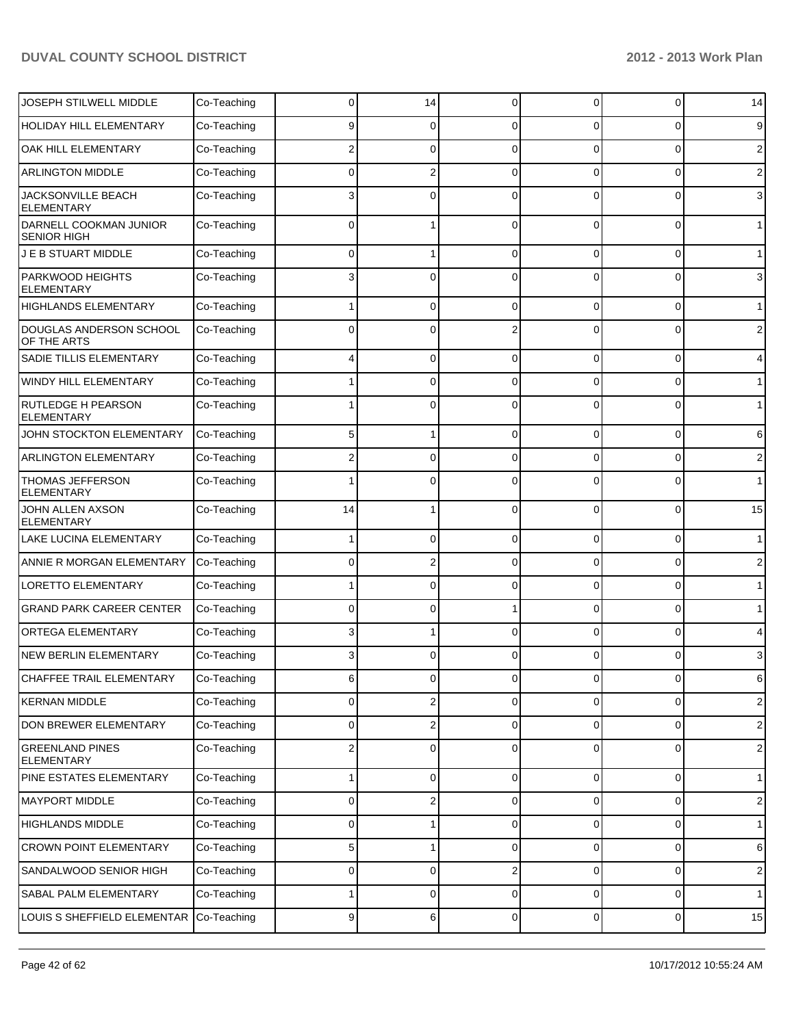| JOSEPH STILWELL MIDDLE                       | Co-Teaching | 0        | 14       | $\Omega$       | $\Omega$       | 0              | 14             |
|----------------------------------------------|-------------|----------|----------|----------------|----------------|----------------|----------------|
| HOLIDAY HILL ELEMENTARY                      | Co-Teaching | 9        | 0        | 0              | 0              | 0              | 9              |
| OAK HILL ELEMENTARY                          | Co-Teaching |          | 0        | $\Omega$       | $\Omega$       | 0              | $\overline{2}$ |
| <b>ARLINGTON MIDDLE</b>                      | Co-Teaching | 0        | 2        | $\Omega$       | $\Omega$       | 0              | $\overline{2}$ |
| JACKSONVILLE BEACH<br><b>ELEMENTARY</b>      | Co-Teaching |          | 0        | C              | $\Omega$       | 0              | 3              |
| DARNELL COOKMAN JUNIOR<br><b>SENIOR HIGH</b> | Co-Teaching | 0        |          | $\Omega$       | $\Omega$       | $\Omega$       | 1              |
| J E B STUART MIDDLE                          | Co-Teaching | 0        | 1        | $\Omega$       | $\Omega$       | 0              | $\mathbf{1}$   |
| PARKWOOD HEIGHTS<br><b>ELEMENTARY</b>        | Co-Teaching | 3        | 0        | $\Omega$       | $\Omega$       | 0              | 3              |
| <b>HIGHLANDS ELEMENTARY</b>                  | Co-Teaching |          | 0        | $\Omega$       | $\Omega$       | 0              | $\mathbf{1}$   |
| DOUGLAS ANDERSON SCHOOL<br>OF THE ARTS       | Co-Teaching | 0        | 0        |                | 0              | 0              | $\overline{2}$ |
| SADIE TILLIS ELEMENTARY                      | Co-Teaching | 4        | 0        | $\Omega$       | $\Omega$       | $\mathbf 0$    | 4              |
| WINDY HILL ELEMENTARY                        | Co-Teaching |          | 0        | $\Omega$       | $\Omega$       | 0              | $\mathbf{1}$   |
| RUTLEDGE H PEARSON<br><b>ELEMENTARY</b>      | Co-Teaching |          | 0        | $\Omega$       | $\Omega$       | 0              | $\mathbf{1}$   |
| JOHN STOCKTON ELEMENTARY                     | Co-Teaching | 5        | 1        | 0              | 0              | $\mathbf 0$    | 6              |
| ARLINGTON ELEMENTARY                         | Co-Teaching |          | 0        | $\Omega$       | $\Omega$       | 0              | 2              |
| THOMAS JEFFERSON<br><b>ELEMENTARY</b>        | Co-Teaching |          | 0        | $\Omega$       | $\Omega$       | 0              | $\mathbf{1}$   |
| JOHN ALLEN AXSON<br><b>ELEMENTARY</b>        | Co-Teaching | 14       | 1        | $\Omega$       | $\Omega$       | 0              | 15             |
| LAKE LUCINA ELEMENTARY                       | Co-Teaching |          | 0        | $\Omega$       | $\Omega$       | $\Omega$       | $\mathbf{1}$   |
| ANNIE R MORGAN ELEMENTARY                    | Co-Teaching | 0        | 2        | $\Omega$       | $\Omega$       | $\Omega$       | $\overline{2}$ |
| <b>LORETTO ELEMENTARY</b>                    | Co-Teaching |          | 0        | $\Omega$       | $\Omega$       | $\Omega$       | $\mathbf{1}$   |
| <b>GRAND PARK CAREER CENTER</b>              | Co-Teaching | 0        | 0        |                | 0              | 0              | $\mathbf{1}$   |
| ORTEGA ELEMENTARY                            | Co-Teaching | 3        |          | C              | $\Omega$       | $\Omega$       | 4              |
| <b>NEW BERLIN ELEMENTARY</b>                 | Co-Teaching | 3        | 0        |                | $\Omega$       | 0              | 3              |
| CHAFFEE TRAIL ELEMENTARY                     | Co-Teaching | 6        | οI       | $\overline{0}$ | $\overline{0}$ | $\overline{0}$ | 6              |
| <b>KERNAN MIDDLE</b>                         | Co-Teaching | 0        | 2        | 0              | 0              | 0              | $\overline{2}$ |
| DON BREWER ELEMENTARY                        | Co-Teaching | 0        | 2        | $\Omega$       | $\Omega$       | 0              | $2 \mid$       |
| <b>GREENLAND PINES</b><br><b>ELEMENTARY</b>  | Co-Teaching | 2        | 0        | $\Omega$       | 0              | 0              | $\mathbf{2}$   |
| PINE ESTATES ELEMENTARY                      | Co-Teaching |          | $\Omega$ | $\Omega$       | $\Omega$       | 0              | 1              |
| <b>MAYPORT MIDDLE</b>                        | Co-Teaching | $\Omega$ | 2        | $\Omega$       | $\Omega$       | 0              | $\overline{2}$ |
| <b>HIGHLANDS MIDDLE</b>                      | Co-Teaching | 0        |          | $\Omega$       | $\Omega$       | 0              | 1 <sup>1</sup> |
| <b>CROWN POINT ELEMENTARY</b>                | Co-Teaching | 5        | 1        | $\mathbf 0$    | $\Omega$       | 0              | 6              |
| SANDALWOOD SENIOR HIGH                       | Co-Teaching | $\Omega$ | 0        | $\overline{2}$ | $\Omega$       | 0              | $\overline{2}$ |
| SABAL PALM ELEMENTARY                        | Co-Teaching |          | 0        | $\Omega$       | $\Omega$       | 0              | 1 <sup>1</sup> |
| LOUIS S SHEFFIELD ELEMENTAR                  | Co-Teaching | 9        | $6 \mid$ | $\mathbf 0$    | $\overline{0}$ | 0              | 15             |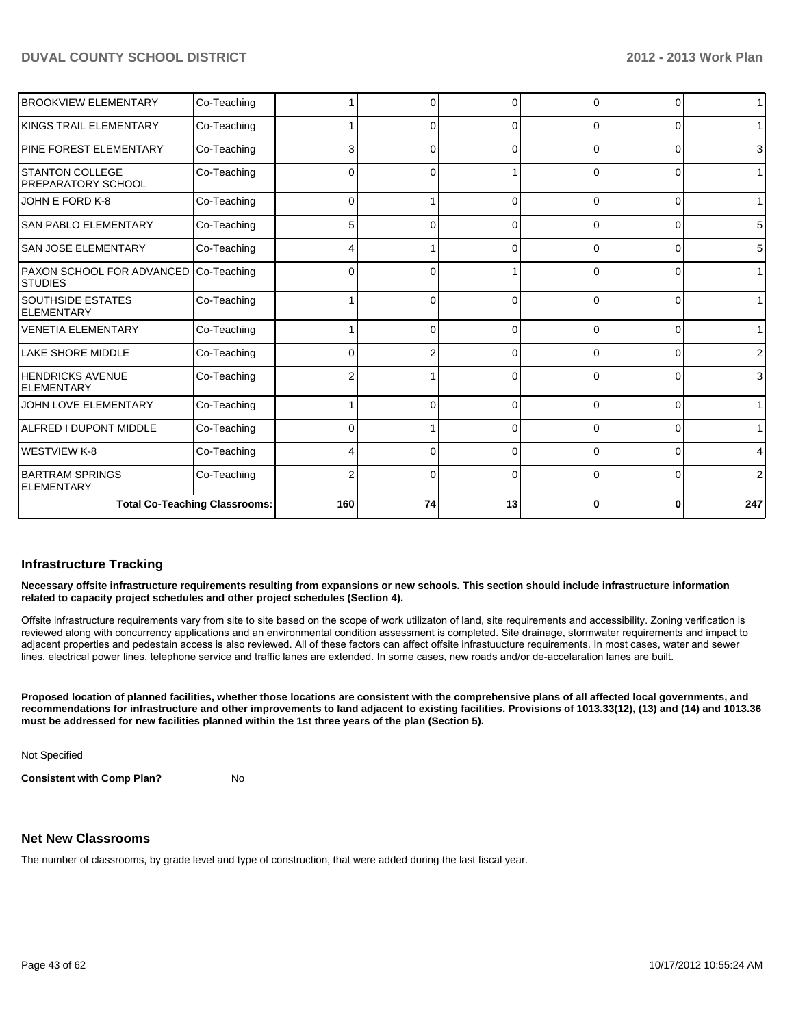|                                                    | <b>Total Co-Teaching Classrooms:</b> | 160 | 74 | 13       | 0        | 0 | 247            |
|----------------------------------------------------|--------------------------------------|-----|----|----------|----------|---|----------------|
| <b>BARTRAM SPRINGS</b><br><b>ELEMENTARY</b>        | Co-Teaching                          | 2   | 0  | $\Omega$ | 0        | 0 | $\overline{2}$ |
| WESTVIEW K-8                                       | Co-Teaching                          |     | ∩  | 0        | 0        | 0 | 4              |
| ALFRED I DUPONT MIDDLE                             | Co-Teaching                          |     |    |          | 0        | 0 | $\mathbf{1}$   |
| JOHN LOVE ELEMENTARY                               | Co-Teaching                          |     | n  | ∩        | $\Omega$ | 0 | $\mathbf{1}$   |
| <b>HENDRICKS AVENUE</b><br><b>ELEMENTARY</b>       | Co-Teaching                          | 2   |    | $\Omega$ | $\Omega$ | 0 | 3              |
| <b>LAKE SHORE MIDDLE</b>                           | Co-Teaching                          | 0   |    | $\Omega$ | 0        | 0 | $\overline{2}$ |
| <b>VENETIA ELEMENTARY</b>                          | Co-Teaching                          |     | 0  | $\Omega$ | $\Omega$ | 0 | $\mathbf{1}$   |
| <b>SOUTHSIDE ESTATES</b><br><b>ELEMENTARY</b>      | Co-Teaching                          |     | U  | $\Omega$ | $\Omega$ | 0 | $\mathbf{1}$   |
| <b>PAXON SCHOOL FOR ADVANCED</b><br><b>STUDIES</b> | Co-Teaching                          | 0   | 0  |          | $\Omega$ | 0 | $\mathbf{1}$   |
| <b>SAN JOSE ELEMENTARY</b>                         | Co-Teaching                          |     |    | r        | 0        | 0 | 5              |
| <b>SAN PABLO ELEMENTARY</b>                        | Co-Teaching                          | 5   |    |          | 0        | 0 | 5              |
| JOHN E FORD K-8                                    | Co-Teaching                          | 0   |    | ∩        | $\Omega$ | 0 | $\mathbf 1$    |
| <b>STANTON COLLEGE</b><br>PREPARATORY SCHOOL       | Co-Teaching                          | 0   | 0  |          | $\Omega$ | 0 | $\mathbf 1$    |
| PINE FOREST ELEMENTARY                             | Co-Teaching                          | 3   | 0  | 0        | 0        | 0 | 3              |
| KINGS TRAIL ELEMENTARY                             | Co-Teaching                          |     | 0  | $\Omega$ | $\Omega$ | 0 | $\mathbf{1}$   |
| <b>BROOKVIEW ELEMENTARY</b>                        | Co-Teaching                          |     | U  | O        | U        | 0 | $\mathbf{1}$   |

#### **Infrastructure Tracking**

**Necessary offsite infrastructure requirements resulting from expansions or new schools. This section should include infrastructure information related to capacity project schedules and other project schedules (Section 4).**

Offsite infrastructure requirements vary from site to site based on the scope of work utilizaton of land, site requirements and accessibility. Zoning verification is reviewed along with concurrency applications and an environmental condition assessment is completed. Site drainage, stormwater requirements and impact to adjacent properties and pedestain access is also reviewed. All of these factors can affect offsite infrastuucture requirements. In most cases, water and sewer lines, electrical power lines, telephone service and traffic lanes are extended. In some cases, new roads and/or de-accelaration lanes are built.

**Proposed location of planned facilities, whether those locations are consistent with the comprehensive plans of all affected local governments, and recommendations for infrastructure and other improvements to land adjacent to existing facilities. Provisions of 1013.33(12), (13) and (14) and 1013.36 must be addressed for new facilities planned within the 1st three years of the plan (Section 5).**

Not Specified

**Consistent with Comp Plan?** No

## **Net New Classrooms**

The number of classrooms, by grade level and type of construction, that were added during the last fiscal year.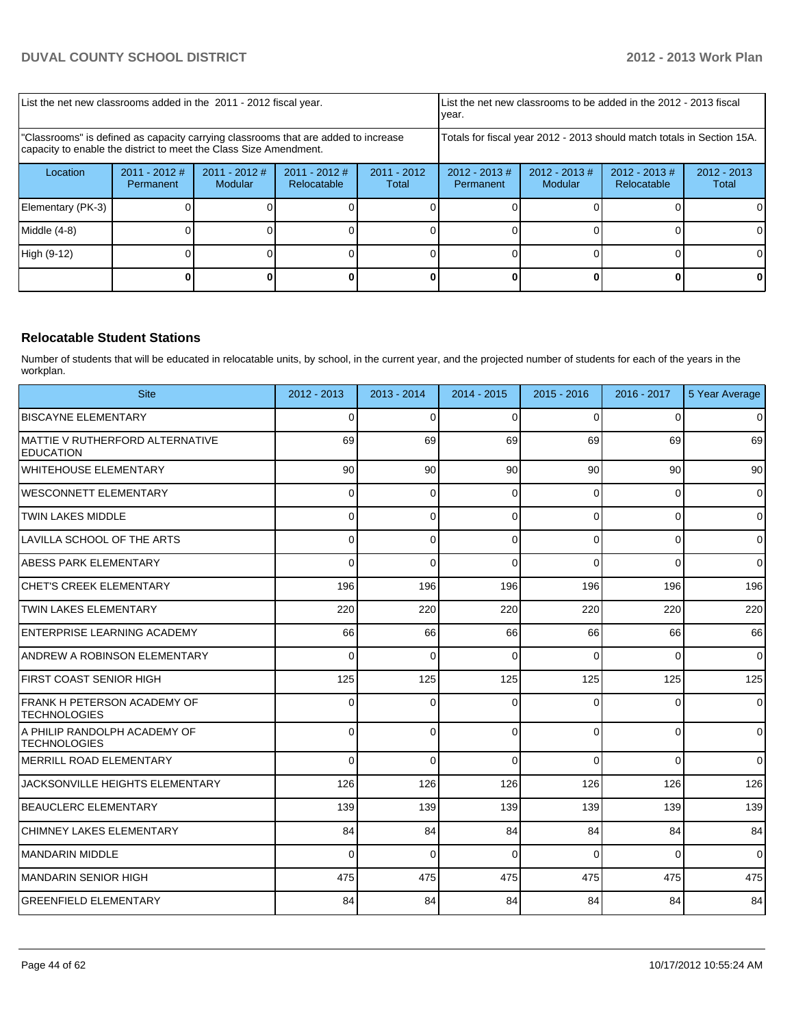| List the net new classrooms added in the 2011 - 2012 fiscal year.                                                                                       |                              |                            |                                |                        | List the net new classrooms to be added in the 2012 - 2013 fiscal<br>Ivear. |                                                                        |                                |                        |
|---------------------------------------------------------------------------------------------------------------------------------------------------------|------------------------------|----------------------------|--------------------------------|------------------------|-----------------------------------------------------------------------------|------------------------------------------------------------------------|--------------------------------|------------------------|
| "Classrooms" is defined as capacity carrying classrooms that are added to increase<br>capacity to enable the district to meet the Class Size Amendment. |                              |                            |                                |                        |                                                                             | Totals for fiscal year 2012 - 2013 should match totals in Section 15A. |                                |                        |
| Location                                                                                                                                                | $2011 - 2012$ #<br>Permanent | $2011 - 2012$ #<br>Modular | $2011 - 2012$ #<br>Relocatable | $2011 - 2012$<br>Total | $2012 - 2013$ #<br>Permanent                                                | $2012 - 2013 \#$<br>Modular                                            | $2012 - 2013$ #<br>Relocatable | $2012 - 2013$<br>Total |
| Elementary (PK-3)                                                                                                                                       |                              |                            |                                |                        |                                                                             |                                                                        |                                |                        |
| Middle (4-8)                                                                                                                                            |                              |                            |                                |                        |                                                                             |                                                                        |                                |                        |
| High (9-12)                                                                                                                                             |                              |                            |                                |                        |                                                                             |                                                                        |                                |                        |
|                                                                                                                                                         |                              |                            |                                |                        |                                                                             |                                                                        |                                |                        |

#### **Relocatable Student Stations**

Number of students that will be educated in relocatable units, by school, in the current year, and the projected number of students for each of the years in the workplan.

| <b>Site</b>                                          | 2012 - 2013     | 2013 - 2014  | 2014 - 2015 | 2015 - 2016 | 2016 - 2017  | 5 Year Average |
|------------------------------------------------------|-----------------|--------------|-------------|-------------|--------------|----------------|
| <b>BISCAYNE ELEMENTARY</b>                           | $\Omega$        | $\Omega$     | $\Omega$    | $\Omega$    | $\Omega$     | $\overline{0}$ |
| MATTIE V RUTHERFORD ALTERNATIVE<br><b>EDUCATION</b>  | 69              | 69           | 69          | 69          | 69           | 69             |
| lwhitehouse elementary                               | 90 <sub>1</sub> | 90           | 90          | 90          | 90           | 90             |
| <b>WESCONNETT ELEMENTARY</b>                         | 0               | $\Omega$     | 0           | $\Omega$    | 0            | $\mathbf 0$    |
| <b>TWIN LAKES MIDDLE</b>                             | 0               | $\Omega$     | 0           | $\Omega$    | $\Omega$     | $\overline{0}$ |
| LAVILLA SCHOOL OF THE ARTS                           | $\Omega$        | $\Omega$     | $\Omega$    | $\Omega$    | $\mathbf{0}$ | $\overline{0}$ |
| ABESS PARK ELEMENTARY                                | U               | $\Omega$     | $\Omega$    | $\Omega$    | $\Omega$     | $\Omega$       |
| ICHET'S CREEK ELEMENTARY                             | 196             | 196          | 196         | 196         | 196          | 196            |
| <b>ITWIN LAKES ELEMENTARY</b>                        | 220             | 220          | 220         | 220         | 220          | 220            |
| <b>ENTERPRISE LEARNING ACADEMY</b>                   | 66              | 66           | 66          | 66          | 66           | 66             |
| ANDREW A ROBINSON ELEMENTARY                         | $\Omega$        | $\Omega$     | $\Omega$    | $\Omega$    | $\Omega$     | $\Omega$       |
| IFIRST COAST SENIOR HIGH                             | 125             | 125          | 125         | 125         | 125          | 125            |
| IFRANK H PETERSON ACADEMY OF<br><b>ITECHNOLOGIES</b> | 0               | $\Omega$     | $\Omega$    | $\Omega$    | 0            | $\overline{0}$ |
| A PHILIP RANDOLPH ACADEMY OF<br><b>TECHNOLOGIES</b>  | $\Omega$        | $\Omega$     | $\Omega$    | $\Omega$    | $\Omega$     | $\Omega$       |
| IMERRILL ROAD ELEMENTARY                             | $\Omega$        | $\Omega$     | $\Omega$    | $\Omega$    | $\Omega$     | $\Omega$       |
| IJACKSONVILLE HEIGHTS ELEMENTARY                     | 126             | 126          | 126         | 126         | 126          | 126            |
| BEAUCLERC ELEMENTARY                                 | 139             | 139          | 139         | 139         | 139          | 139            |
| İCHIMNEY LAKES ELEMENTARY                            | 84              | 84           | 84          | 84          | 84           | 84             |
| MANDARIN MIDDLE                                      | 0               | $\mathbf{0}$ | $\Omega$    | $\Omega$    | 0            | $\Omega$       |
| IMANDARIN SENIOR HIGH                                | 475             | 475          | 475         | 475         | 475          | 475            |
| GREENFIELD ELEMENTARY                                | 84              | 84           | 84          | 84          | 84           | 84             |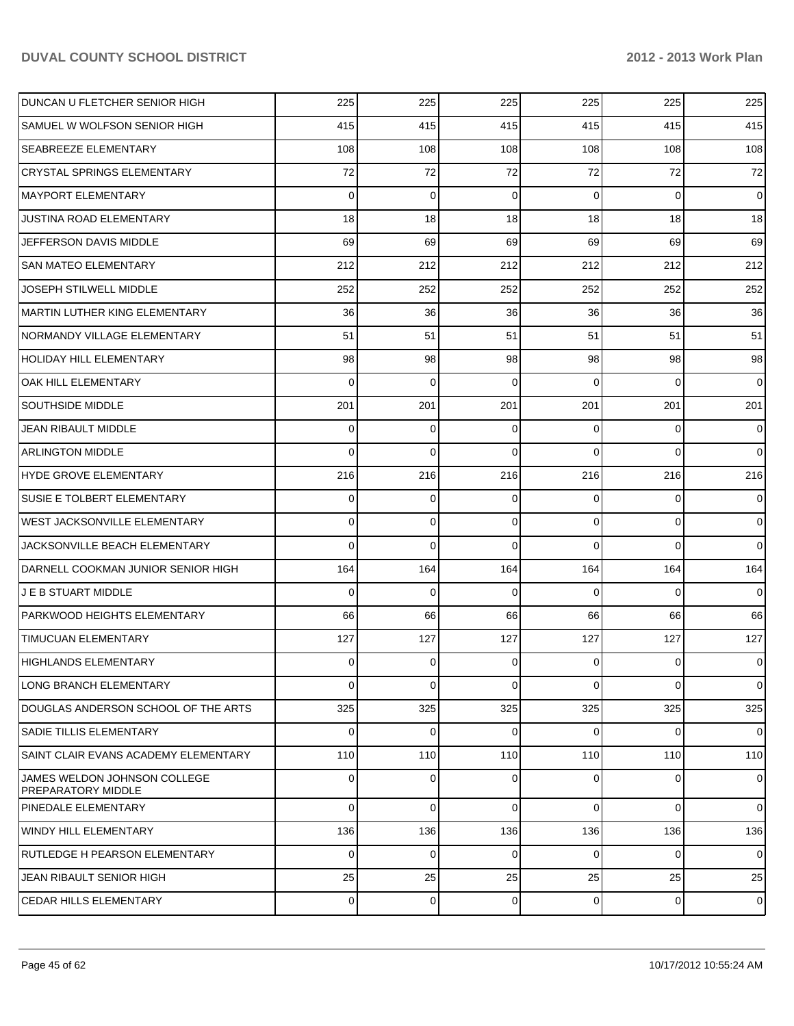| DUNCAN U FLETCHER SENIOR HIGH                      | 225      | 225            | 225            | 225            | 225            | 225            |
|----------------------------------------------------|----------|----------------|----------------|----------------|----------------|----------------|
| SAMUEL W WOLFSON SENIOR HIGH                       | 415      | 415            | 415            | 415            | 415            | 415            |
| <b>SEABREEZE ELEMENTARY</b>                        | 108      | 108            | 108            | 108            | 108            | 108            |
| <b>CRYSTAL SPRINGS ELEMENTARY</b>                  | 72       | 72             | 72             | 72             | 72             | 72             |
| <b>MAYPORT ELEMENTARY</b>                          | $\Omega$ | $\Omega$       | $\Omega$       | $\Omega$       | $\Omega$       | $\overline{0}$ |
| <b>JUSTINA ROAD ELEMENTARY</b>                     | 18       | 18             | 18             | 18             | 18             | 18             |
| JEFFERSON DAVIS MIDDLE                             | 69       | 69             | 69             | 69             | 69             | 69             |
| <b>SAN MATEO ELEMENTARY</b>                        | 212      | 212            | 212            | 212            | 212            | 212            |
| <b>JOSEPH STILWELL MIDDLE</b>                      | 252      | 252            | 252            | 252            | 252            | 252            |
| <b>MARTIN LUTHER KING ELEMENTARY</b>               | 36       | 36             | 36             | 36             | 36             | 36             |
| NORMANDY VILLAGE ELEMENTARY                        | 51       | 51             | 51             | 51             | 51             | 51             |
| <b>HOLIDAY HILL ELEMENTARY</b>                     | 98       | 98             | 98             | 98             | 98             | 98             |
| <b>OAK HILL ELEMENTARY</b>                         | 0        | $\Omega$       | $\Omega$       | $\Omega$       | $\Omega$       | $\Omega$       |
| <b>SOUTHSIDE MIDDLE</b>                            | 201      | 201            | 201            | 201            | 201            | 201            |
| JEAN RIBAULT MIDDLE                                | 0        | $\Omega$       | $\Omega$       | $\Omega$       | $\Omega$       | $\overline{0}$ |
| <b>ARLINGTON MIDDLE</b>                            | $\Omega$ | $\Omega$       | $\Omega$       | $\Omega$       | $\Omega$       | $\Omega$       |
| HYDE GROVE ELEMENTARY                              | 216      | 216            | 216            | 216            | 216            | 216            |
| <b>SUSIE E TOLBERT ELEMENTARY</b>                  | 0        | $\Omega$       | $\Omega$       | $\Omega$       | $\overline{0}$ | $\overline{0}$ |
| <b>WEST JACKSONVILLE ELEMENTARY</b>                | 0        | $\Omega$       | $\Omega$       | $\Omega$       | $\Omega$       | $\Omega$       |
| JACKSONVILLE BEACH ELEMENTARY                      | $\Omega$ | $\Omega$       | $\Omega$       | $\Omega$       | $\Omega$       | $\Omega$       |
| DARNELL COOKMAN JUNIOR SENIOR HIGH                 | 164      | 164            | 164            | 164            | 164            | 164            |
| <b>J E B STUART MIDDLE</b>                         | 0        | $\Omega$       | $\Omega$       | $\Omega$       | $\Omega$       | $\overline{0}$ |
| PARKWOOD HEIGHTS ELEMENTARY                        | 66       | 66             | 66             | 66             | 66             | 66             |
| <b>TIMUCUAN ELEMENTARY</b>                         | 127      | 127            | 127            | 127            | 127            | 127            |
| HIGHLANDS ELEMENTARY                               | 0        | $\Omega$       | $\Omega$       | 0              | $\Omega$       | $\overline{0}$ |
| LONG BRANCH ELEMENTARY                             | 0        | $\overline{0}$ | $\overline{0}$ | $\overline{0}$ | $\overline{0}$ | $\overline{0}$ |
| DOUGLAS ANDERSON SCHOOL OF THE ARTS                | 325      | 325            | 325            | 325            | 325            | 325            |
| <b>SADIE TILLIS ELEMENTARY</b>                     | 0        | 0              | $\Omega$       | $\Omega$       | $\overline{0}$ | $\overline{0}$ |
| <b>SAINT CLAIR EVANS ACADEMY ELEMENTARY</b>        | 110      | 110            | 110            | 110            | 110            | 110            |
| JAMES WELDON JOHNSON COLLEGE<br>PREPARATORY MIDDLE | 0        | $\Omega$       | $\Omega$       | $\Omega$       | $\Omega$       | $\overline{0}$ |
| PINEDALE ELEMENTARY                                | 0        | 0              | $\Omega$       | $\Omega$       | $\overline{0}$ | $\overline{0}$ |
| WINDY HILL ELEMENTARY                              | 136      | 136            | 136            | 136            | 136            | 136            |
| RUTLEDGE H PEARSON ELEMENTARY                      | 0        | 0              | $\mathbf 0$    | $\Omega$       | $\overline{0}$ | $\overline{0}$ |
| JEAN RIBAULT SENIOR HIGH                           | 25       | 25             | 25             | 25             | 25             | 25             |
| <b>CEDAR HILLS ELEMENTARY</b>                      | 0        | 0              | 0              | $\overline{0}$ | $\overline{0}$ | $\mathbf 0$    |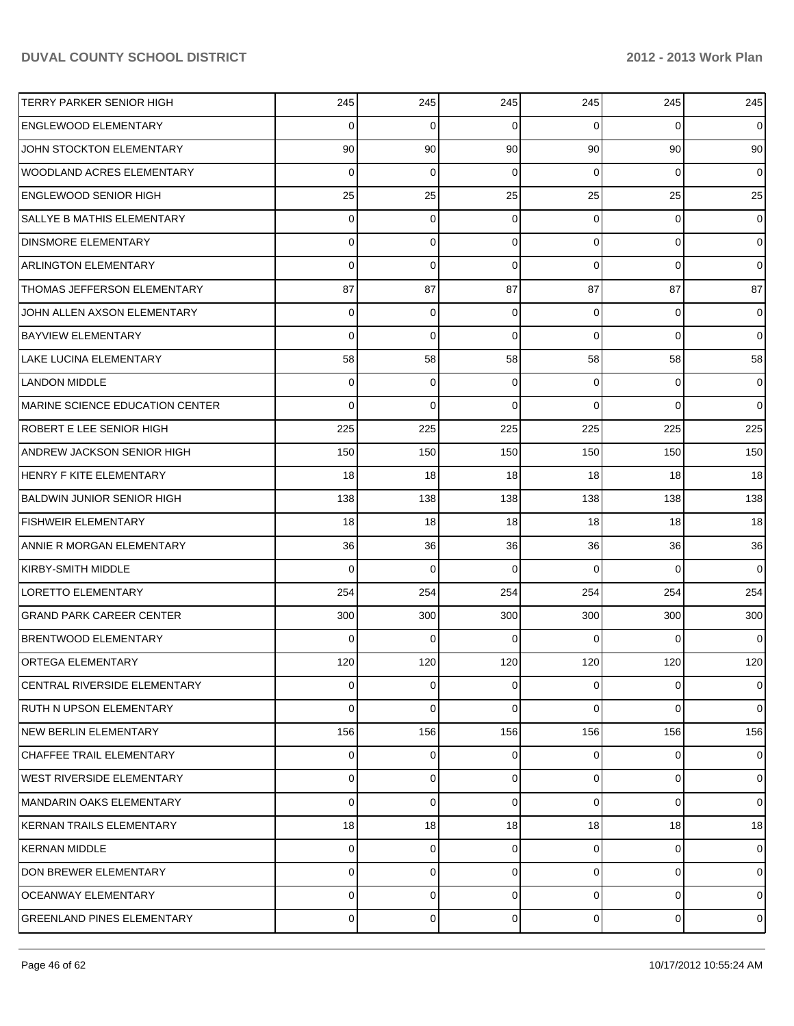| <b>TERRY PARKER SENIOR HIGH</b>   | 245            | 245            | 245            | 245             | 245            | 245            |
|-----------------------------------|----------------|----------------|----------------|-----------------|----------------|----------------|
| <b>ENGLEWOOD ELEMENTARY</b>       | $\Omega$       | $\Omega$       | $\Omega$       | $\Omega$        | $\Omega$       | $\overline{0}$ |
| JOHN STOCKTON ELEMENTARY          | 90             | 90             | 90             | 90 <sub>1</sub> | 90             | 90             |
| <b>WOODLAND ACRES ELEMENTARY</b>  | $\Omega$       | $\Omega$       | $\Omega$       | $\Omega$        | $\Omega$       | $\overline{0}$ |
| <b>ENGLEWOOD SENIOR HIGH</b>      | 25             | 25             | 25             | 25              | 25             | 25             |
| SALLYE B MATHIS ELEMENTARY        | $\Omega$       | $\Omega$       | $\Omega$       | $\Omega$        | $\Omega$       | $\overline{0}$ |
| <b>DINSMORE ELEMENTARY</b>        | 0              | $\Omega$       | $\Omega$       | $\Omega$        | $\Omega$       | $\overline{0}$ |
| <b>ARLINGTON ELEMENTARY</b>       | $\Omega$       | $\Omega$       | $\Omega$       | $\Omega$        | $\Omega$       | $\overline{0}$ |
| THOMAS JEFFERSON ELEMENTARY       | 87             | 87             | 87             | 87              | 87             | 87             |
| JOHN ALLEN AXSON ELEMENTARY       | $\Omega$       | $\Omega$       | $\Omega$       | $\Omega$        | $\Omega$       | $\overline{0}$ |
| BAYVIEW ELEMENTARY                | $\Omega$       | $\Omega$       | $\Omega$       | $\Omega$        | $\Omega$       | $\Omega$       |
| LAKE LUCINA ELEMENTARY            | 58             | 58             | 58             | 58              | 58             | 58             |
| <b>LANDON MIDDLE</b>              | $\Omega$       | $\Omega$       | $\Omega$       | $\Omega$        | $\Omega$       | $\overline{0}$ |
| MARINE SCIENCE EDUCATION CENTER   | $\Omega$       | $\Omega$       | $\Omega$       | $\Omega$        | $\Omega$       | $\Omega$       |
| ROBERT E LEE SENIOR HIGH          | 225            | 225            | 225            | 225             | 225            | 225            |
| <b>ANDREW JACKSON SENIOR HIGH</b> | 150            | 150            | 150            | 150             | 150            | 150            |
| HENRY F KITE ELEMENTARY           | 18             | 18             | 18             | 18              | 18             | 18             |
| BALDWIN JUNIOR SENIOR HIGH        | 138            | 138            | 138            | 138             | 138            | 138            |
| <b>FISHWEIR ELEMENTARY</b>        | 18             | 18             | 18             | 18              | 18             | 18             |
| ANNIE R MORGAN ELEMENTARY         | 36             | 36             | 36             | 36 <sup>1</sup> | 36             | 36             |
| KIRBY-SMITH MIDDLE                | $\Omega$       | $\Omega$       | $\Omega$       | $\Omega$        | $\Omega$       | $\Omega$       |
| <b>LORETTO ELEMENTARY</b>         | 254            | 254            | 254            | 254             | 254            | 254            |
| <b>GRAND PARK CAREER CENTER</b>   | 300            | 300            | 300            | 300             | 300            | 300            |
| <b>BRENTWOOD ELEMENTARY</b>       | $\Omega$       | $\Omega$       | $\Omega$       | $\Omega$        | $\Omega$       | $\Omega$       |
| <b>ORTEGA ELEMENTARY</b>          | 120            | 120            | 120            | 120             | 120            | 120            |
| CENTRAL RIVERSIDE ELEMENTARY      | $\overline{0}$ | $\overline{0}$ | $\overline{0}$ | $\overline{0}$  | $\overline{0}$ | $\overline{0}$ |
| RUTH N UPSON ELEMENTARY           | 0              | $\Omega$       | 0              | $\Omega$        | $\Omega$       | $\overline{0}$ |
| NEW BERLIN ELEMENTARY             | 156            | 156            | 156            | 156             | 156            | 156            |
| <b>CHAFFEE TRAIL ELEMENTARY</b>   | $\Omega$       | 0              | $\Omega$       | $\Omega$        | $\Omega$       | $\overline{0}$ |
| <b>WEST RIVERSIDE ELEMENTARY</b>  | 0              | $\Omega$       | 0              | $\Omega$        | $\Omega$       | $\overline{0}$ |
| MANDARIN OAKS ELEMENTARY          | 0              | $\Omega$       | $\Omega$       | $\Omega$        | $\Omega$       | $\overline{0}$ |
| KERNAN TRAILS ELEMENTARY          | 18             | 18             | 18             | 18 <sup>1</sup> | 18             | 18             |
| KERNAN MIDDLE                     | $\Omega$       | 0              | $\Omega$       | $\Omega$        | $\Omega$       | $\overline{0}$ |
| DON BREWER ELEMENTARY             | 0              | $\Omega$       | 0              | $\Omega$        | $\overline{0}$ | $\overline{0}$ |
| <b>OCEANWAY ELEMENTARY</b>        | 0              | 0              | 0              | $\Omega$        | $\overline{0}$ | $\overline{0}$ |
| <b>GREENLAND PINES ELEMENTARY</b> | $\Omega$       | 0              | 0              | $\overline{0}$  | $\mathbf 0$    | $\overline{0}$ |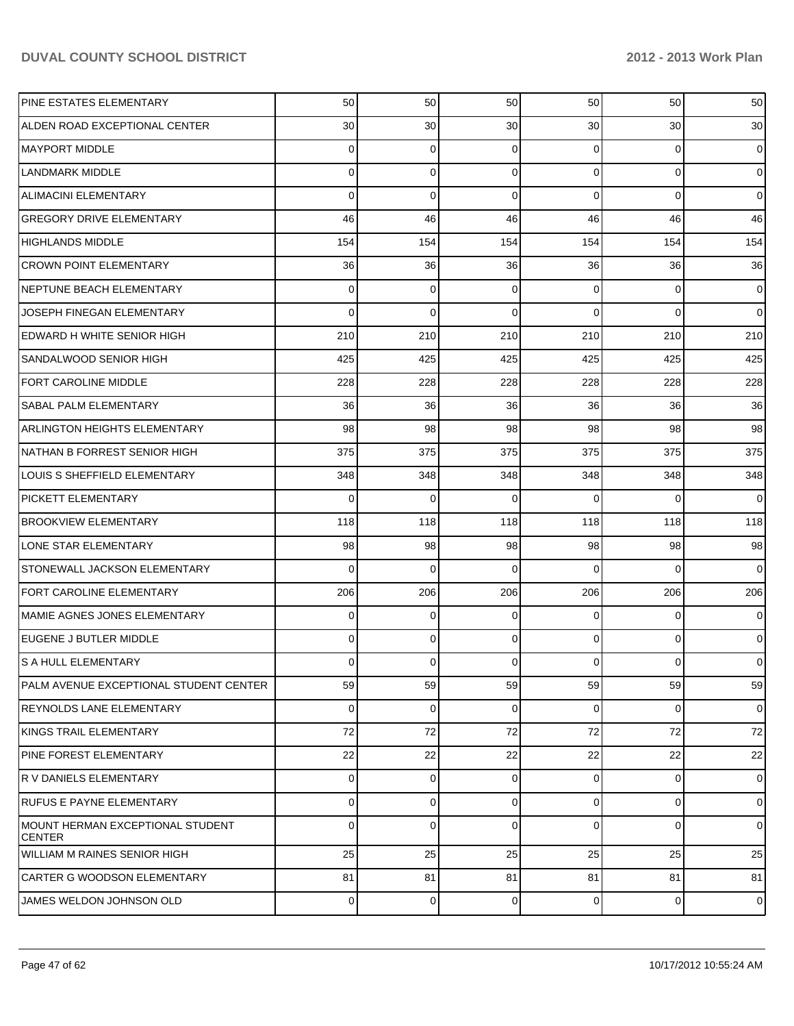| PINE ESTATES ELEMENTARY                           | 50             | 50          | 50  | 50              | 50        | 50             |
|---------------------------------------------------|----------------|-------------|-----|-----------------|-----------|----------------|
| ALDEN ROAD EXCEPTIONAL CENTER                     | 30             | 30          | 30  | 30 <sup>°</sup> | 30        | 30             |
| <b>MAYPORT MIDDLE</b>                             | 0              | 0           | 0   | $\Omega$        | 0         | $\overline{0}$ |
| <b>LANDMARK MIDDLE</b>                            | 0              | 0           | 0   | $\Omega$        | 0         | $\overline{0}$ |
| <b>ALIMACINI ELEMENTARY</b>                       | 0              | 0           | 0   | $\Omega$        | 0         | $\mathbf 0$    |
| <b>GREGORY DRIVE ELEMENTARY</b>                   | 46             | 46          | 46  | 46              | 46        | 46             |
| <b>HIGHLANDS MIDDLE</b>                           | 154            | 154         | 154 | 154             | 154       | 154            |
| <b>CROWN POINT ELEMENTARY</b>                     | 36             | 36          | 36  | 36              | 36        | 36             |
| NEPTUNE BEACH ELEMENTARY                          | 0              | 0           | 0   | $\Omega$        | 0         | 0              |
| JOSEPH FINEGAN ELEMENTARY                         | 0              | $\mathbf 0$ | 0   | $\Omega$        | 0         | $\overline{0}$ |
| EDWARD H WHITE SENIOR HIGH                        | 210            | 210         | 210 | 210             | 210       | 210            |
| SANDALWOOD SENIOR HIGH                            | 425            | 425         | 425 | 425             | 425       | 425            |
| <b>FORT CAROLINE MIDDLE</b>                       | 228            | 228         | 228 | 228             | 228       | 228            |
| <b>SABAL PALM ELEMENTARY</b>                      | 36             | 36          | 36  | 36              | 36        | 36             |
| <b>ARLINGTON HEIGHTS ELEMENTARY</b>               | 98             | 98          | 98  | 98              | 98        | 98             |
| NATHAN B FORREST SENIOR HIGH                      | 375            | 375         | 375 | 375             | 375       | 375            |
| <b>LOUIS S SHEFFIELD ELEMENTARY</b>               | 348            | 348         | 348 | 348             | 348       | 348            |
| <b>PICKETT ELEMENTARY</b>                         | 0              | $\mathbf 0$ | 0   | $\Omega$        | $\Omega$  | $\mathbf 0$    |
| <b>BROOKVIEW ELEMENTARY</b>                       | 118            | 118         | 118 | 118             | 118       | 118            |
| LONE STAR ELEMENTARY                              | 98             | 98          | 98  | 98              | 98        | 98             |
| STONEWALL JACKSON ELEMENTARY                      | 0              | 0           | 0   | $\Omega$        | $\Omega$  | $\mathbf 0$    |
| <b>FORT CAROLINE ELEMENTARY</b>                   | 206            | 206         | 206 | 206             | 206       | 206            |
| MAMIE AGNES JONES ELEMENTARY                      | 0              | 0           | 0   | $\Omega$        | 0         | 0              |
| EUGENE J BUTLER MIDDLE                            | 0              | 0           | 0   | $\Omega$        | 0         | $\overline{0}$ |
| <b>S A HULL ELEMENTARY</b>                        | 0              | 0           | 0   | 0               | 0         | 0              |
| PALM AVENUE EXCEPTIONAL STUDENT CENTER            | 59             | 59          | 59  | 59              | 59        | 59             |
| <b>REYNOLDS LANE ELEMENTARY</b>                   | 0              | 0           | 0   | $\overline{0}$  | 0         | $\overline{0}$ |
| KINGS TRAIL ELEMENTARY                            | 72             | 72          | 72  | 72              | 72        | 72             |
| <b>PINE FOREST ELEMENTARY</b>                     | 22             | 22          | 22  | 22              | 22        | 22             |
| R V DANIELS ELEMENTARY                            | 0              | 0           | 0   | $\overline{0}$  | 0         | $\overline{0}$ |
| <b>RUFUS E PAYNE ELEMENTARY</b>                   | 0              | 0           | 0   | $\Omega$        | 0         | $\overline{0}$ |
| MOUNT HERMAN EXCEPTIONAL STUDENT<br><b>CENTER</b> | 0              | 0           | 0   | 0               | 0         | $\overline{0}$ |
| <b>WILLIAM M RAINES SENIOR HIGH</b>               | 25             | 25          | 25  | 25              | 25        | 25             |
| <b>CARTER G WOODSON ELEMENTARY</b>                | 81             | 81          | 81  | 81              | 81        | 81             |
| JAMES WELDON JOHNSON OLD                          | $\overline{0}$ | $\mathbf 0$ | 0   | $\overline{0}$  | $\pmb{0}$ | $\overline{0}$ |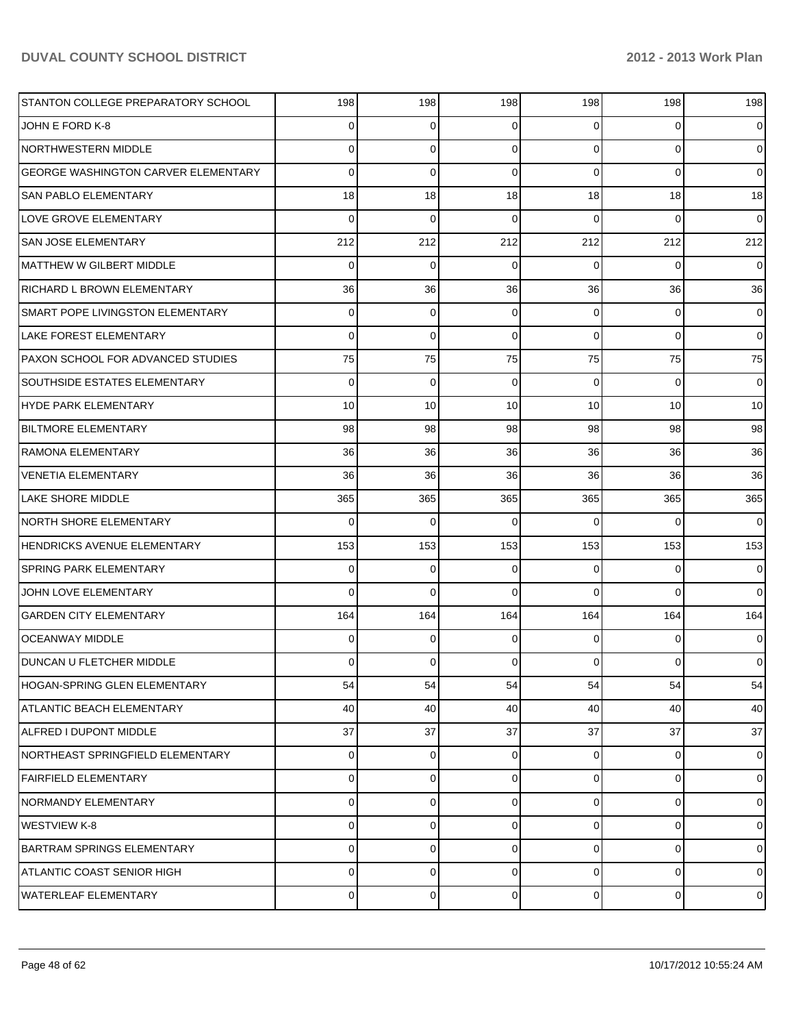| STANTON COLLEGE PREPARATORY SCHOOL         | 198            | 198         | 198         | 198            | 198            | 198            |
|--------------------------------------------|----------------|-------------|-------------|----------------|----------------|----------------|
| JOHN E FORD K-8                            | 0              | 0           | 0           | $\overline{0}$ | 0              | $\overline{0}$ |
| NORTHWESTERN MIDDLE                        | 0              | $\mathbf 0$ | $\Omega$    | $\Omega$       | $\overline{0}$ | $\overline{0}$ |
| <b>GEORGE WASHINGTON CARVER ELEMENTARY</b> | 0              | $\mathbf 0$ | $\Omega$    | $\Omega$       | $\Omega$       | $\overline{0}$ |
| <b>SAN PABLO ELEMENTARY</b>                | 18             | 18          | 18          | 18             | 18             | 18             |
| LOVE GROVE ELEMENTARY                      | 0              | 0           | 0           | $\Omega$       | $\Omega$       | $\overline{0}$ |
| <b>SAN JOSE ELEMENTARY</b>                 | 212            | 212         | 212         | 212            | 212            | 212            |
| MATTHEW W GILBERT MIDDLE                   | 0              | 0           | 0           | $\Omega$       | $\Omega$       | $\overline{0}$ |
| RICHARD L BROWN ELEMENTARY                 | 36             | 36          | 36          | 36             | 36             | 36             |
| SMART POPE LIVINGSTON ELEMENTARY           | 0              | 0           | 0           | $\overline{0}$ | 0              | $\overline{0}$ |
| <b>LAKE FOREST ELEMENTARY</b>              | 0              | $\mathbf 0$ | $\Omega$    | $\Omega$       | $\Omega$       | $\overline{0}$ |
| <b>PAXON SCHOOL FOR ADVANCED STUDIES</b>   | 75             | 75          | 75          | 75             | 75             | 75             |
| <b>SOUTHSIDE ESTATES ELEMENTARY</b>        | 0              | 0           | 0           | $\Omega$       | $\Omega$       | $\overline{0}$ |
| HYDE PARK ELEMENTARY                       | 10             | 10          | 10          | 10             | 10             | 10             |
| BILTMORE ELEMENTARY                        | 98             | 98          | 98          | 98             | 98             | 98             |
| RAMONA ELEMENTARY                          | 36             | 36          | 36          | 36             | 36             | 36             |
| VENETIA ELEMENTARY                         | 36             | 36          | 36          | 36             | 36             | 36             |
| LAKE SHORE MIDDLE                          | 365            | 365         | 365         | 365            | 365            | 365            |
| <b>NORTH SHORE ELEMENTARY</b>              | 0              | 0           | 0           | $\Omega$       | $\Omega$       | $\overline{0}$ |
| HENDRICKS AVENUE ELEMENTARY                | 153            | 153         | 153         | 153            | 153            | 153            |
| <b>SPRING PARK ELEMENTARY</b>              | 0              | $\mathbf 0$ | 0           | $\Omega$       | $\Omega$       | $\overline{0}$ |
| JOHN LOVE ELEMENTARY                       | 0              | $\Omega$    | $\Omega$    | $\Omega$       | $\Omega$       | $\overline{0}$ |
| <b>GARDEN CITY ELEMENTARY</b>              | 164            | 164         | 164         | 164            | 164            | 164            |
| <b>OCEANWAY MIDDLE</b>                     | 0              | 0           | 0           | $\Omega$       | $\Omega$       | $\overline{0}$ |
| DUNCAN U FLETCHER MIDDLE                   | 0              | 0           | 0           | $\overline{0}$ | $\mathbf{0}$   | $\overline{0}$ |
| <b>HOGAN-SPRING GLEN ELEMENTARY</b>        | 54             | 54          | 54          | 54             | 54             | 54             |
| <b>ATLANTIC BEACH ELEMENTARY</b>           | 40             | 40          | 40          | 40             | 40             | 40             |
| ALFRED I DUPONT MIDDLE                     | 37             | 37          | 37          | 37             | 37             | 37             |
| NORTHEAST SPRINGFIELD ELEMENTARY           | 0              | 0           | 0           | $\overline{0}$ | 0              | $\overline{0}$ |
| <b>FAIRFIELD ELEMENTARY</b>                | 0              | 0           | 0           | $\Omega$       | 0              | $\overline{0}$ |
| <b>NORMANDY ELEMENTARY</b>                 | 0              | $\mathbf 0$ | 0           | $\overline{0}$ | $\mathbf 0$    | $\overline{0}$ |
| WESTVIEW K-8                               | 0              | 0           | 0           | $\Omega$       | 0              | $\overline{0}$ |
| <b>BARTRAM SPRINGS ELEMENTARY</b>          | 0              | 0           | 0           | $\overline{0}$ | $\mathbf 0$    | $\overline{0}$ |
| ATLANTIC COAST SENIOR HIGH                 | 0              | 0           | 0           | $\overline{0}$ | $\mathbf 0$    | $\overline{0}$ |
| <b>WATERLEAF ELEMENTARY</b>                | $\overline{0}$ | $\mathbf 0$ | $\mathbf 0$ | $\overline{0}$ | $\mathbf 0$    | $\overline{0}$ |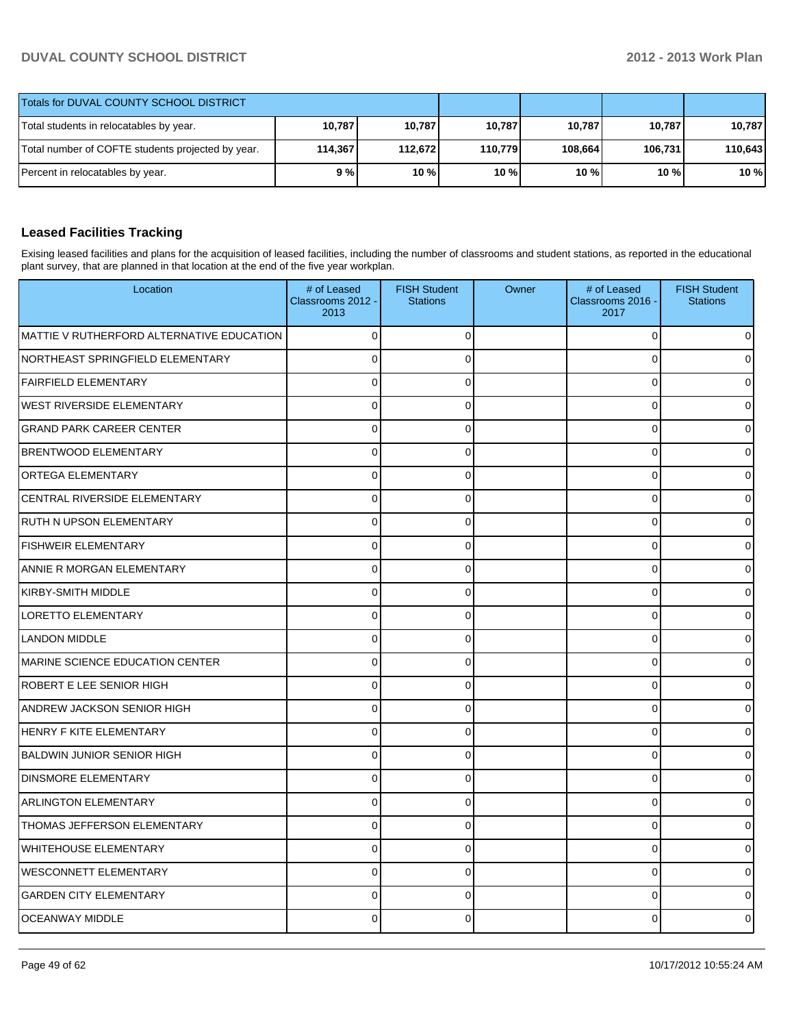| Totals for DUVAL COUNTY SCHOOL DISTRICT           |         |          |         |         |         |         |
|---------------------------------------------------|---------|----------|---------|---------|---------|---------|
| Total students in relocatables by year.           | 10,787  | 10,787   | 10,787  | 10,787  | 10.787  | 10.787  |
| Total number of COFTE students projected by year. | 114.367 | 112.6721 | 110,779 | 108,664 | 106.731 | 110,643 |
| Percent in relocatables by year.                  | 9%      | 10%      | 10%     | $10\%$  | 10%     | 10%     |

# **Leased Facilities Tracking**

Exising leased facilities and plans for the acquisition of leased facilities, including the number of classrooms and student stations, as reported in the educational plant survey, that are planned in that location at the end of the five year workplan.

| Location                                  | # of Leased<br>Classrooms 2012 -<br>2013 | <b>FISH Student</b><br><b>Stations</b> | Owner | # of Leased<br>Classrooms 2016 -<br>2017 | <b>FISH Student</b><br><b>Stations</b> |
|-------------------------------------------|------------------------------------------|----------------------------------------|-------|------------------------------------------|----------------------------------------|
| MATTIE V RUTHERFORD ALTERNATIVE EDUCATION | $\Omega$                                 | $\Omega$                               |       | $\mathbf 0$                              |                                        |
| NORTHEAST SPRINGFIELD ELEMENTARY          | $\overline{0}$                           | $\Omega$                               |       | $\Omega$                                 |                                        |
| <b>FAIRFIELD ELEMENTARY</b>               | $\Omega$                                 | $\Omega$                               |       | $\mathbf 0$                              |                                        |
| <b>WEST RIVERSIDE ELEMENTARY</b>          | $\overline{0}$                           | $\Omega$                               |       | $\Omega$                                 |                                        |
| <b>GRAND PARK CAREER CENTER</b>           | 0                                        | $\Omega$                               |       | $\mathbf 0$                              |                                        |
| <b>BRENTWOOD ELEMENTARY</b>               | $\overline{0}$                           | $\Omega$                               |       | $\mathbf 0$                              |                                        |
| <b>ORTEGA ELEMENTARY</b>                  | 0                                        | $\mathbf 0$                            |       | $\mathbf 0$                              |                                        |
| CENTRAL RIVERSIDE ELEMENTARY              | $\Omega$                                 | $\Omega$                               |       | $\Omega$                                 |                                        |
| <b>RUTH N UPSON ELEMENTARY</b>            | $\Omega$                                 | $\Omega$                               |       | $\Omega$                                 |                                        |
| <b>FISHWEIR ELEMENTARY</b>                | 0                                        | $\Omega$                               |       | $\mathbf 0$                              |                                        |
| ANNIE R MORGAN ELEMENTARY                 | $\Omega$                                 | $\Omega$                               |       | $\Omega$                                 |                                        |
| <b>KIRBY-SMITH MIDDLE</b>                 | 0                                        | $\mathbf 0$                            |       | $\mathbf 0$                              |                                        |
| <b>LORETTO ELEMENTARY</b>                 | $\overline{0}$                           | $\Omega$                               |       | $\mathbf 0$                              |                                        |
| <b>LANDON MIDDLE</b>                      | $\Omega$                                 | $\Omega$                               |       | $\Omega$                                 |                                        |
| MARINE SCIENCE EDUCATION CENTER           | $\Omega$                                 | $\Omega$                               |       | $\mathbf 0$                              |                                        |
| ROBERT E LEE SENIOR HIGH                  | $\mathbf 0$                              | $\Omega$                               |       | $\mathbf 0$                              |                                        |
| ANDREW JACKSON SENIOR HIGH                | $\Omega$                                 | $\Omega$                               |       | $\Omega$                                 |                                        |
| <b>HENRY F KITE ELEMENTARY</b>            | $\Omega$                                 | $\Omega$                               |       | $\mathbf 0$                              |                                        |
| <b>BALDWIN JUNIOR SENIOR HIGH</b>         | $\mathbf 0$                              | $\Omega$                               |       | $\mathbf 0$                              |                                        |
| <b>DINSMORE ELEMENTARY</b>                | $\Omega$                                 | $\overline{0}$                         |       | $\Omega$                                 |                                        |
| <b>ARLINGTON ELEMENTARY</b>               | 0                                        | $\mathbf 0$                            |       | $\mathbf 0$                              |                                        |
| THOMAS JEFFERSON ELEMENTARY               | $\mathbf 0$                              | $\Omega$                               |       | $\mathbf 0$                              |                                        |
| WHITEHOUSE ELEMENTARY                     | $\Omega$                                 | $\overline{0}$                         |       | $\Omega$                                 |                                        |
| <b>WESCONNETT ELEMENTARY</b>              | 0                                        | 0                                      |       | $\mathbf 0$                              |                                        |
| <b>GARDEN CITY ELEMENTARY</b>             | $\Omega$                                 | $\Omega$                               |       | $\Omega$                                 |                                        |
| <b>OCEANWAY MIDDLE</b>                    | $\Omega$                                 | $\Omega$                               |       | $\Omega$                                 |                                        |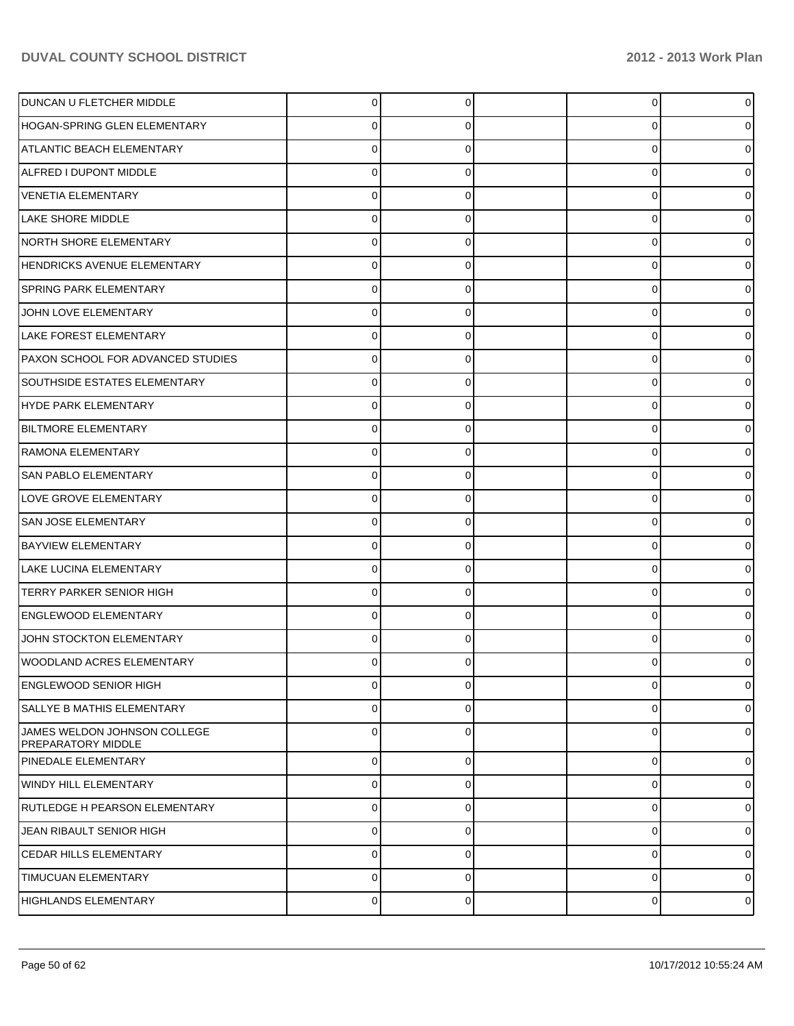| DUNCAN U FLETCHER MIDDLE                           | 0        |   | $\overline{0}$ | n              |
|----------------------------------------------------|----------|---|----------------|----------------|
| <b>HOGAN-SPRING GLEN ELEMENTARY</b>                | 0        |   | 0              |                |
| ATLANTIC BEACH ELEMENTARY                          | 0        |   | 0              |                |
| ALFRED I DUPONT MIDDLE                             | 0        |   | 0              |                |
| <b>VENETIA ELEMENTARY</b>                          | 0        |   | 0              |                |
| LAKE SHORE MIDDLE                                  | 0        |   | 0              |                |
| NORTH SHORE ELEMENTARY                             | 0        |   | 0              |                |
| HENDRICKS AVENUE ELEMENTARY                        | 0        |   | 0              |                |
| <b>SPRING PARK ELEMENTARY</b>                      | 0        |   | 0              |                |
| JOHN LOVE ELEMENTARY                               | 0        |   | 0              |                |
| LAKE FOREST ELEMENTARY                             | 0        |   | 0              |                |
| PAXON SCHOOL FOR ADVANCED STUDIES                  | 0        |   | 0              |                |
| <b>SOUTHSIDE ESTATES ELEMENTARY</b>                | 0        |   | 0              |                |
| HYDE PARK ELEMENTARY                               | 0        |   | 0              |                |
| <b>BILTMORE ELEMENTARY</b>                         | 0        |   | 0              |                |
| RAMONA ELEMENTARY                                  | 0        |   | 0              |                |
| SAN PABLO ELEMENTARY                               | 0        |   | 0              |                |
| LOVE GROVE ELEMENTARY                              | 0        |   | 0              |                |
| <b>SAN JOSE ELEMENTARY</b>                         | 0        |   | 0              |                |
| <b>BAYVIEW ELEMENTARY</b>                          | 0        |   | 0              |                |
| LAKE LUCINA ELEMENTARY                             | 0        |   | 0              |                |
| TERRY PARKER SENIOR HIGH                           | 0        |   | 0              |                |
| <b>ENGLEWOOD ELEMENTARY</b>                        | 0        |   | 0              |                |
| JOHN STOCKTON ELEMENTARY                           | 0        |   | 0              |                |
| WOODLAND ACRES ELEMENTARY                          | 0        |   | 0              |                |
| <b>ENGLEWOOD SENIOR HIGH</b>                       | 0        |   | 0              | 0              |
| SALLYE B MATHIS ELEMENTARY                         | $\Omega$ |   | 0              | 0              |
| JAMES WELDON JOHNSON COLLEGE<br>PREPARATORY MIDDLE | $\Omega$ |   | 0              | 0              |
| PINEDALE ELEMENTARY                                | $\Omega$ | 0 | $\overline{0}$ | $\Omega$       |
| WINDY HILL ELEMENTARY                              | $\Omega$ | 0 | $\overline{0}$ | 0              |
| <b>RUTLEDGE H PEARSON ELEMENTARY</b>               | $\Omega$ | 0 | 0              | $\Omega$       |
| JEAN RIBAULT SENIOR HIGH                           | $\Omega$ | 0 | $\overline{0}$ | 0              |
| CEDAR HILLS ELEMENTARY                             | $\Omega$ | 0 | $\overline{0}$ | $\Omega$       |
| TIMUCUAN ELEMENTARY                                | $\Omega$ | 0 | 0              | 0              |
| <b>HIGHLANDS ELEMENTARY</b>                        | 0        | 0 | $\overline{0}$ | $\overline{0}$ |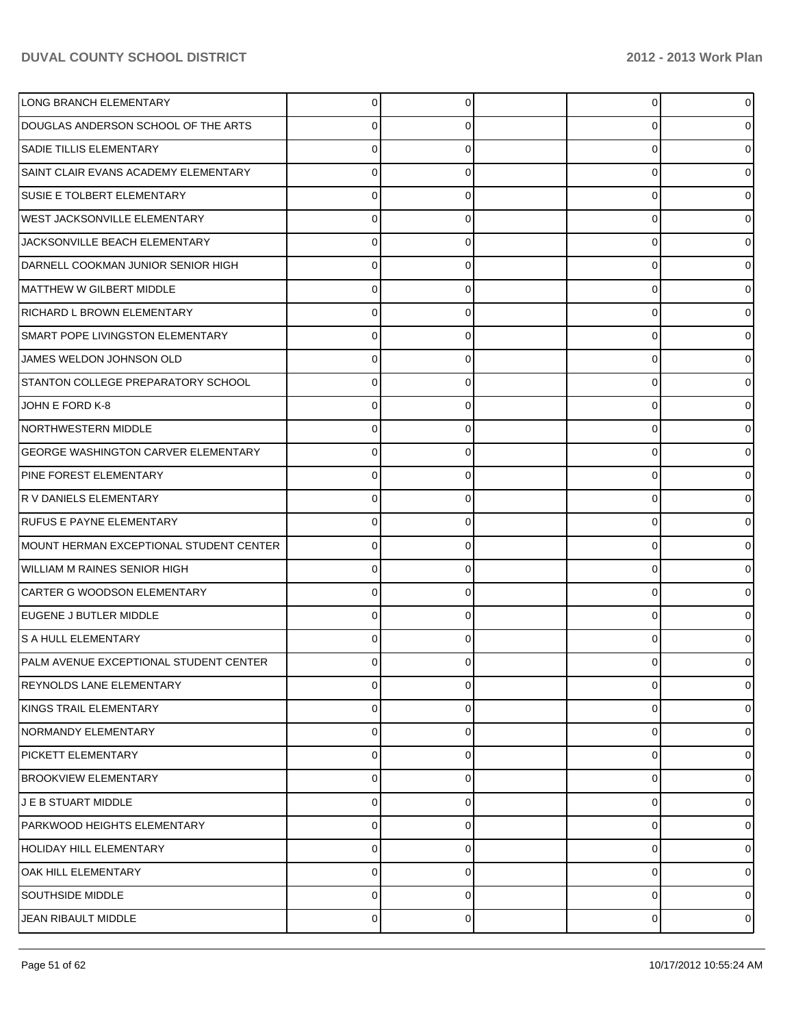| LONG BRANCH ELEMENTARY                     | 0           |          | 0 | $\overline{0}$ |
|--------------------------------------------|-------------|----------|---|----------------|
| DOUGLAS ANDERSON SCHOOL OF THE ARTS        | 0           |          | 0 | 0              |
| <b>SADIE TILLIS ELEMENTARY</b>             | 0           |          | 0 | 0              |
| SAINT CLAIR EVANS ACADEMY ELEMENTARY       | 0           | 0        | 0 | 01             |
| SUSIE E TOLBERT ELEMENTARY                 | 0           |          | 0 | 0              |
| <b>WEST JACKSONVILLE ELEMENTARY</b>        | 0           | 0        | 0 | 01             |
| JACKSONVILLE BEACH ELEMENTARY              | 0           |          | 0 | 0              |
| DARNELL COOKMAN JUNIOR SENIOR HIGH         | 0           | 0        | 0 | 0              |
| MATTHEW W GILBERT MIDDLE                   | 0           |          | 0 | 0              |
| RICHARD L BROWN ELEMENTARY                 | 0           | 0        | 0 | 0              |
| SMART POPE LIVINGSTON ELEMENTARY           | 0           |          | 0 | 0              |
| JAMES WELDON JOHNSON OLD                   | 0           | 0        | 0 | 0              |
| STANTON COLLEGE PREPARATORY SCHOOL         | 0           |          | 0 | 0              |
| JOHN E FORD K-8                            | 0           | 0        | 0 | 0              |
| NORTHWESTERN MIDDLE                        | 0           |          | 0 | 0              |
| <b>GEORGE WASHINGTON CARVER ELEMENTARY</b> | 0           | 0        | 0 | 01             |
| PINE FOREST ELEMENTARY                     | 0           |          | 0 | 01             |
| R V DANIELS ELEMENTARY                     | 0           | 0        | 0 | 01             |
| <b>RUFUS E PAYNE ELEMENTARY</b>            | 0           |          | 0 | 0              |
| MOUNT HERMAN EXCEPTIONAL STUDENT CENTER    | $\Omega$    | 0        | 0 | 01             |
| <b>WILLIAM M RAINES SENIOR HIGH</b>        | 0           |          | 0 | 0              |
| CARTER G WOODSON ELEMENTARY                | $\Omega$    | 0        | 0 | 0              |
| EUGENE J BUTLER MIDDLE                     | 0           |          | 0 | 0              |
| S A HULL ELEMENTARY                        | 0           |          | 0 | 0              |
| PALM AVENUE EXCEPTIONAL STUDENT CENTER     | 0           | 0        | U | 0              |
| <b>REYNOLDS LANE ELEMENTARY</b>            | 0           | 0        | 0 | $\overline{0}$ |
| KINGS TRAIL ELEMENTARY                     | 0           | 0        | 0 | 0              |
| NORMANDY ELEMENTARY                        | 0           | 0        | 0 | 0              |
| PICKETT ELEMENTARY                         | 0           | 0        | 0 | 0              |
| <b>BROOKVIEW ELEMENTARY</b>                | 0           | 0        | 0 | 0              |
| J E B STUART MIDDLE                        | 0           | 0        | 0 | 0              |
| PARKWOOD HEIGHTS ELEMENTARY                | 0           | 0        | 0 | 0              |
| <b>HOLIDAY HILL ELEMENTARY</b>             | $\mathbf 0$ | 0        | 0 | 0              |
| <b>OAK HILL ELEMENTARY</b>                 | 0           | $\Omega$ | 0 | $\overline{0}$ |
| SOUTHSIDE MIDDLE                           | $\mathbf 0$ | 0        | 0 | $\overline{0}$ |
| JEAN RIBAULT MIDDLE                        | 0           | 0        | 0 | $\circ$        |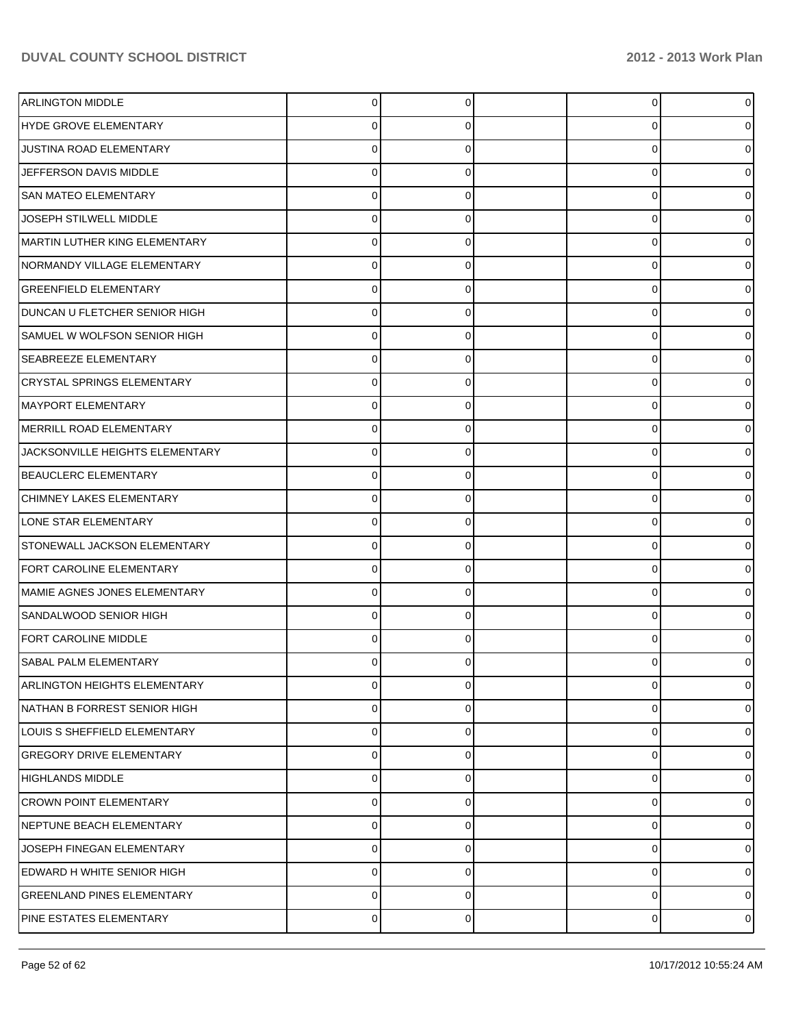| <b>ARLINGTON MIDDLE</b>           | $\Omega$  | 0        | 0 | $\overline{0}$ |
|-----------------------------------|-----------|----------|---|----------------|
| <b>HYDE GROVE ELEMENTARY</b>      | 0         |          | 0 | 0              |
| JUSTINA ROAD ELEMENTARY           | 0         |          | 0 | 0              |
| JEFFERSON DAVIS MIDDLE            | 0         | 0        | 0 | 0              |
| <b>SAN MATEO ELEMENTARY</b>       | 0         |          | 0 | 0              |
| JOSEPH STILWELL MIDDLE            | 0         | 0        | 0 | 0              |
| MARTIN LUTHER KING ELEMENTARY     | 0         |          | 0 | 0              |
| NORMANDY VILLAGE ELEMENTARY       | 0         | 0        | 0 | 0              |
| <b>GREENFIELD ELEMENTARY</b>      | 0         |          | 0 | 0              |
| DUNCAN U FLETCHER SENIOR HIGH     | 0         | 0        | 0 | 0              |
| SAMUEL W WOLFSON SENIOR HIGH      | 0         |          | 0 | 0              |
| <b>SEABREEZE ELEMENTARY</b>       | 0         | 0        | 0 | 0              |
| <b>CRYSTAL SPRINGS ELEMENTARY</b> | 0         |          | Ω | 0              |
| MAYPORT ELEMENTARY                | 0         | 0        | 0 | 0              |
| MERRILL ROAD ELEMENTARY           | 0         |          | 0 | 0              |
| JACKSONVILLE HEIGHTS ELEMENTARY   | $\Omega$  | 0        | 0 | 0              |
| <b>BEAUCLERC ELEMENTARY</b>       | 0         |          | 0 | 0              |
| CHIMNEY LAKES ELEMENTARY          | 0         | 0        | 0 | 0              |
| LONE STAR ELEMENTARY              | 0         |          | 0 | 0              |
| STONEWALL JACKSON ELEMENTARY      | $\Omega$  | 0        | 0 | 0              |
| FORT CAROLINE ELEMENTARY          | 0         |          | 0 | 0              |
| MAMIE AGNES JONES ELEMENTARY      | $\Omega$  | 0        | 0 | 0              |
| SANDALWOOD SENIOR HIGH            | 0         |          | 0 | 0              |
| FORT CAROLINE MIDDLE              | 0         | 0        | 0 | 0              |
| SABAL PALM ELEMENTARY             | 0         | 0        | U | 0              |
| ARLINGTON HEIGHTS ELEMENTARY      | 0         | $\Omega$ | 0 | $\overline{0}$ |
| NATHAN B FORREST SENIOR HIGH      | 0         | 0        | 0 | 01             |
| LOUIS S SHEFFIELD ELEMENTARY      | 0         | 0        | 0 | 01             |
| <b>GREGORY DRIVE ELEMENTARY</b>   | 0         | 0        | 0 | 0              |
| <b>HIGHLANDS MIDDLE</b>           | 0         | 0        | 0 | 01             |
| <b>CROWN POINT ELEMENTARY</b>     | 0         | 0        | 0 | 0              |
| NEPTUNE BEACH ELEMENTARY          | 0         | 0        | 0 | 01             |
| JOSEPH FINEGAN ELEMENTARY         | 0         | 0        | 0 | 01             |
| EDWARD H WHITE SENIOR HIGH        | 0         | 0        | 0 | 0              |
| <b>GREENLAND PINES ELEMENTARY</b> | 0         | 0        | 0 | 0              |
| PINE ESTATES ELEMENTARY           | $\pmb{0}$ | 0        | 0 | $\circ$        |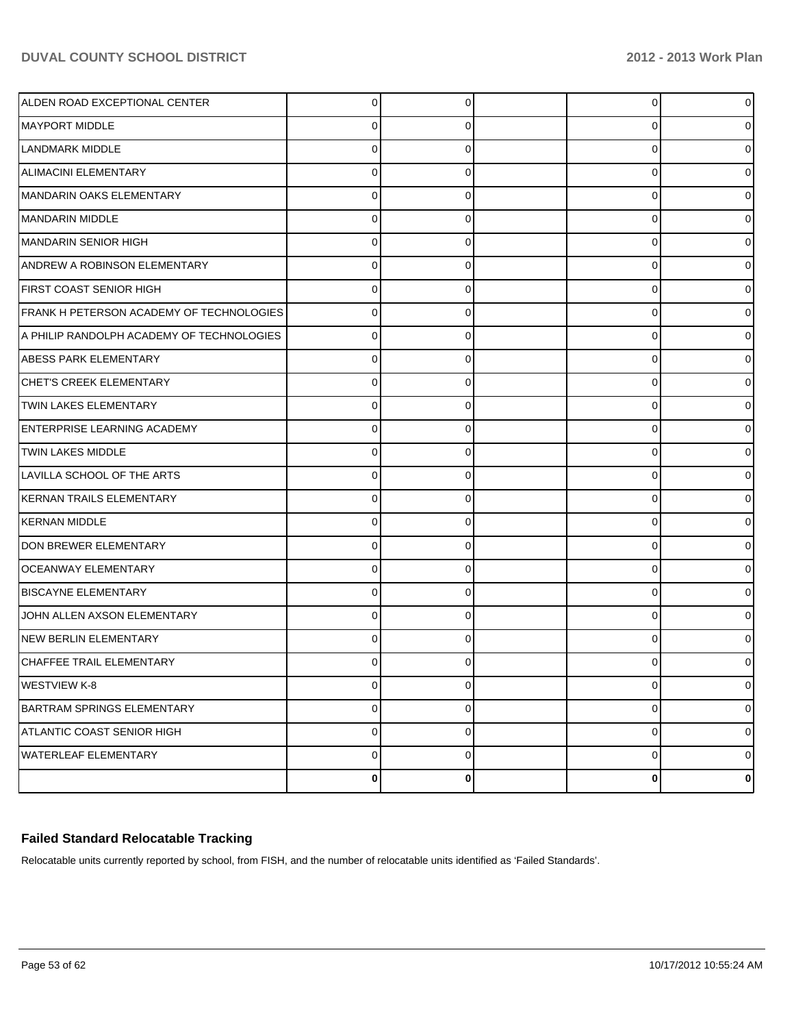| ALDEN ROAD EXCEPTIONAL CENTER             | $\Omega$       | 0           | 0        | 0              |
|-------------------------------------------|----------------|-------------|----------|----------------|
| MAYPORT MIDDLE                            | 0              | 0           | 0        | 0              |
| LANDMARK MIDDLE                           | $\Omega$       | 0           | 0        | 0              |
| <b>ALIMACINI ELEMENTARY</b>               | $\Omega$       | 0           | 0        | 0              |
| MANDARIN OAKS ELEMENTARY                  | $\Omega$       | 0           | 0        |                |
| MANDARIN MIDDLE                           | $\Omega$       | 0           | 0        | 0              |
| MANDARIN SENIOR HIGH                      | $\Omega$       | O           | 0        |                |
| <b>ANDREW A ROBINSON ELEMENTARY</b>       | $\Omega$       | 0           | 0        | 0              |
| FIRST COAST SENIOR HIGH                   | $\Omega$       | 0           | 0        |                |
| FRANK H PETERSON ACADEMY OF TECHNOLOGIES  | $\Omega$       | 0           | 0        | 0              |
| A PHILIP RANDOLPH ACADEMY OF TECHNOLOGIES | $\Omega$       |             | 0        |                |
| <b>ABESS PARK ELEMENTARY</b>              | $\Omega$       | 0           | 0        | 0              |
| <b>CHET'S CREEK ELEMENTARY</b>            | $\Omega$       |             | 0        |                |
| <b>TWIN LAKES ELEMENTARY</b>              | $\Omega$       | 0           | 0        | 0              |
| ENTERPRISE LEARNING ACADEMY               | $\Omega$       | O           | 0        |                |
| <b>TWIN LAKES MIDDLE</b>                  | $\Omega$       | 0           | 0        | 0              |
| LAVILLA SCHOOL OF THE ARTS                | 0              |             | 0        |                |
| KERNAN TRAILS ELEMENTARY                  | $\Omega$       | 0           | 0        | 0              |
| KERNAN MIDDLE                             | $\Omega$       |             | 0        |                |
| DON BREWER ELEMENTARY                     | $\Omega$       | 0           | 0        | 0              |
| <b>OCEANWAY ELEMENTARY</b>                | 0              |             | 0        |                |
| <b>BISCAYNE ELEMENTARY</b>                | $\Omega$       | 0           | 0        | 0              |
| JOHN ALLEN AXSON ELEMENTARY               | 0              |             | 0        |                |
| NEW BERLIN ELEMENTARY                     | $\Omega$       | 0           | 0        |                |
| CHAFFEE TRAIL ELEMENTARY                  | ∩              |             | O        |                |
| <b>WESTVIEW K-8</b>                       | $\overline{0}$ | 0           | 0        | $\overline{0}$ |
| <b>BARTRAM SPRINGS ELEMENTARY</b>         | $\pmb{0}$      | $\mathbf 0$ | 0        | $\overline{0}$ |
| ATLANTIC COAST SENIOR HIGH                | $\pmb{0}$      | 0           | 0        | $\overline{0}$ |
| <b>WATERLEAF ELEMENTARY</b>               | $\pmb{0}$      | 0           | 0        | $\overline{0}$ |
|                                           | $\bf{0}$       | 0           | $\bf{0}$ | $\mathbf{0}$   |

## **Failed Standard Relocatable Tracking**

Relocatable units currently reported by school, from FISH, and the number of relocatable units identified as 'Failed Standards'.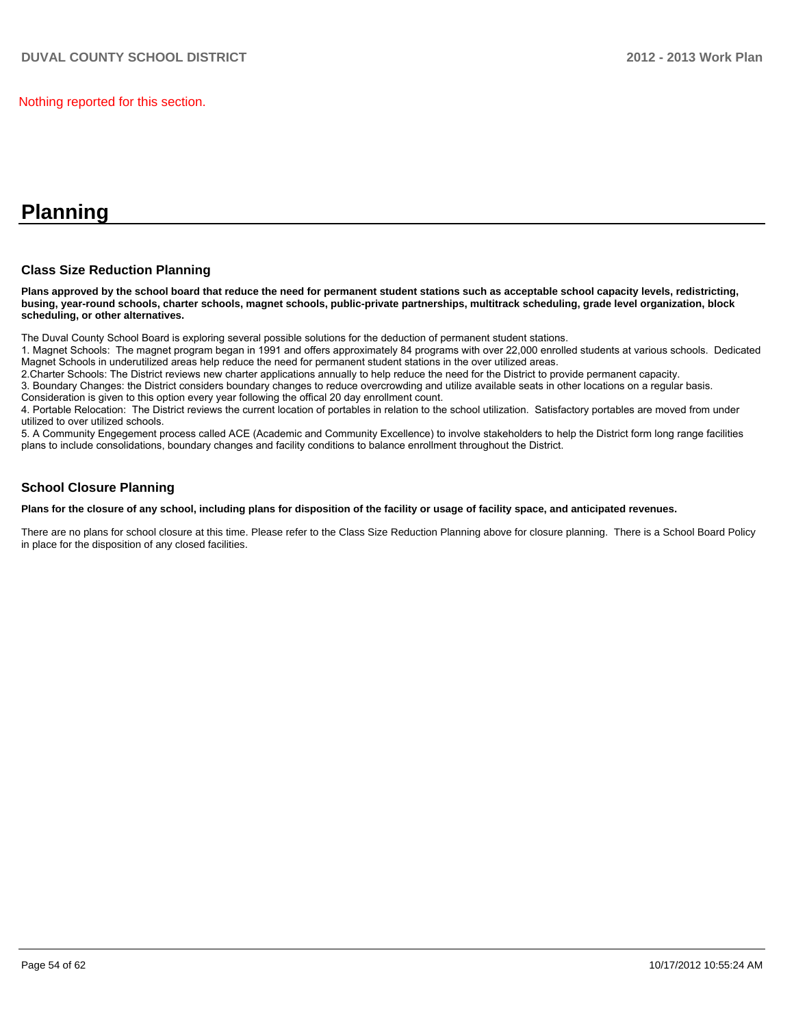Nothing reported for this section.

# **Planning**

#### **Class Size Reduction Planning**

**Plans approved by the school board that reduce the need for permanent student stations such as acceptable school capacity levels, redistricting, busing, year-round schools, charter schools, magnet schools, public-private partnerships, multitrack scheduling, grade level organization, block scheduling, or other alternatives.**

The Duval County School Board is exploring several possible solutions for the deduction of permanent student stations.

1. Magnet Schools: The magnet program began in 1991 and offers approximately 84 programs with over 22,000 enrolled students at various schools. Dedicated Magnet Schools in underutilized areas help reduce the need for permanent student stations in the over utilized areas.

2. Charter Schools: The District reviews new charter applications annually to help reduce the need for the District to provide permanent capacity.

3. Boundary Changes: the District considers boundary changes to reduce overcrowding and utilize available seats in other locations on a regular basis. Consideration is given to this option every year following the offical 20 day enrollment count.

4. Portable Relocation: The District reviews the current location of portables in relation to the school utilization. Satisfactory portables are moved from under utilized to over utilized schools.

5. A Community Engegement process called ACE (Academic and Community Excellence) to involve stakeholders to help the District form long range facilities plans to include consolidations, boundary changes and facility conditions to balance enrollment throughout the District.

#### **School Closure Planning**

**Plans for the closure of any school, including plans for disposition of the facility or usage of facility space, and anticipated revenues.**

There are no plans for school closure at this time. Please refer to the Class Size Reduction Planning above for closure planning. There is a School Board Policy in place for the disposition of any closed facilities.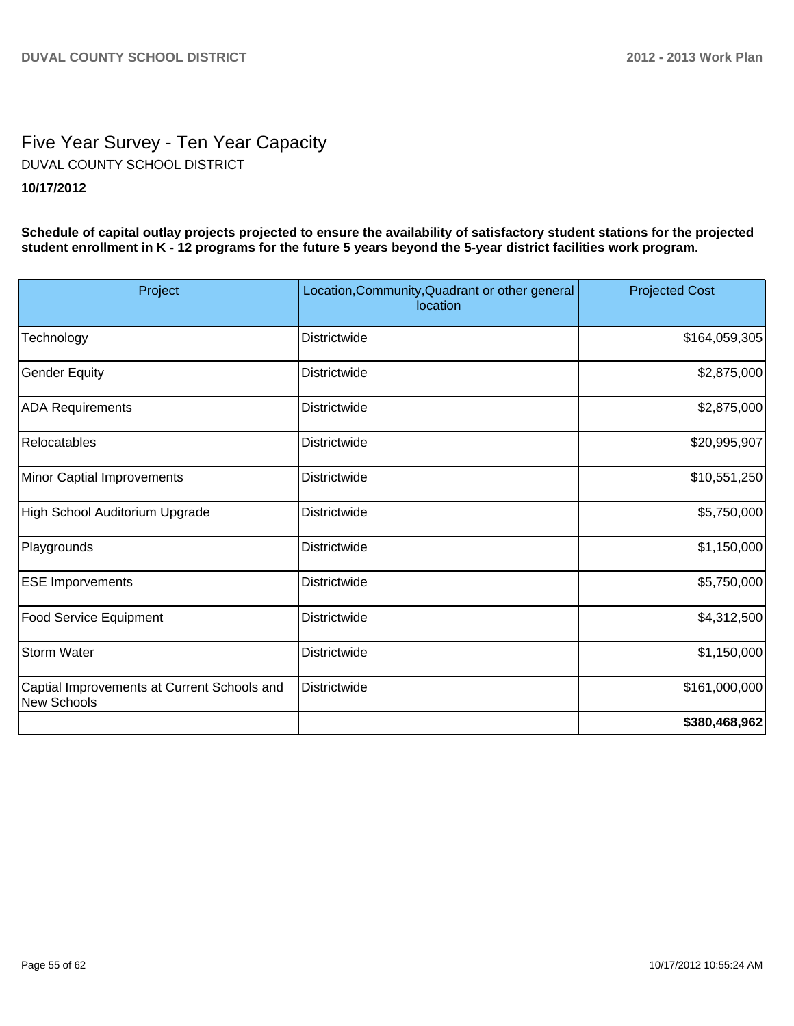# Five Year Survey - Ten Year Capacity **10/17/2012** DUVAL COUNTY SCHOOL DISTRICT

**Schedule of capital outlay projects projected to ensure the availability of satisfactory student stations for the projected student enrollment in K - 12 programs for the future 5 years beyond the 5-year district facilities work program.**

| Project                                                    | Location, Community, Quadrant or other general<br>location | <b>Projected Cost</b> |
|------------------------------------------------------------|------------------------------------------------------------|-----------------------|
| Technology                                                 | Districtwide                                               | \$164,059,305         |
| <b>Gender Equity</b>                                       | Districtwide                                               | \$2,875,000           |
| <b>ADA Requirements</b>                                    | Districtwide                                               | \$2,875,000           |
| Relocatables                                               | Districtwide                                               | \$20,995,907          |
| Minor Captial Improvements                                 | Districtwide                                               | \$10,551,250          |
| High School Auditorium Upgrade                             | Districtwide                                               | \$5,750,000           |
| Playgrounds                                                | Districtwide                                               | \$1,150,000           |
| <b>ESE Imporvements</b>                                    | Districtwide                                               | \$5,750,000           |
| <b>Food Service Equipment</b>                              | Districtwide                                               | \$4,312,500           |
| <b>Storm Water</b>                                         | Districtwide                                               | \$1,150,000           |
| Captial Improvements at Current Schools and<br>New Schools | Districtwide                                               | \$161,000,000         |
|                                                            |                                                            | \$380,468,962         |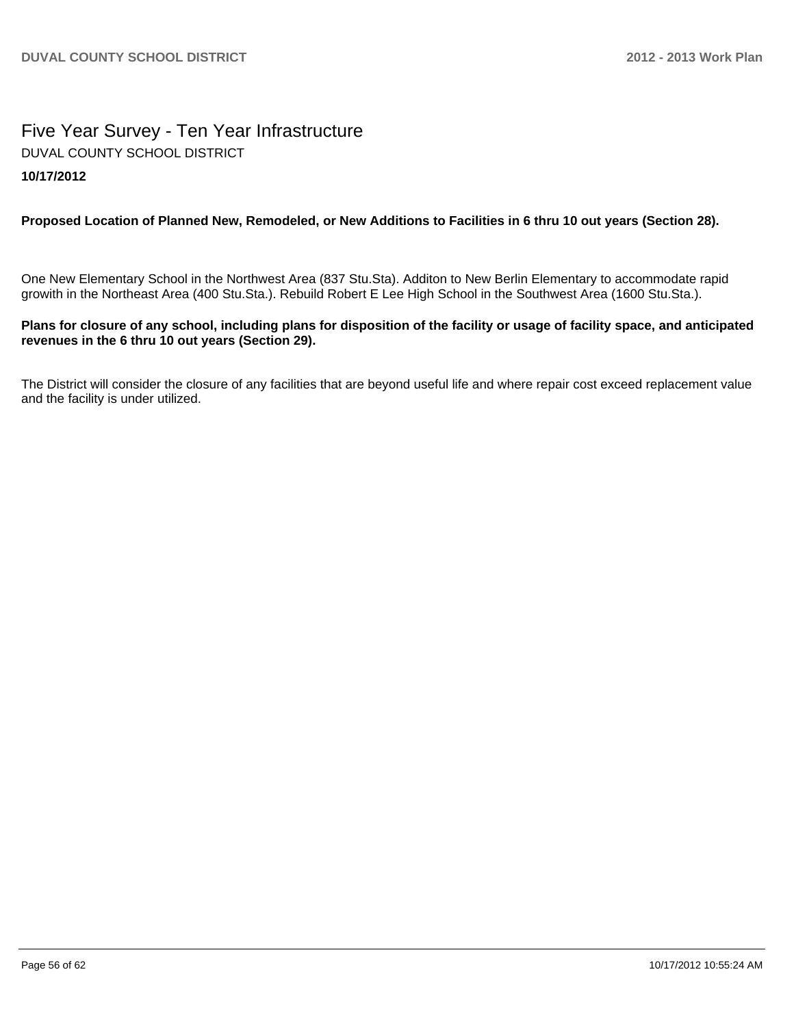# Five Year Survey - Ten Year Infrastructure **10/17/2012** DUVAL COUNTY SCHOOL DISTRICT

### **Proposed Location of Planned New, Remodeled, or New Additions to Facilities in 6 thru 10 out years (Section 28).**

One New Elementary School in the Northwest Area (837 Stu.Sta). Additon to New Berlin Elementary to accommodate rapid growith in the Northeast Area (400 Stu.Sta.). Rebuild Robert E Lee High School in the Southwest Area (1600 Stu.Sta.).

#### **Plans for closure of any school, including plans for disposition of the facility or usage of facility space, and anticipated revenues in the 6 thru 10 out years (Section 29).**

The District will consider the closure of any facilities that are beyond useful life and where repair cost exceed replacement value and the facility is under utilized.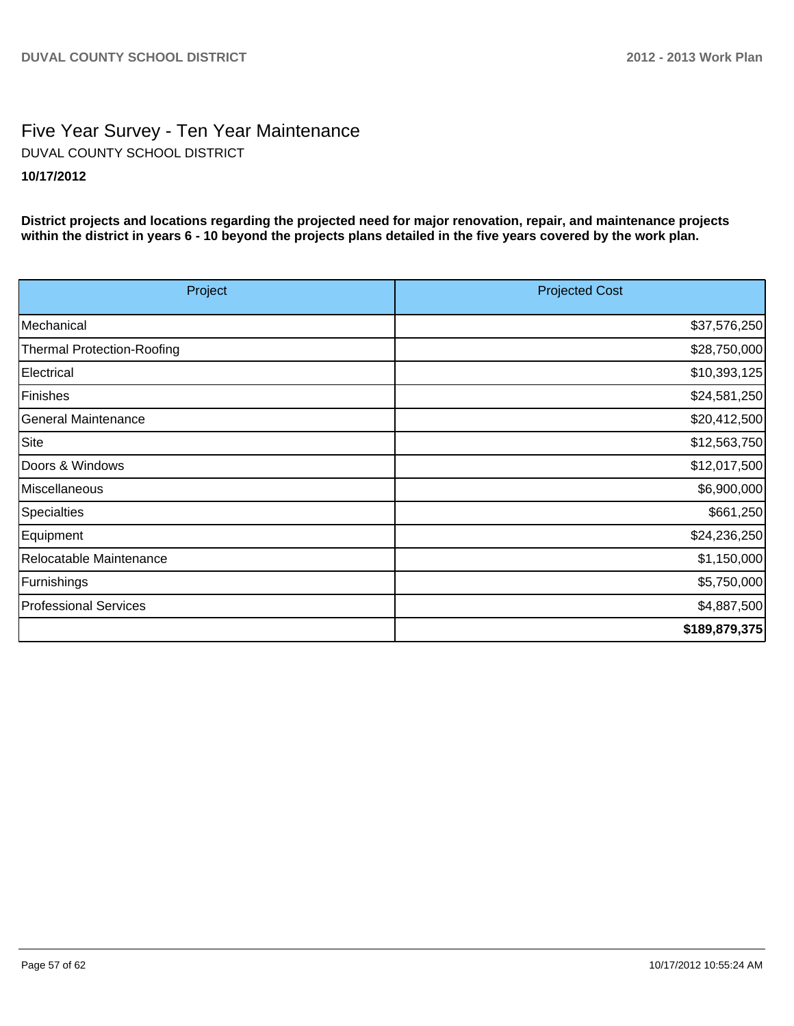# Five Year Survey - Ten Year Maintenance **10/17/2012** DUVAL COUNTY SCHOOL DISTRICT

**District projects and locations regarding the projected need for major renovation, repair, and maintenance projects within the district in years 6 - 10 beyond the projects plans detailed in the five years covered by the work plan.**

| Project                    | <b>Projected Cost</b> |
|----------------------------|-----------------------|
| Mechanical                 | \$37,576,250          |
| Thermal Protection-Roofing | \$28,750,000          |
| Electrical                 | \$10,393,125          |
| Finishes                   | \$24,581,250          |
| General Maintenance        | \$20,412,500          |
| Site                       | \$12,563,750          |
| Doors & Windows            | \$12,017,500          |
| Miscellaneous              | \$6,900,000           |
| Specialties                | \$661,250             |
| Equipment                  | \$24,236,250          |
| Relocatable Maintenance    | \$1,150,000           |
| Furnishings                | \$5,750,000           |
| Professional Services      | \$4,887,500           |
|                            | \$189,879,375         |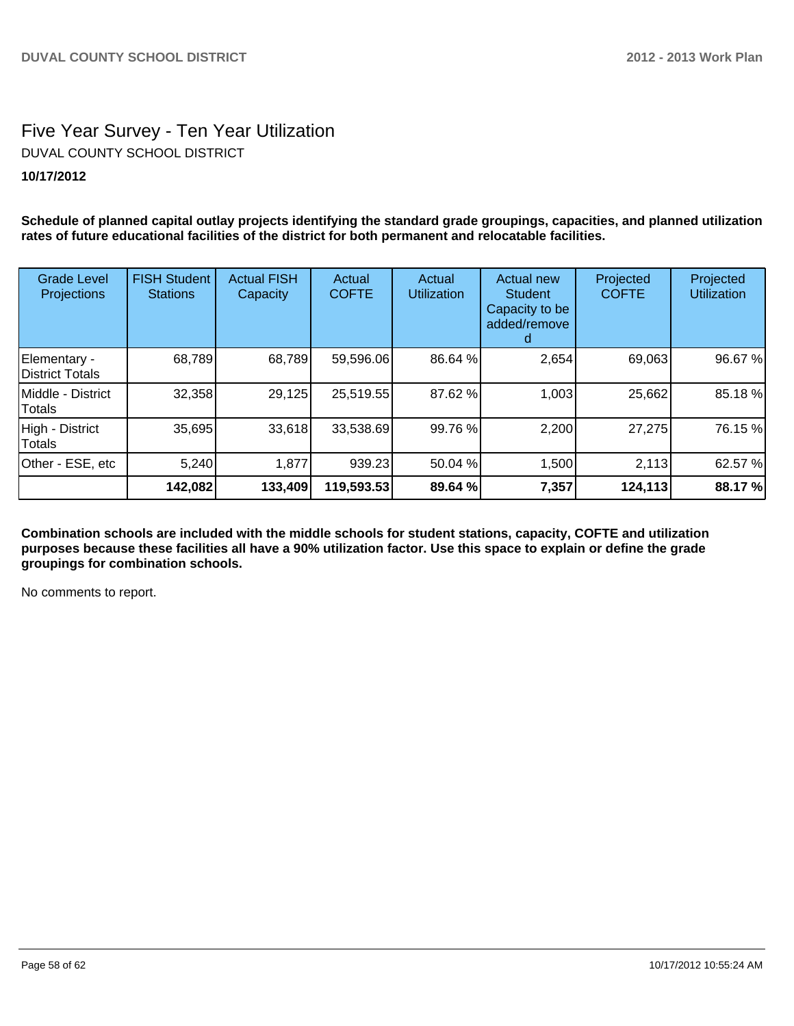# Five Year Survey - Ten Year Utilization **10/17/2012** DUVAL COUNTY SCHOOL DISTRICT

**Schedule of planned capital outlay projects identifying the standard grade groupings, capacities, and planned utilization rates of future educational facilities of the district for both permanent and relocatable facilities.**

| <b>Grade Level</b><br>Projections      | <b>FISH Student</b><br><b>Stations</b> | <b>Actual FISH</b><br>Capacity | Actual<br><b>COFTE</b> | Actual<br><b>Utilization</b> | <b>Actual new</b><br><b>Student</b><br>Capacity to be<br>added/remove<br>a. | Projected<br><b>COFTE</b> | Projected<br><b>Utilization</b> |
|----------------------------------------|----------------------------------------|--------------------------------|------------------------|------------------------------|-----------------------------------------------------------------------------|---------------------------|---------------------------------|
| Elementary -<br><b>District Totals</b> | 68,789                                 | 68,789                         | 59,596.06              | 86.64 %                      | 2,654                                                                       | 69,063                    | 96.67 %                         |
| Middle - District<br>Totals            | 32,358                                 | 29,125                         | 25,519.55              | 87.62 %                      | 1,003                                                                       | 25,662                    | 85.18 %                         |
| High - District<br>Totals              | 35,695                                 | 33,618                         | 33,538.69              | 99.76 %                      | 2,200                                                                       | 27,275                    | 76.15 %                         |
| Other - ESE, etc                       | 5,240                                  | 1,877                          | 939.23                 | 50.04 %                      | 1,500                                                                       | 2,113                     | 62.57 %                         |
|                                        | 142,082                                | 133,409                        | 119,593.53             | 89.64 %                      | 7,357                                                                       | 124,113                   | 88.17 %                         |

**Combination schools are included with the middle schools for student stations, capacity, COFTE and utilization purposes because these facilities all have a 90% utilization factor. Use this space to explain or define the grade groupings for combination schools.**

No comments to report.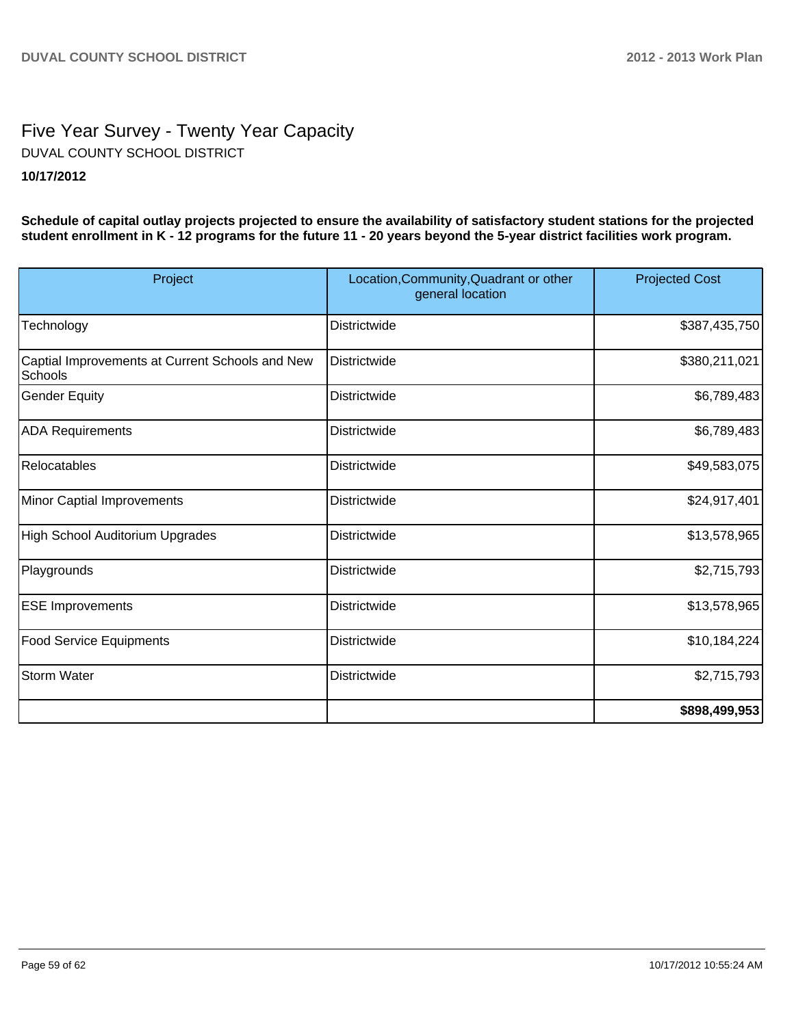# Five Year Survey - Twenty Year Capacity **10/17/2012** DUVAL COUNTY SCHOOL DISTRICT

**Schedule of capital outlay projects projected to ensure the availability of satisfactory student stations for the projected student enrollment in K - 12 programs for the future 11 - 20 years beyond the 5-year district facilities work program.**

| Project                                                    | Location, Community, Quadrant or other<br>general location | <b>Projected Cost</b> |  |
|------------------------------------------------------------|------------------------------------------------------------|-----------------------|--|
| Technology                                                 | <b>Districtwide</b>                                        | \$387,435,750         |  |
| Captial Improvements at Current Schools and New<br>Schools | Districtwide                                               | \$380,211,021         |  |
| Gender Equity                                              | <b>Districtwide</b>                                        | \$6,789,483           |  |
| <b>ADA Requirements</b>                                    | Districtwide                                               | \$6,789,483           |  |
| Relocatables                                               | <b>Districtwide</b>                                        | \$49,583,075          |  |
| Minor Captial Improvements                                 | <b>Districtwide</b>                                        | \$24,917,401          |  |
| High School Auditorium Upgrades                            | Districtwide                                               | \$13,578,965          |  |
| Playgrounds                                                | <b>Districtwide</b>                                        | \$2,715,793           |  |
| <b>ESE Improvements</b>                                    | <b>Districtwide</b>                                        | \$13,578,965          |  |
| <b>Food Service Equipments</b>                             | Districtwide                                               | \$10,184,224]         |  |
| Storm Water                                                | <b>Districtwide</b>                                        | \$2,715,793           |  |
|                                                            |                                                            | \$898,499,953         |  |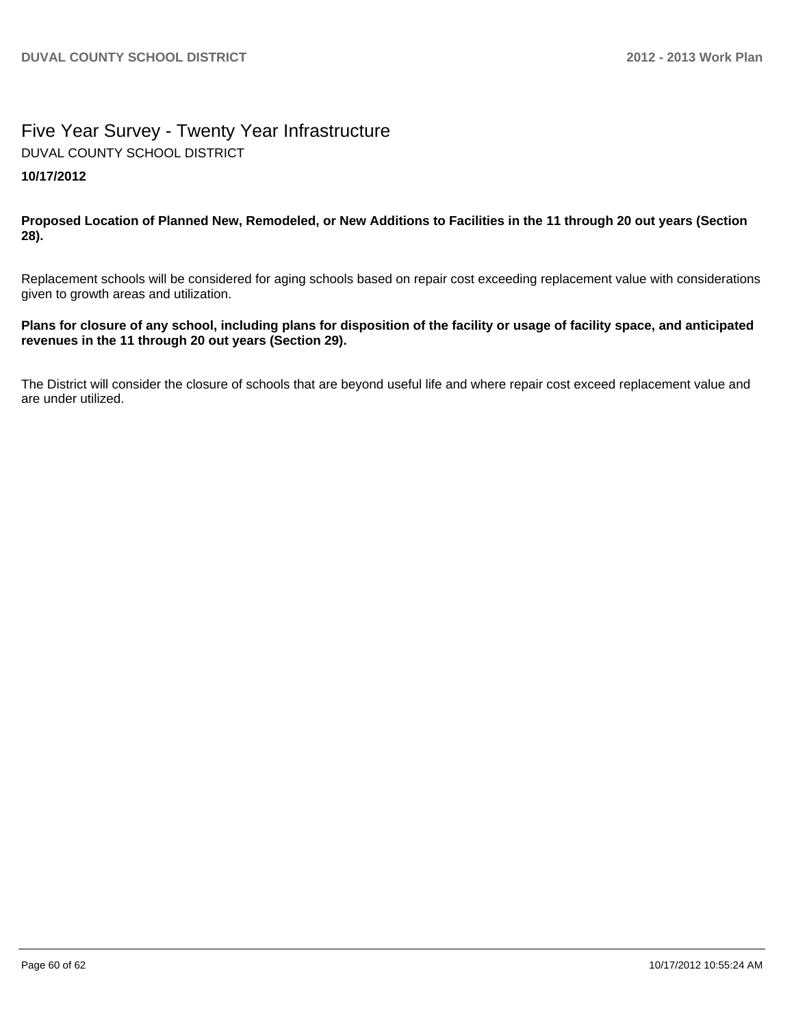# Five Year Survey - Twenty Year Infrastructure **10/17/2012** DUVAL COUNTY SCHOOL DISTRICT

**Proposed Location of Planned New, Remodeled, or New Additions to Facilities in the 11 through 20 out years (Section 28).**

Replacement schools will be considered for aging schools based on repair cost exceeding replacement value with considerations given to growth areas and utilization.

#### **Plans for closure of any school, including plans for disposition of the facility or usage of facility space, and anticipated revenues in the 11 through 20 out years (Section 29).**

The District will consider the closure of schools that are beyond useful life and where repair cost exceed replacement value and are under utilized.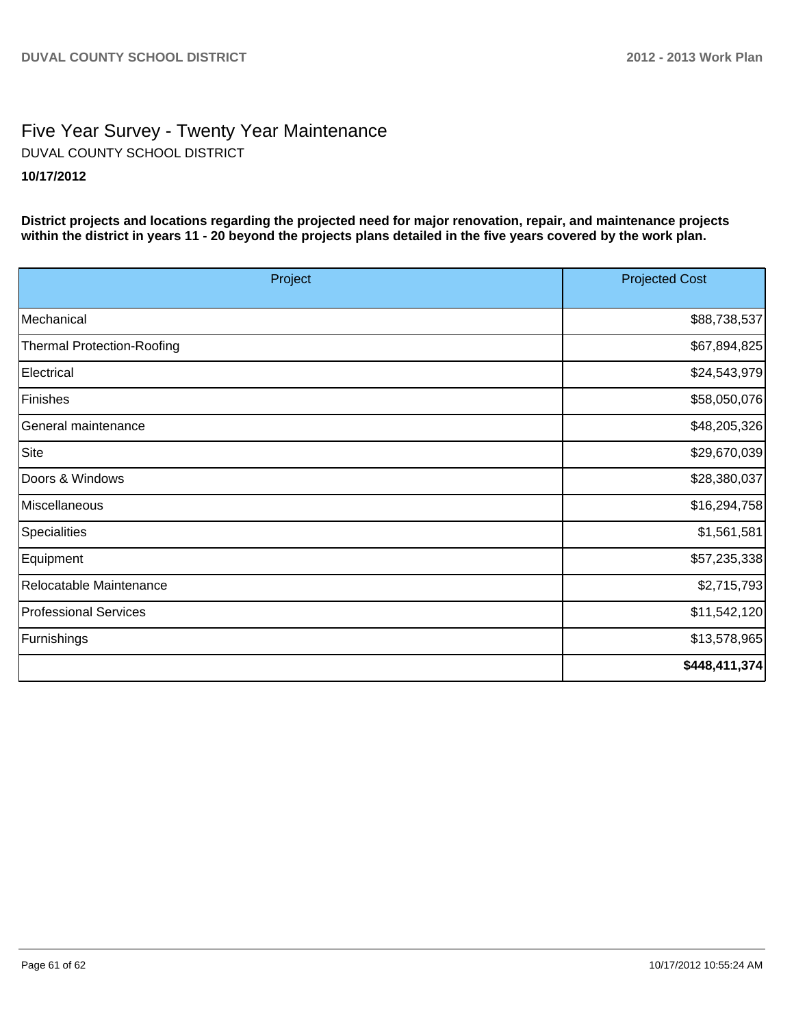# Five Year Survey - Twenty Year Maintenance **10/17/2012** DUVAL COUNTY SCHOOL DISTRICT

**District projects and locations regarding the projected need for major renovation, repair, and maintenance projects within the district in years 11 - 20 beyond the projects plans detailed in the five years covered by the work plan.**

| Project                           | <b>Projected Cost</b> |  |
|-----------------------------------|-----------------------|--|
|                                   |                       |  |
| Mechanical                        | \$88,738,537          |  |
| <b>Thermal Protection-Roofing</b> | \$67,894,825          |  |
| Electrical                        | \$24,543,979          |  |
| Finishes                          | \$58,050,076          |  |
| General maintenance               | \$48,205,326          |  |
| Site                              | \$29,670,039          |  |
| Doors & Windows                   | \$28,380,037          |  |
| Miscellaneous                     | \$16,294,758          |  |
| Specialities                      | \$1,561,581           |  |
| Equipment                         | \$57,235,338          |  |
| Relocatable Maintenance           | \$2,715,793           |  |
| <b>Professional Services</b>      | \$11,542,120          |  |
| Furnishings                       | \$13,578,965          |  |
|                                   | \$448,411,374         |  |